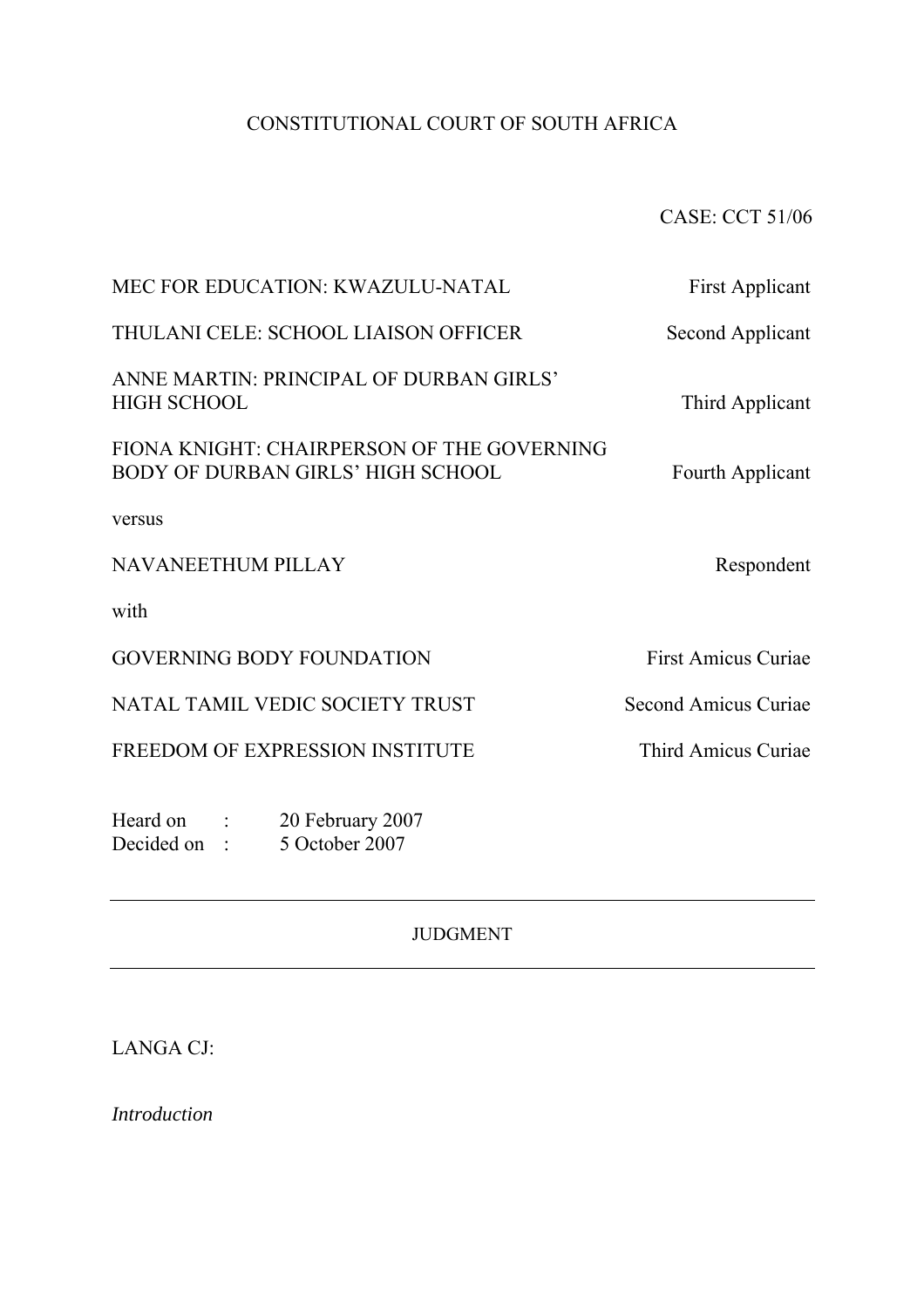# CONSTITUTIONAL COURT OF SOUTH AFRICA

CASE: CCT 51/06

| MEC FOR EDUCATION: KWAZULU-NATAL                                                       | <b>First Applicant</b>     |
|----------------------------------------------------------------------------------------|----------------------------|
| THULANI CELE: SCHOOL LIAISON OFFICER                                                   | Second Applicant           |
| ANNE MARTIN: PRINCIPAL OF DURBAN GIRLS'<br><b>HIGH SCHOOL</b>                          | Third Applicant            |
| FIONA KNIGHT: CHAIRPERSON OF THE GOVERNING<br><b>BODY OF DURBAN GIRLS' HIGH SCHOOL</b> | Fourth Applicant           |
| versus                                                                                 |                            |
| NAVANEETHUM PILLAY                                                                     | Respondent                 |
| with                                                                                   |                            |
| <b>GOVERNING BODY FOUNDATION</b>                                                       | <b>First Amicus Curiae</b> |
| NATAL TAMIL VEDIC SOCIETY TRUST                                                        | Second Amicus Curiae       |
| FREEDOM OF EXPRESSION INSTITUTE                                                        | Third Amicus Curiae        |
| Heard on : 20 February 2007<br>Decided on : 5 October 2007                             |                            |

## JUDGMENT

LANGA CJ:

*Introduction*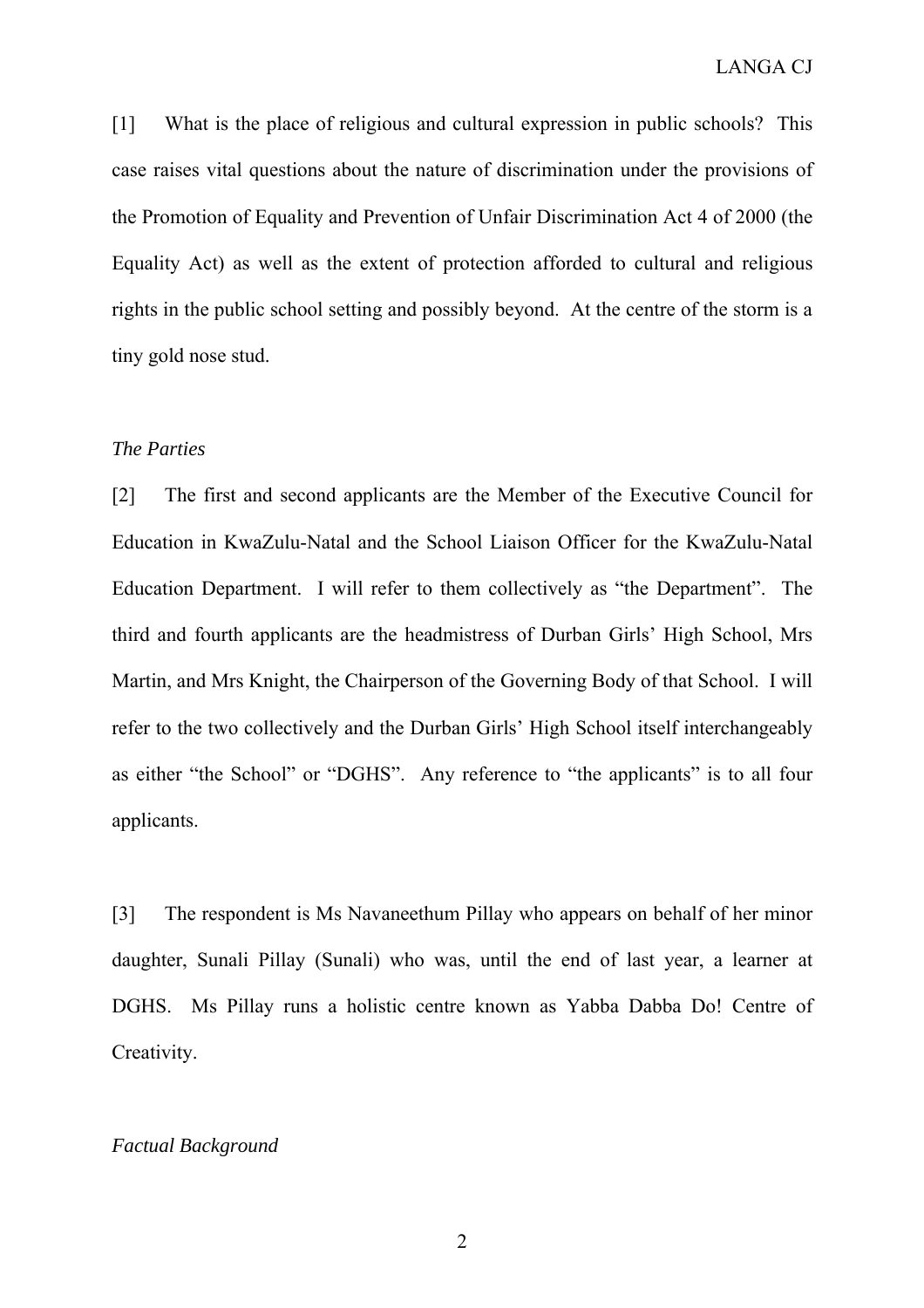[1] What is the place of religious and cultural expression in public schools? This case raises vital questions about the nature of discrimination under the provisions of the Promotion of Equality and Prevention of Unfair Discrimination Act 4 of 2000 (the Equality Act) as well as the extent of protection afforded to cultural and religious rights in the public school setting and possibly beyond. At the centre of the storm is a tiny gold nose stud.

#### *The Parties*

[2] The first and second applicants are the Member of the Executive Council for Education in KwaZulu-Natal and the School Liaison Officer for the KwaZulu-Natal Education Department. I will refer to them collectively as "the Department". The third and fourth applicants are the headmistress of Durban Girls' High School, Mrs Martin, and Mrs Knight, the Chairperson of the Governing Body of that School. I will refer to the two collectively and the Durban Girls' High School itself interchangeably as either "the School" or "DGHS". Any reference to "the applicants" is to all four applicants.

[3] The respondent is Ms Navaneethum Pillay who appears on behalf of her minor daughter, Sunali Pillay (Sunali) who was, until the end of last year, a learner at DGHS. Ms Pillay runs a holistic centre known as Yabba Dabba Do! Centre of Creativity.

#### *Factual Background*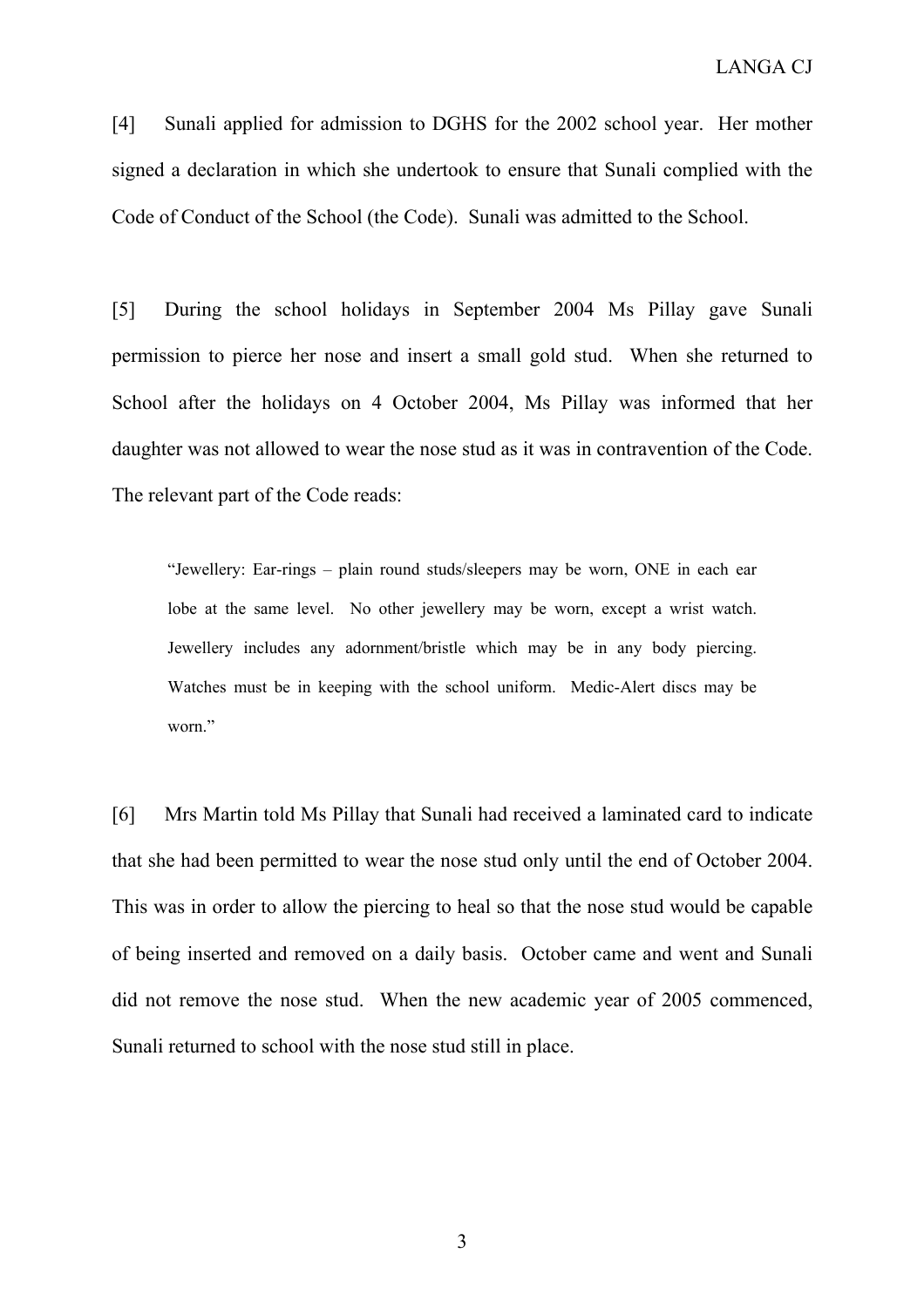[4] Sunali applied for admission to DGHS for the 2002 school year. Her mother signed a declaration in which she undertook to ensure that Sunali complied with the Code of Conduct of the School (the Code). Sunali was admitted to the School.

[5] During the school holidays in September 2004 Ms Pillay gave Sunali permission to pierce her nose and insert a small gold stud. When she returned to School after the holidays on 4 October 2004, Ms Pillay was informed that her daughter was not allowed to wear the nose stud as it was in contravention of the Code. The relevant part of the Code reads:

"Jewellery: Ear-rings – plain round studs/sleepers may be worn, ONE in each ear lobe at the same level. No other jewellery may be worn, except a wrist watch. Jewellery includes any adornment/bristle which may be in any body piercing. Watches must be in keeping with the school uniform. Medic-Alert discs may be worn."

[6] Mrs Martin told Ms Pillay that Sunali had received a laminated card to indicate that she had been permitted to wear the nose stud only until the end of October 2004. This was in order to allow the piercing to heal so that the nose stud would be capable of being inserted and removed on a daily basis. October came and went and Sunali did not remove the nose stud. When the new academic year of 2005 commenced, Sunali returned to school with the nose stud still in place.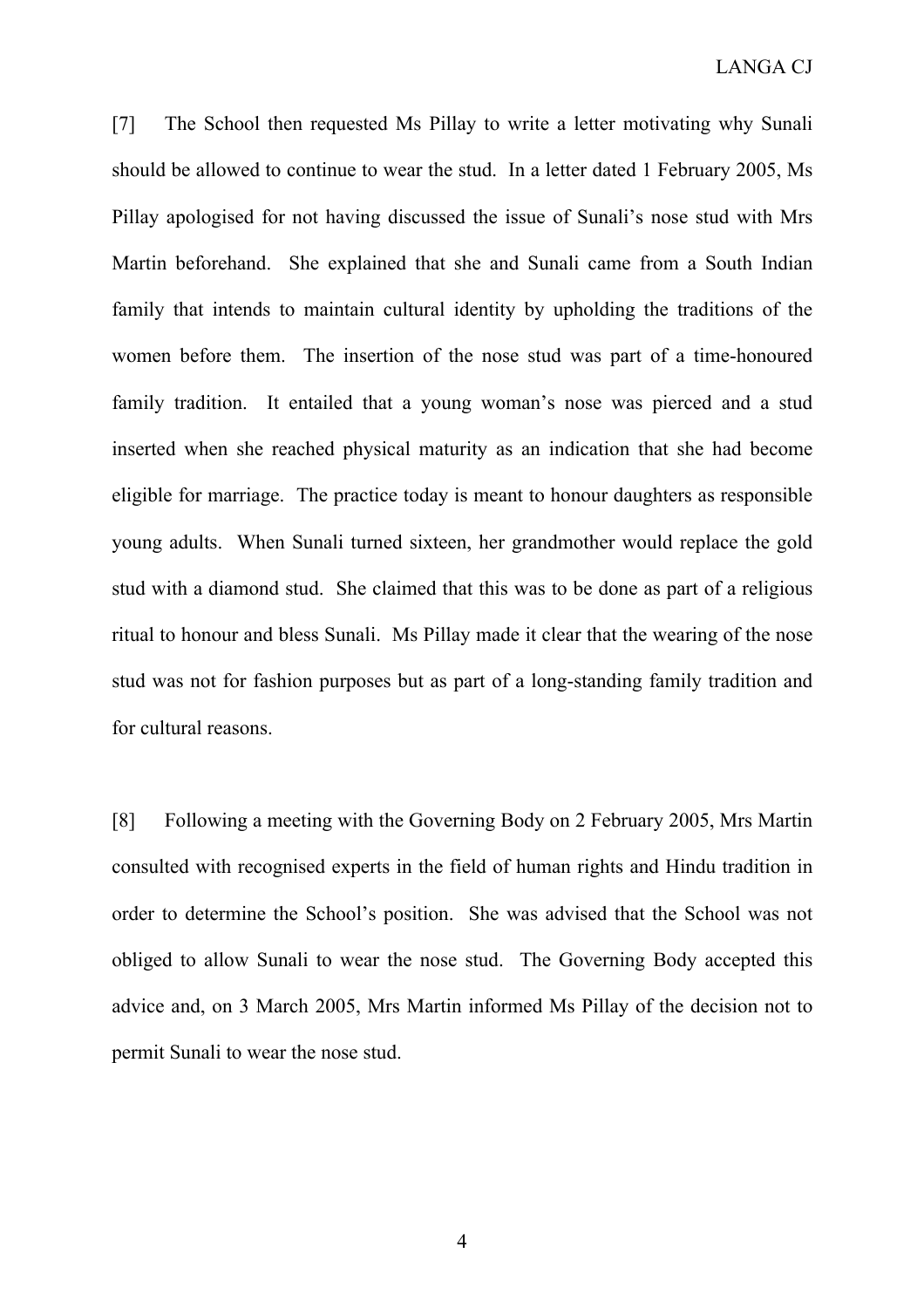[7] The School then requested Ms Pillay to write a letter motivating why Sunali should be allowed to continue to wear the stud. In a letter dated 1 February 2005, Ms Pillay apologised for not having discussed the issue of Sunali's nose stud with Mrs Martin beforehand. She explained that she and Sunali came from a South Indian family that intends to maintain cultural identity by upholding the traditions of the women before them. The insertion of the nose stud was part of a time-honoured family tradition. It entailed that a young woman's nose was pierced and a stud inserted when she reached physical maturity as an indication that she had become eligible for marriage. The practice today is meant to honour daughters as responsible young adults. When Sunali turned sixteen, her grandmother would replace the gold stud with a diamond stud. She claimed that this was to be done as part of a religious ritual to honour and bless Sunali. Ms Pillay made it clear that the wearing of the nose stud was not for fashion purposes but as part of a long-standing family tradition and for cultural reasons.

[8] Following a meeting with the Governing Body on 2 February 2005, Mrs Martin consulted with recognised experts in the field of human rights and Hindu tradition in order to determine the School's position. She was advised that the School was not obliged to allow Sunali to wear the nose stud. The Governing Body accepted this advice and, on 3 March 2005, Mrs Martin informed Ms Pillay of the decision not to permit Sunali to wear the nose stud.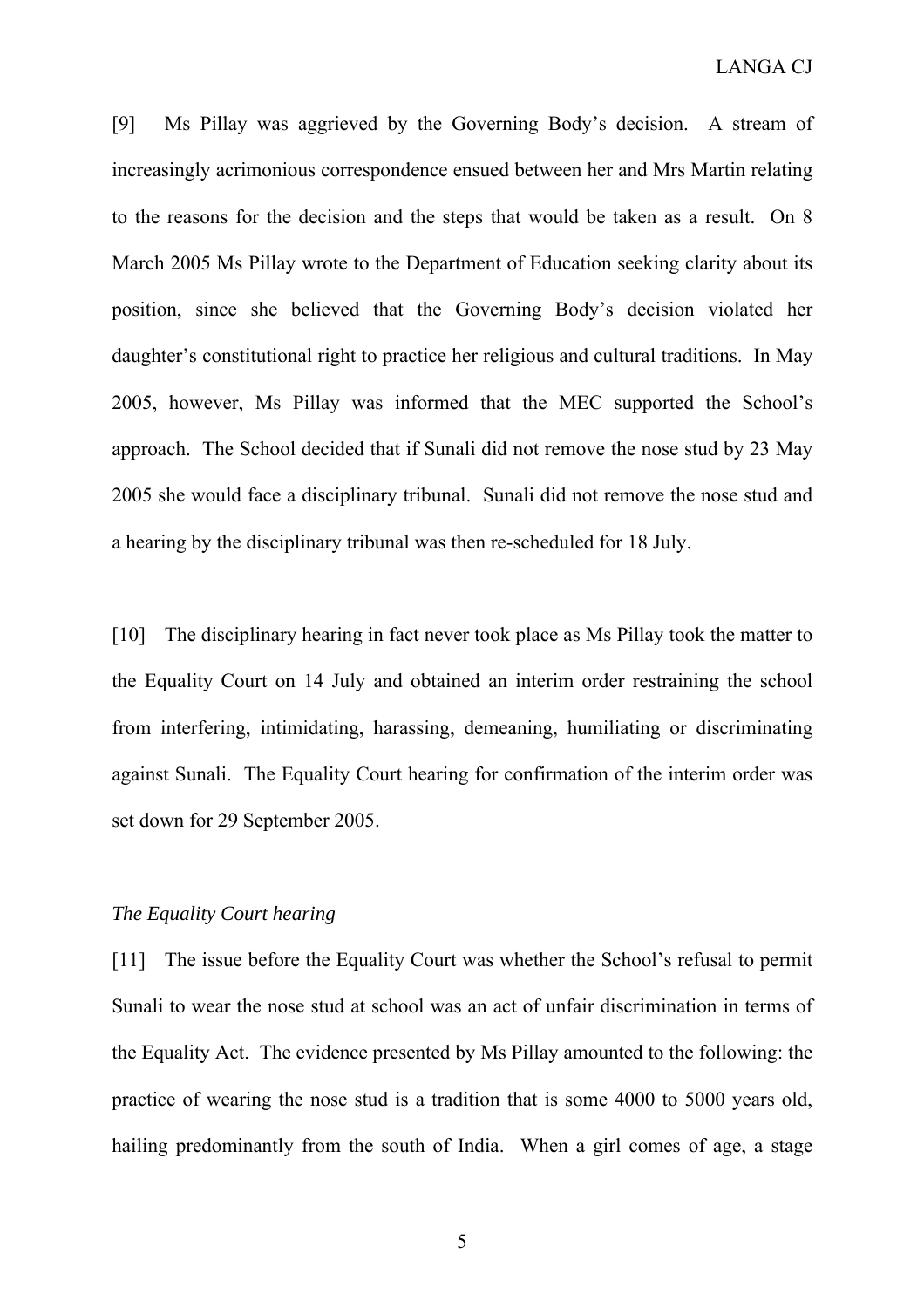[9] Ms Pillay was aggrieved by the Governing Body's decision. A stream of increasingly acrimonious correspondence ensued between her and Mrs Martin relating to the reasons for the decision and the steps that would be taken as a result. On 8 March 2005 Ms Pillay wrote to the Department of Education seeking clarity about its position, since she believed that the Governing Body's decision violated her daughter's constitutional right to practice her religious and cultural traditions. In May 2005, however, Ms Pillay was informed that the MEC supported the School's approach. The School decided that if Sunali did not remove the nose stud by 23 May 2005 she would face a disciplinary tribunal. Sunali did not remove the nose stud and a hearing by the disciplinary tribunal was then re-scheduled for 18 July.

[10] The disciplinary hearing in fact never took place as Ms Pillay took the matter to the Equality Court on 14 July and obtained an interim order restraining the school from interfering, intimidating, harassing, demeaning, humiliating or discriminating against Sunali. The Equality Court hearing for confirmation of the interim order was set down for 29 September 2005.

### *The Equality Court hearing*

[11] The issue before the Equality Court was whether the School's refusal to permit Sunali to wear the nose stud at school was an act of unfair discrimination in terms of the Equality Act. The evidence presented by Ms Pillay amounted to the following: the practice of wearing the nose stud is a tradition that is some 4000 to 5000 years old, hailing predominantly from the south of India. When a girl comes of age, a stage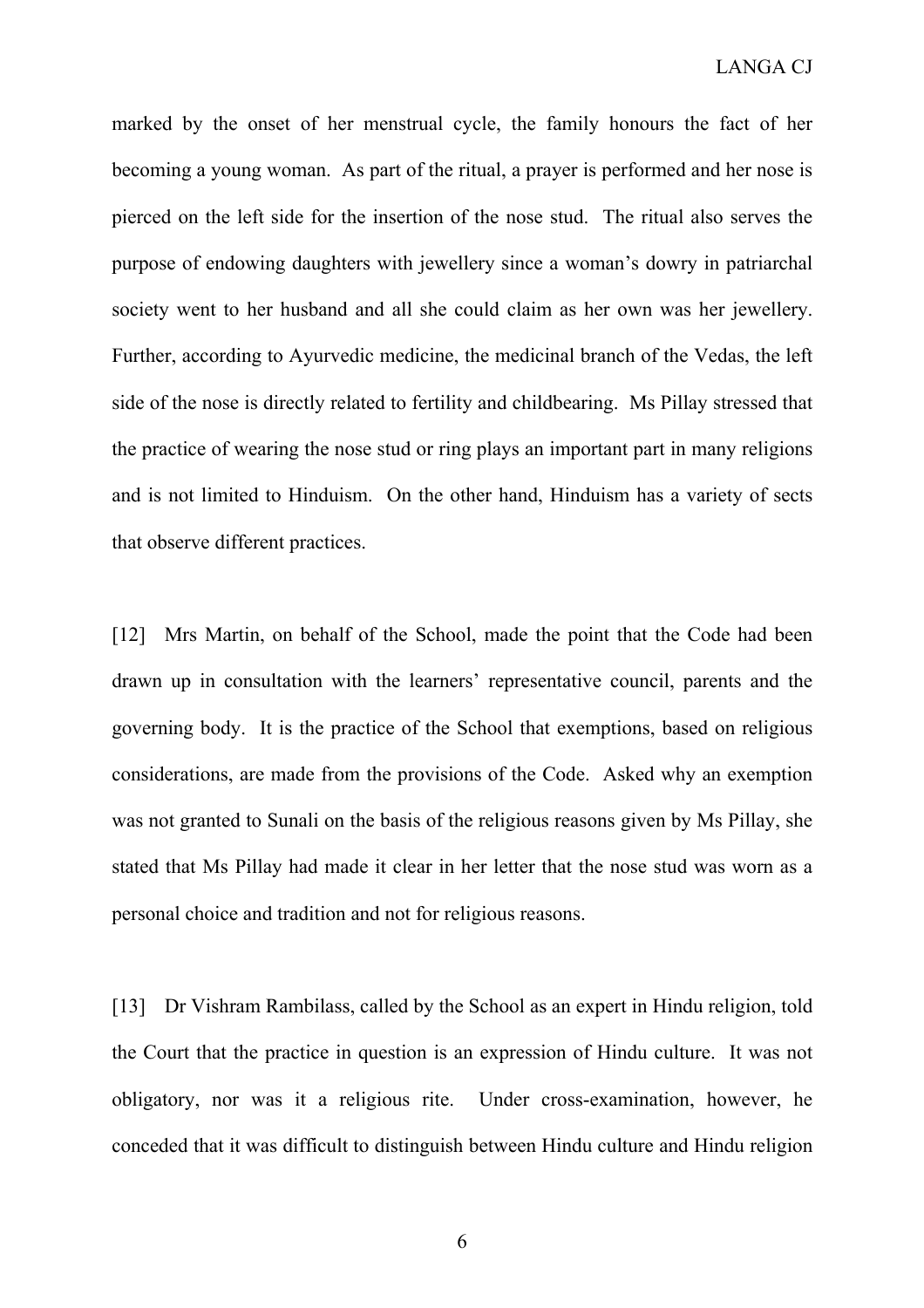marked by the onset of her menstrual cycle, the family honours the fact of her becoming a young woman. As part of the ritual, a prayer is performed and her nose is pierced on the left side for the insertion of the nose stud. The ritual also serves the purpose of endowing daughters with jewellery since a woman's dowry in patriarchal society went to her husband and all she could claim as her own was her jewellery. Further, according to Ayurvedic medicine, the medicinal branch of the Vedas, the left side of the nose is directly related to fertility and childbearing. Ms Pillay stressed that the practice of wearing the nose stud or ring plays an important part in many religions and is not limited to Hinduism. On the other hand, Hinduism has a variety of sects that observe different practices.

[12] Mrs Martin, on behalf of the School, made the point that the Code had been drawn up in consultation with the learners' representative council, parents and the governing body. It is the practice of the School that exemptions, based on religious considerations, are made from the provisions of the Code. Asked why an exemption was not granted to Sunali on the basis of the religious reasons given by Ms Pillay, she stated that Ms Pillay had made it clear in her letter that the nose stud was worn as a personal choice and tradition and not for religious reasons.

[13] Dr Vishram Rambilass, called by the School as an expert in Hindu religion, told the Court that the practice in question is an expression of Hindu culture. It was not obligatory, nor was it a religious rite. Under cross-examination, however, he conceded that it was difficult to distinguish between Hindu culture and Hindu religion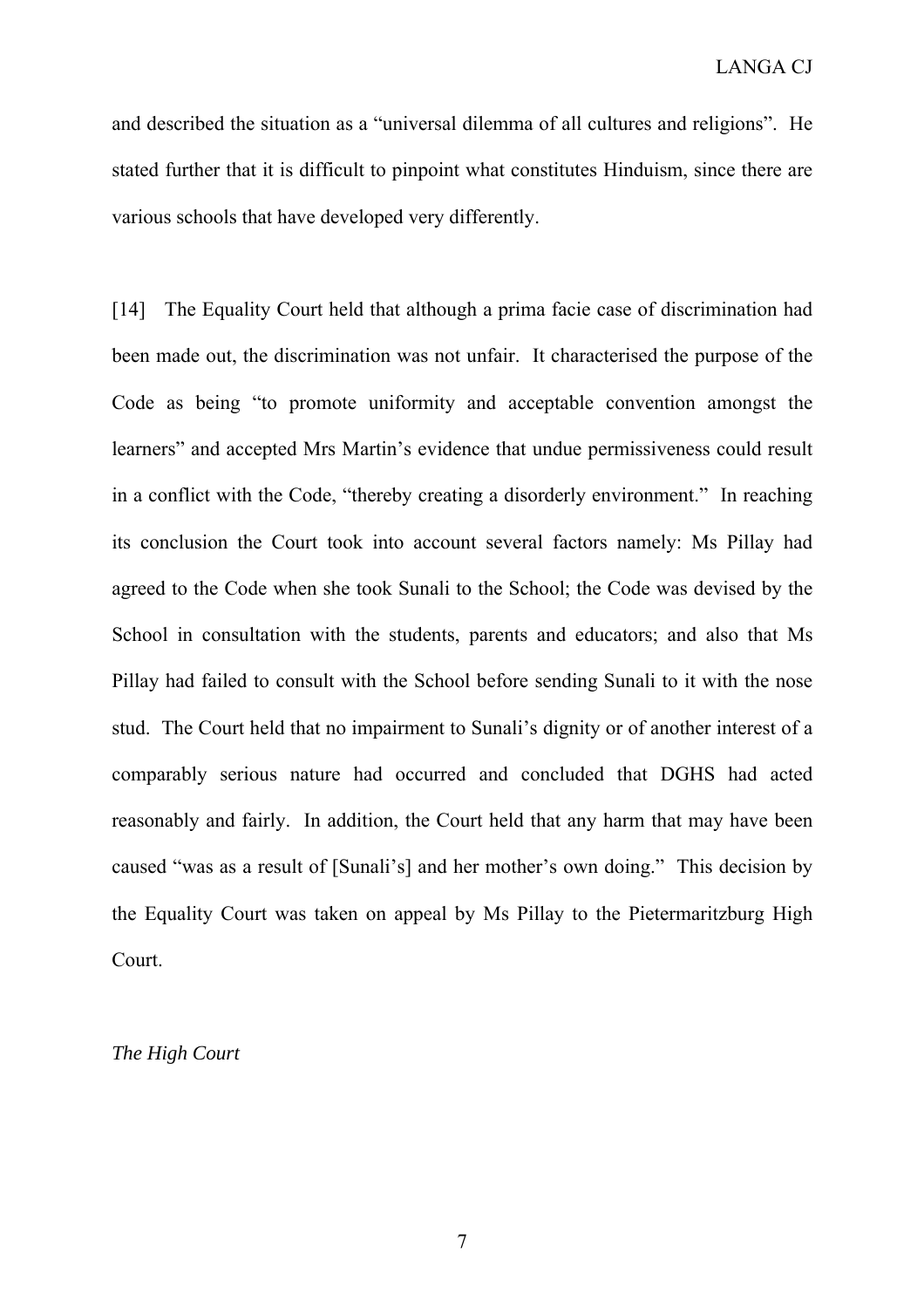and described the situation as a "universal dilemma of all cultures and religions". He stated further that it is difficult to pinpoint what constitutes Hinduism, since there are various schools that have developed very differently.

[14] The Equality Court held that although a prima facie case of discrimination had been made out, the discrimination was not unfair. It characterised the purpose of the Code as being "to promote uniformity and acceptable convention amongst the learners" and accepted Mrs Martin's evidence that undue permissiveness could result in a conflict with the Code, "thereby creating a disorderly environment." In reaching its conclusion the Court took into account several factors namely: Ms Pillay had agreed to the Code when she took Sunali to the School; the Code was devised by the School in consultation with the students, parents and educators; and also that Ms Pillay had failed to consult with the School before sending Sunali to it with the nose stud. The Court held that no impairment to Sunali's dignity or of another interest of a comparably serious nature had occurred and concluded that DGHS had acted reasonably and fairly. In addition, the Court held that any harm that may have been caused "was as a result of [Sunali's] and her mother's own doing." This decision by the Equality Court was taken on appeal by Ms Pillay to the Pietermaritzburg High Court.

*The High Court*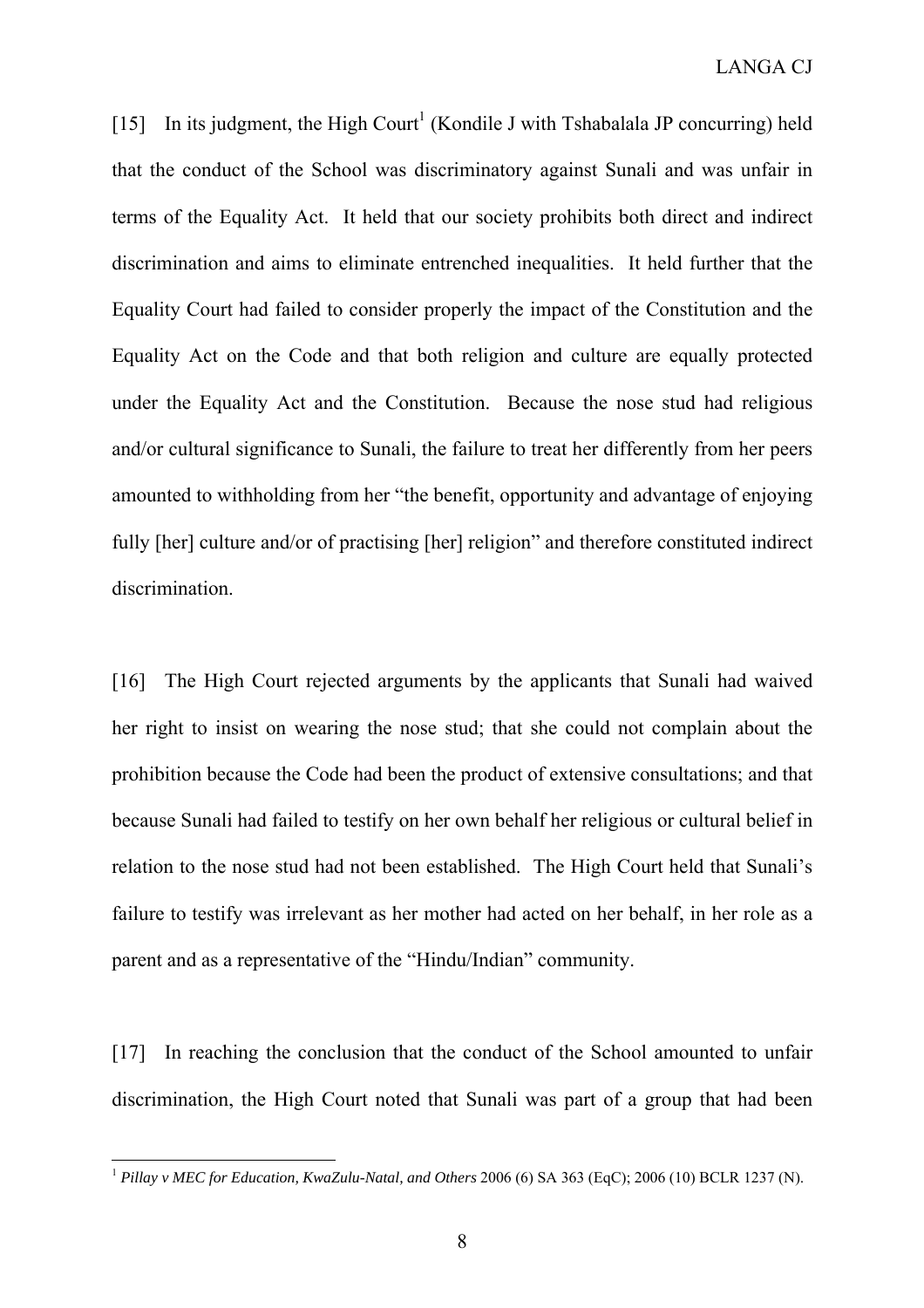[15] In its judgment, the High Court<sup>1</sup> (Kondile J with Tshabalala JP concurring) held that the conduct of the School was discriminatory against Sunali and was unfair in terms of the Equality Act. It held that our society prohibits both direct and indirect discrimination and aims to eliminate entrenched inequalities. It held further that the Equality Court had failed to consider properly the impact of the Constitution and the Equality Act on the Code and that both religion and culture are equally protected under the Equality Act and the Constitution. Because the nose stud had religious and/or cultural significance to Sunali, the failure to treat her differently from her peers amounted to withholding from her "the benefit, opportunity and advantage of enjoying fully [her] culture and/or of practising [her] religion" and therefore constituted indirect discrimination.

[16] The High Court rejected arguments by the applicants that Sunali had waived her right to insist on wearing the nose stud; that she could not complain about the prohibition because the Code had been the product of extensive consultations; and that because Sunali had failed to testify on her own behalf her religious or cultural belief in relation to the nose stud had not been established. The High Court held that Sunali's failure to testify was irrelevant as her mother had acted on her behalf, in her role as a parent and as a representative of the "Hindu/Indian" community.

[17] In reaching the conclusion that the conduct of the School amounted to unfair discrimination, the High Court noted that Sunali was part of a group that had been

<sup>1</sup> *Pillay v MEC for Education, KwaZulu-Natal, and Others* 2006 (6) SA 363 (EqC); 2006 (10) BCLR 1237 (N).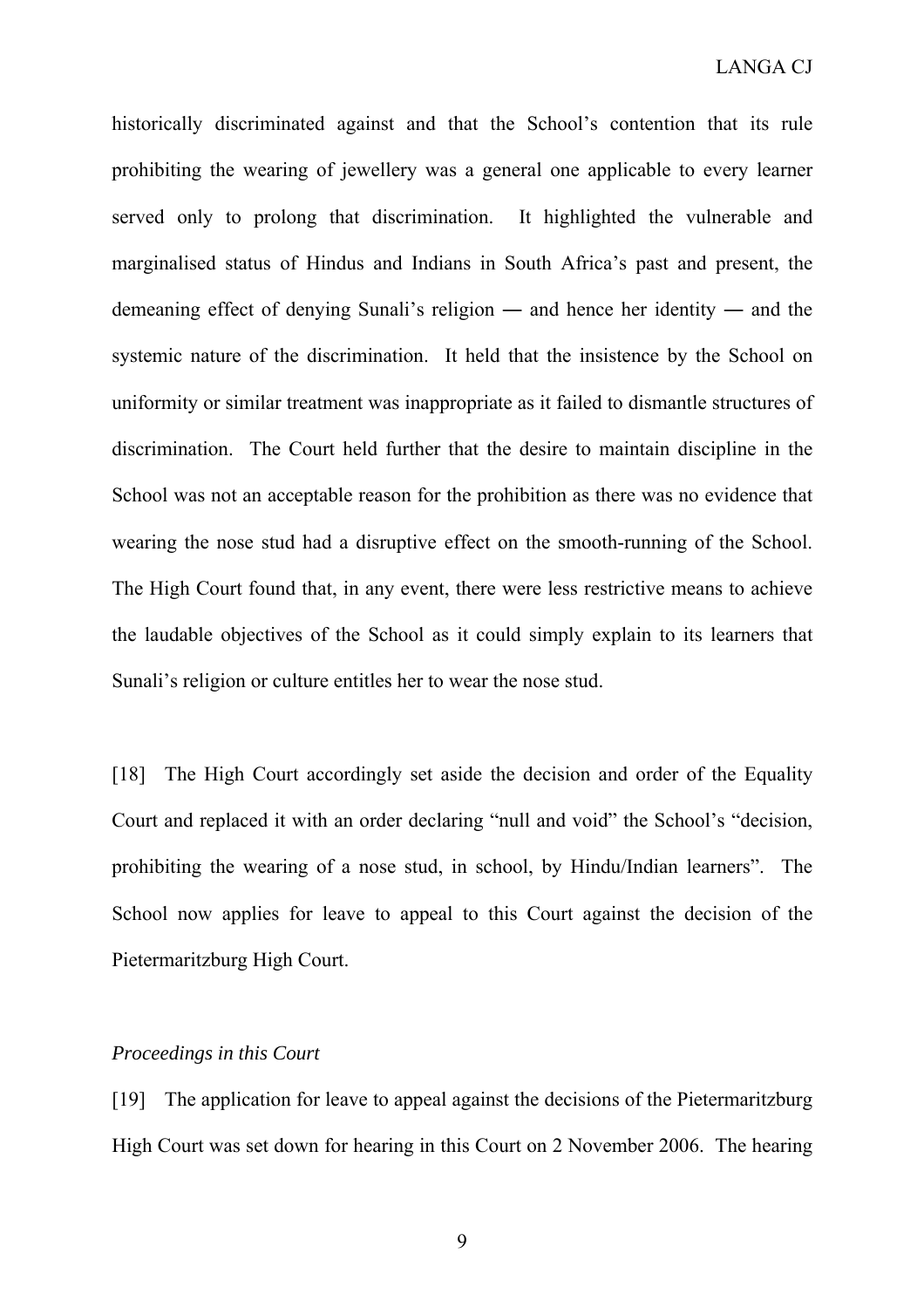historically discriminated against and that the School's contention that its rule prohibiting the wearing of jewellery was a general one applicable to every learner served only to prolong that discrimination. It highlighted the vulnerable and marginalised status of Hindus and Indians in South Africa's past and present, the demeaning effect of denying Sunali's religion ― and hence her identity ― and the systemic nature of the discrimination. It held that the insistence by the School on uniformity or similar treatment was inappropriate as it failed to dismantle structures of discrimination. The Court held further that the desire to maintain discipline in the School was not an acceptable reason for the prohibition as there was no evidence that wearing the nose stud had a disruptive effect on the smooth-running of the School. The High Court found that, in any event, there were less restrictive means to achieve the laudable objectives of the School as it could simply explain to its learners that Sunali's religion or culture entitles her to wear the nose stud.

[18] The High Court accordingly set aside the decision and order of the Equality Court and replaced it with an order declaring "null and void" the School's "decision, prohibiting the wearing of a nose stud, in school, by Hindu/Indian learners". The School now applies for leave to appeal to this Court against the decision of the Pietermaritzburg High Court.

#### *Proceedings in this Court*

[19] The application for leave to appeal against the decisions of the Pietermaritzburg High Court was set down for hearing in this Court on 2 November 2006. The hearing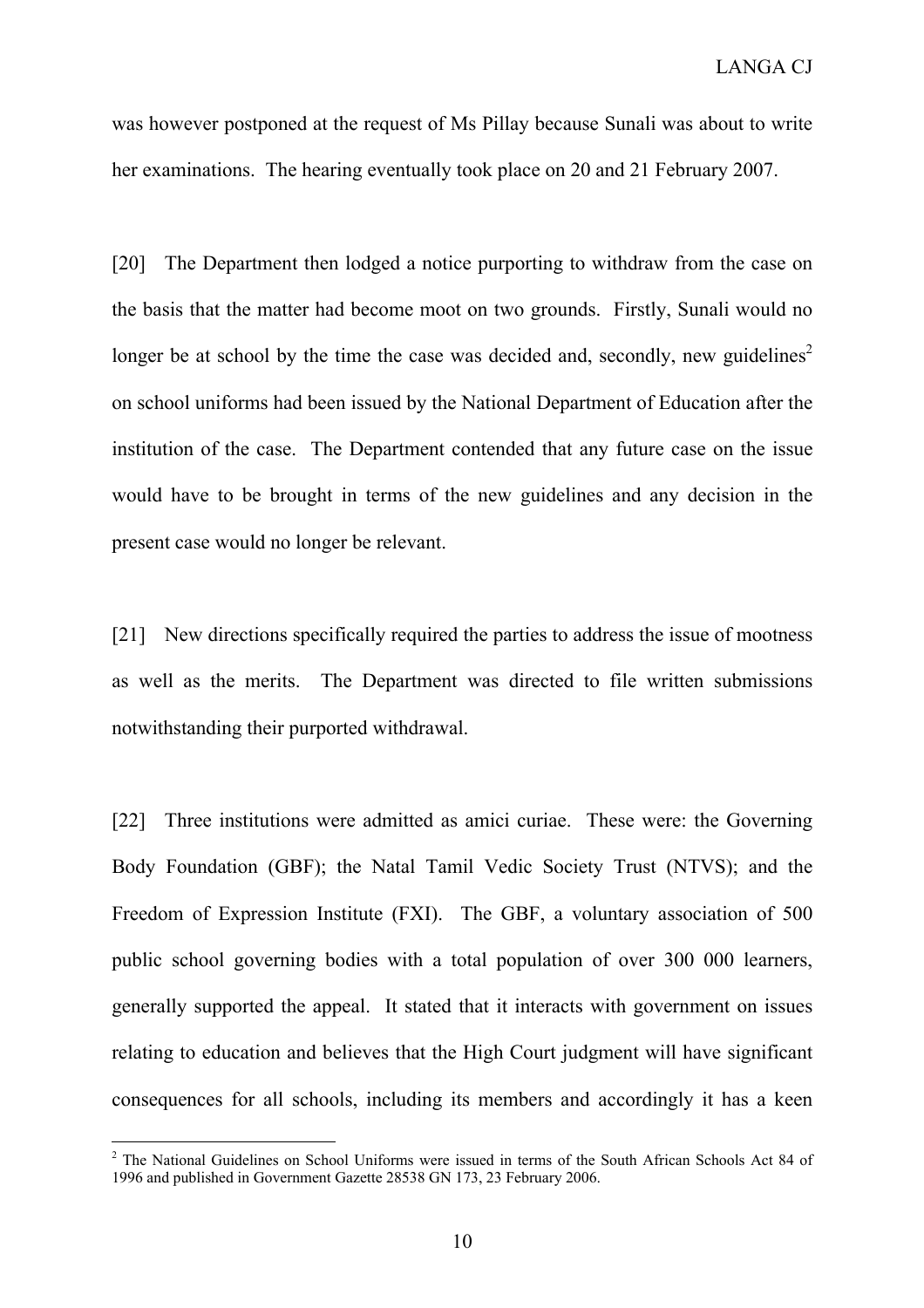was however postponed at the request of Ms Pillay because Sunali was about to write her examinations. The hearing eventually took place on 20 and 21 February 2007.

[20] The Department then lodged a notice purporting to withdraw from the case on the basis that the matter had become moot on two grounds. Firstly, Sunali would no longer be at school by the time the case was decided and, secondly, new guidelines<sup>2</sup> on school uniforms had been issued by the National Department of Education after the institution of the case. The Department contended that any future case on the issue would have to be brought in terms of the new guidelines and any decision in the present case would no longer be relevant.

[21] New directions specifically required the parties to address the issue of mootness as well as the merits. The Department was directed to file written submissions notwithstanding their purported withdrawal.

[22] Three institutions were admitted as amici curiae. These were: the Governing Body Foundation (GBF); the Natal Tamil Vedic Society Trust (NTVS); and the Freedom of Expression Institute (FXI). The GBF, a voluntary association of 500 public school governing bodies with a total population of over 300 000 learners, generally supported the appeal. It stated that it interacts with government on issues relating to education and believes that the High Court judgment will have significant consequences for all schools, including its members and accordingly it has a keen

<sup>&</sup>lt;sup>2</sup> The National Guidelines on School Uniforms were issued in terms of the South African Schools Act 84 of 1996 and published in Government Gazette 28538 GN 173, 23 February 2006.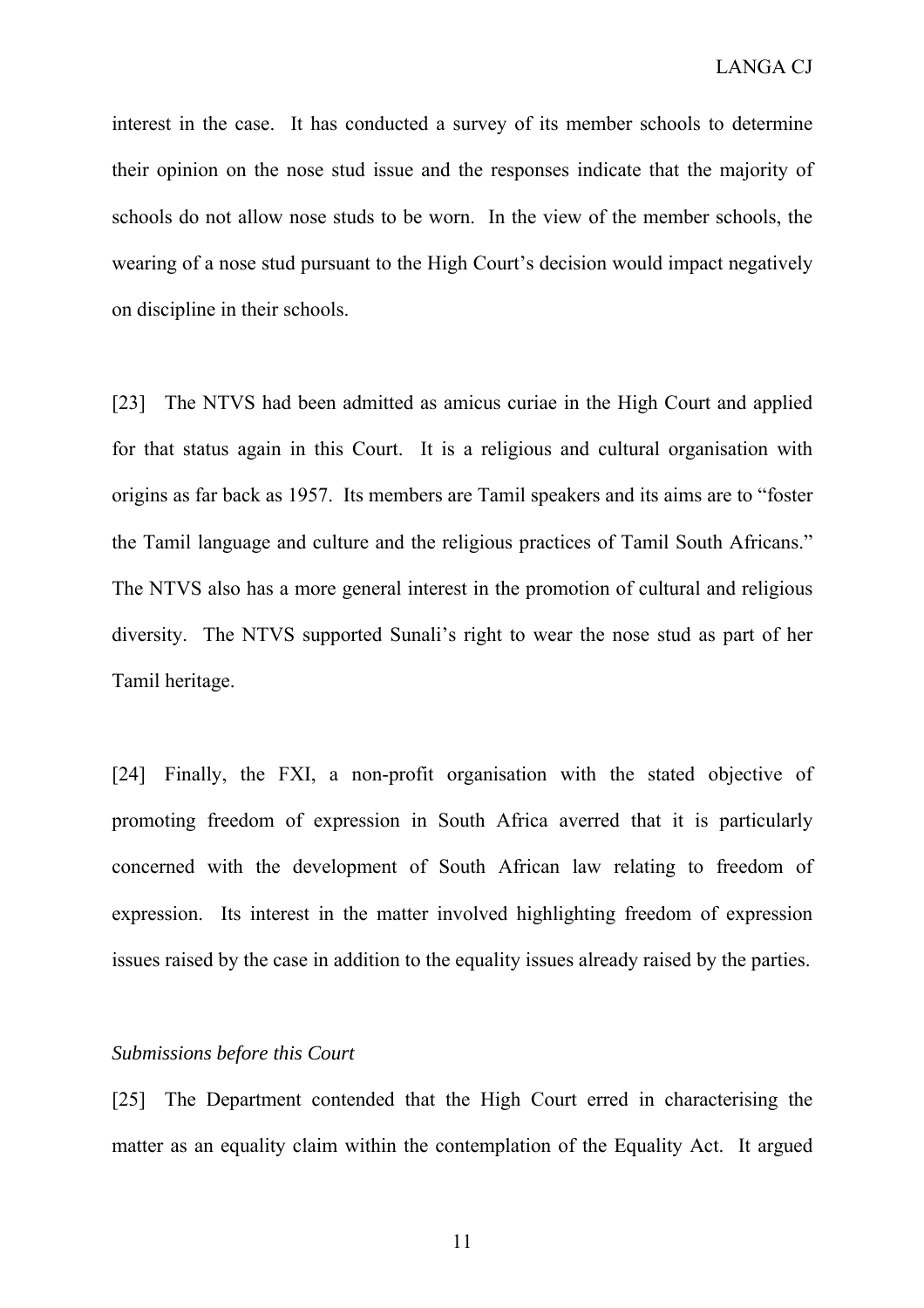interest in the case. It has conducted a survey of its member schools to determine their opinion on the nose stud issue and the responses indicate that the majority of schools do not allow nose studs to be worn. In the view of the member schools, the wearing of a nose stud pursuant to the High Court's decision would impact negatively on discipline in their schools.

[23] The NTVS had been admitted as amicus curiae in the High Court and applied for that status again in this Court. It is a religious and cultural organisation with origins as far back as 1957. Its members are Tamil speakers and its aims are to "foster the Tamil language and culture and the religious practices of Tamil South Africans." The NTVS also has a more general interest in the promotion of cultural and religious diversity. The NTVS supported Sunali's right to wear the nose stud as part of her Tamil heritage.

[24] Finally, the FXI, a non-profit organisation with the stated objective of promoting freedom of expression in South Africa averred that it is particularly concerned with the development of South African law relating to freedom of expression. Its interest in the matter involved highlighting freedom of expression issues raised by the case in addition to the equality issues already raised by the parties.

#### *Submissions before this Court*

[25] The Department contended that the High Court erred in characterising the matter as an equality claim within the contemplation of the Equality Act. It argued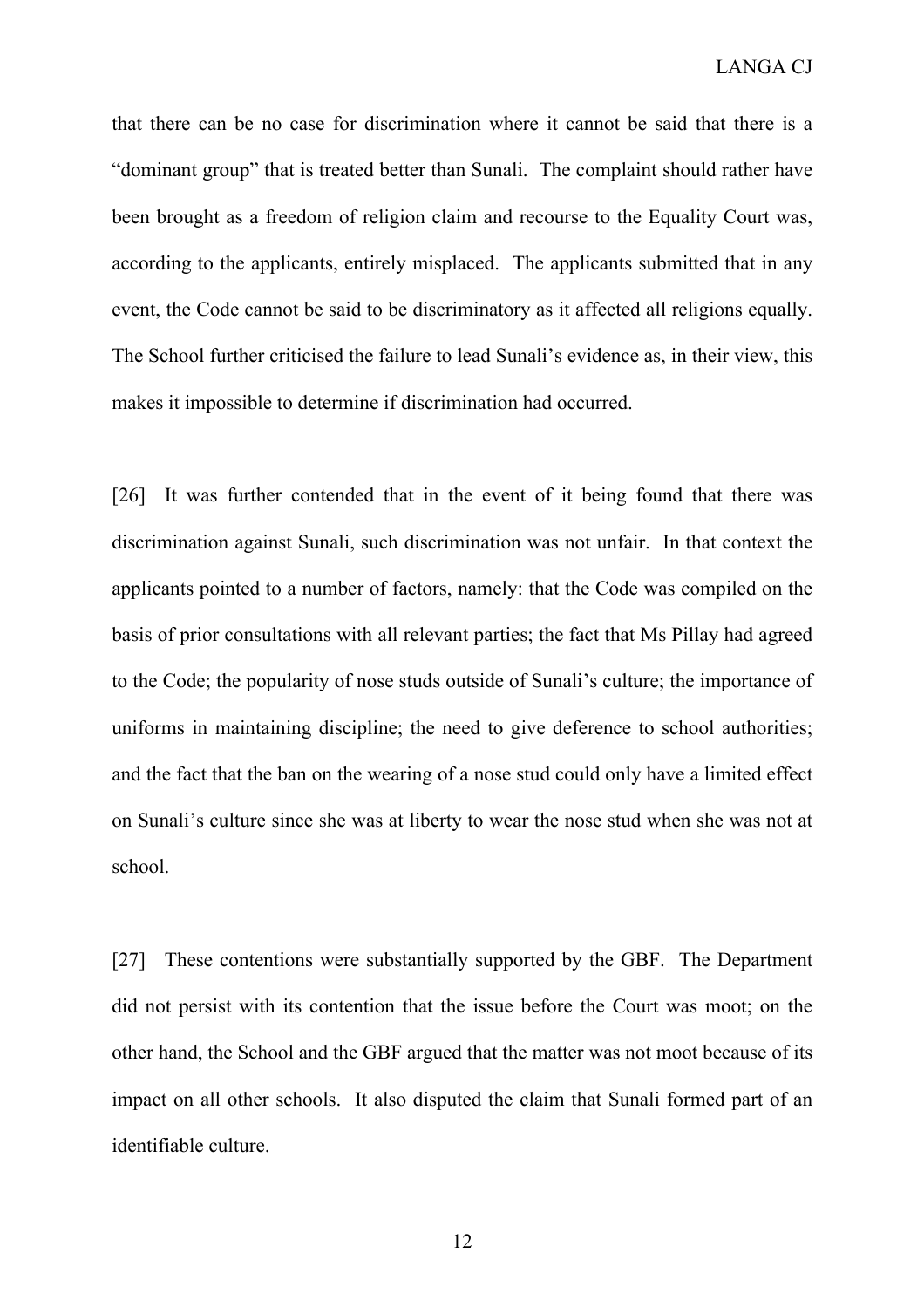that there can be no case for discrimination where it cannot be said that there is a "dominant group" that is treated better than Sunali. The complaint should rather have been brought as a freedom of religion claim and recourse to the Equality Court was, according to the applicants, entirely misplaced. The applicants submitted that in any event, the Code cannot be said to be discriminatory as it affected all religions equally. The School further criticised the failure to lead Sunali's evidence as, in their view, this makes it impossible to determine if discrimination had occurred.

[26] It was further contended that in the event of it being found that there was discrimination against Sunali, such discrimination was not unfair. In that context the applicants pointed to a number of factors, namely: that the Code was compiled on the basis of prior consultations with all relevant parties; the fact that Ms Pillay had agreed to the Code; the popularity of nose studs outside of Sunali's culture; the importance of uniforms in maintaining discipline; the need to give deference to school authorities; and the fact that the ban on the wearing of a nose stud could only have a limited effect on Sunali's culture since she was at liberty to wear the nose stud when she was not at school.

[27] These contentions were substantially supported by the GBF. The Department did not persist with its contention that the issue before the Court was moot; on the other hand, the School and the GBF argued that the matter was not moot because of its impact on all other schools. It also disputed the claim that Sunali formed part of an identifiable culture.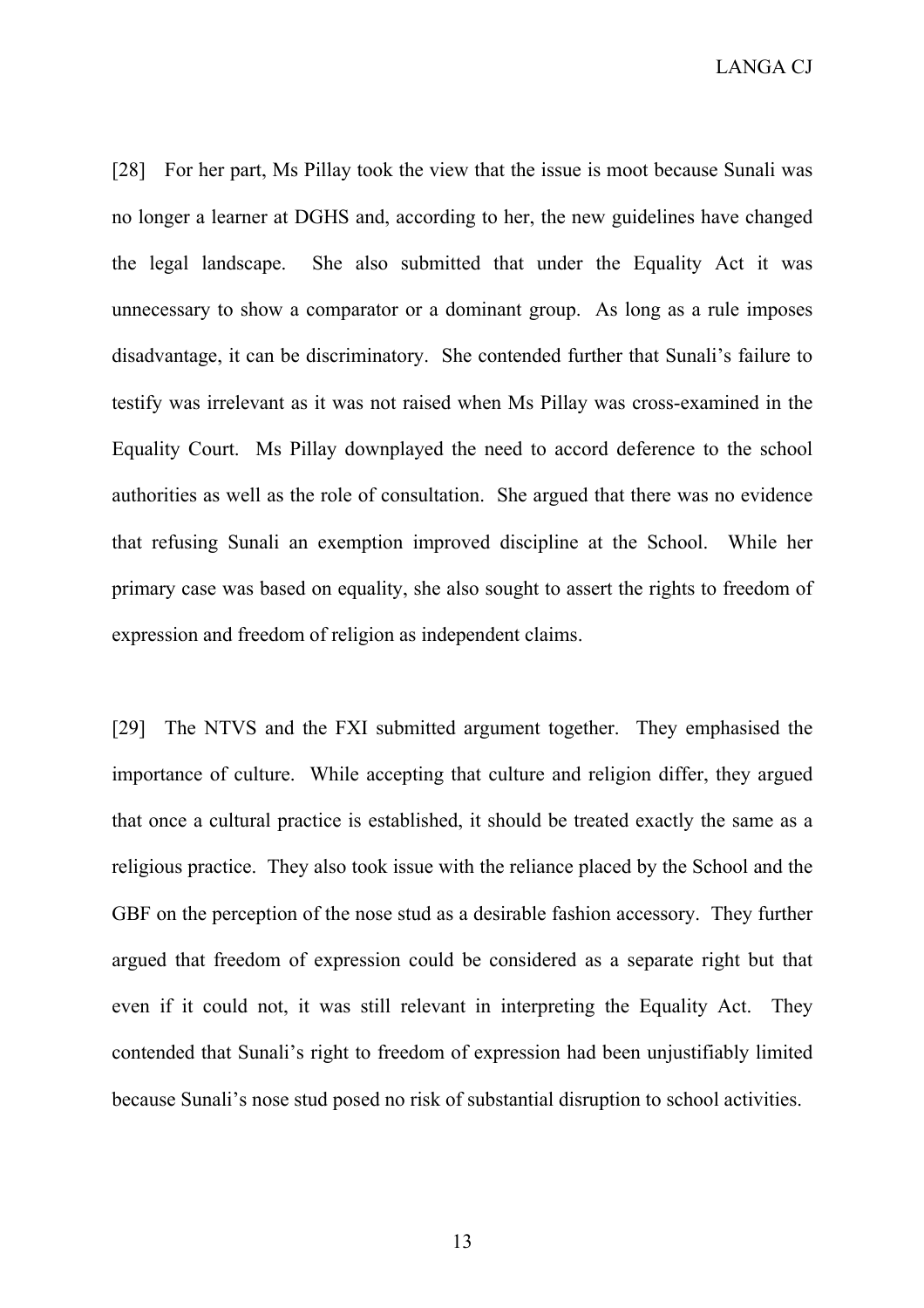LANGA CJ

[28] For her part, Ms Pillay took the view that the issue is moot because Sunali was no longer a learner at DGHS and, according to her, the new guidelines have changed the legal landscape. She also submitted that under the Equality Act it was unnecessary to show a comparator or a dominant group. As long as a rule imposes disadvantage, it can be discriminatory. She contended further that Sunali's failure to testify was irrelevant as it was not raised when Ms Pillay was cross-examined in the Equality Court. Ms Pillay downplayed the need to accord deference to the school authorities as well as the role of consultation. She argued that there was no evidence that refusing Sunali an exemption improved discipline at the School. While her primary case was based on equality, she also sought to assert the rights to freedom of expression and freedom of religion as independent claims.

[29] The NTVS and the FXI submitted argument together. They emphasised the importance of culture. While accepting that culture and religion differ, they argued that once a cultural practice is established, it should be treated exactly the same as a religious practice. They also took issue with the reliance placed by the School and the GBF on the perception of the nose stud as a desirable fashion accessory. They further argued that freedom of expression could be considered as a separate right but that even if it could not, it was still relevant in interpreting the Equality Act. They contended that Sunali's right to freedom of expression had been unjustifiably limited because Sunali's nose stud posed no risk of substantial disruption to school activities.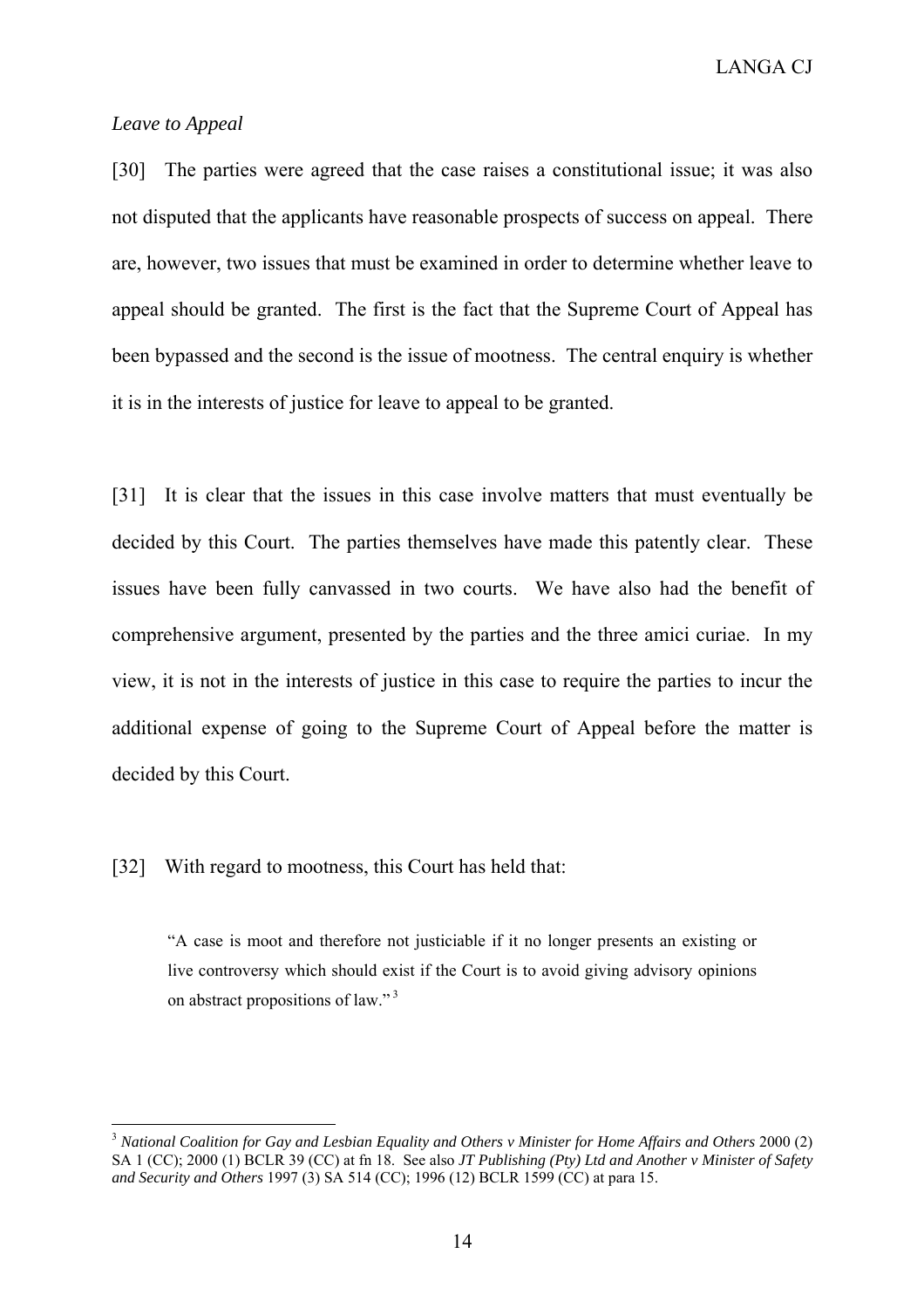LANGA CJ

#### *Leave to Appeal*

 $\overline{a}$ 

[30] The parties were agreed that the case raises a constitutional issue; it was also not disputed that the applicants have reasonable prospects of success on appeal. There are, however, two issues that must be examined in order to determine whether leave to appeal should be granted. The first is the fact that the Supreme Court of Appeal has been bypassed and the second is the issue of mootness. The central enquiry is whether it is in the interests of justice for leave to appeal to be granted.

[31] It is clear that the issues in this case involve matters that must eventually be decided by this Court. The parties themselves have made this patently clear. These issues have been fully canvassed in two courts. We have also had the benefit of comprehensive argument, presented by the parties and the three amici curiae. In my view, it is not in the interests of justice in this case to require the parties to incur the additional expense of going to the Supreme Court of Appeal before the matter is decided by this Court.

#### [32] With regard to mootness, this Court has held that:

"A case is moot and therefore not justiciable if it no longer presents an existing or live controversy which should exist if the Court is to avoid giving advisory opinions on abstract propositions of law.<sup>3</sup>

<sup>3</sup> *National Coalition for Gay and Lesbian Equality and Others v Minister for Home Affairs and Others* 2000 (2) SA 1 (CC); 2000 (1) BCLR 39 (CC) at fn 18. See also *JT Publishing (Pty) Ltd and Another v Minister of Safety and Security and Others* 1997 (3) SA 514 (CC); 1996 (12) BCLR 1599 (CC) at para 15.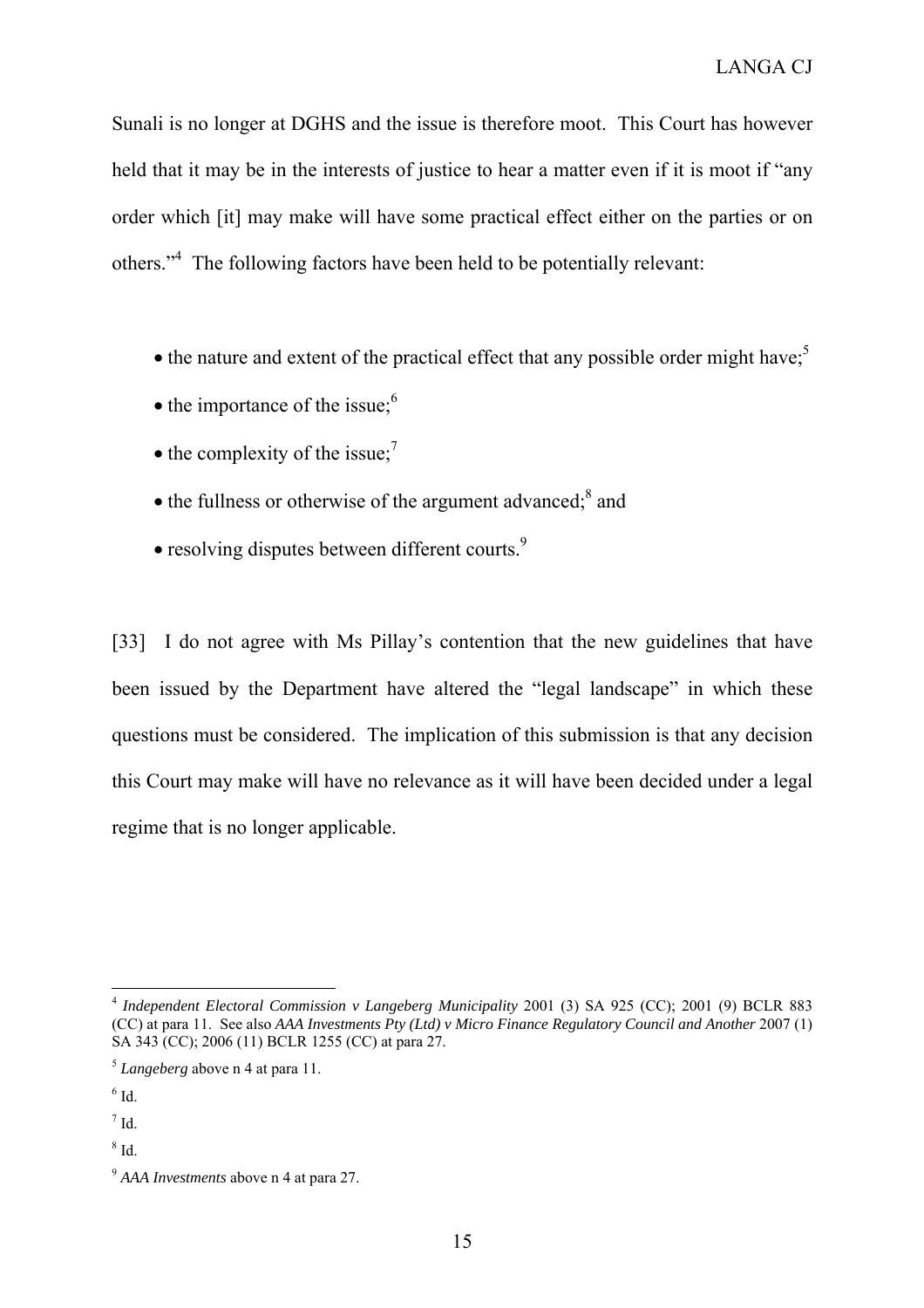Sunali is no longer at DGHS and the issue is therefore moot. This Court has however held that it may be in the interests of justice to hear a matter even if it is moot if "any order which [it] may make will have some practical effect either on the parties or on others."<sup>4</sup> The following factors have been held to be potentially relevant:

- the nature and extent of the practical effect that any possible order might have;<sup>5</sup>
- the importance of the issue;  $6\%$
- the complexity of the issue: $<sup>7</sup>$ </sup>
- $\bullet$  the fullness or otherwise of the argument advanced;<sup>8</sup> and
- resolving disputes between different courts.<sup>9</sup>

[33] I do not agree with Ms Pillay's contention that the new guidelines that have been issued by the Department have altered the "legal landscape" in which these questions must be considered. The implication of this submission is that any decision this Court may make will have no relevance as it will have been decided under a legal regime that is no longer applicable.

<sup>4</sup> *Independent Electoral Commission v Langeberg Municipality* 2001 (3) SA 925 (CC); 2001 (9) BCLR 883 (CC) at para 11. See also *AAA Investments Pty (Ltd) v Micro Finance Regulatory Council and Another* 2007 (1) SA 343 (CC); 2006 (11) BCLR 1255 (CC) at para 27.

<sup>5</sup> *Langeberg* above n 4 at para 11.

 $^6$  Id.

 $^7$  Id.

 $8$  Id.

<sup>9</sup> *AAA Investments* above n 4 at para 27.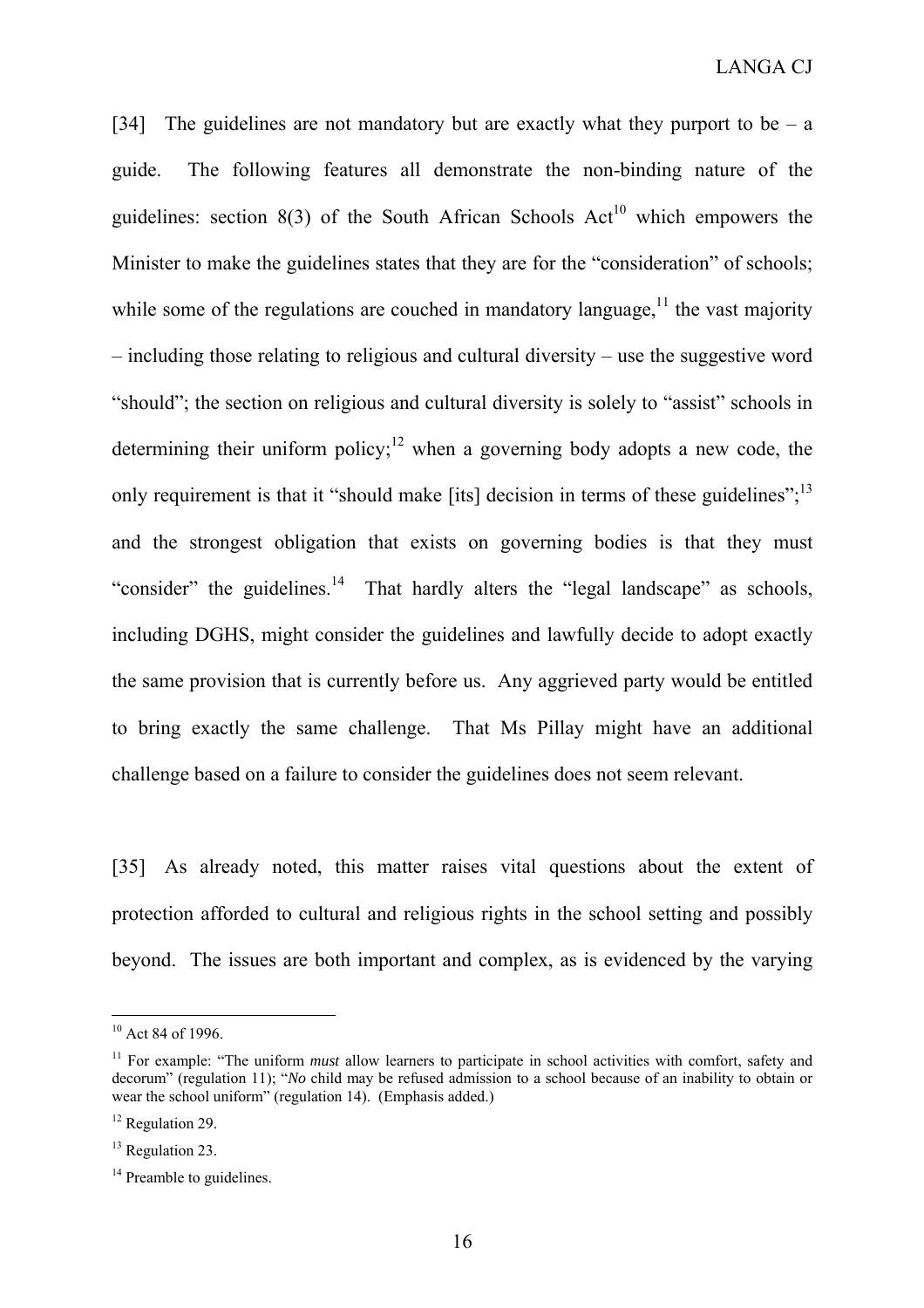[34] The guidelines are not mandatory but are exactly what they purport to be  $-$  a guide. The following features all demonstrate the non-binding nature of the guidelines: section  $8(3)$  of the South African Schools Act<sup>10</sup> which empowers the Minister to make the guidelines states that they are for the "consideration" of schools; while some of the regulations are couched in mandatory language,  $\frac{1}{1}$  the vast majority – including those relating to religious and cultural diversity – use the suggestive word "should"; the section on religious and cultural diversity is solely to "assist" schools in determining their uniform policy; $12$  when a governing body adopts a new code, the only requirement is that it "should make [its] decision in terms of these guidelines"; $^{13}$ and the strongest obligation that exists on governing bodies is that they must "consider" the guidelines. $14$  That hardly alters the "legal landscape" as schools, including DGHS, might consider the guidelines and lawfully decide to adopt exactly the same provision that is currently before us. Any aggrieved party would be entitled to bring exactly the same challenge. That Ms Pillay might have an additional challenge based on a failure to consider the guidelines does not seem relevant.

[35] As already noted, this matter raises vital questions about the extent of protection afforded to cultural and religious rights in the school setting and possibly beyond. The issues are both important and complex, as is evidenced by the varying

 $10$  Act 84 of 1996.

<sup>&</sup>lt;sup>11</sup> For example: "The uniform *must* allow learners to participate in school activities with comfort, safety and decorum" (regulation 11); "*No* child may be refused admission to a school because of an inability to obtain or wear the school uniform" (regulation 14). (Emphasis added.)

<sup>&</sup>lt;sup>12</sup> Regulation 29.

<sup>&</sup>lt;sup>13</sup> Regulation 23

<sup>&</sup>lt;sup>14</sup> Preamble to guidelines.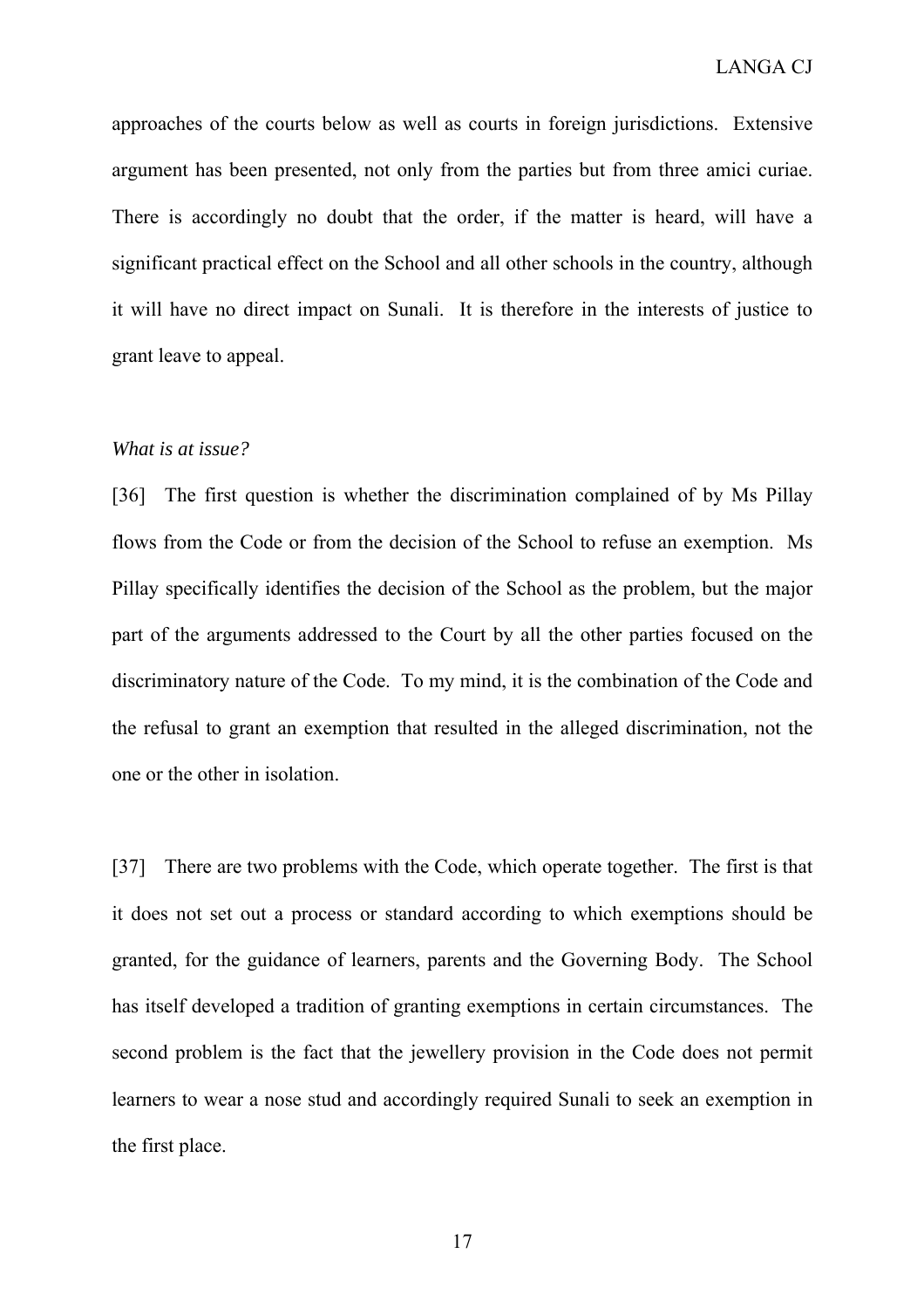approaches of the courts below as well as courts in foreign jurisdictions. Extensive argument has been presented, not only from the parties but from three amici curiae. There is accordingly no doubt that the order, if the matter is heard, will have a significant practical effect on the School and all other schools in the country, although it will have no direct impact on Sunali. It is therefore in the interests of justice to grant leave to appeal.

#### *What is at issue?*

[36] The first question is whether the discrimination complained of by Ms Pillay flows from the Code or from the decision of the School to refuse an exemption. Ms Pillay specifically identifies the decision of the School as the problem, but the major part of the arguments addressed to the Court by all the other parties focused on the discriminatory nature of the Code. To my mind, it is the combination of the Code and the refusal to grant an exemption that resulted in the alleged discrimination, not the one or the other in isolation.

[37] There are two problems with the Code, which operate together. The first is that it does not set out a process or standard according to which exemptions should be granted, for the guidance of learners, parents and the Governing Body. The School has itself developed a tradition of granting exemptions in certain circumstances. The second problem is the fact that the jewellery provision in the Code does not permit learners to wear a nose stud and accordingly required Sunali to seek an exemption in the first place.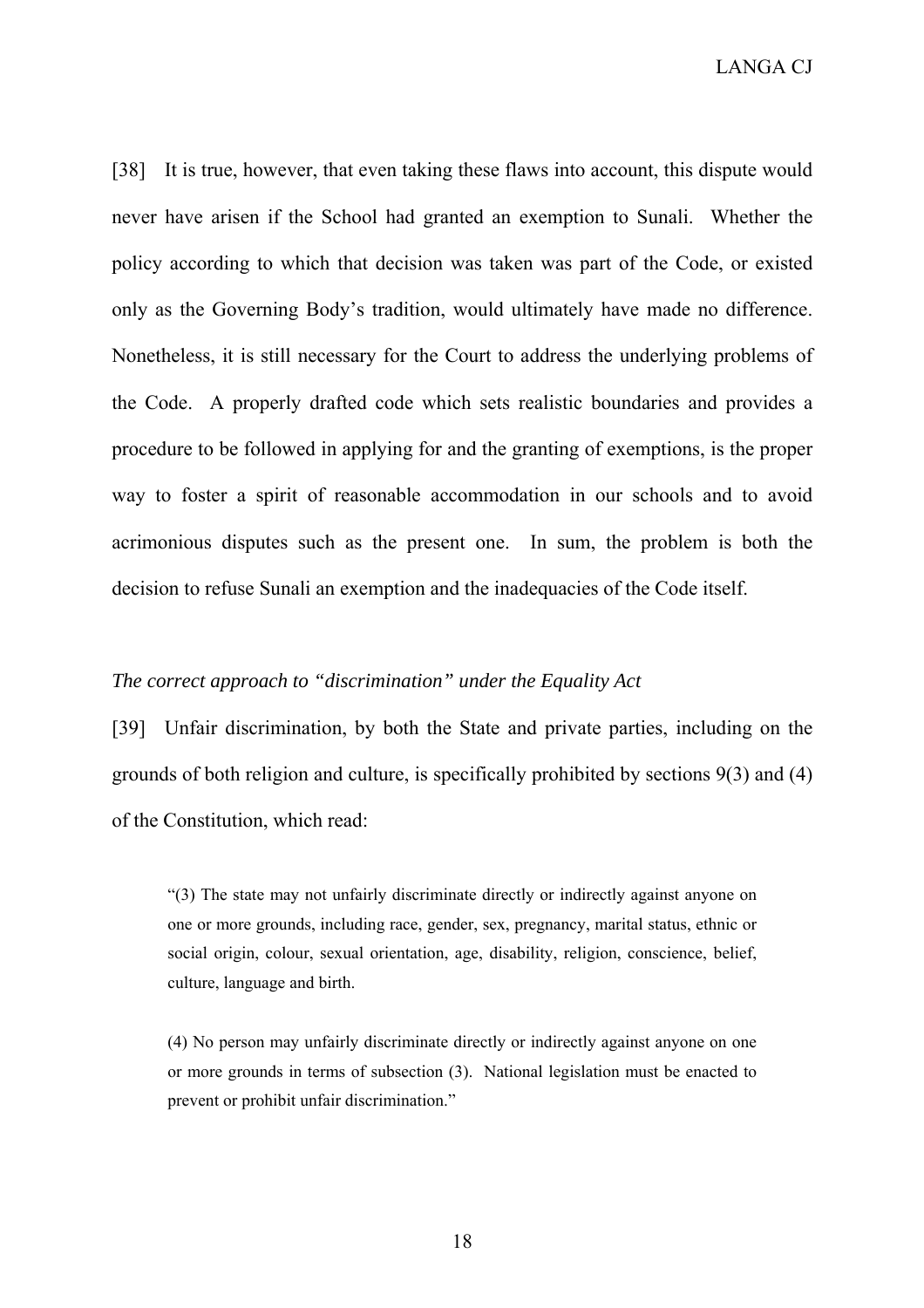LANGA CJ

[38] It is true, however, that even taking these flaws into account, this dispute would never have arisen if the School had granted an exemption to Sunali. Whether the policy according to which that decision was taken was part of the Code, or existed only as the Governing Body's tradition, would ultimately have made no difference. Nonetheless, it is still necessary for the Court to address the underlying problems of the Code. A properly drafted code which sets realistic boundaries and provides a procedure to be followed in applying for and the granting of exemptions, is the proper way to foster a spirit of reasonable accommodation in our schools and to avoid acrimonious disputes such as the present one. In sum, the problem is both the decision to refuse Sunali an exemption and the inadequacies of the Code itself.

#### *The correct approach to "discrimination" under the Equality Act*

[39] Unfair discrimination, by both the State and private parties, including on the grounds of both religion and culture, is specifically prohibited by sections 9(3) and (4) of the Constitution, which read:

"(3) The state may not unfairly discriminate directly or indirectly against anyone on one or more grounds, including race, gender, sex, pregnancy, marital status, ethnic or social origin, colour, sexual orientation, age, disability, religion, conscience, belief, culture, language and birth.

(4) No person may unfairly discriminate directly or indirectly against anyone on one or more grounds in terms of subsection (3). National legislation must be enacted to prevent or prohibit unfair discrimination."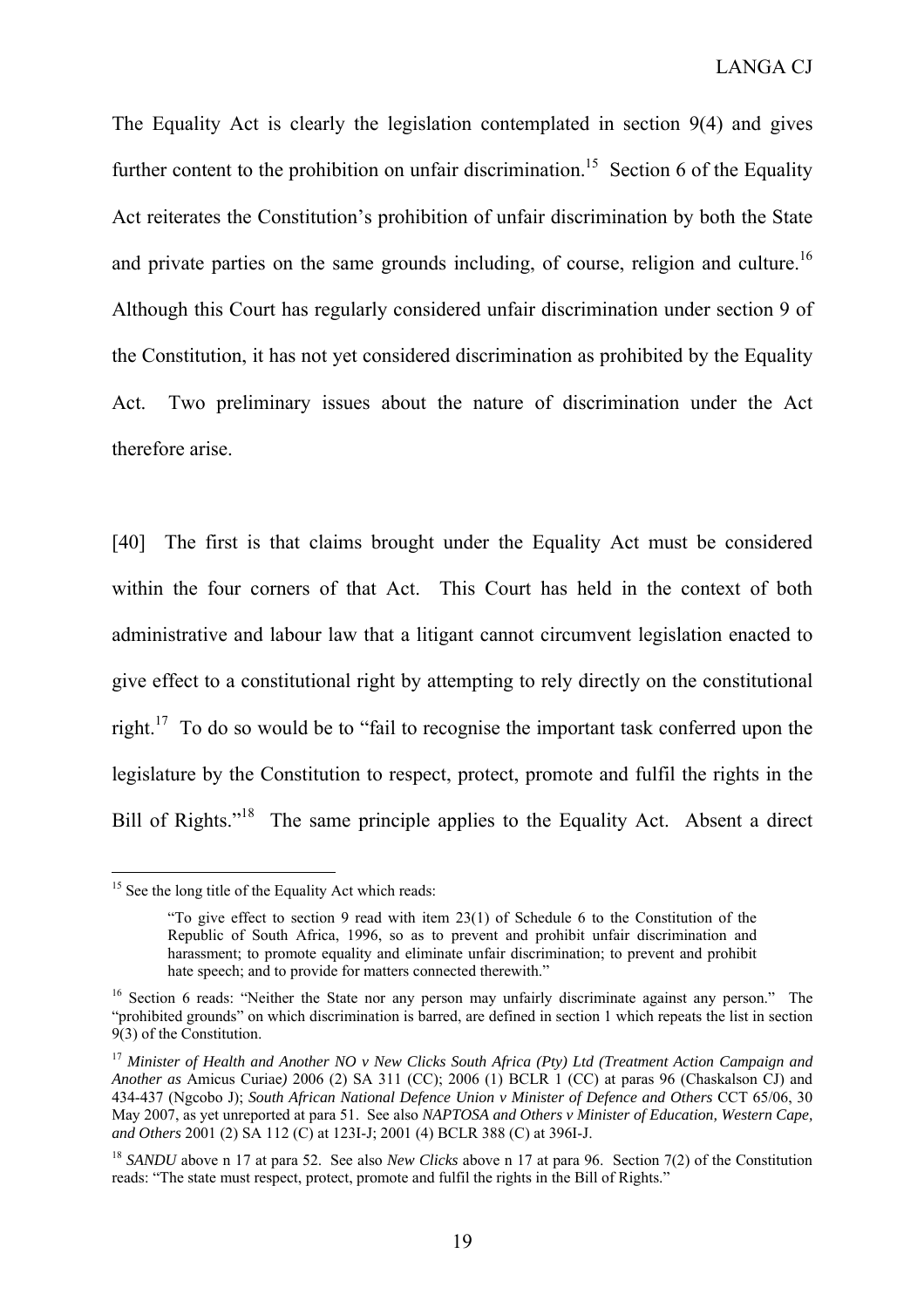The Equality Act is clearly the legislation contemplated in section 9(4) and gives further content to the prohibition on unfair discrimination.<sup>15</sup> Section 6 of the Equality Act reiterates the Constitution's prohibition of unfair discrimination by both the State and private parties on the same grounds including, of course, religion and culture.<sup>16</sup> Although this Court has regularly considered unfair discrimination under section 9 of the Constitution, it has not yet considered discrimination as prohibited by the Equality Act. Two preliminary issues about the nature of discrimination under the Act therefore arise.

[40] The first is that claims brought under the Equality Act must be considered within the four corners of that Act. This Court has held in the context of both administrative and labour law that a litigant cannot circumvent legislation enacted to give effect to a constitutional right by attempting to rely directly on the constitutional right.<sup>17</sup> To do so would be to "fail to recognise the important task conferred upon the legislature by the Constitution to respect, protect, promote and fulfil the rights in the Bill of Rights."<sup>18</sup> The same principle applies to the Equality Act. Absent a direct

 $15$  See the long title of the Equality Act which reads:

<sup>&</sup>quot;To give effect to section 9 read with item 23(1) of Schedule 6 to the Constitution of the Republic of South Africa, 1996, so as to prevent and prohibit unfair discrimination and harassment; to promote equality and eliminate unfair discrimination; to prevent and prohibit hate speech; and to provide for matters connected therewith."

<sup>&</sup>lt;sup>16</sup> Section 6 reads: "Neither the State nor any person may unfairly discriminate against any person." The "prohibited grounds" on which discrimination is barred, are defined in section 1 which repeats the list in section 9(3) of the Constitution.

<sup>17</sup> *Minister of Health and Another NO v New Clicks South Africa (Pty) Ltd (Treatment Action Campaign and Another as* Amicus Curiae*)* 2006 (2) SA 311 (CC); 2006 (1) BCLR 1 (CC) at paras 96 (Chaskalson CJ) and 434-437 (Ngcobo J); *South African National Defence Union v Minister of Defence and Others* CCT 65/06, 30 May 2007, as yet unreported at para 51.See also *NAPTOSA and Others v Minister of Education, Western Cape, and Others* 2001 (2) SA 112 (C) at 123I-J; 2001 (4) BCLR 388 (C) at 396I-J.

<sup>&</sup>lt;sup>18</sup> *SANDU* above n 17 at para 52. See also *New Clicks* above n 17 at para 96. Section 7(2) of the Constitution reads: "The state must respect, protect, promote and fulfil the rights in the Bill of Rights."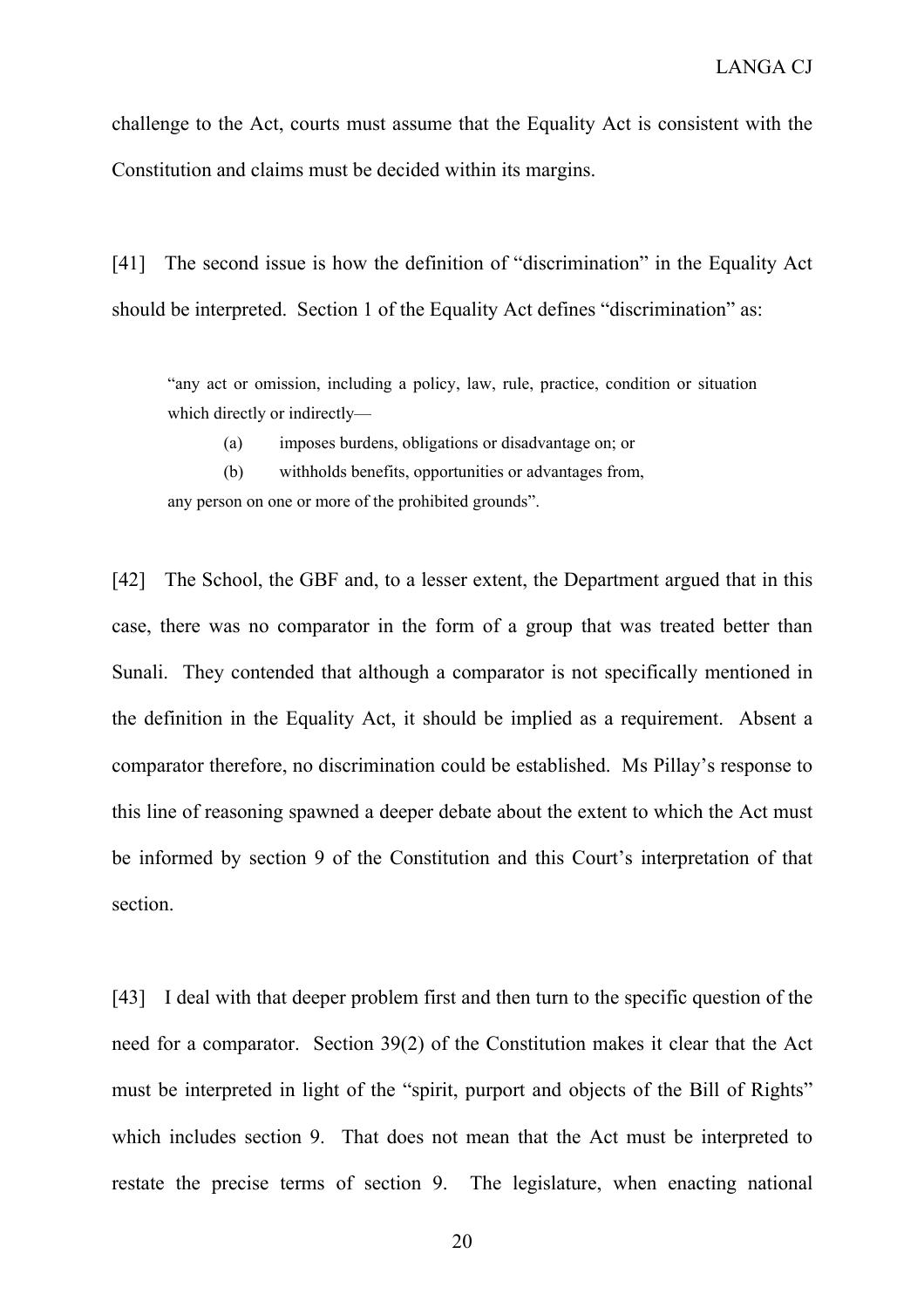challenge to the Act, courts must assume that the Equality Act is consistent with the Constitution and claims must be decided within its margins.

[41] The second issue is how the definition of "discrimination" in the Equality Act should be interpreted. Section 1 of the Equality Act defines "discrimination" as:

"any act or omission, including a policy, law, rule, practice, condition or situation which directly or indirectly—

(a) imposes burdens, obligations or disadvantage on; or

(b) withholds benefits, opportunities or advantages from, any person on one or more of the prohibited grounds".

[42] The School, the GBF and, to a lesser extent, the Department argued that in this case, there was no comparator in the form of a group that was treated better than Sunali. They contended that although a comparator is not specifically mentioned in the definition in the Equality Act, it should be implied as a requirement. Absent a comparator therefore, no discrimination could be established. Ms Pillay's response to this line of reasoning spawned a deeper debate about the extent to which the Act must be informed by section 9 of the Constitution and this Court's interpretation of that section.

[43] I deal with that deeper problem first and then turn to the specific question of the need for a comparator. Section 39(2) of the Constitution makes it clear that the Act must be interpreted in light of the "spirit, purport and objects of the Bill of Rights" which includes section 9. That does not mean that the Act must be interpreted to restate the precise terms of section 9. The legislature, when enacting national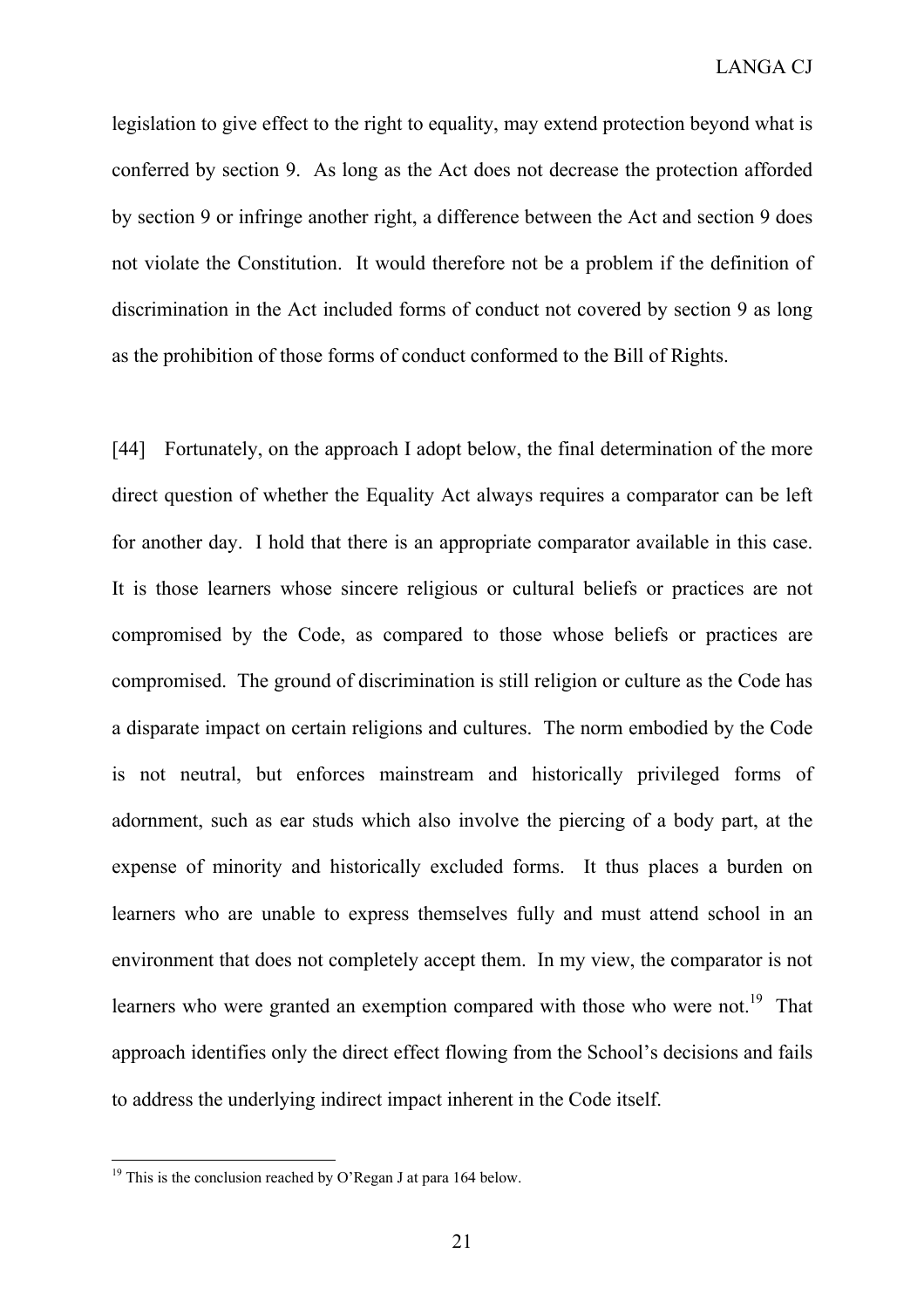legislation to give effect to the right to equality, may extend protection beyond what is conferred by section 9. As long as the Act does not decrease the protection afforded by section 9 or infringe another right, a difference between the Act and section 9 does not violate the Constitution. It would therefore not be a problem if the definition of discrimination in the Act included forms of conduct not covered by section 9 as long as the prohibition of those forms of conduct conformed to the Bill of Rights.

[44] Fortunately, on the approach I adopt below, the final determination of the more direct question of whether the Equality Act always requires a comparator can be left for another day. I hold that there is an appropriate comparator available in this case. It is those learners whose sincere religious or cultural beliefs or practices are not compromised by the Code, as compared to those whose beliefs or practices are compromised. The ground of discrimination is still religion or culture as the Code has a disparate impact on certain religions and cultures. The norm embodied by the Code is not neutral, but enforces mainstream and historically privileged forms of adornment, such as ear studs which also involve the piercing of a body part, at the expense of minority and historically excluded forms. It thus places a burden on learners who are unable to express themselves fully and must attend school in an environment that does not completely accept them. In my view, the comparator is not learners who were granted an exemption compared with those who were not.<sup>19</sup> That approach identifies only the direct effect flowing from the School's decisions and fails to address the underlying indirect impact inherent in the Code itself.

 $19$  This is the conclusion reached by O'Regan J at para 164 below.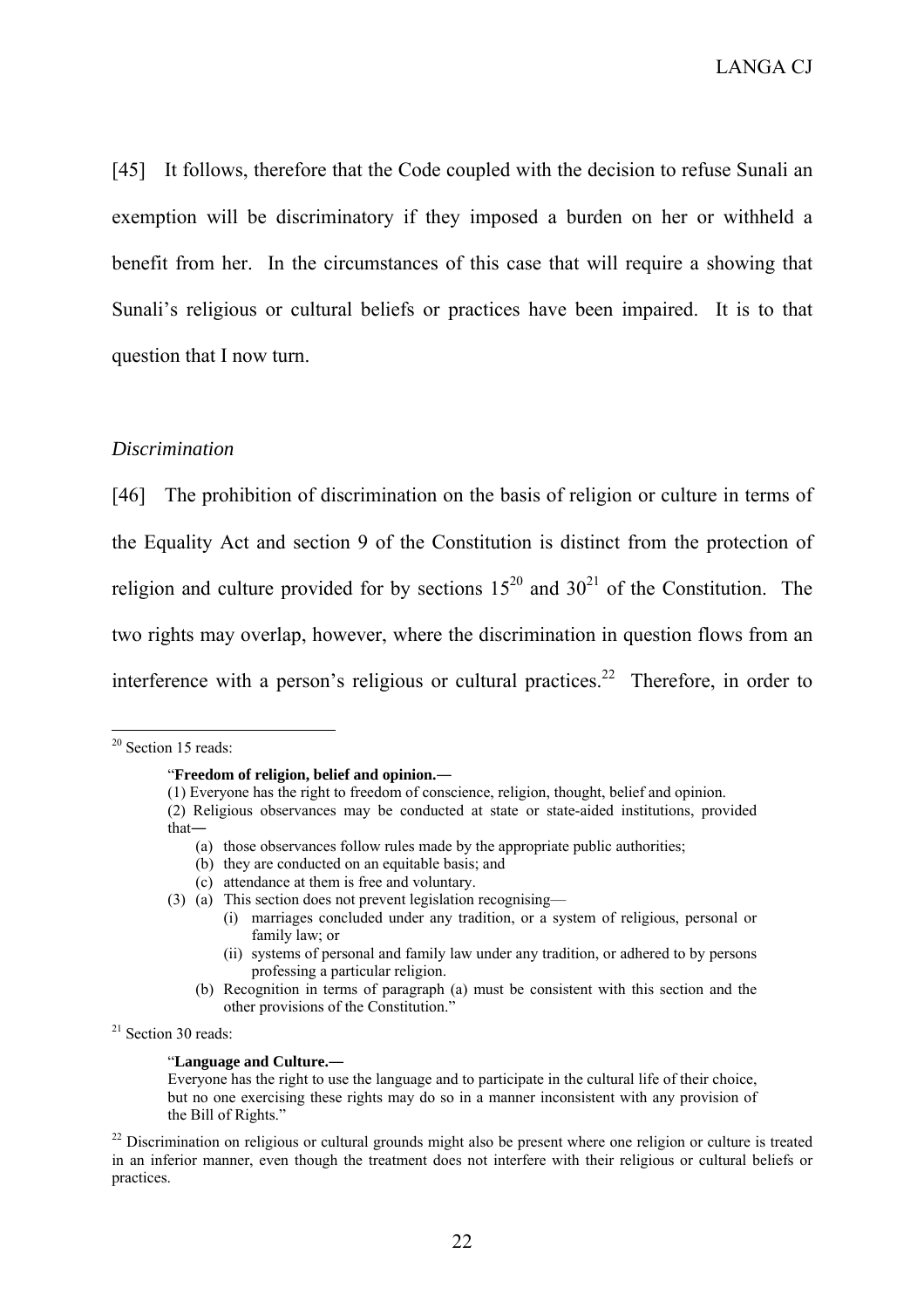[45] It follows, therefore that the Code coupled with the decision to refuse Sunali an exemption will be discriminatory if they imposed a burden on her or withheld a benefit from her. In the circumstances of this case that will require a showing that Sunali's religious or cultural beliefs or practices have been impaired. It is to that question that I now turn.

#### *Discrimination*

[46] The prohibition of discrimination on the basis of religion or culture in terms of the Equality Act and section 9 of the Constitution is distinct from the protection of religion and culture provided for by sections  $15^{20}$  and  $30^{21}$  of the Constitution. The two rights may overlap, however, where the discrimination in question flows from an interference with a person's religious or cultural practices.<sup>22</sup> Therefore, in order to

 $\overline{a}$ 

- (a) those observances follow rules made by the appropriate public authorities;
- (b) they are conducted on an equitable basis; and
- (c) attendance at them is free and voluntary.
- (3) (a) This section does not prevent legislation recognising—
	- (i) marriages concluded under any tradition, or a system of religious, personal or family law; or
	- (ii) systems of personal and family law under any tradition, or adhered to by persons professing a particular religion.
	- (b) Recognition in terms of paragraph (a) must be consistent with this section and the other provisions of the Constitution."

 $21$  Section 30 reads:

#### "**Language and Culture.**―

Everyone has the right to use the language and to participate in the cultural life of their choice, but no one exercising these rights may do so in a manner inconsistent with any provision of the Bill of Rights."

<sup>22</sup> Discrimination on religious or cultural grounds might also be present where one religion or culture is treated in an inferior manner, even though the treatment does not interfere with their religious or cultural beliefs or practices.

<sup>&</sup>lt;sup>20</sup> Section 15 reads:

<sup>&</sup>quot;**Freedom of religion, belief and opinion.**―

<sup>(1)</sup> Everyone has the right to freedom of conscience, religion, thought, belief and opinion.

<sup>(2)</sup> Religious observances may be conducted at state or state-aided institutions, provided that―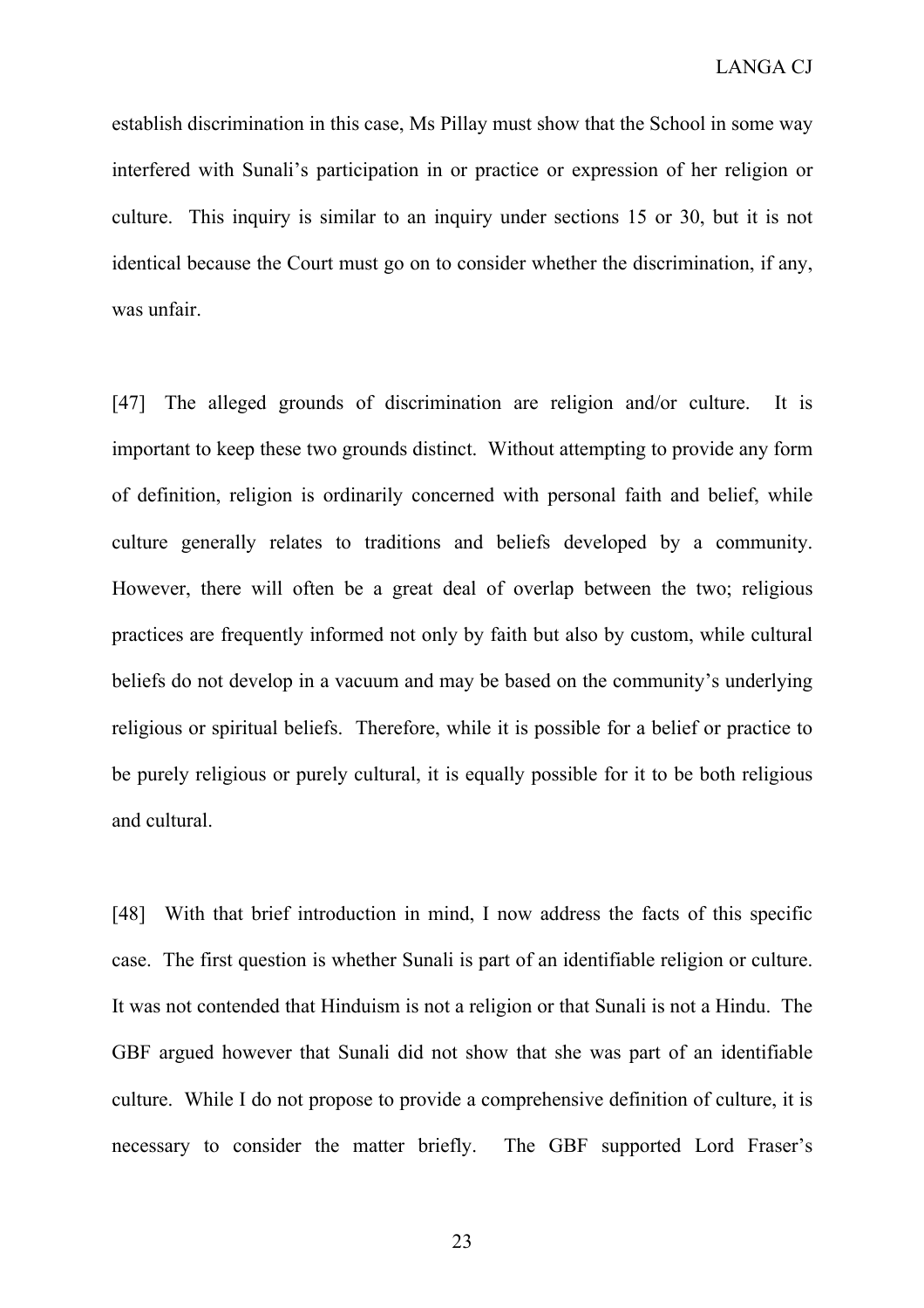establish discrimination in this case, Ms Pillay must show that the School in some way interfered with Sunali's participation in or practice or expression of her religion or culture. This inquiry is similar to an inquiry under sections 15 or 30, but it is not identical because the Court must go on to consider whether the discrimination, if any, was unfair.

[47] The alleged grounds of discrimination are religion and/or culture. It is important to keep these two grounds distinct. Without attempting to provide any form of definition, religion is ordinarily concerned with personal faith and belief, while culture generally relates to traditions and beliefs developed by a community. However, there will often be a great deal of overlap between the two; religious practices are frequently informed not only by faith but also by custom, while cultural beliefs do not develop in a vacuum and may be based on the community's underlying religious or spiritual beliefs. Therefore, while it is possible for a belief or practice to be purely religious or purely cultural, it is equally possible for it to be both religious and cultural.

[48] With that brief introduction in mind, I now address the facts of this specific case. The first question is whether Sunali is part of an identifiable religion or culture. It was not contended that Hinduism is not a religion or that Sunali is not a Hindu. The GBF argued however that Sunali did not show that she was part of an identifiable culture. While I do not propose to provide a comprehensive definition of culture, it is necessary to consider the matter briefly. The GBF supported Lord Fraser's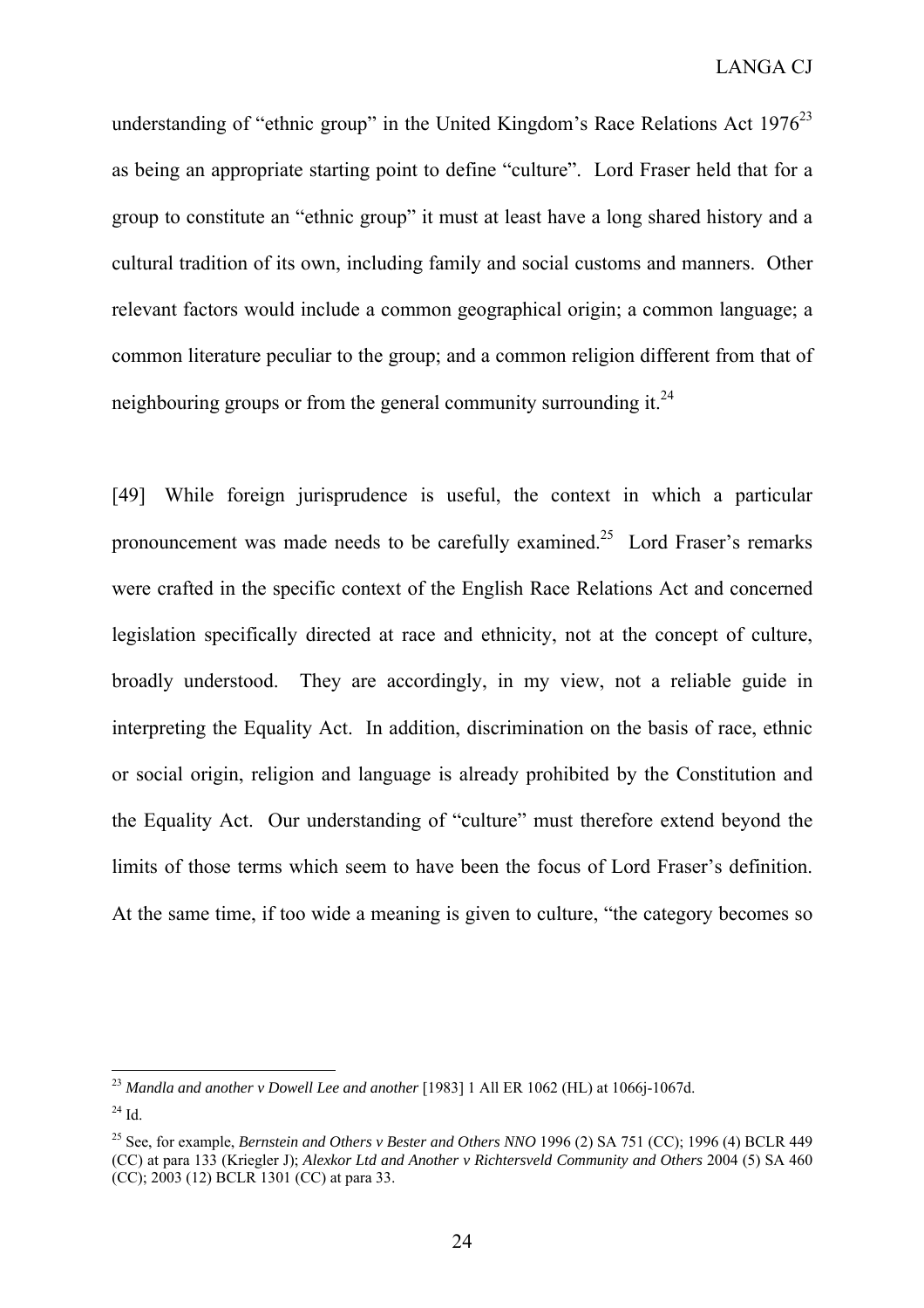understanding of "ethnic group" in the United Kingdom's Race Relations Act  $1976^{23}$ as being an appropriate starting point to define "culture". Lord Fraser held that for a group to constitute an "ethnic group" it must at least have a long shared history and a cultural tradition of its own, including family and social customs and manners. Other relevant factors would include a common geographical origin; a common language; a common literature peculiar to the group; and a common religion different from that of neighbouring groups or from the general community surrounding it.  $24$ 

[49] While foreign jurisprudence is useful, the context in which a particular pronouncement was made needs to be carefully examined.<sup>25</sup> Lord Fraser's remarks were crafted in the specific context of the English Race Relations Act and concerned legislation specifically directed at race and ethnicity, not at the concept of culture, broadly understood. They are accordingly, in my view, not a reliable guide in interpreting the Equality Act. In addition, discrimination on the basis of race, ethnic or social origin, religion and language is already prohibited by the Constitution and the Equality Act. Our understanding of "culture" must therefore extend beyond the limits of those terms which seem to have been the focus of Lord Fraser's definition. At the same time, if too wide a meaning is given to culture, "the category becomes so

<sup>23</sup> *Mandla and another v Dowell Lee and another* [1983] 1 All ER 1062 (HL) at 1066j-1067d.

 $^{24}$  Id.

<sup>&</sup>lt;sup>25</sup> See, for example, *Bernstein and Others v Bester and Others NNO* 1996 (2) SA 751 (CC); 1996 (4) BCLR 449 (CC) at para 133 (Kriegler J); *Alexkor Ltd and Another v Richtersveld Community and Others* 2004 (5) SA 460 (CC); 2003 (12) BCLR 1301 (CC) at para 33.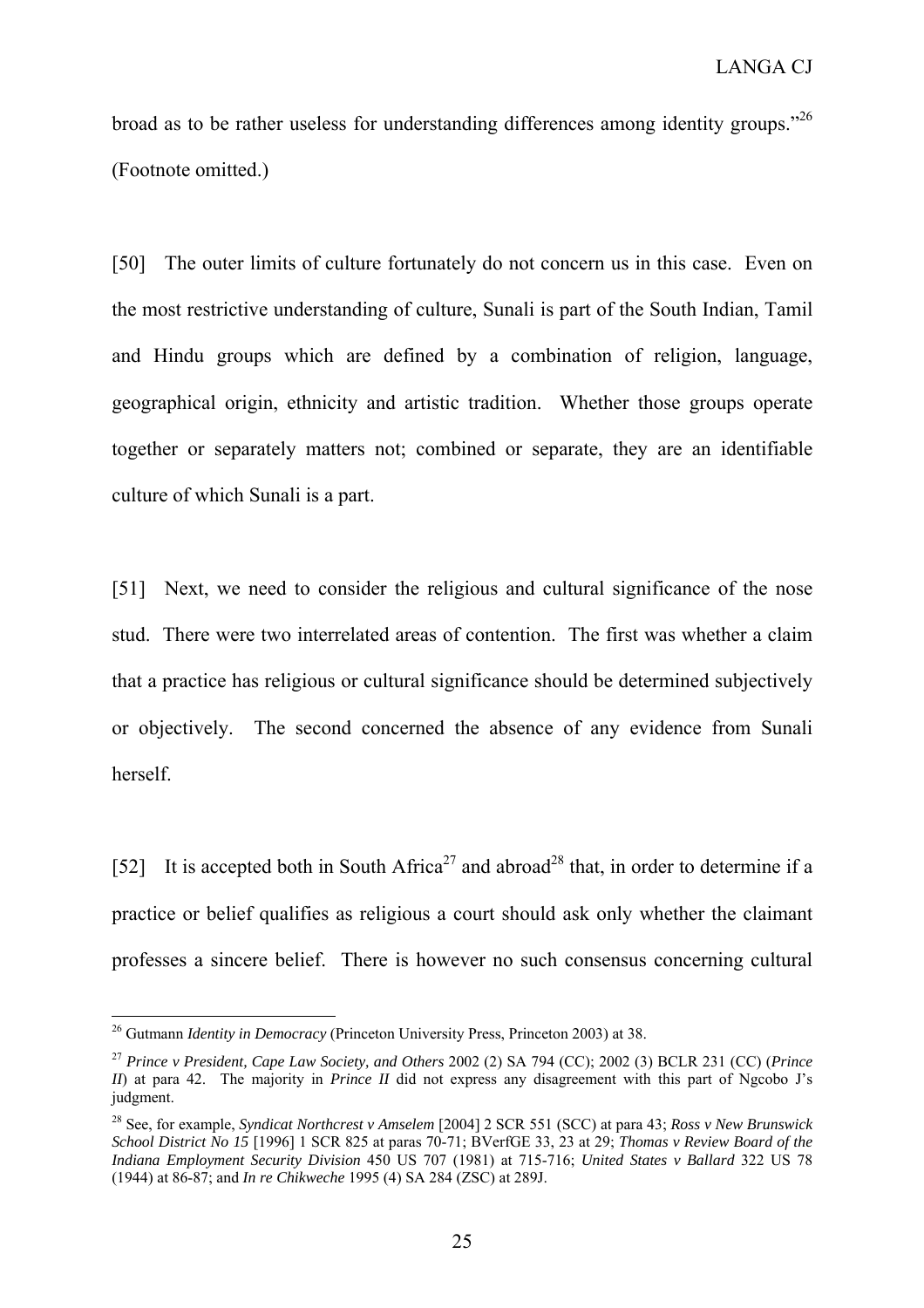broad as to be rather useless for understanding differences among identity groups."<sup>26</sup> (Footnote omitted.)

[50] The outer limits of culture fortunately do not concern us in this case. Even on the most restrictive understanding of culture, Sunali is part of the South Indian, Tamil and Hindu groups which are defined by a combination of religion, language, geographical origin, ethnicity and artistic tradition. Whether those groups operate together or separately matters not; combined or separate, they are an identifiable culture of which Sunali is a part.

[51] Next, we need to consider the religious and cultural significance of the nose stud. There were two interrelated areas of contention. The first was whether a claim that a practice has religious or cultural significance should be determined subjectively or objectively. The second concerned the absence of any evidence from Sunali herself.

[52] It is accepted both in South Africa<sup>27</sup> and abroad<sup>28</sup> that, in order to determine if a practice or belief qualifies as religious a court should ask only whether the claimant professes a sincere belief. There is however no such consensus concerning cultural

<sup>26</sup> Gutmann *Identity in Democracy* (Princeton University Press, Princeton 2003) at 38.

<sup>27</sup> *Prince v President, Cape Law Society, and Others* 2002 (2) SA 794 (CC); 2002 (3) BCLR 231 (CC) (*Prince II*) at para 42. The majority in *Prince II* did not express any disagreement with this part of Ngcobo J's judgment.

<sup>28</sup> See, for example, *Syndicat Northcrest v Amselem* [2004] 2 SCR 551 (SCC) at para 43; *Ross v New Brunswick School District No 15* [1996] 1 SCR 825 at paras 70-71; BVerfGE 33, 23 at 29; *Thomas v Review Board of the Indiana Employment Security Division* 450 US 707 (1981) at 715-716; *United States v Ballard* 322 US 78 (1944) at 86-87; and *In re Chikweche* 1995 (4) SA 284 (ZSC) at 289J.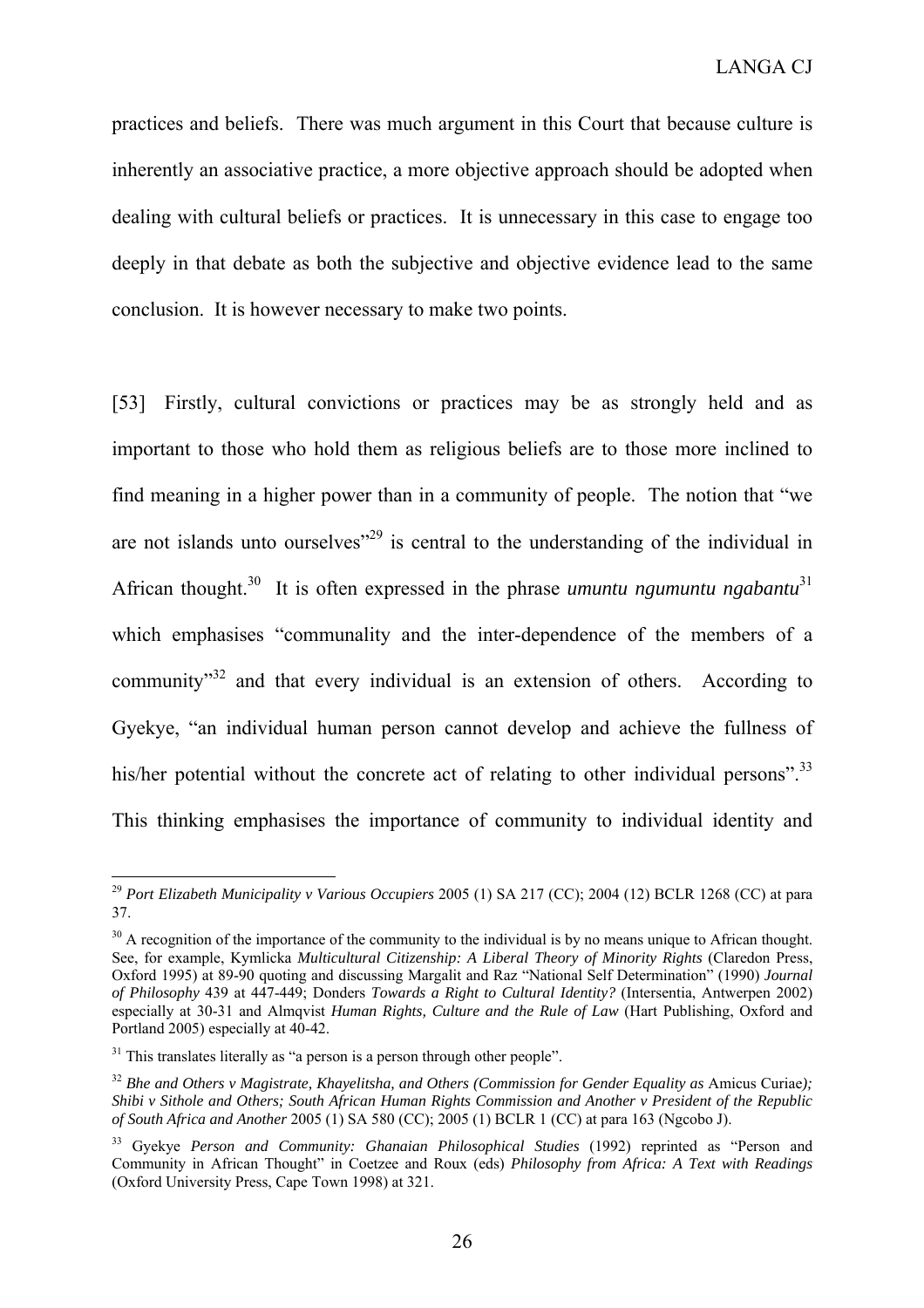practices and beliefs. There was much argument in this Court that because culture is inherently an associative practice, a more objective approach should be adopted when dealing with cultural beliefs or practices. It is unnecessary in this case to engage too deeply in that debate as both the subjective and objective evidence lead to the same conclusion. It is however necessary to make two points.

[53] Firstly, cultural convictions or practices may be as strongly held and as important to those who hold them as religious beliefs are to those more inclined to find meaning in a higher power than in a community of people. The notion that "we are not islands unto ourselves<sup> $29$ </sup> is central to the understanding of the individual in African thought.<sup>30</sup> It is often expressed in the phrase *umuntu ngumuntu ngabantu*<sup>31</sup> which emphasises "communality and the inter-dependence of the members of a community"32 and that every individual is an extension of others. According to Gyekye, "an individual human person cannot develop and achieve the fullness of his/her potential without the concrete act of relating to other individual persons".  $33$ This thinking emphasises the importance of community to individual identity and

<sup>29</sup> *Port Elizabeth Municipality v Various Occupiers* 2005 (1) SA 217 (CC); 2004 (12) BCLR 1268 (CC) at para 37.

<sup>&</sup>lt;sup>30</sup> A recognition of the importance of the community to the individual is by no means unique to African thought. See, for example, Kymlicka *Multicultural Citizenship: A Liberal Theory of Minority Rights* (Claredon Press, Oxford 1995) at 89-90 quoting and discussing Margalit and Raz "National Self Determination" (1990) *Journal of Philosophy* 439 at 447-449; Donders *Towards a Right to Cultural Identity?* (Intersentia, Antwerpen 2002) especially at 30-31 and Almqvist *Human Rights, Culture and the Rule of Law* (Hart Publishing, Oxford and Portland 2005) especially at 40-42.

 $31$  This translates literally as "a person is a person through other people".

<sup>32</sup> *Bhe and Others v Magistrate, Khayelitsha, and Others (Commission for Gender Equality as* Amicus Curiae*); Shibi v Sithole and Others; South African Human Rights Commission and Another v President of the Republic of South Africa and Another* 2005 (1) SA 580 (CC); 2005 (1) BCLR 1 (CC) at para 163 (Ngcobo J).

<sup>33</sup> Gyekye *Person and Community: Ghanaian Philosophical Studies* (1992) reprinted as "Person and Community in African Thought" in Coetzee and Roux (eds) *Philosophy from Africa: A Text with Readings*  (Oxford University Press, Cape Town 1998) at 321.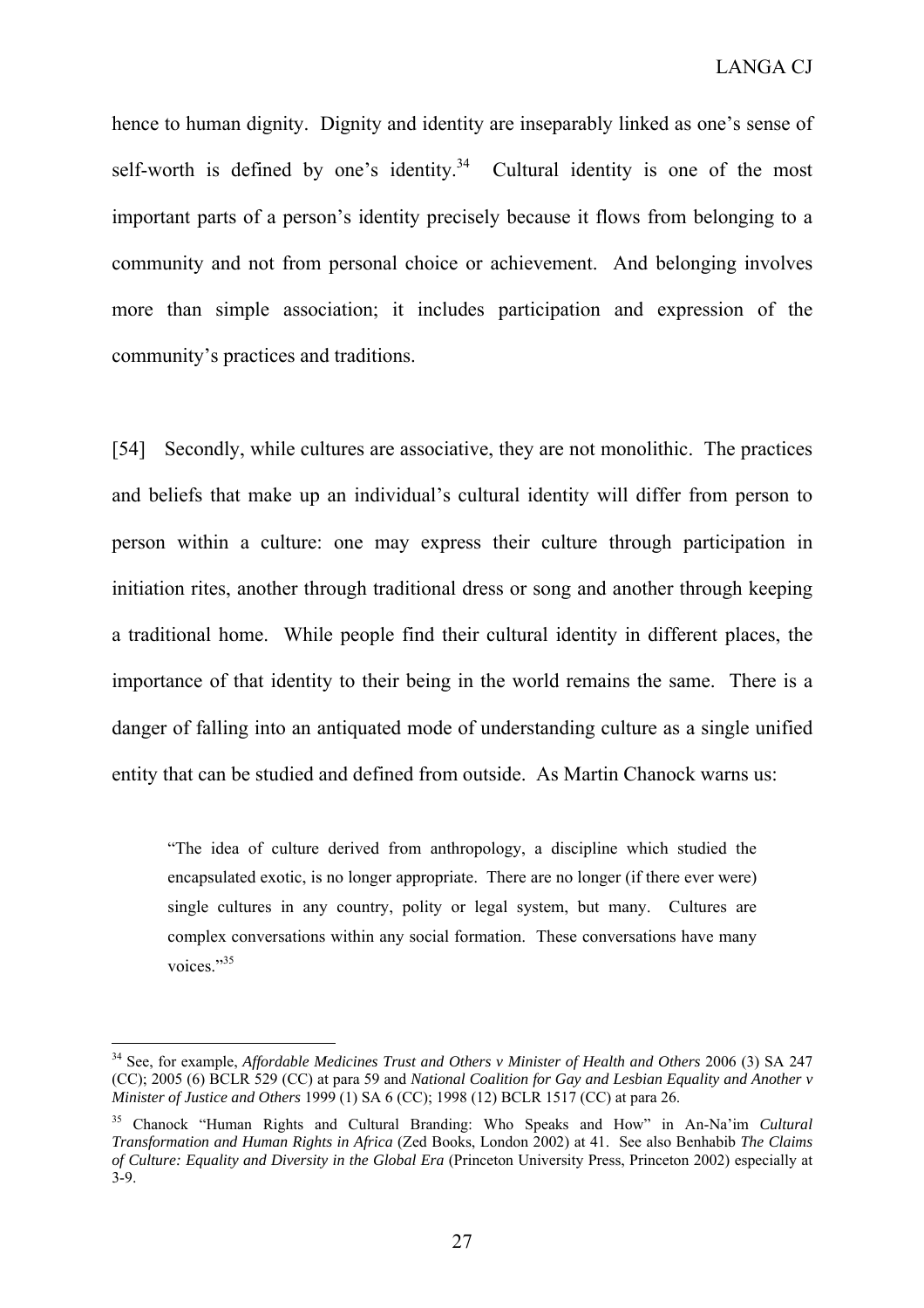hence to human dignity. Dignity and identity are inseparably linked as one's sense of self-worth is defined by one's identity.<sup>34</sup> Cultural identity is one of the most important parts of a person's identity precisely because it flows from belonging to a community and not from personal choice or achievement. And belonging involves more than simple association; it includes participation and expression of the community's practices and traditions.

[54] Secondly, while cultures are associative, they are not monolithic. The practices and beliefs that make up an individual's cultural identity will differ from person to person within a culture: one may express their culture through participation in initiation rites, another through traditional dress or song and another through keeping a traditional home. While people find their cultural identity in different places, the importance of that identity to their being in the world remains the same. There is a danger of falling into an antiquated mode of understanding culture as a single unified entity that can be studied and defined from outside. As Martin Chanock warns us:

"The idea of culture derived from anthropology, a discipline which studied the encapsulated exotic, is no longer appropriate. There are no longer (if there ever were) single cultures in any country, polity or legal system, but many. Cultures are complex conversations within any social formation. These conversations have many voices."35

<sup>34</sup> See, for example, *Affordable Medicines Trust and Others v Minister of Health and Others* 2006 (3) SA 247 (CC); 2005 (6) BCLR 529 (CC) at para 59 and *National Coalition for Gay and Lesbian Equality and Another v Minister of Justice and Others* 1999 (1) SA 6 (CC); 1998 (12) BCLR 1517 (CC) at para 26.

<sup>35</sup> Chanock "Human Rights and Cultural Branding: Who Speaks and How" in An-Na'im *Cultural Transformation and Human Rights in Africa* (Zed Books, London 2002) at 41. See also Benhabib *The Claims of Culture: Equality and Diversity in the Global Era* (Princeton University Press, Princeton 2002) especially at 3-9.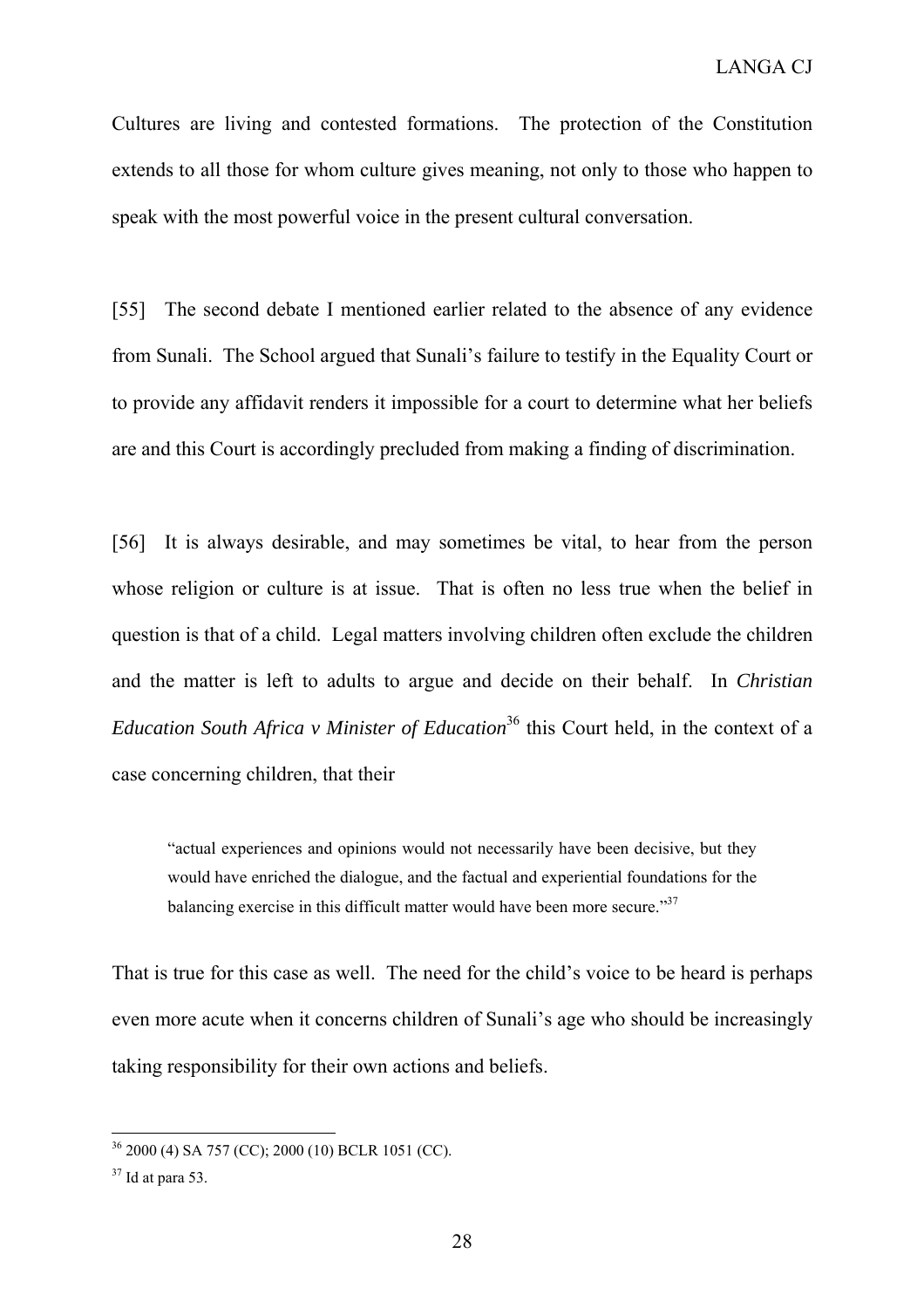Cultures are living and contested formations. The protection of the Constitution extends to all those for whom culture gives meaning, not only to those who happen to speak with the most powerful voice in the present cultural conversation.

[55] The second debate I mentioned earlier related to the absence of any evidence from Sunali. The School argued that Sunali's failure to testify in the Equality Court or to provide any affidavit renders it impossible for a court to determine what her beliefs are and this Court is accordingly precluded from making a finding of discrimination.

[56] It is always desirable, and may sometimes be vital, to hear from the person whose religion or culture is at issue. That is often no less true when the belief in question is that of a child. Legal matters involving children often exclude the children and the matter is left to adults to argue and decide on their behalf. In *Christian Education South Africa v Minister of Education*<sup>36</sup> this Court held, in the context of a case concerning children, that their

"actual experiences and opinions would not necessarily have been decisive, but they would have enriched the dialogue, and the factual and experiential foundations for the balancing exercise in this difficult matter would have been more secure."<sup>37</sup>

That is true for this case as well. The need for the child's voice to be heard is perhaps even more acute when it concerns children of Sunali's age who should be increasingly taking responsibility for their own actions and beliefs.

<sup>36 2000</sup> (4) SA 757 (CC); 2000 (10) BCLR 1051 (CC).

 $37$  Id at para 53.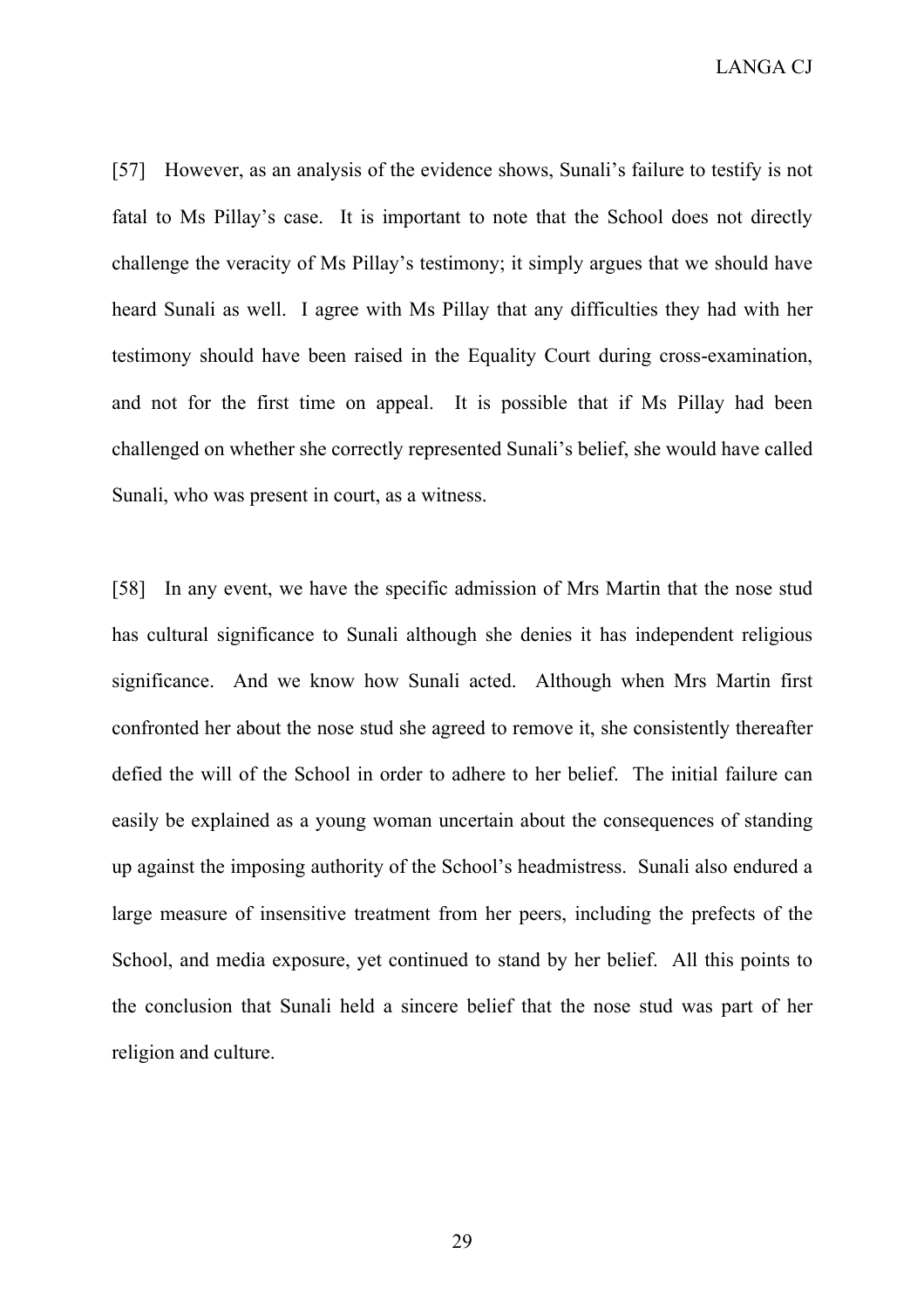LANGA CJ

[57] However, as an analysis of the evidence shows, Sunali's failure to testify is not fatal to Ms Pillay's case. It is important to note that the School does not directly challenge the veracity of Ms Pillay's testimony; it simply argues that we should have heard Sunali as well. I agree with Ms Pillay that any difficulties they had with her testimony should have been raised in the Equality Court during cross-examination, and not for the first time on appeal. It is possible that if Ms Pillay had been challenged on whether she correctly represented Sunali's belief, she would have called Sunali, who was present in court, as a witness.

[58] In any event, we have the specific admission of Mrs Martin that the nose stud has cultural significance to Sunali although she denies it has independent religious significance. And we know how Sunali acted. Although when Mrs Martin first confronted her about the nose stud she agreed to remove it, she consistently thereafter defied the will of the School in order to adhere to her belief. The initial failure can easily be explained as a young woman uncertain about the consequences of standing up against the imposing authority of the School's headmistress. Sunali also endured a large measure of insensitive treatment from her peers, including the prefects of the School, and media exposure, yet continued to stand by her belief. All this points to the conclusion that Sunali held a sincere belief that the nose stud was part of her religion and culture.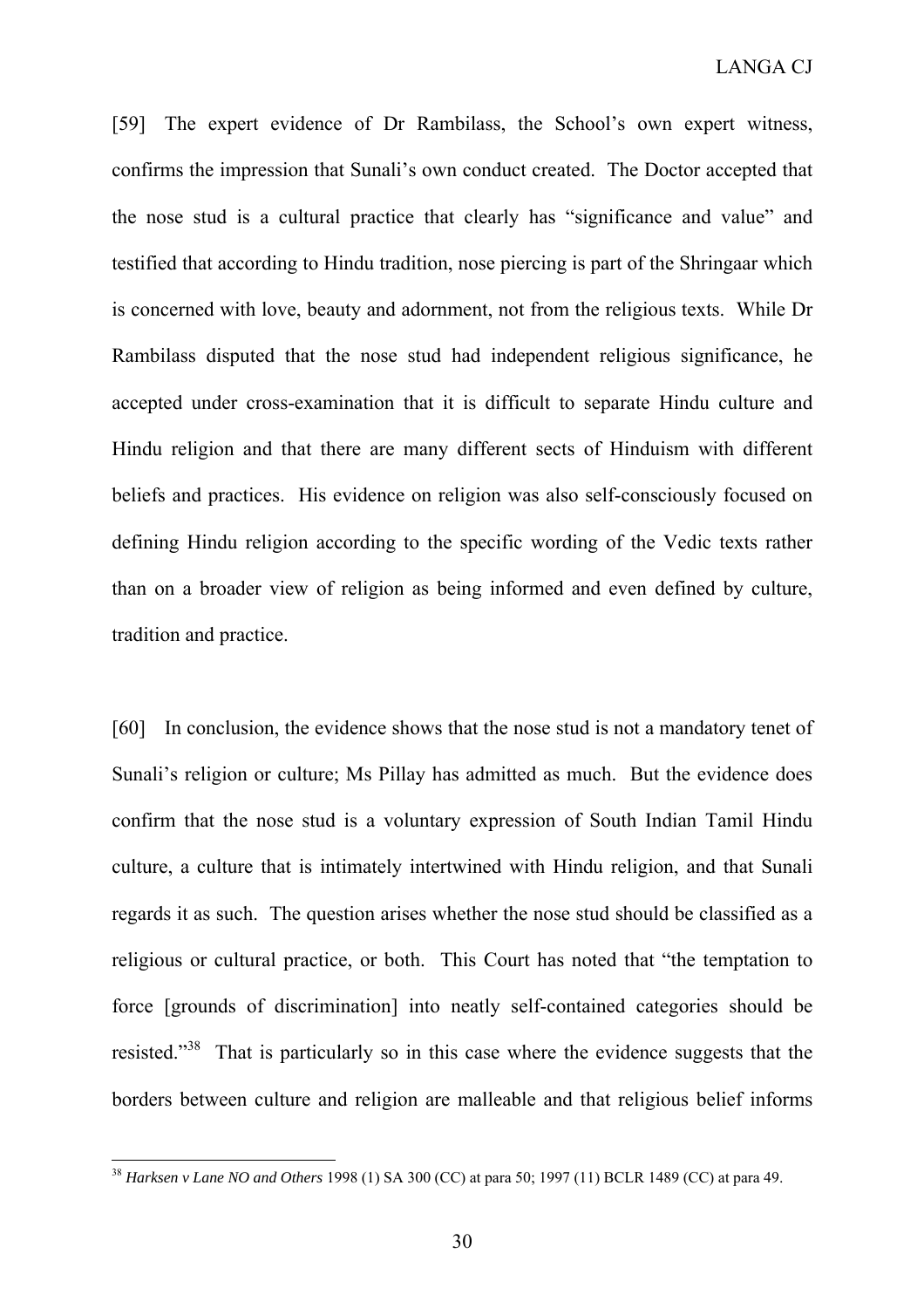[59] The expert evidence of Dr Rambilass, the School's own expert witness, confirms the impression that Sunali's own conduct created. The Doctor accepted that the nose stud is a cultural practice that clearly has "significance and value" and testified that according to Hindu tradition, nose piercing is part of the Shringaar which is concerned with love, beauty and adornment, not from the religious texts. While Dr Rambilass disputed that the nose stud had independent religious significance, he accepted under cross-examination that it is difficult to separate Hindu culture and Hindu religion and that there are many different sects of Hinduism with different beliefs and practices. His evidence on religion was also self-consciously focused on defining Hindu religion according to the specific wording of the Vedic texts rather than on a broader view of religion as being informed and even defined by culture, tradition and practice.

[60] In conclusion, the evidence shows that the nose stud is not a mandatory tenet of Sunali's religion or culture; Ms Pillay has admitted as much. But the evidence does confirm that the nose stud is a voluntary expression of South Indian Tamil Hindu culture, a culture that is intimately intertwined with Hindu religion, and that Sunali regards it as such. The question arises whether the nose stud should be classified as a religious or cultural practice, or both. This Court has noted that "the temptation to force [grounds of discrimination] into neatly self-contained categories should be resisted."38 That is particularly so in this case where the evidence suggests that the borders between culture and religion are malleable and that religious belief informs

<sup>38</sup> *Harksen v Lane NO and Others* 1998 (1) SA 300 (CC) at para 50; 1997 (11) BCLR 1489 (CC) at para 49.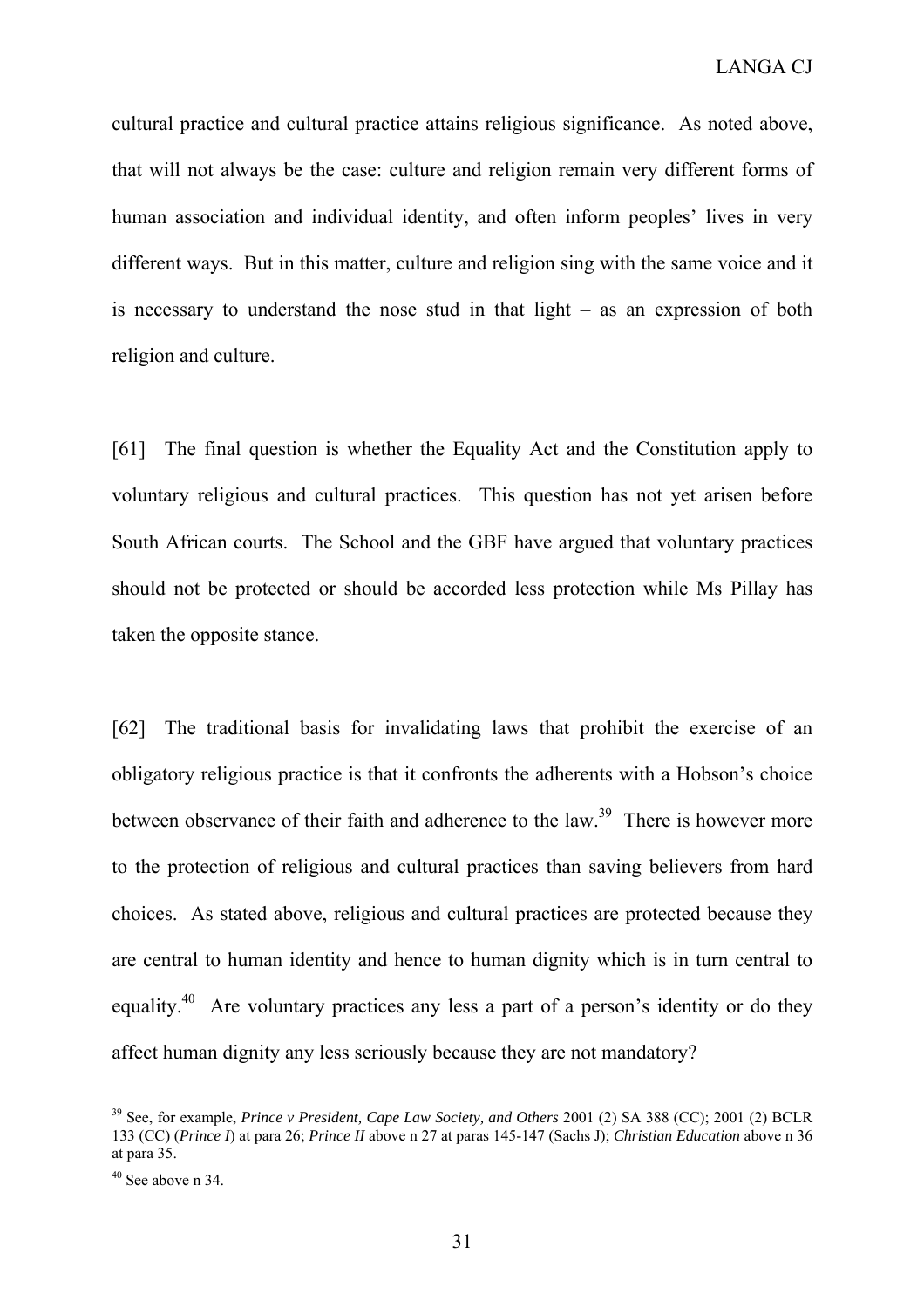cultural practice and cultural practice attains religious significance. As noted above, that will not always be the case: culture and religion remain very different forms of human association and individual identity, and often inform peoples' lives in very different ways. But in this matter, culture and religion sing with the same voice and it is necessary to understand the nose stud in that light – as an expression of both religion and culture.

[61] The final question is whether the Equality Act and the Constitution apply to voluntary religious and cultural practices. This question has not yet arisen before South African courts. The School and the GBF have argued that voluntary practices should not be protected or should be accorded less protection while Ms Pillay has taken the opposite stance.

[62] The traditional basis for invalidating laws that prohibit the exercise of an obligatory religious practice is that it confronts the adherents with a Hobson's choice between observance of their faith and adherence to the law.<sup>39</sup> There is however more to the protection of religious and cultural practices than saving believers from hard choices. As stated above, religious and cultural practices are protected because they are central to human identity and hence to human dignity which is in turn central to equality.<sup>40</sup> Are voluntary practices any less a part of a person's identity or do they affect human dignity any less seriously because they are not mandatory?

<sup>&</sup>lt;sup>39</sup> See, for example, *Prince v President, Cape Law Society, and Others* 2001 (2) SA 388 (CC); 2001 (2) BCLR 133 (CC) (*Prince I*) at para 26; *Prince II* above n 27 at paras 145-147 (Sachs J); *Christian Education* above n 36 at para 35.

<sup>40</sup> See above n 34.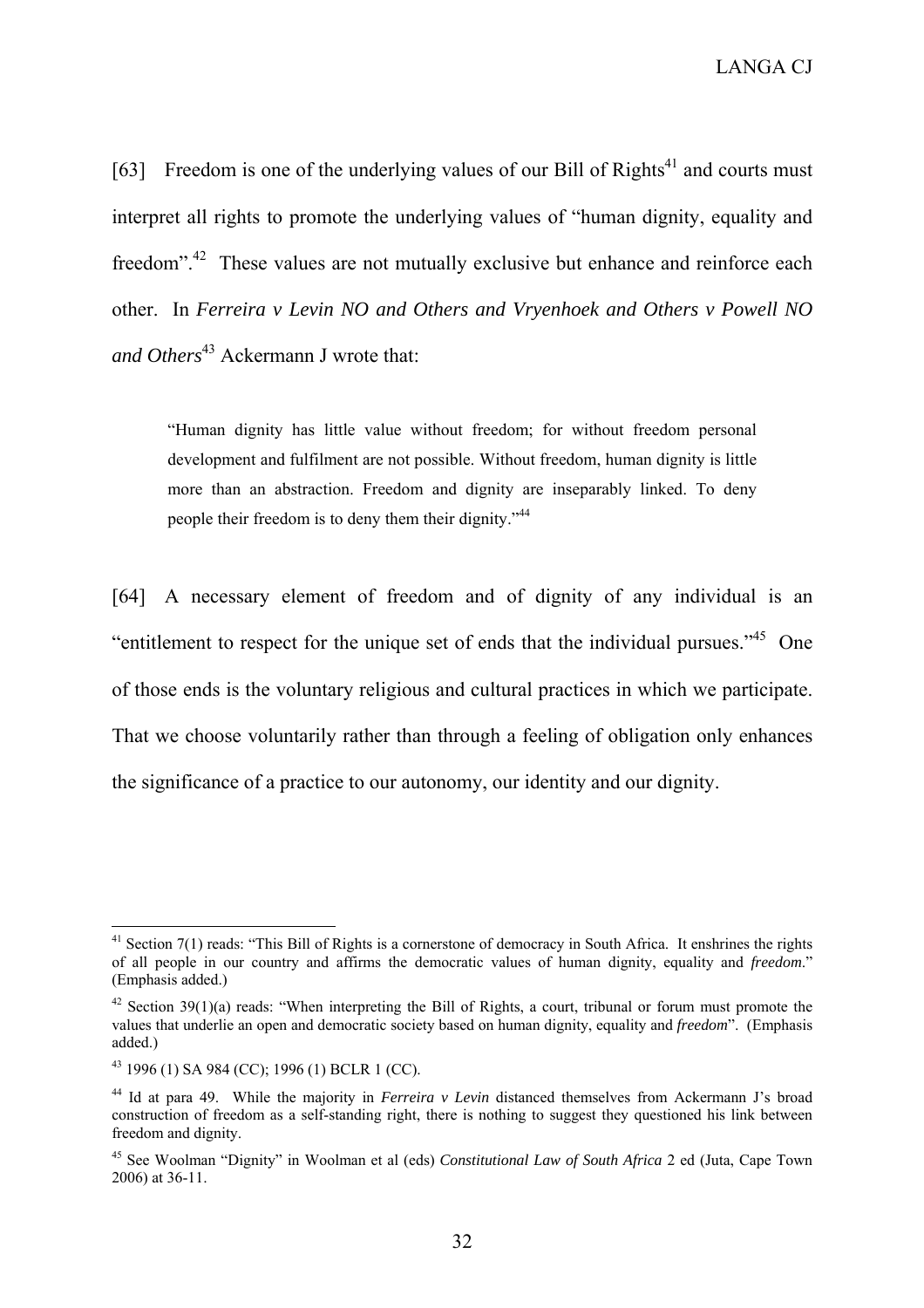LANGA CJ

[63] Freedom is one of the underlying values of our Bill of Rights<sup>41</sup> and courts must interpret all rights to promote the underlying values of "human dignity, equality and freedom".42 These values are not mutually exclusive but enhance and reinforce each other. In *Ferreira v Levin NO and Others and Vryenhoek and Others v Powell NO* and Others<sup>43</sup> Ackermann J wrote that:

"Human dignity has little value without freedom; for without freedom personal development and fulfilment are not possible. Without freedom, human dignity is little more than an abstraction. Freedom and dignity are inseparably linked. To deny people their freedom is to deny them their dignity."44

[64] A necessary element of freedom and of dignity of any individual is an "entitlement to respect for the unique set of ends that the individual pursues."45 One of those ends is the voluntary religious and cultural practices in which we participate. That we choose voluntarily rather than through a feeling of obligation only enhances the significance of a practice to our autonomy, our identity and our dignity.

<sup>&</sup>lt;sup>41</sup> Section 7(1) reads: "This Bill of Rights is a cornerstone of democracy in South Africa. It enshrines the rights of all people in our country and affirms the democratic values of human dignity, equality and *freedom*." (Emphasis added.)

<sup>&</sup>lt;sup>42</sup> Section 39(1)(a) reads: "When interpreting the Bill of Rights, a court, tribunal or forum must promote the values that underlie an open and democratic society based on human dignity, equality and *freedom*". (Emphasis added.)

<sup>43</sup> 1996 (1) SA 984 (CC); 1996 (1) BCLR 1 (CC).

<sup>44</sup> Id at para 49. While the majority in *Ferreira v Levin* distanced themselves from Ackermann J's broad construction of freedom as a self-standing right, there is nothing to suggest they questioned his link between freedom and dignity.

<sup>45</sup> See Woolman "Dignity" in Woolman et al (eds) *Constitutional Law of South Africa* 2 ed (Juta, Cape Town 2006) at 36-11.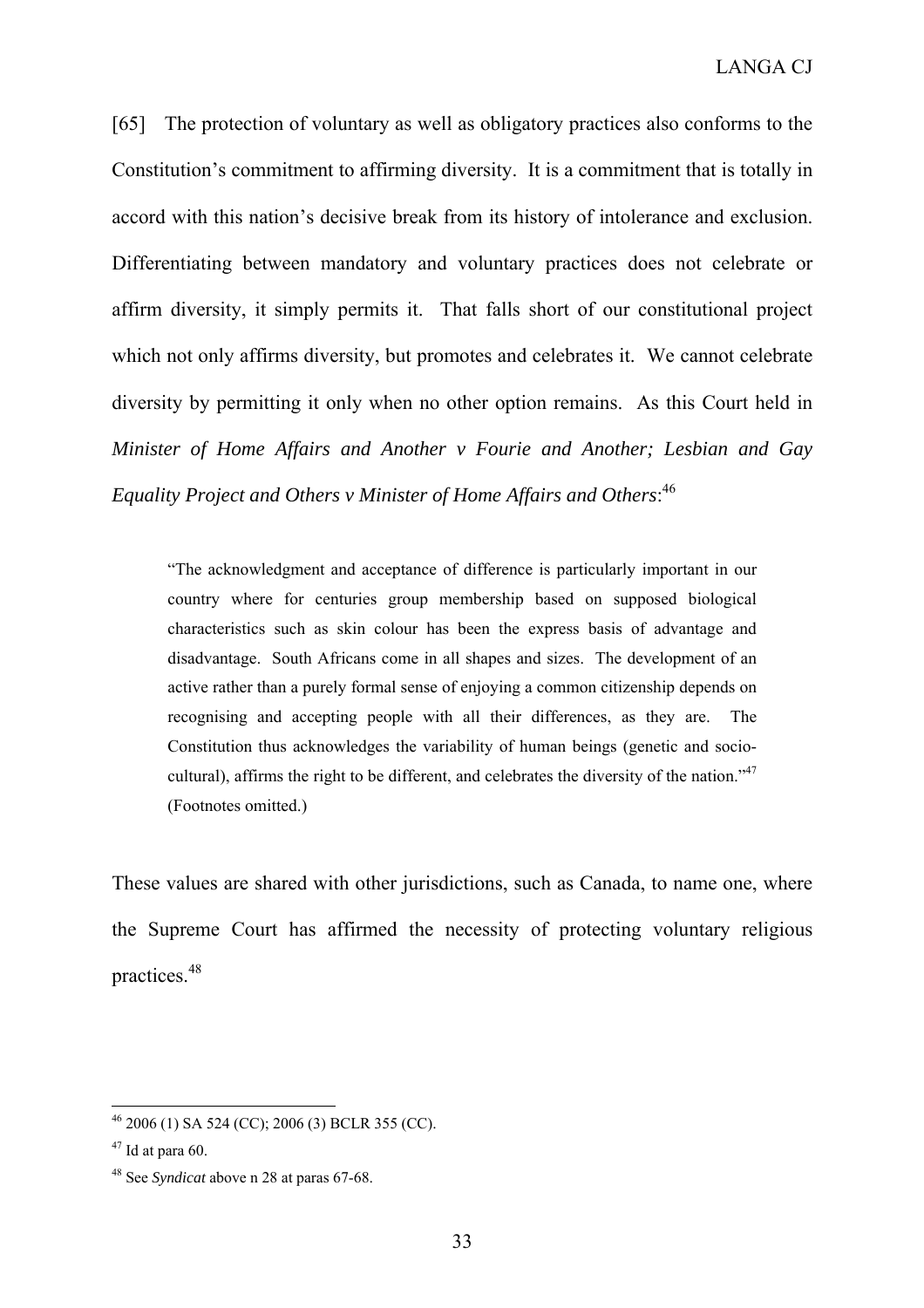[65] The protection of voluntary as well as obligatory practices also conforms to the Constitution's commitment to affirming diversity. It is a commitment that is totally in accord with this nation's decisive break from its history of intolerance and exclusion. Differentiating between mandatory and voluntary practices does not celebrate or affirm diversity, it simply permits it. That falls short of our constitutional project which not only affirms diversity, but promotes and celebrates it. We cannot celebrate diversity by permitting it only when no other option remains. As this Court held in *Minister of Home Affairs and Another v Fourie and Another; Lesbian and Gay Equality Project and Others v Minister of Home Affairs and Others*: 46

"The acknowledgment and acceptance of difference is particularly important in our country where for centuries group membership based on supposed biological characteristics such as skin colour has been the express basis of advantage and disadvantage. South Africans come in all shapes and sizes. The development of an active rather than a purely formal sense of enjoying a common citizenship depends on recognising and accepting people with all their differences, as they are. The Constitution thus acknowledges the variability of human beings (genetic and sociocultural), affirms the right to be different, and celebrates the diversity of the nation."<sup>47</sup> (Footnotes omitted.)

These values are shared with other jurisdictions, such as Canada, to name one, where the Supreme Court has affirmed the necessity of protecting voluntary religious practices.<sup>48</sup>

<sup>46</sup> 2006 (1) SA 524 (CC); 2006 (3) BCLR 355 (CC).

 $47$  Id at para 60.

<sup>48</sup> See *Syndicat* above n 28 at paras 67-68.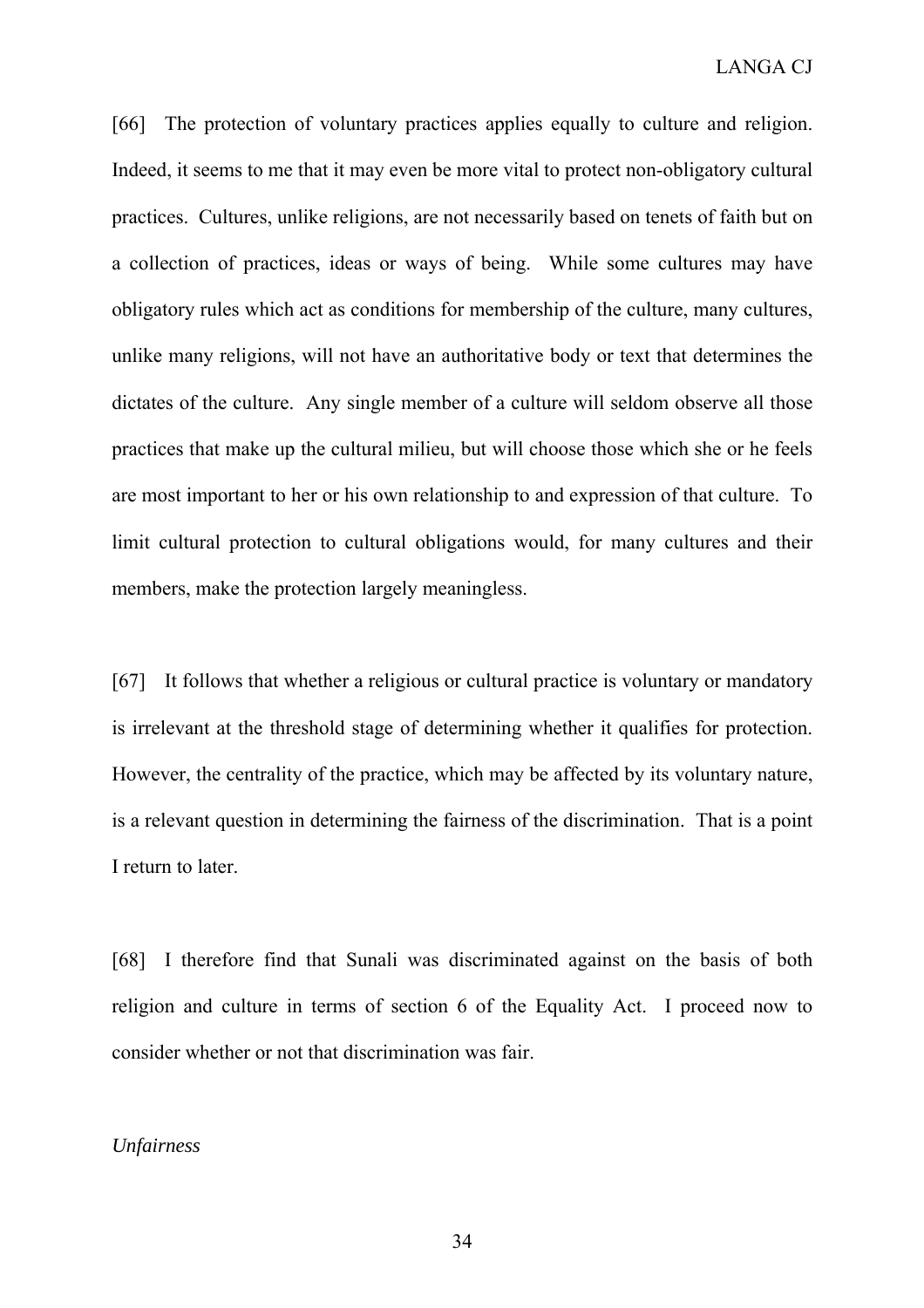[66] The protection of voluntary practices applies equally to culture and religion. Indeed, it seems to me that it may even be more vital to protect non-obligatory cultural practices. Cultures, unlike religions, are not necessarily based on tenets of faith but on a collection of practices, ideas or ways of being. While some cultures may have obligatory rules which act as conditions for membership of the culture, many cultures, unlike many religions, will not have an authoritative body or text that determines the dictates of the culture. Any single member of a culture will seldom observe all those practices that make up the cultural milieu, but will choose those which she or he feels are most important to her or his own relationship to and expression of that culture. To limit cultural protection to cultural obligations would, for many cultures and their members, make the protection largely meaningless.

[67] It follows that whether a religious or cultural practice is voluntary or mandatory is irrelevant at the threshold stage of determining whether it qualifies for protection. However, the centrality of the practice, which may be affected by its voluntary nature, is a relevant question in determining the fairness of the discrimination. That is a point I return to later.

[68] I therefore find that Sunali was discriminated against on the basis of both religion and culture in terms of section 6 of the Equality Act. I proceed now to consider whether or not that discrimination was fair.

#### *Unfairness*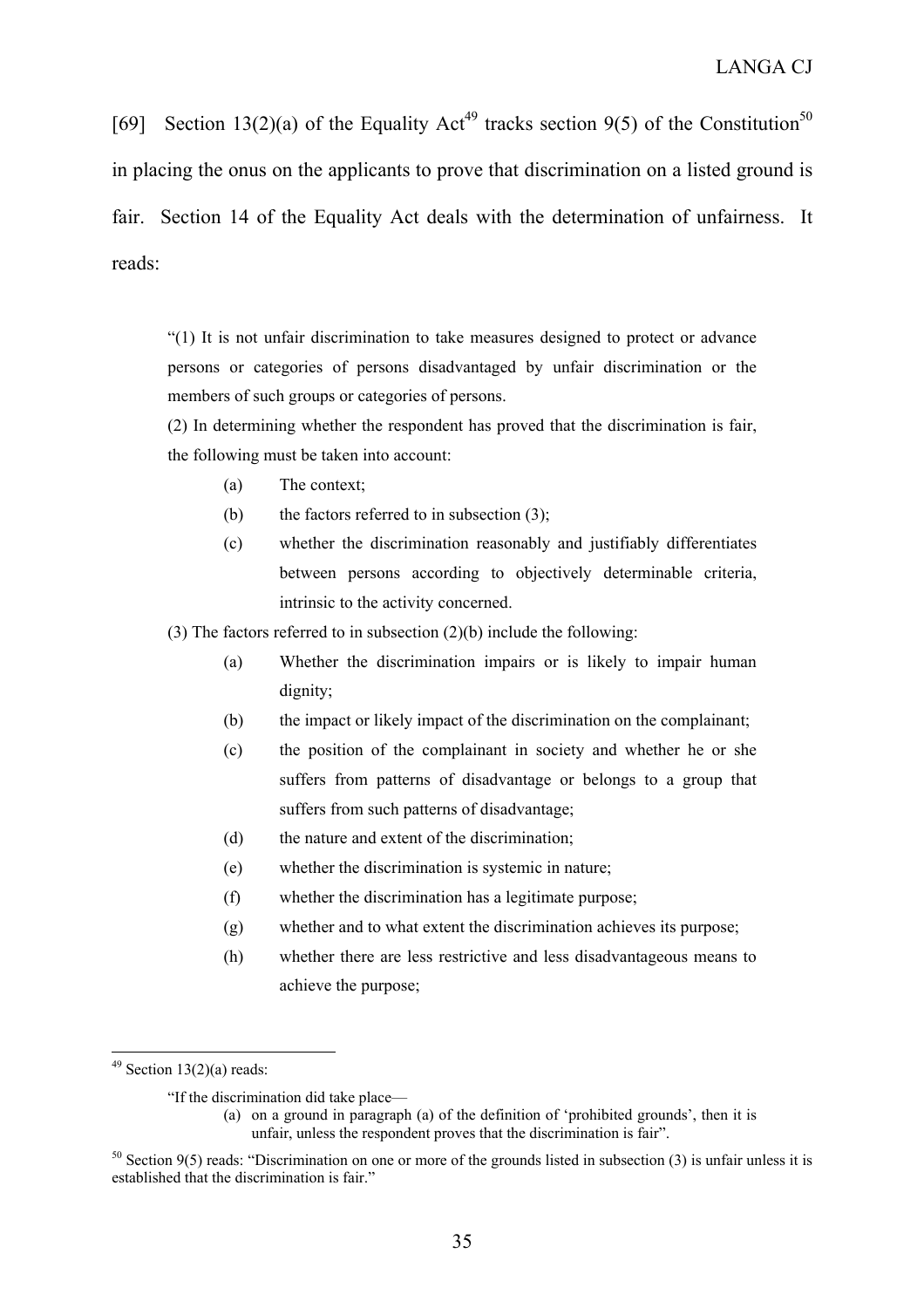[69] Section 13(2)(a) of the Equality Act<sup>49</sup> tracks section 9(5) of the Constitution<sup>50</sup> in placing the onus on the applicants to prove that discrimination on a listed ground is fair. Section 14 of the Equality Act deals with the determination of unfairness. It reads:

"(1) It is not unfair discrimination to take measures designed to protect or advance persons or categories of persons disadvantaged by unfair discrimination or the members of such groups or categories of persons.

(2) In determining whether the respondent has proved that the discrimination is fair, the following must be taken into account:

- (a) The context;
- (b) the factors referred to in subsection  $(3)$ ;
- (c) whether the discrimination reasonably and justifiably differentiates between persons according to objectively determinable criteria, intrinsic to the activity concerned.

(3) The factors referred to in subsection (2)(b) include the following:

- (a) Whether the discrimination impairs or is likely to impair human dignity;
- (b) the impact or likely impact of the discrimination on the complainant;
- (c) the position of the complainant in society and whether he or she suffers from patterns of disadvantage or belongs to a group that suffers from such patterns of disadvantage;
- (d) the nature and extent of the discrimination;
- (e) whether the discrimination is systemic in nature;
- (f) whether the discrimination has a legitimate purpose;
- (g) whether and to what extent the discrimination achieves its purpose;
- (h) whether there are less restrictive and less disadvantageous means to achieve the purpose;

 $49$  Section 13(2)(a) reads:

<sup>&</sup>quot;If the discrimination did take place—

<sup>(</sup>a) on a ground in paragraph (a) of the definition of 'prohibited grounds', then it is unfair, unless the respondent proves that the discrimination is fair".

 $50$  Section 9(5) reads: "Discrimination on one or more of the grounds listed in subsection (3) is unfair unless it is established that the discrimination is fair."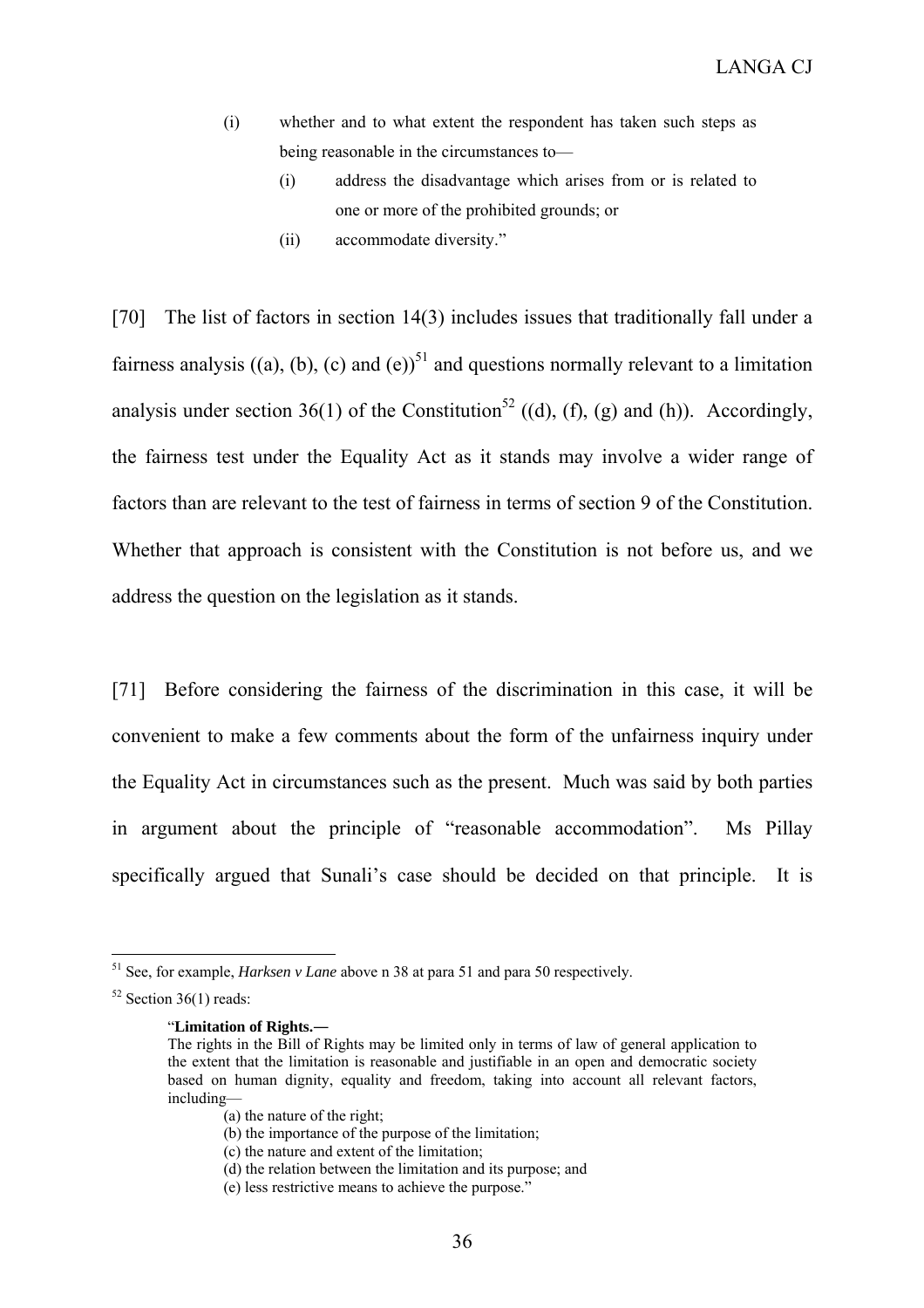- (i) whether and to what extent the respondent has taken such steps as being reasonable in the circumstances to—
	- (i) address the disadvantage which arises from or is related to one or more of the prohibited grounds; or
	- (ii) accommodate diversity."

[70] The list of factors in section 14(3) includes issues that traditionally fall under a fairness analysis ((a), (b), (c) and (e))<sup>51</sup> and questions normally relevant to a limitation analysis under section 36(1) of the Constitution<sup>52</sup> ((d), (f), (g) and (h)). Accordingly, the fairness test under the Equality Act as it stands may involve a wider range of factors than are relevant to the test of fairness in terms of section 9 of the Constitution. Whether that approach is consistent with the Constitution is not before us, and we address the question on the legislation as it stands.

[71] Before considering the fairness of the discrimination in this case, it will be convenient to make a few comments about the form of the unfairness inquiry under the Equality Act in circumstances such as the present. Much was said by both parties in argument about the principle of "reasonable accommodation". Ms Pillay specifically argued that Sunali's case should be decided on that principle. It is

<sup>51</sup> See, for example, *Harksen v Lane* above n 38 at para 51 and para 50 respectively.

 $52$  Section 36(1) reads:

<sup>&</sup>quot;**Limitation of Rights.**―

The rights in the Bill of Rights may be limited only in terms of law of general application to the extent that the limitation is reasonable and justifiable in an open and democratic society based on human dignity, equality and freedom, taking into account all relevant factors, including—

<sup>(</sup>a) the nature of the right;

<sup>(</sup>b) the importance of the purpose of the limitation;

<sup>(</sup>c) the nature and extent of the limitation;

<sup>(</sup>d) the relation between the limitation and its purpose; and

<sup>(</sup>e) less restrictive means to achieve the purpose."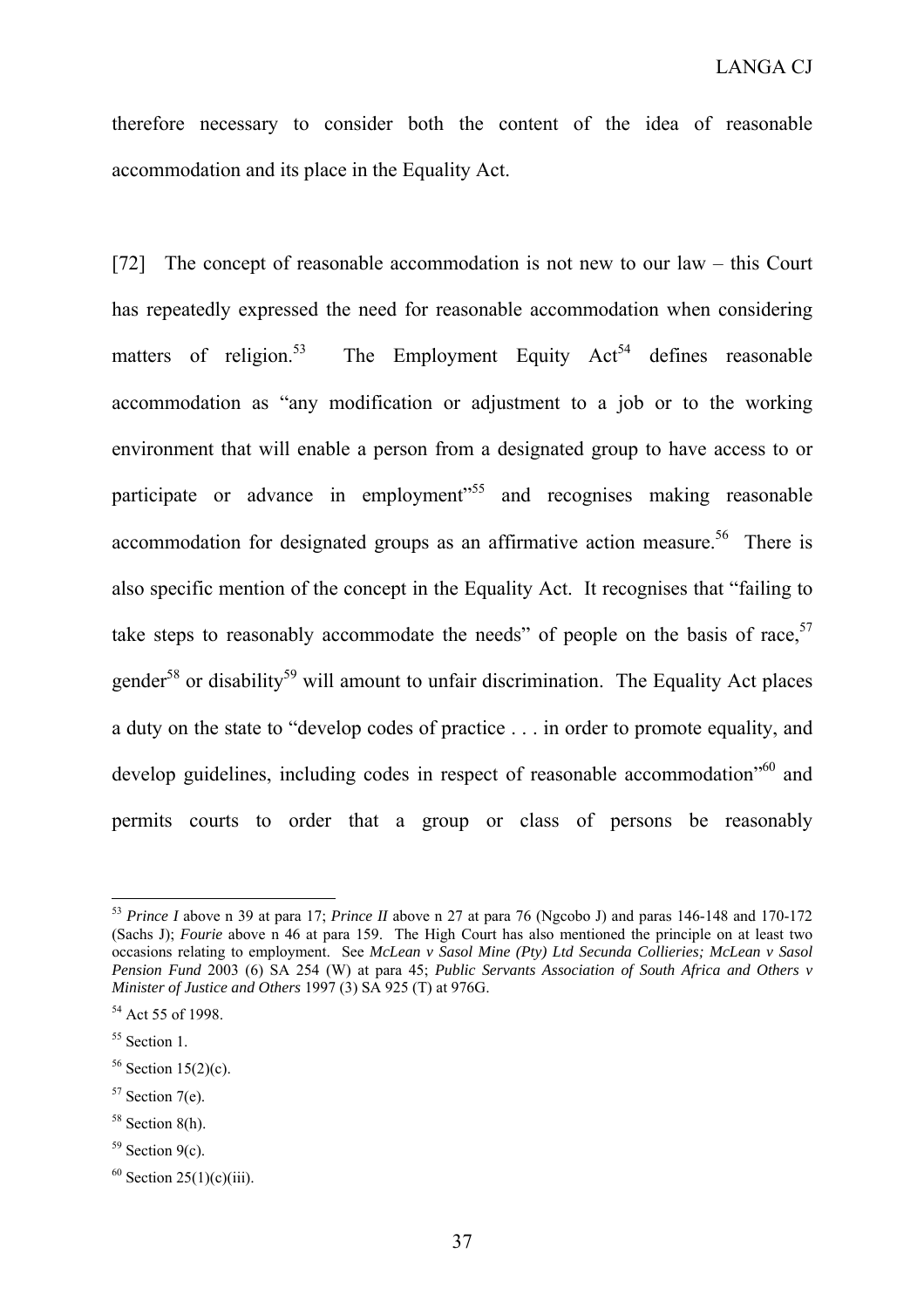therefore necessary to consider both the content of the idea of reasonable accommodation and its place in the Equality Act.

[72] The concept of reasonable accommodation is not new to our law – this Court has repeatedly expressed the need for reasonable accommodation when considering matters of religion.<sup>53</sup> The Employment Equity Act<sup>54</sup> defines reasonable accommodation as "any modification or adjustment to a job or to the working environment that will enable a person from a designated group to have access to or participate or advance in employment<sup>55</sup> and recognises making reasonable accommodation for designated groups as an affirmative action measure.<sup>56</sup> There is also specific mention of the concept in the Equality Act. It recognises that "failing to take steps to reasonably accommodate the needs" of people on the basis of race,  $57$ gender<sup>58</sup> or disability<sup>59</sup> will amount to unfair discrimination. The Equality Act places a duty on the state to "develop codes of practice . . . in order to promote equality, and develop guidelines, including codes in respect of reasonable accommodation<sup>560</sup> and permits courts to order that a group or class of persons be reasonably

<sup>53</sup> *Prince I* above n 39 at para 17; *Prince II* above n 27 at para 76 (Ngcobo J) and paras 146-148 and 170-172 (Sachs J); *Fourie* above n 46 at para 159. The High Court has also mentioned the principle on at least two occasions relating to employment. See *McLean v Sasol Mine (Pty) Ltd Secunda Collieries; McLean v Sasol Pension Fund* 2003 (6) SA 254 (W) at para 45; *Public Servants Association of South Africa and Others v Minister of Justice and Others* 1997 (3) SA 925 (T) at 976G.

<sup>&</sup>lt;sup>54</sup> Act 55 of 1998.

<sup>55</sup> Section 1.

 $56$  Section 15(2)(c).

 $57$  Section 7(e).

<sup>&</sup>lt;sup>58</sup> Section 8(h).

 $59$  Section 9(c).

 $60$  Section 25(1)(c)(iii).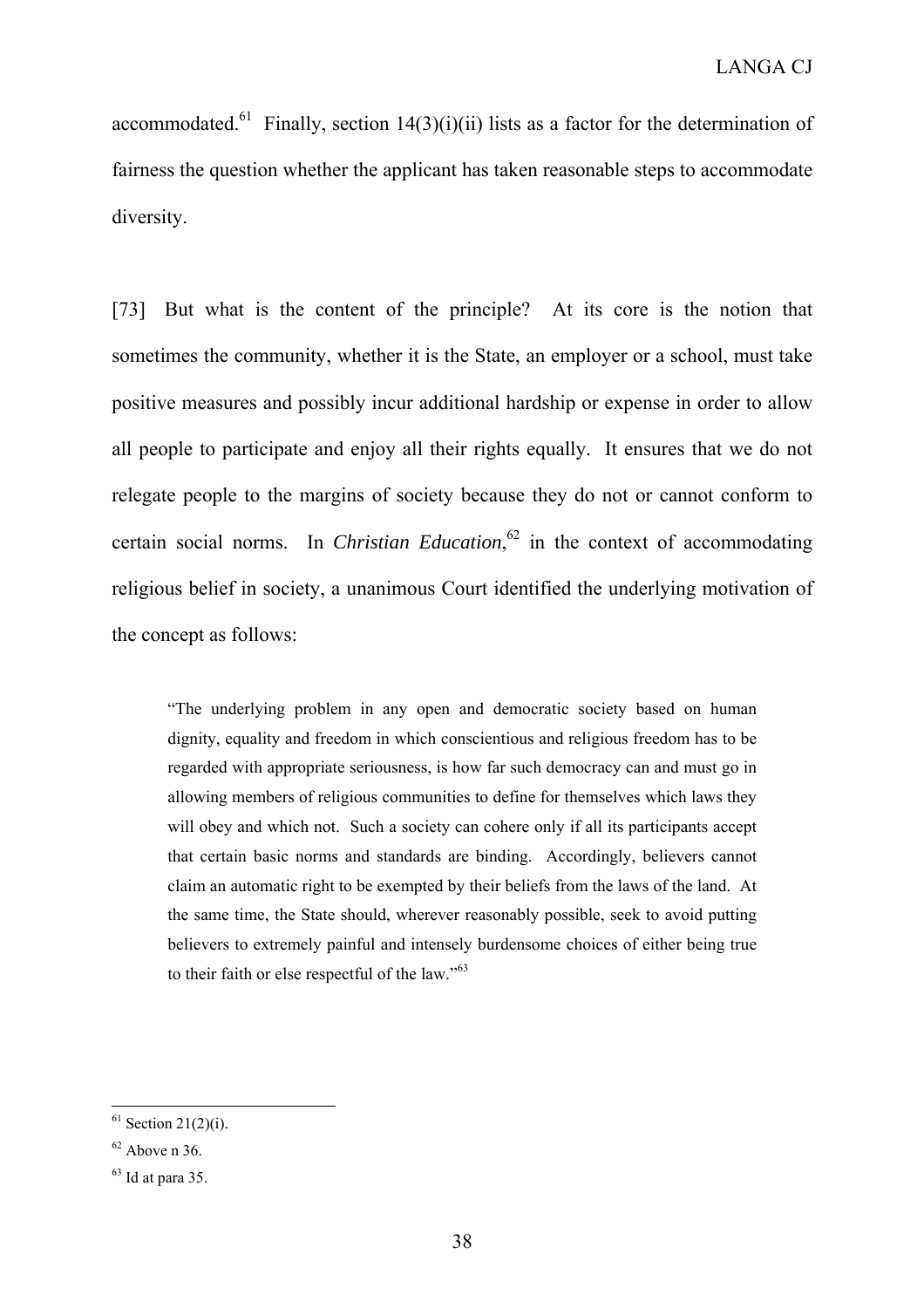accommodated.<sup>61</sup> Finally, section  $14(3)(i)(ii)$  lists as a factor for the determination of fairness the question whether the applicant has taken reasonable steps to accommodate diversity.

[73] But what is the content of the principle? At its core is the notion that sometimes the community, whether it is the State, an employer or a school, must take positive measures and possibly incur additional hardship or expense in order to allow all people to participate and enjoy all their rights equally. It ensures that we do not relegate people to the margins of society because they do not or cannot conform to certain social norms. In *Christian Education*, 62 in the context of accommodating religious belief in society, a unanimous Court identified the underlying motivation of the concept as follows:

"The underlying problem in any open and democratic society based on human dignity, equality and freedom in which conscientious and religious freedom has to be regarded with appropriate seriousness, is how far such democracy can and must go in allowing members of religious communities to define for themselves which laws they will obey and which not. Such a society can cohere only if all its participants accept that certain basic norms and standards are binding. Accordingly, believers cannot claim an automatic right to be exempted by their beliefs from the laws of the land. At the same time, the State should, wherever reasonably possible, seek to avoid putting believers to extremely painful and intensely burdensome choices of either being true to their faith or else respectful of the law."<sup>63</sup>

 $61$  Section 21(2)(i).

 $62$  Above n 36.

 $63$  Id at para 35.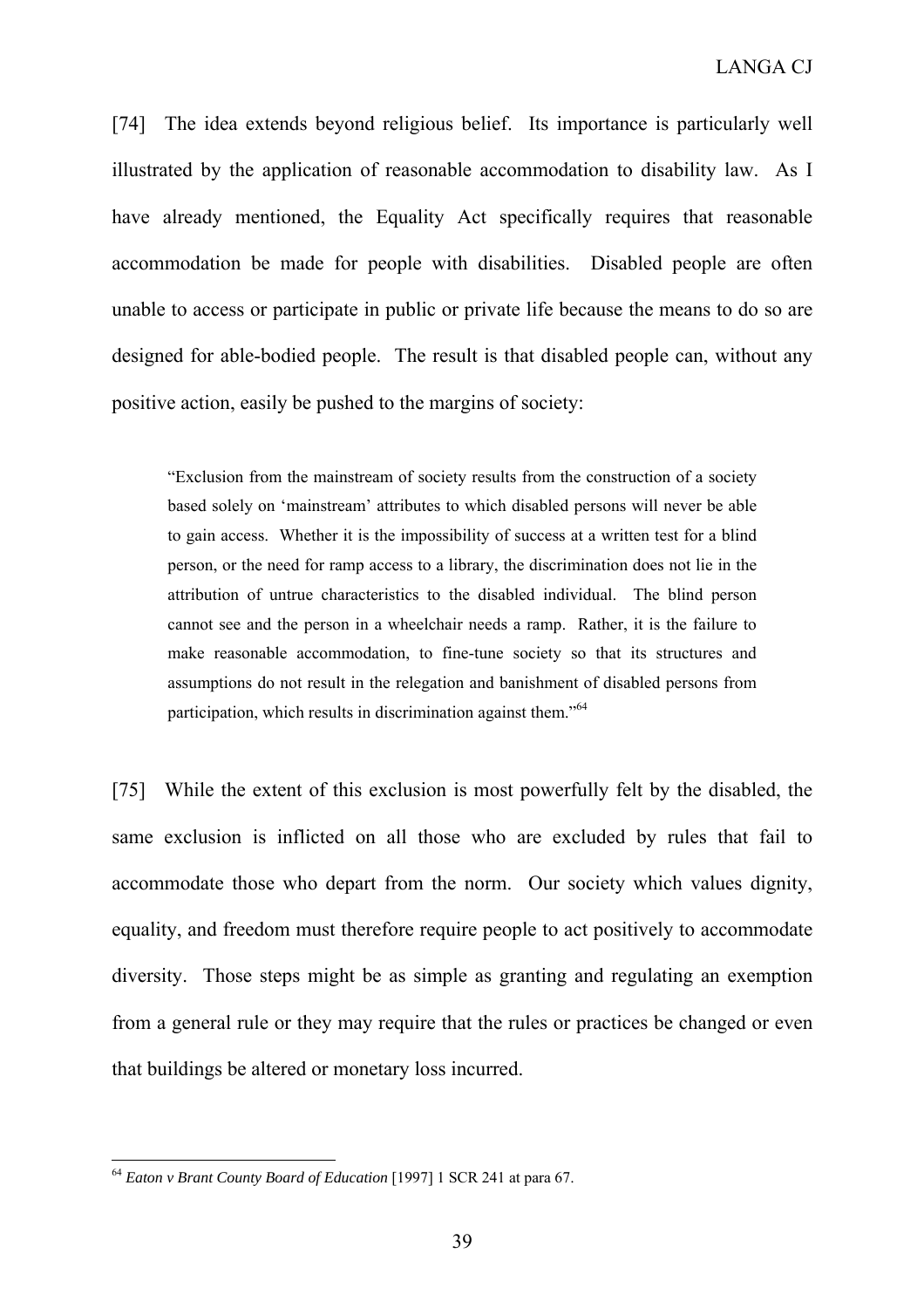[74] The idea extends beyond religious belief. Its importance is particularly well illustrated by the application of reasonable accommodation to disability law. As I have already mentioned, the Equality Act specifically requires that reasonable accommodation be made for people with disabilities. Disabled people are often unable to access or participate in public or private life because the means to do so are designed for able-bodied people. The result is that disabled people can, without any positive action, easily be pushed to the margins of society:

"Exclusion from the mainstream of society results from the construction of a society based solely on 'mainstream' attributes to which disabled persons will never be able to gain access. Whether it is the impossibility of success at a written test for a blind person, or the need for ramp access to a library, the discrimination does not lie in the attribution of untrue characteristics to the disabled individual. The blind person cannot see and the person in a wheelchair needs a ramp. Rather, it is the failure to make reasonable accommodation, to fine-tune society so that its structures and assumptions do not result in the relegation and banishment of disabled persons from participation, which results in discrimination against them."<sup>64</sup>

[75] While the extent of this exclusion is most powerfully felt by the disabled, the same exclusion is inflicted on all those who are excluded by rules that fail to accommodate those who depart from the norm. Our society which values dignity, equality, and freedom must therefore require people to act positively to accommodate diversity. Those steps might be as simple as granting and regulating an exemption from a general rule or they may require that the rules or practices be changed or even that buildings be altered or monetary loss incurred.

<sup>64</sup> *Eaton v Brant County Board of Education* [1997] 1 SCR 241 at para 67.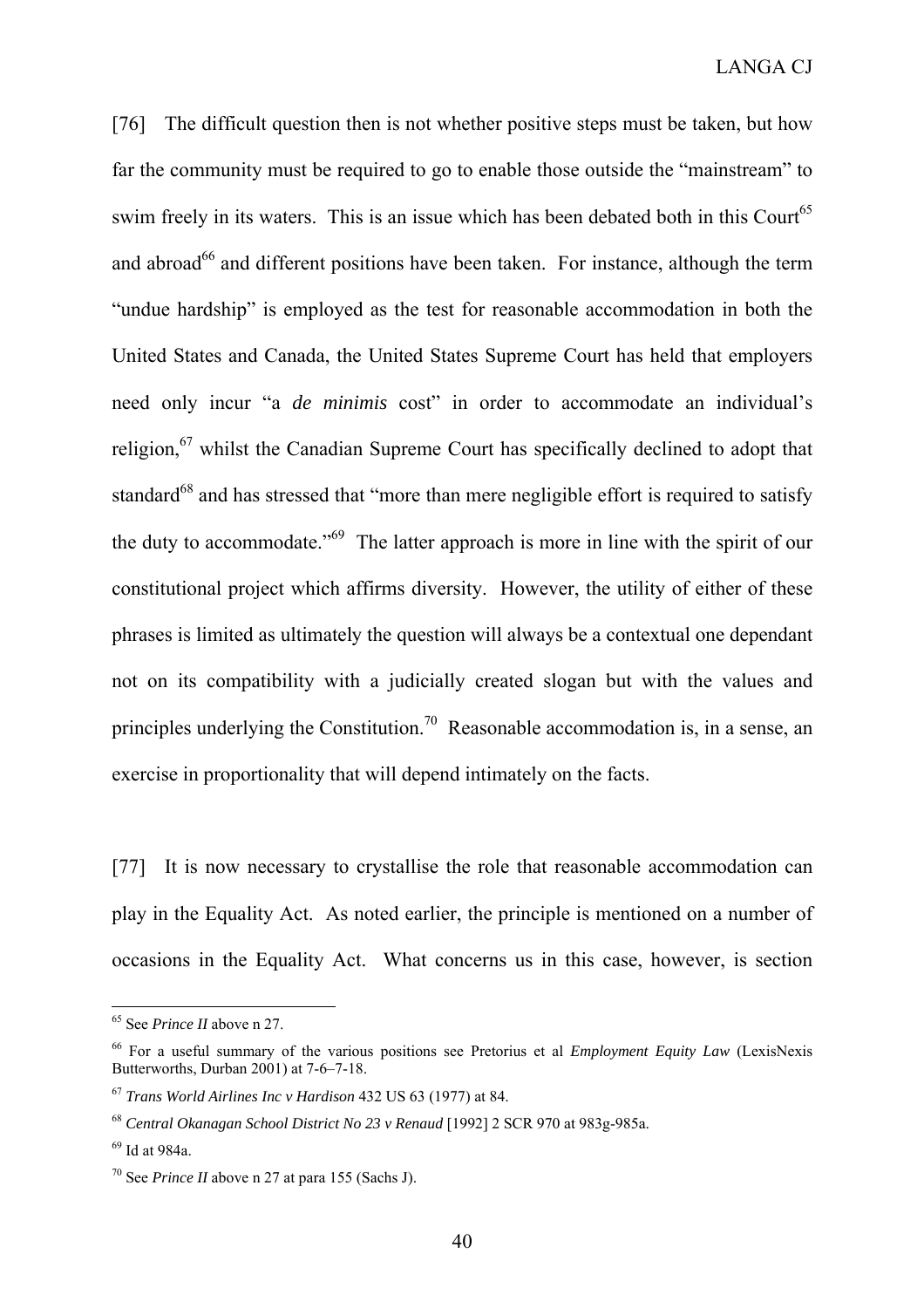[76] The difficult question then is not whether positive steps must be taken, but how far the community must be required to go to enable those outside the "mainstream" to swim freely in its waters. This is an issue which has been debated both in this Court<sup>65</sup> and abroad<sup>66</sup> and different positions have been taken. For instance, although the term "undue hardship" is employed as the test for reasonable accommodation in both the United States and Canada, the United States Supreme Court has held that employers need only incur "a *de minimis* cost" in order to accommodate an individual's religion,  $67$  whilst the Canadian Supreme Court has specifically declined to adopt that standard<sup>68</sup> and has stressed that "more than mere negligible effort is required to satisfy the duty to accommodate."69 The latter approach is more in line with the spirit of our constitutional project which affirms diversity. However, the utility of either of these phrases is limited as ultimately the question will always be a contextual one dependant not on its compatibility with a judicially created slogan but with the values and principles underlying the Constitution.<sup>70</sup> Reasonable accommodation is, in a sense, an exercise in proportionality that will depend intimately on the facts.

[77] It is now necessary to crystallise the role that reasonable accommodation can play in the Equality Act. As noted earlier, the principle is mentioned on a number of occasions in the Equality Act. What concerns us in this case, however, is section

<sup>65</sup> See *Prince II* above n 27.

<sup>66</sup> For a useful summary of the various positions see Pretorius et al *Employment Equity Law* (LexisNexis Butterworths, Durban 2001) at 7-6–7-18.

<sup>67</sup> *Trans World Airlines Inc v Hardison* 432 US 63 (1977) at 84.

<sup>68</sup> *Central Okanagan School District No 23 v Renaud* [1992] 2 SCR 970 at 983g-985a.

<sup>69</sup> Id at 984a.

<sup>70</sup> See *Prince II* above n 27 at para 155 (Sachs J).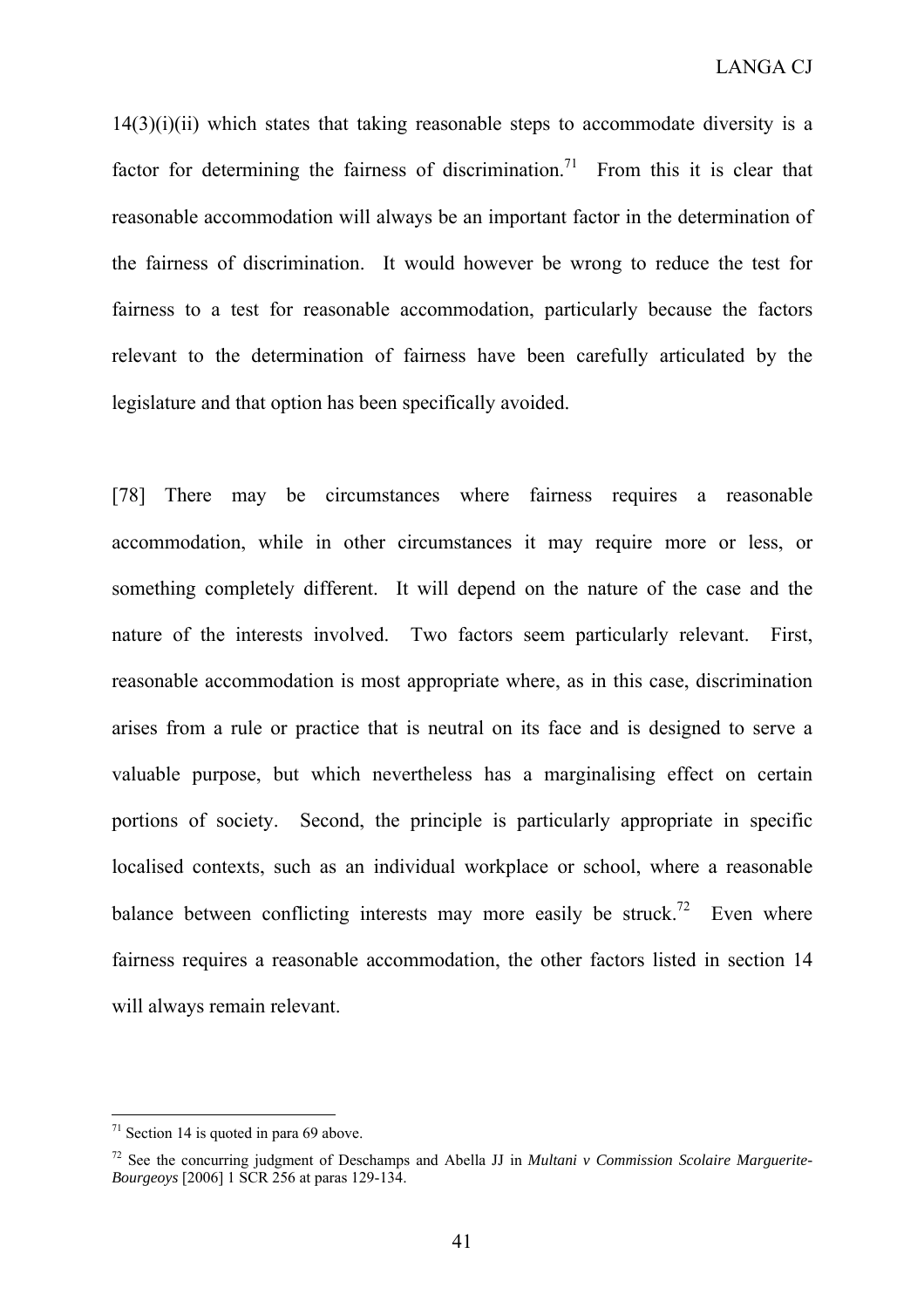$14(3)(i)(ii)$  which states that taking reasonable steps to accommodate diversity is a factor for determining the fairness of discrimination.<sup>71</sup> From this it is clear that reasonable accommodation will always be an important factor in the determination of the fairness of discrimination. It would however be wrong to reduce the test for fairness to a test for reasonable accommodation, particularly because the factors relevant to the determination of fairness have been carefully articulated by the legislature and that option has been specifically avoided.

[78] There may be circumstances where fairness requires a reasonable accommodation, while in other circumstances it may require more or less, or something completely different. It will depend on the nature of the case and the nature of the interests involved. Two factors seem particularly relevant. First, reasonable accommodation is most appropriate where, as in this case, discrimination arises from a rule or practice that is neutral on its face and is designed to serve a valuable purpose, but which nevertheless has a marginalising effect on certain portions of society. Second, the principle is particularly appropriate in specific localised contexts, such as an individual workplace or school, where a reasonable balance between conflicting interests may more easily be struck.<sup>72</sup> Even where fairness requires a reasonable accommodation, the other factors listed in section 14 will always remain relevant.

 $71$  Section 14 is quoted in para 69 above.

<sup>72</sup> See the concurring judgment of Deschamps and Abella JJ in *Multani v Commission Scolaire Marguerite-Bourgeoys* [2006] 1 SCR 256 at paras 129-134.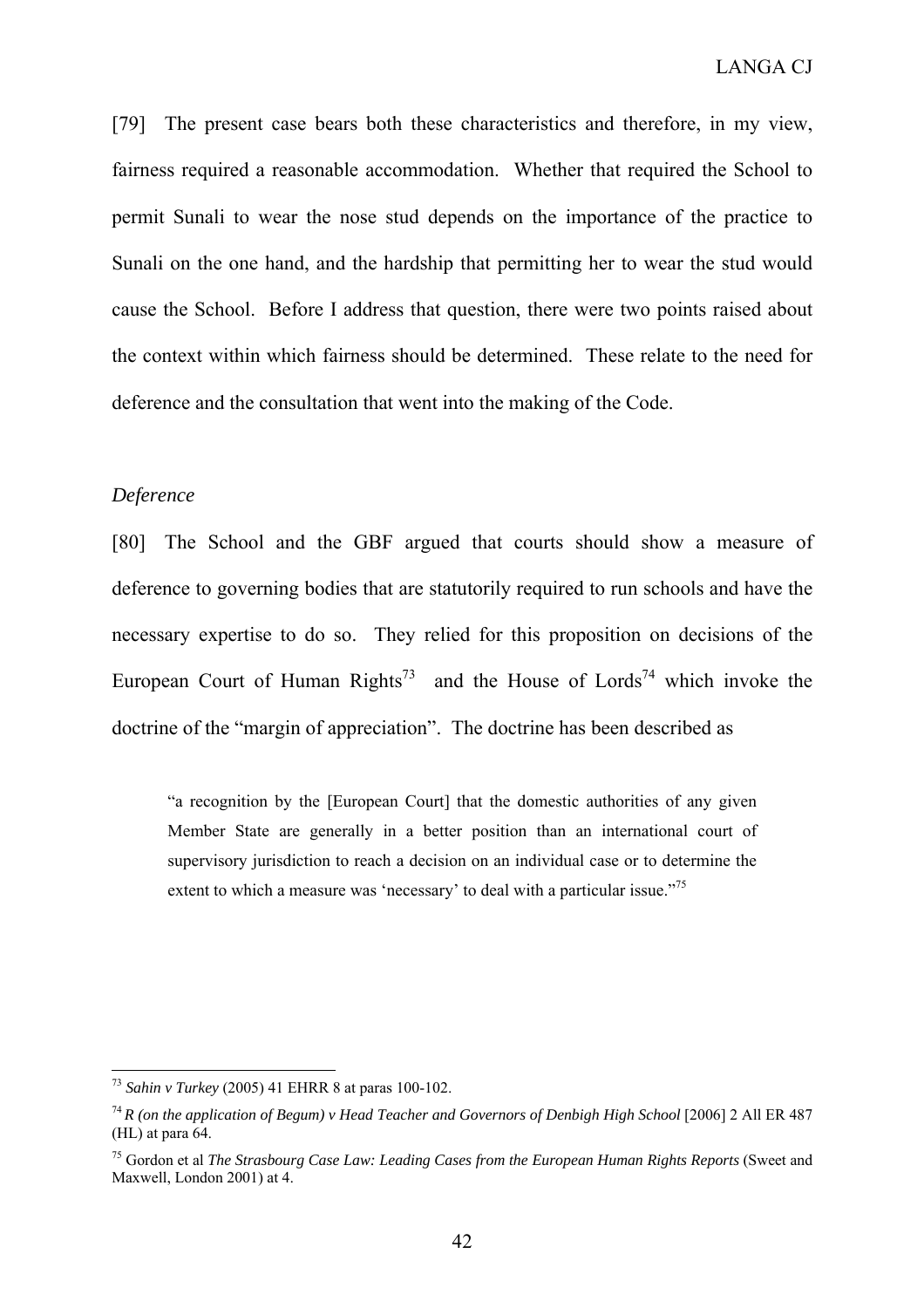[79] The present case bears both these characteristics and therefore, in my view, fairness required a reasonable accommodation. Whether that required the School to permit Sunali to wear the nose stud depends on the importance of the practice to Sunali on the one hand, and the hardship that permitting her to wear the stud would cause the School. Before I address that question, there were two points raised about the context within which fairness should be determined. These relate to the need for deference and the consultation that went into the making of the Code.

# *Deference*

 $\overline{a}$ 

[80] The School and the GBF argued that courts should show a measure of deference to governing bodies that are statutorily required to run schools and have the necessary expertise to do so. They relied for this proposition on decisions of the European Court of Human Rights<sup>73</sup> and the House of Lords<sup>74</sup> which invoke the doctrine of the "margin of appreciation". The doctrine has been described as

"a recognition by the [European Court] that the domestic authorities of any given Member State are generally in a better position than an international court of supervisory jurisdiction to reach a decision on an individual case or to determine the extent to which a measure was 'necessary' to deal with a particular issue."<sup>75</sup>

<sup>73</sup> *Sahin v Turkey* (2005) 41 EHRR 8 at paras 100-102.

<sup>&</sup>lt;sup>74</sup> R (on the application of Begum) v Head Teacher and Governors of Denbigh High School [2006] 2 All ER 487 (HL) at para 64.

<sup>75</sup> Gordon et al *The Strasbourg Case Law: Leading Cases from the European Human Rights Reports* (Sweet and Maxwell, London 2001) at 4.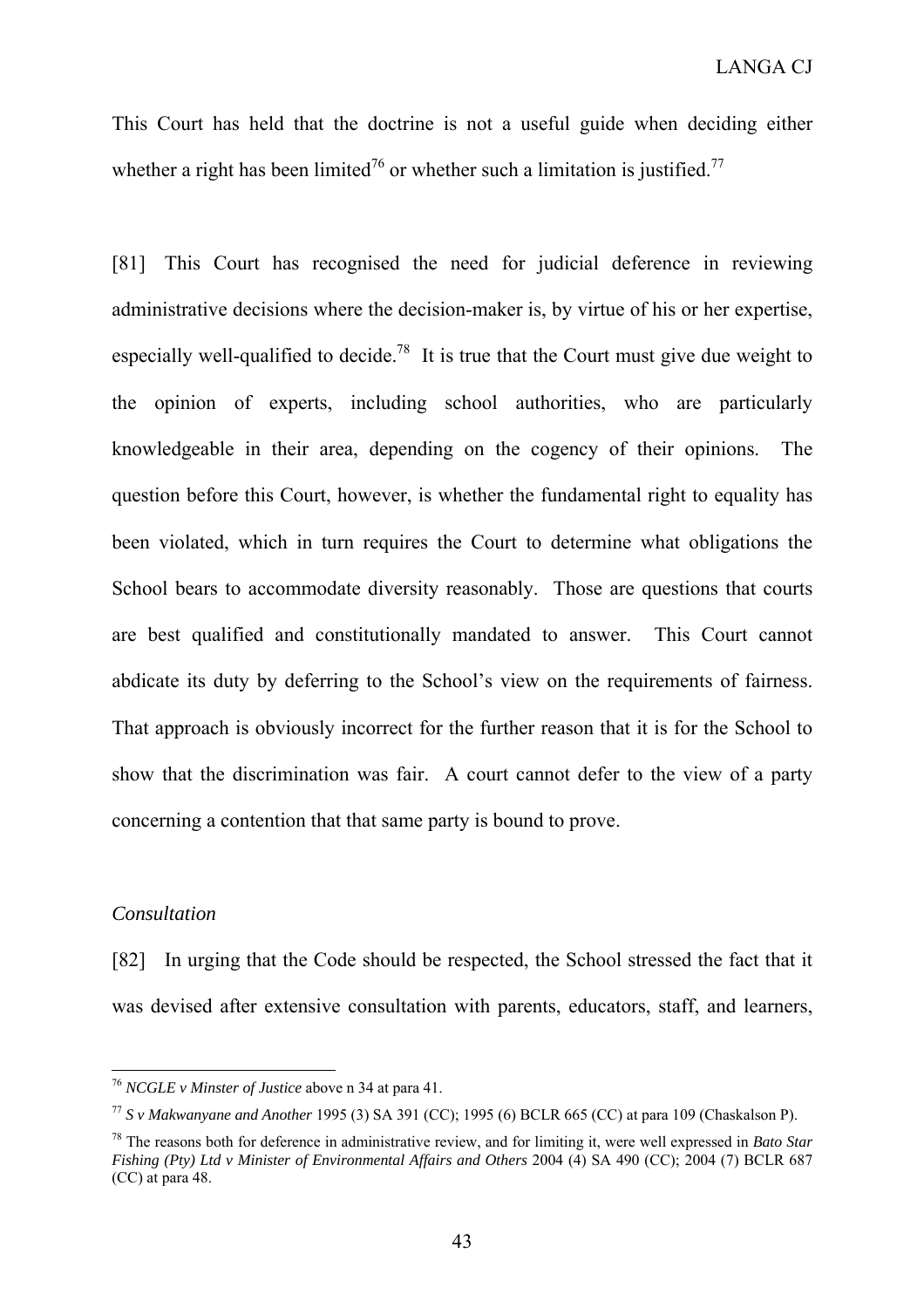This Court has held that the doctrine is not a useful guide when deciding either whether a right has been limited<sup>76</sup> or whether such a limitation is justified.<sup>77</sup>

[81] This Court has recognised the need for judicial deference in reviewing administrative decisions where the decision-maker is, by virtue of his or her expertise, especially well-qualified to decide.<sup>78</sup> It is true that the Court must give due weight to the opinion of experts, including school authorities, who are particularly knowledgeable in their area, depending on the cogency of their opinions. The question before this Court, however, is whether the fundamental right to equality has been violated, which in turn requires the Court to determine what obligations the School bears to accommodate diversity reasonably. Those are questions that courts are best qualified and constitutionally mandated to answer. This Court cannot abdicate its duty by deferring to the School's view on the requirements of fairness. That approach is obviously incorrect for the further reason that it is for the School to show that the discrimination was fair. A court cannot defer to the view of a party concerning a contention that that same party is bound to prove.

# *Consultation*

 $\overline{a}$ 

[82] In urging that the Code should be respected, the School stressed the fact that it was devised after extensive consultation with parents, educators, staff, and learners,

<sup>76</sup> *NCGLE v Minster of Justice* above n 34 at para 41.

<sup>77</sup> *S v Makwanyane and Another* 1995 (3) SA 391 (CC); 1995 (6) BCLR 665 (CC) at para 109 (Chaskalson P).

<sup>78</sup> The reasons both for deference in administrative review, and for limiting it, were well expressed in *Bato Star Fishing (Pty) Ltd v Minister of Environmental Affairs and Others* 2004 (4) SA 490 (CC); 2004 (7) BCLR 687 (CC) at para 48.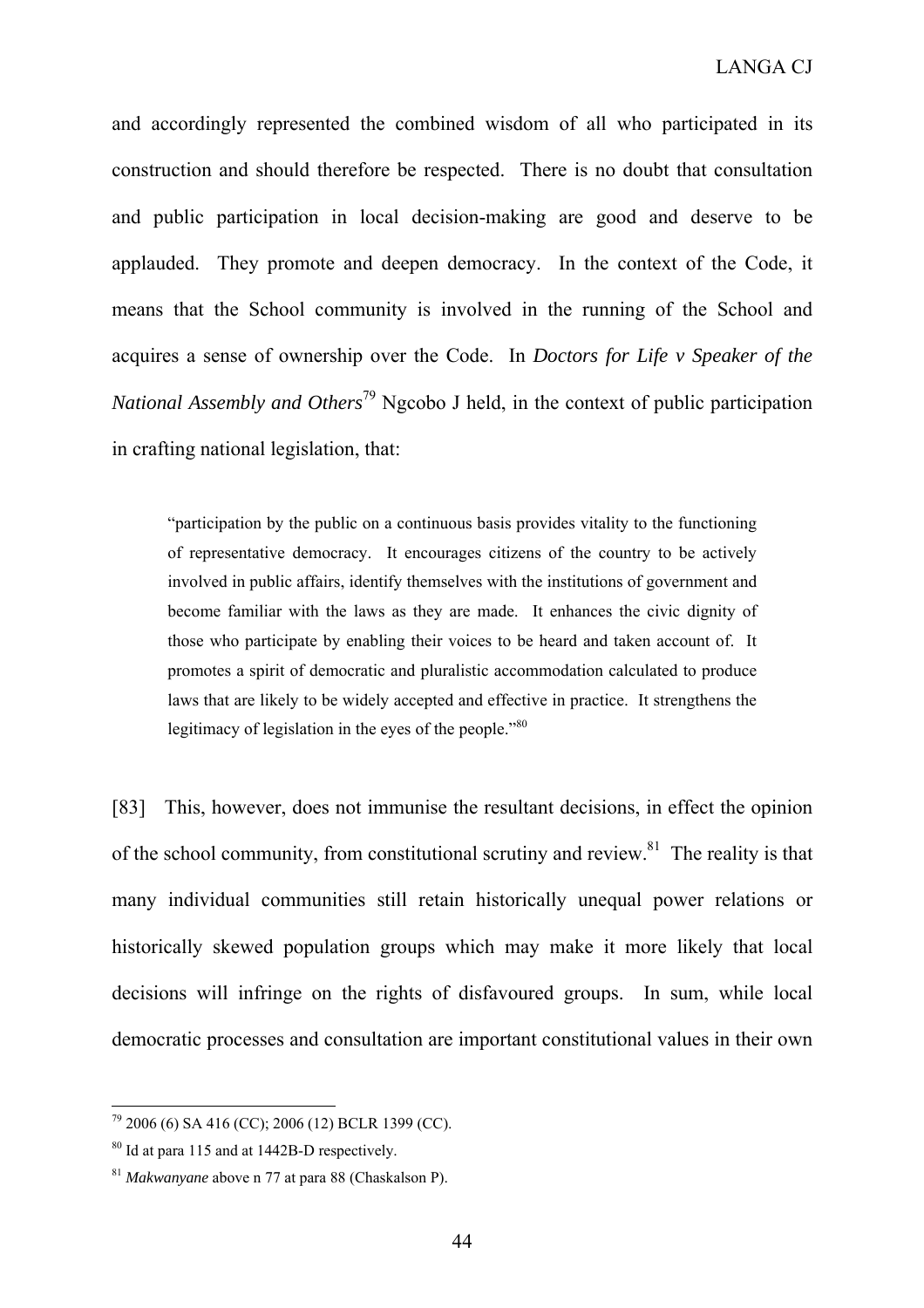and accordingly represented the combined wisdom of all who participated in its construction and should therefore be respected. There is no doubt that consultation and public participation in local decision-making are good and deserve to be applauded. They promote and deepen democracy. In the context of the Code, it means that the School community is involved in the running of the School and acquires a sense of ownership over the Code. In *Doctors for Life v Speaker of the National Assembly and Others*<sup>79</sup> Ngcobo J held, in the context of public participation in crafting national legislation, that:

"participation by the public on a continuous basis provides vitality to the functioning of representative democracy. It encourages citizens of the country to be actively involved in public affairs, identify themselves with the institutions of government and become familiar with the laws as they are made. It enhances the civic dignity of those who participate by enabling their voices to be heard and taken account of. It promotes a spirit of democratic and pluralistic accommodation calculated to produce laws that are likely to be widely accepted and effective in practice. It strengthens the legitimacy of legislation in the eyes of the people."<sup>80</sup>

[83] This, however, does not immunise the resultant decisions, in effect the opinion of the school community, from constitutional scrutiny and review.<sup>81</sup> The reality is that many individual communities still retain historically unequal power relations or historically skewed population groups which may make it more likely that local decisions will infringe on the rights of disfavoured groups. In sum, while local democratic processes and consultation are important constitutional values in their own

 $79$  2006 (6) SA 416 (CC); 2006 (12) BCLR 1399 (CC).

<sup>80</sup> Id at para 115 and at 1442B-D respectively.

<sup>81</sup> *Makwanyane* above n 77 at para 88 (Chaskalson P).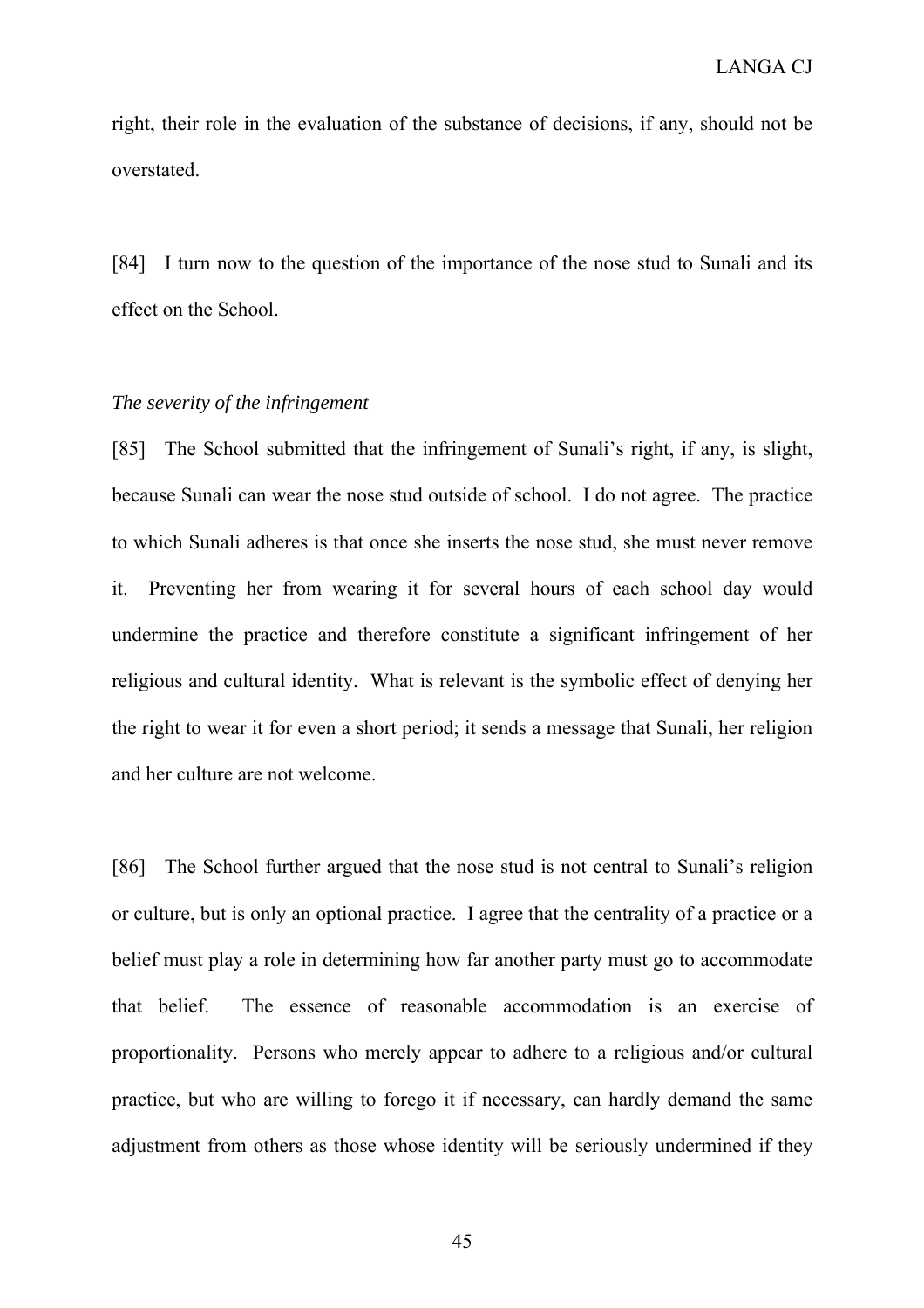right, their role in the evaluation of the substance of decisions, if any, should not be overstated.

[84] I turn now to the question of the importance of the nose stud to Sunali and its effect on the School.

# *The severity of the infringement*

[85] The School submitted that the infringement of Sunali's right, if any, is slight, because Sunali can wear the nose stud outside of school. I do not agree. The practice to which Sunali adheres is that once she inserts the nose stud, she must never remove it. Preventing her from wearing it for several hours of each school day would undermine the practice and therefore constitute a significant infringement of her religious and cultural identity. What is relevant is the symbolic effect of denying her the right to wear it for even a short period; it sends a message that Sunali, her religion and her culture are not welcome.

[86] The School further argued that the nose stud is not central to Sunali's religion or culture, but is only an optional practice. I agree that the centrality of a practice or a belief must play a role in determining how far another party must go to accommodate that belief. The essence of reasonable accommodation is an exercise of proportionality. Persons who merely appear to adhere to a religious and/or cultural practice, but who are willing to forego it if necessary, can hardly demand the same adjustment from others as those whose identity will be seriously undermined if they

45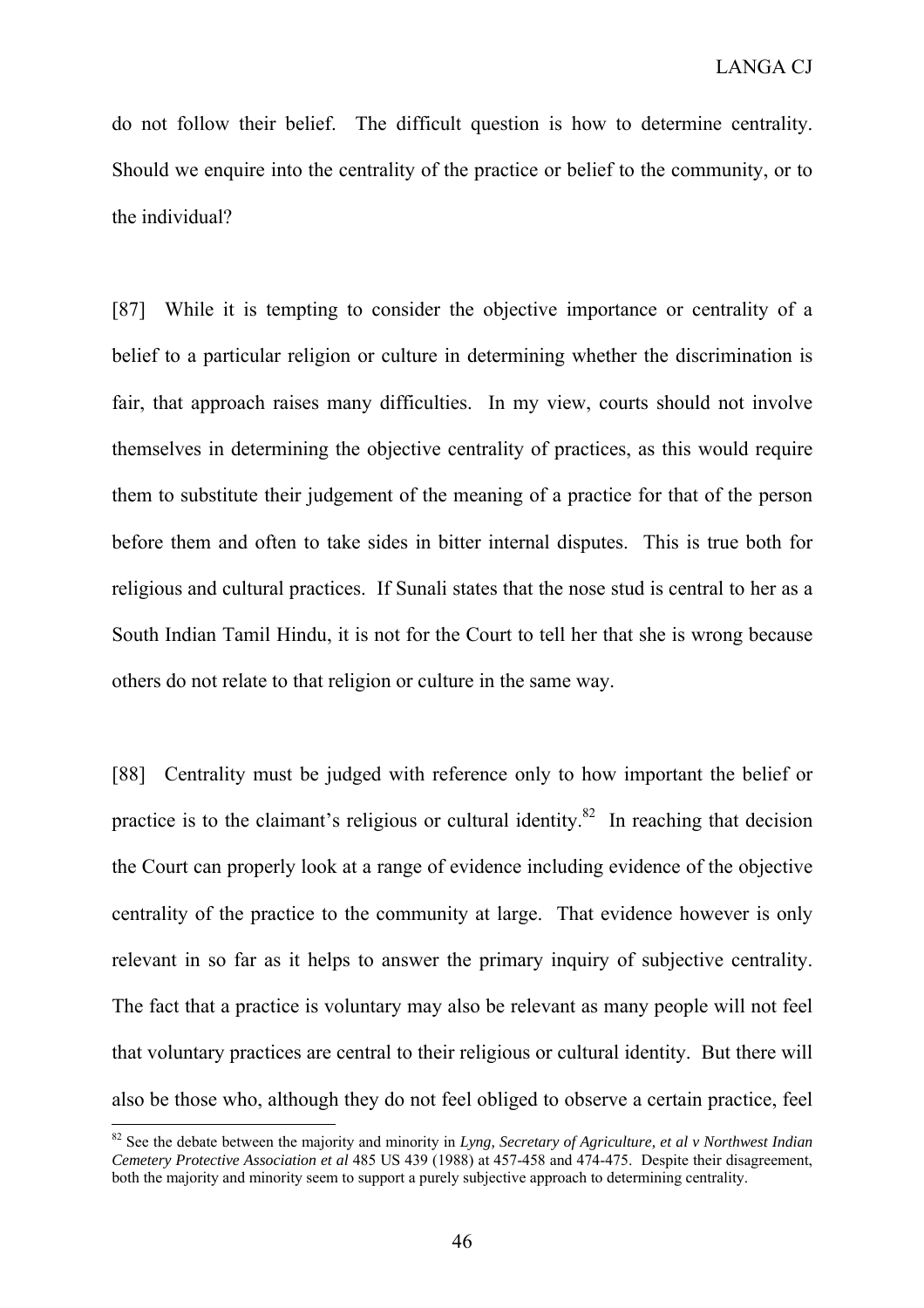do not follow their belief. The difficult question is how to determine centrality. Should we enquire into the centrality of the practice or belief to the community, or to the individual?

[87] While it is tempting to consider the objective importance or centrality of a belief to a particular religion or culture in determining whether the discrimination is fair, that approach raises many difficulties. In my view, courts should not involve themselves in determining the objective centrality of practices, as this would require them to substitute their judgement of the meaning of a practice for that of the person before them and often to take sides in bitter internal disputes. This is true both for religious and cultural practices. If Sunali states that the nose stud is central to her as a South Indian Tamil Hindu, it is not for the Court to tell her that she is wrong because others do not relate to that religion or culture in the same way.

[88] Centrality must be judged with reference only to how important the belief or practice is to the claimant's religious or cultural identity.<sup>82</sup> In reaching that decision the Court can properly look at a range of evidence including evidence of the objective centrality of the practice to the community at large. That evidence however is only relevant in so far as it helps to answer the primary inquiry of subjective centrality. The fact that a practice is voluntary may also be relevant as many people will not feel that voluntary practices are central to their religious or cultural identity. But there will also be those who, although they do not feel obliged to observe a certain practice, feel

<sup>&</sup>lt;sup>82</sup> See the debate between the majority and minority in *Lyng, Secretary of Agriculture, et al v Northwest Indian Cemetery Protective Association et al* 485 US 439 (1988) at 457-458 and 474-475. Despite their disagreement, both the majority and minority seem to support a purely subjective approach to determining centrality.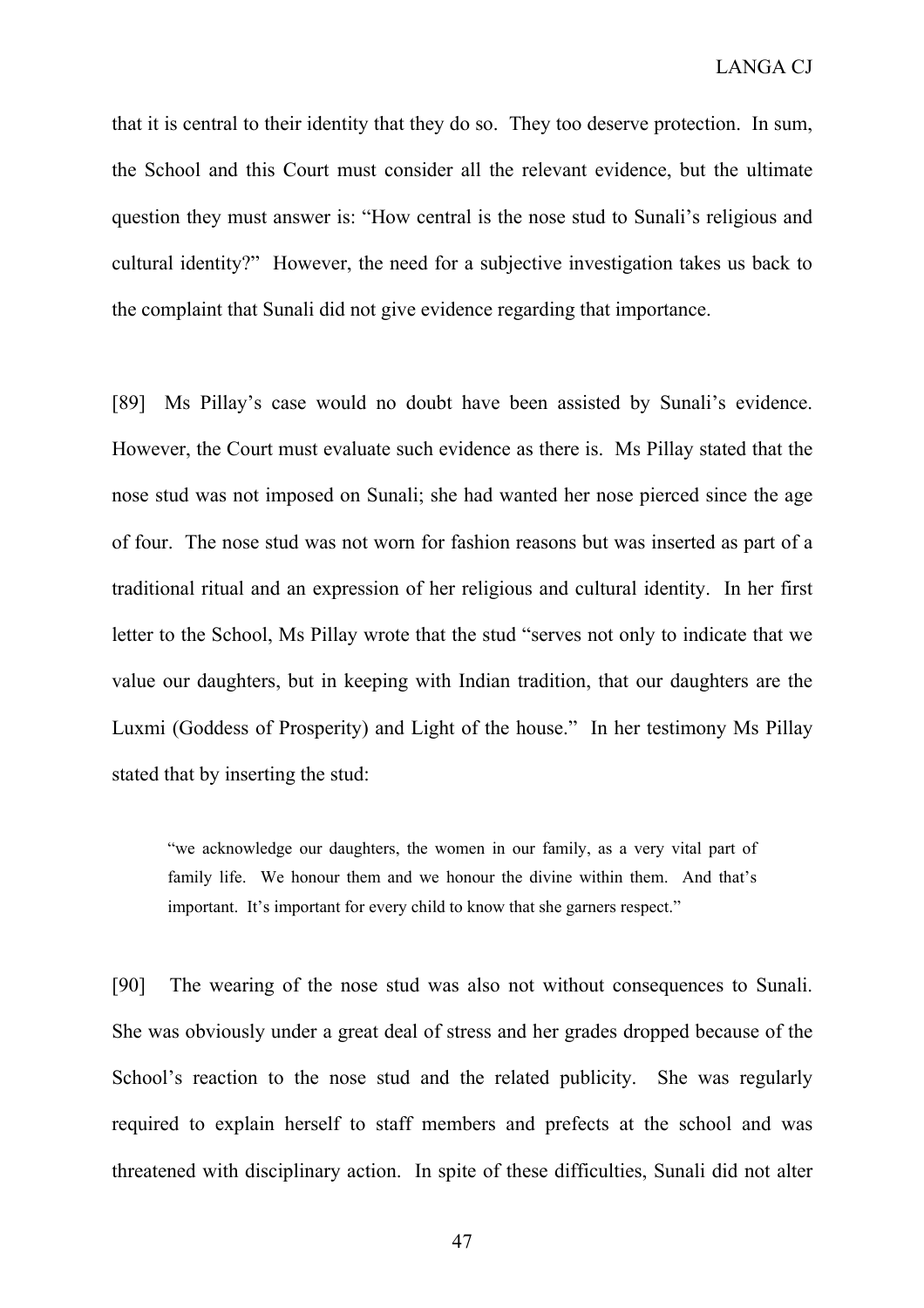that it is central to their identity that they do so. They too deserve protection. In sum, the School and this Court must consider all the relevant evidence, but the ultimate question they must answer is: "How central is the nose stud to Sunali's religious and cultural identity?" However, the need for a subjective investigation takes us back to the complaint that Sunali did not give evidence regarding that importance.

[89] Ms Pillay's case would no doubt have been assisted by Sunali's evidence. However, the Court must evaluate such evidence as there is. Ms Pillay stated that the nose stud was not imposed on Sunali; she had wanted her nose pierced since the age of four. The nose stud was not worn for fashion reasons but was inserted as part of a traditional ritual and an expression of her religious and cultural identity. In her first letter to the School, Ms Pillay wrote that the stud "serves not only to indicate that we value our daughters, but in keeping with Indian tradition, that our daughters are the Luxmi (Goddess of Prosperity) and Light of the house." In her testimony Ms Pillay stated that by inserting the stud:

"we acknowledge our daughters, the women in our family, as a very vital part of family life. We honour them and we honour the divine within them. And that's important. It's important for every child to know that she garners respect."

[90] The wearing of the nose stud was also not without consequences to Sunali. She was obviously under a great deal of stress and her grades dropped because of the School's reaction to the nose stud and the related publicity. She was regularly required to explain herself to staff members and prefects at the school and was threatened with disciplinary action. In spite of these difficulties, Sunali did not alter

47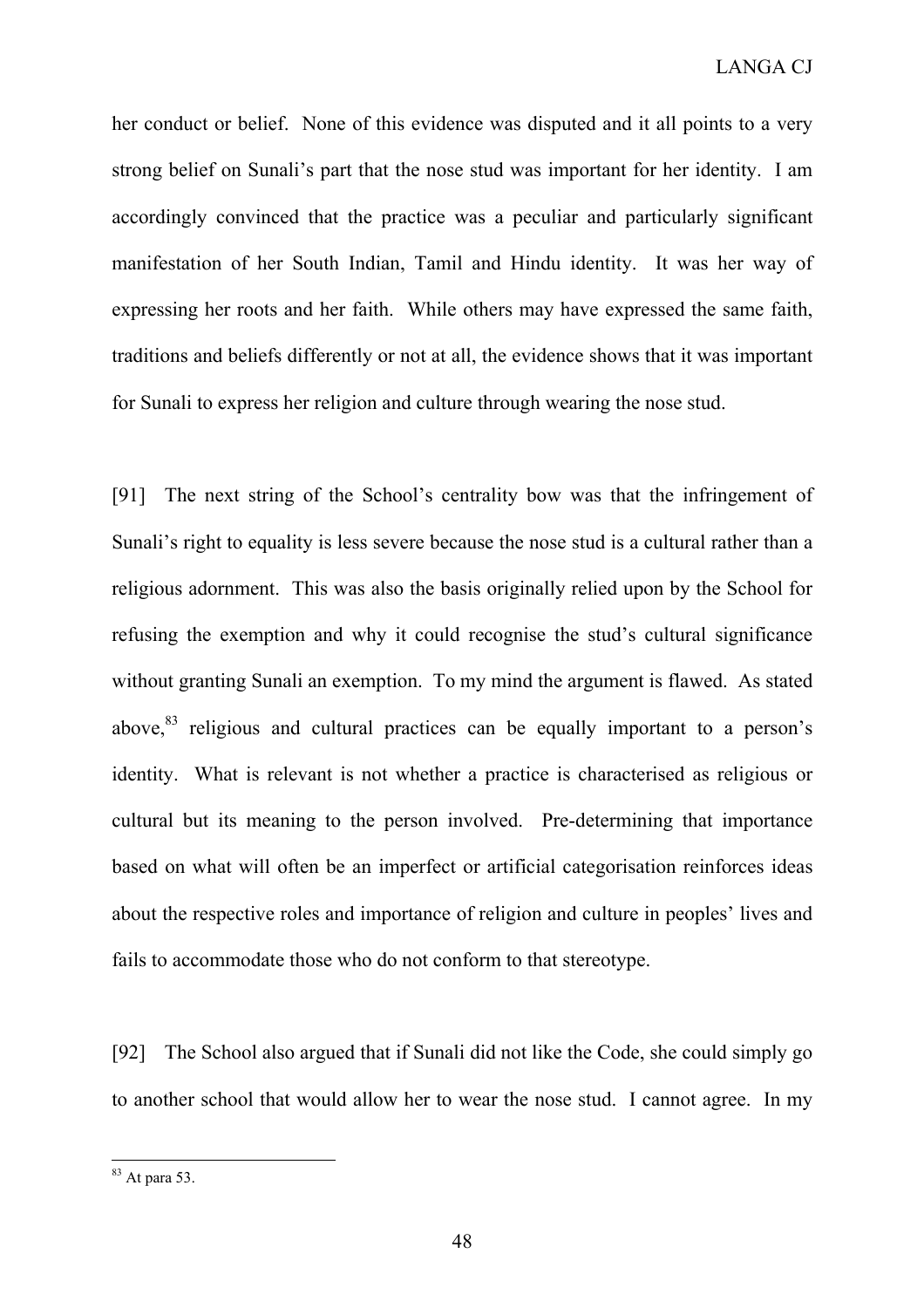her conduct or belief. None of this evidence was disputed and it all points to a very strong belief on Sunali's part that the nose stud was important for her identity. I am accordingly convinced that the practice was a peculiar and particularly significant manifestation of her South Indian, Tamil and Hindu identity. It was her way of expressing her roots and her faith. While others may have expressed the same faith, traditions and beliefs differently or not at all, the evidence shows that it was important for Sunali to express her religion and culture through wearing the nose stud.

[91] The next string of the School's centrality bow was that the infringement of Sunali's right to equality is less severe because the nose stud is a cultural rather than a religious adornment. This was also the basis originally relied upon by the School for refusing the exemption and why it could recognise the stud's cultural significance without granting Sunali an exemption. To my mind the argument is flawed. As stated above, $83$  religious and cultural practices can be equally important to a person's identity. What is relevant is not whether a practice is characterised as religious or cultural but its meaning to the person involved. Pre-determining that importance based on what will often be an imperfect or artificial categorisation reinforces ideas about the respective roles and importance of religion and culture in peoples' lives and fails to accommodate those who do not conform to that stereotype.

[92] The School also argued that if Sunali did not like the Code, she could simply go to another school that would allow her to wear the nose stud. I cannot agree. In my

 $83$  At para 53.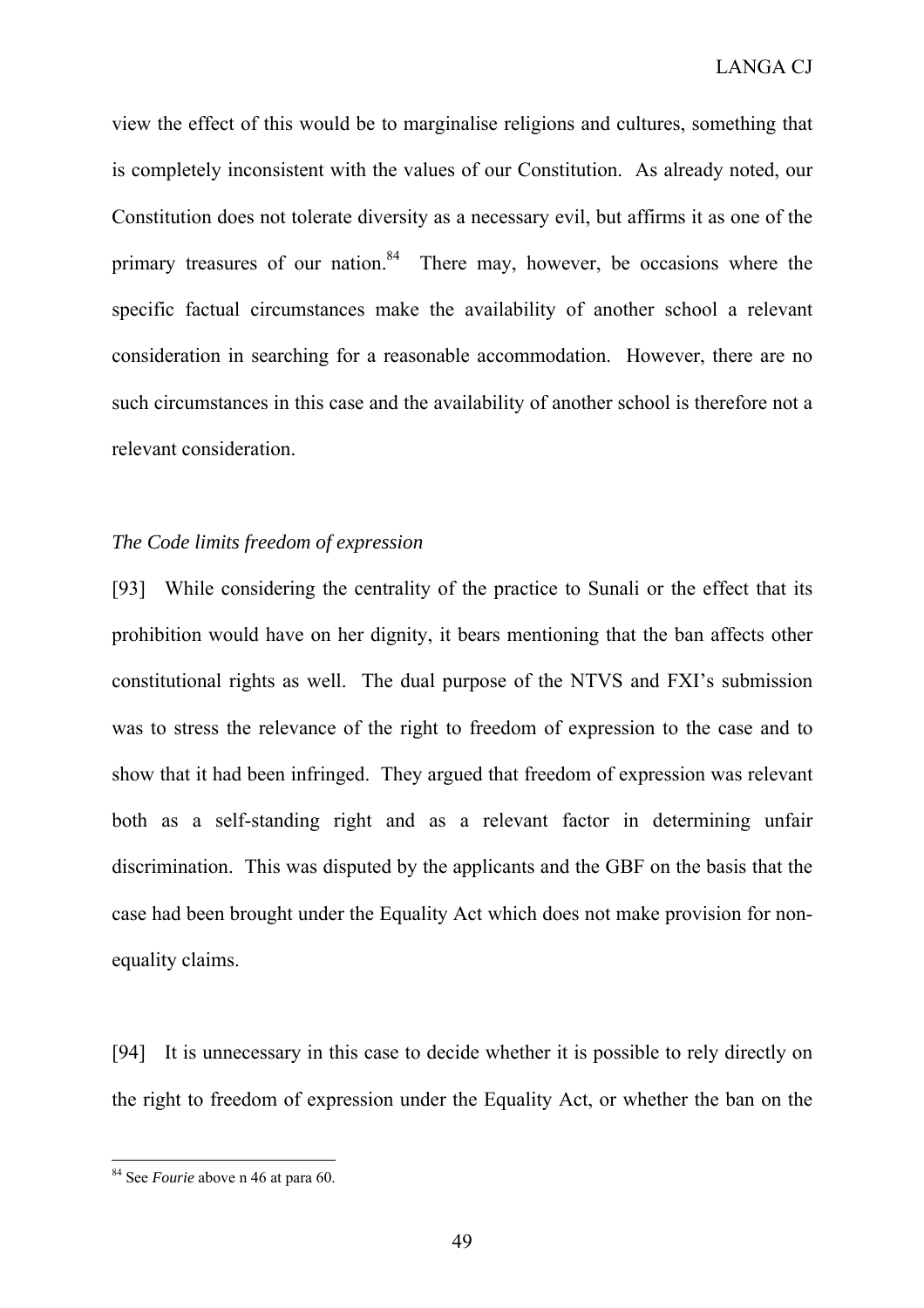view the effect of this would be to marginalise religions and cultures, something that is completely inconsistent with the values of our Constitution. As already noted, our Constitution does not tolerate diversity as a necessary evil, but affirms it as one of the primary treasures of our nation.<sup>84</sup> There may, however, be occasions where the specific factual circumstances make the availability of another school a relevant consideration in searching for a reasonable accommodation. However, there are no such circumstances in this case and the availability of another school is therefore not a relevant consideration.

# *The Code limits freedom of expression*

[93] While considering the centrality of the practice to Sunali or the effect that its prohibition would have on her dignity, it bears mentioning that the ban affects other constitutional rights as well. The dual purpose of the NTVS and FXI's submission was to stress the relevance of the right to freedom of expression to the case and to show that it had been infringed. They argued that freedom of expression was relevant both as a self-standing right and as a relevant factor in determining unfair discrimination. This was disputed by the applicants and the GBF on the basis that the case had been brought under the Equality Act which does not make provision for nonequality claims.

[94] It is unnecessary in this case to decide whether it is possible to rely directly on the right to freedom of expression under the Equality Act, or whether the ban on the

<sup>84</sup> See *Fourie* above n 46 at para 60.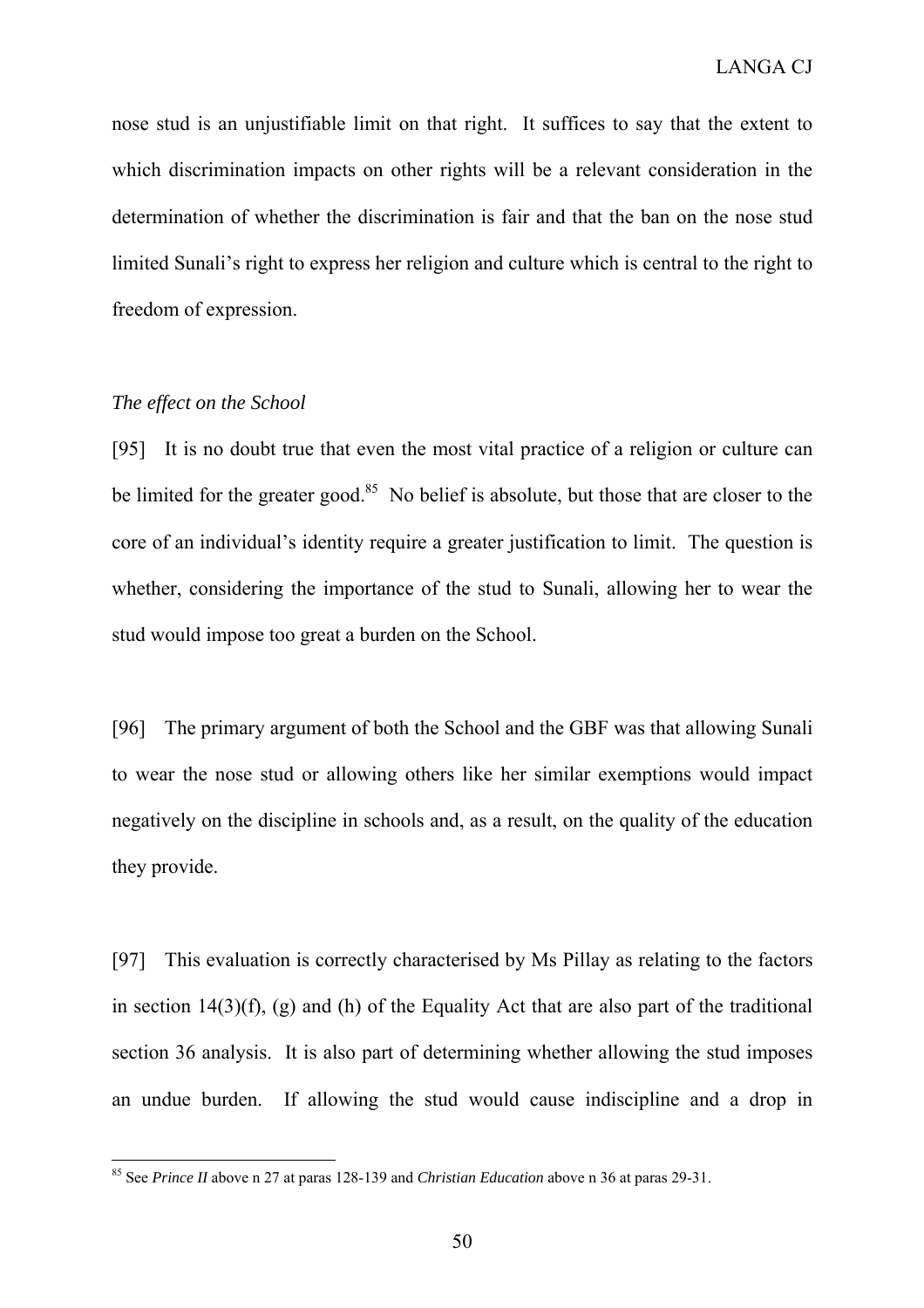nose stud is an unjustifiable limit on that right. It suffices to say that the extent to which discrimination impacts on other rights will be a relevant consideration in the determination of whether the discrimination is fair and that the ban on the nose stud limited Sunali's right to express her religion and culture which is central to the right to freedom of expression.

#### *The effect on the School*

 $\overline{a}$ 

[95] It is no doubt true that even the most vital practice of a religion or culture can be limited for the greater good.<sup>85</sup> No belief is absolute, but those that are closer to the core of an individual's identity require a greater justification to limit. The question is whether, considering the importance of the stud to Sunali, allowing her to wear the stud would impose too great a burden on the School.

[96] The primary argument of both the School and the GBF was that allowing Sunali to wear the nose stud or allowing others like her similar exemptions would impact negatively on the discipline in schools and, as a result, on the quality of the education they provide.

[97] This evaluation is correctly characterised by Ms Pillay as relating to the factors in section  $14(3)(f)$ , (g) and (h) of the Equality Act that are also part of the traditional section 36 analysis. It is also part of determining whether allowing the stud imposes an undue burden. If allowing the stud would cause indiscipline and a drop in

<sup>85</sup> See *Prince II* above n 27 at paras 128-139 and *Christian Education* above n 36 at paras 29-31.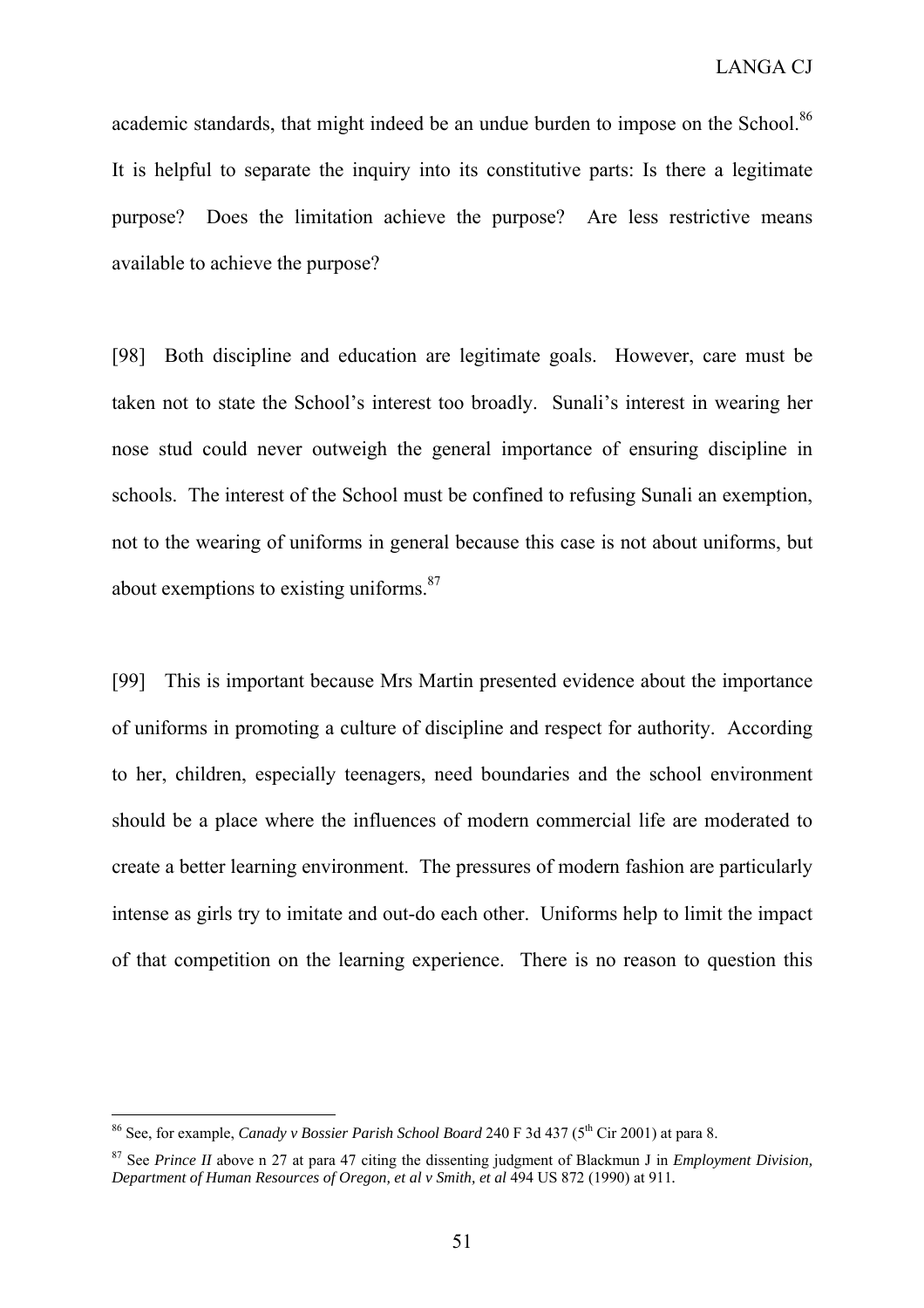academic standards, that might indeed be an undue burden to impose on the School.<sup>86</sup> It is helpful to separate the inquiry into its constitutive parts: Is there a legitimate purpose? Does the limitation achieve the purpose? Are less restrictive means available to achieve the purpose?

[98] Both discipline and education are legitimate goals. However, care must be taken not to state the School's interest too broadly. Sunali's interest in wearing her nose stud could never outweigh the general importance of ensuring discipline in schools. The interest of the School must be confined to refusing Sunali an exemption, not to the wearing of uniforms in general because this case is not about uniforms, but about exemptions to existing uniforms.<sup>87</sup>

[99] This is important because Mrs Martin presented evidence about the importance of uniforms in promoting a culture of discipline and respect for authority. According to her, children, especially teenagers, need boundaries and the school environment should be a place where the influences of modern commercial life are moderated to create a better learning environment. The pressures of modern fashion are particularly intense as girls try to imitate and out-do each other. Uniforms help to limit the impact of that competition on the learning experience. There is no reason to question this

<sup>&</sup>lt;sup>86</sup> See, for example, *Canady v Bossier Parish School Board* 240 F 3d 437 (5<sup>th</sup> Cir 2001) at para 8.

<sup>87</sup> See *Prince II* above n 27 at para 47 citing the dissenting judgment of Blackmun J in *Employment Division, Department of Human Resources of Oregon, et al v Smith, et al* 494 US 872 (1990) at 911*.*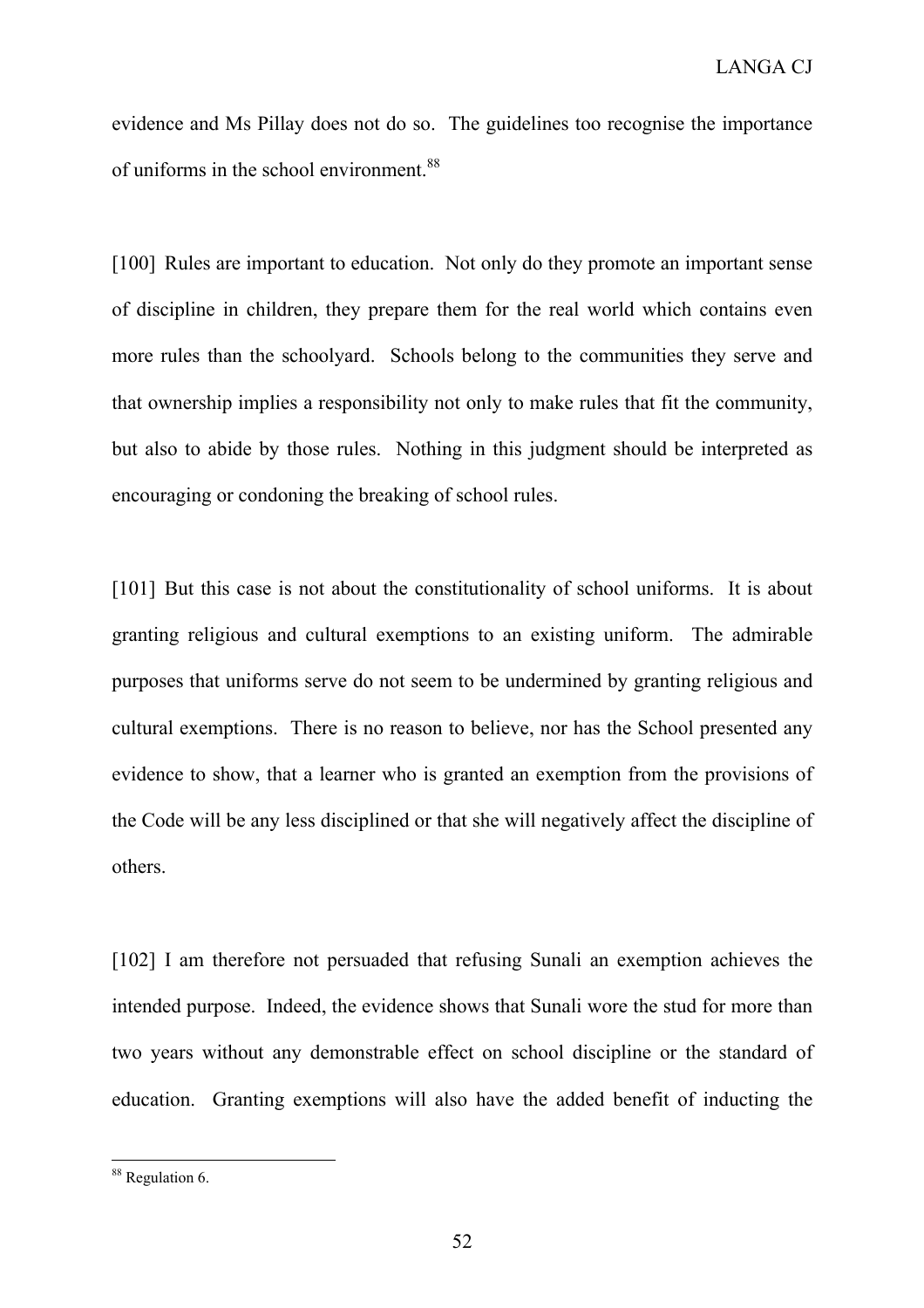evidence and Ms Pillay does not do so. The guidelines too recognise the importance of uniforms in the school environment.<sup>88</sup>

[100] Rules are important to education. Not only do they promote an important sense of discipline in children, they prepare them for the real world which contains even more rules than the schoolyard. Schools belong to the communities they serve and that ownership implies a responsibility not only to make rules that fit the community, but also to abide by those rules. Nothing in this judgment should be interpreted as encouraging or condoning the breaking of school rules.

[101] But this case is not about the constitutionality of school uniforms. It is about granting religious and cultural exemptions to an existing uniform. The admirable purposes that uniforms serve do not seem to be undermined by granting religious and cultural exemptions. There is no reason to believe, nor has the School presented any evidence to show, that a learner who is granted an exemption from the provisions of the Code will be any less disciplined or that she will negatively affect the discipline of others.

[102] I am therefore not persuaded that refusing Sunali an exemption achieves the intended purpose. Indeed, the evidence shows that Sunali wore the stud for more than two years without any demonstrable effect on school discipline or the standard of education. Granting exemptions will also have the added benefit of inducting the

<sup>&</sup>lt;sup>88</sup> Regulation 6.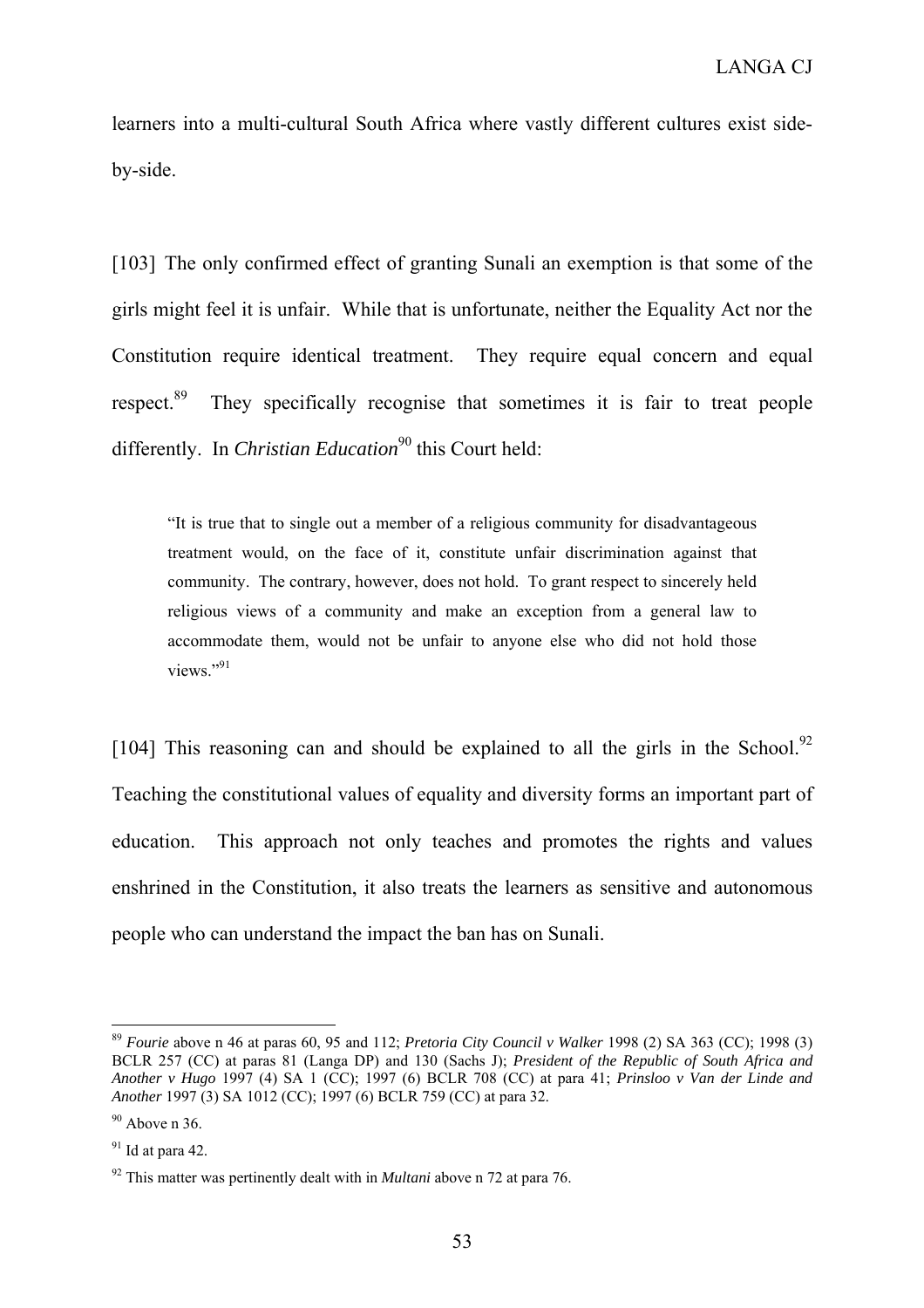learners into a multi-cultural South Africa where vastly different cultures exist sideby-side.

[103] The only confirmed effect of granting Sunali an exemption is that some of the girls might feel it is unfair. While that is unfortunate, neither the Equality Act nor the Constitution require identical treatment. They require equal concern and equal respect.89 They specifically recognise that sometimes it is fair to treat people differently. In *Christian Education*<sup>90</sup> this Court held:

"It is true that to single out a member of a religious community for disadvantageous treatment would, on the face of it, constitute unfair discrimination against that community. The contrary, however, does not hold. To grant respect to sincerely held religious views of a community and make an exception from a general law to accommodate them, would not be unfair to anyone else who did not hold those views<sup>"91</sup>

[104] This reasoning can and should be explained to all the girls in the School.<sup>92</sup> Teaching the constitutional values of equality and diversity forms an important part of education. This approach not only teaches and promotes the rights and values enshrined in the Constitution, it also treats the learners as sensitive and autonomous people who can understand the impact the ban has on Sunali.

<sup>89</sup> *Fourie* above n 46 at paras 60, 95 and 112; *Pretoria City Council v Walker* 1998 (2) SA 363 (CC); 1998 (3) BCLR 257 (CC) at paras 81 (Langa DP) and 130 (Sachs J); *President of the Republic of South Africa and Another v Hugo* 1997 (4) SA 1 (CC); 1997 (6) BCLR 708 (CC) at para 41; *Prinsloo v Van der Linde and Another* 1997 (3) SA 1012 (CC); 1997 (6) BCLR 759 (CC) at para 32.

 $90$  Above n 36.

 $91$  Id at para 42.

<sup>92</sup> This matter was pertinently dealt with in *Multani* above n 72 at para 76.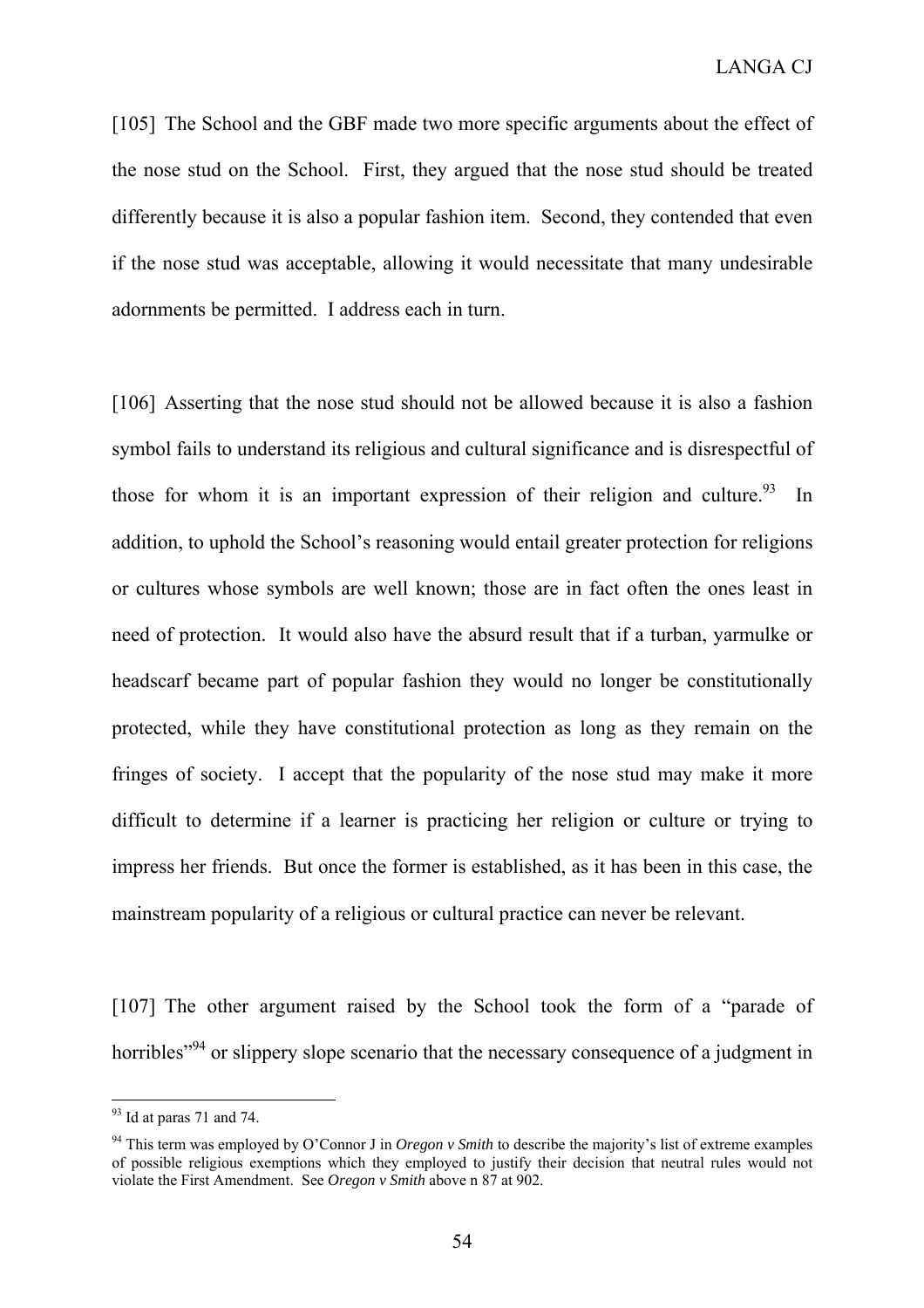[105] The School and the GBF made two more specific arguments about the effect of the nose stud on the School. First, they argued that the nose stud should be treated differently because it is also a popular fashion item. Second, they contended that even if the nose stud was acceptable, allowing it would necessitate that many undesirable adornments be permitted. I address each in turn.

[106] Asserting that the nose stud should not be allowed because it is also a fashion symbol fails to understand its religious and cultural significance and is disrespectful of those for whom it is an important expression of their religion and culture.<sup>93</sup> In addition, to uphold the School's reasoning would entail greater protection for religions or cultures whose symbols are well known; those are in fact often the ones least in need of protection. It would also have the absurd result that if a turban, yarmulke or headscarf became part of popular fashion they would no longer be constitutionally protected, while they have constitutional protection as long as they remain on the fringes of society. I accept that the popularity of the nose stud may make it more difficult to determine if a learner is practicing her religion or culture or trying to impress her friends. But once the former is established, as it has been in this case, the mainstream popularity of a religious or cultural practice can never be relevant.

[107] The other argument raised by the School took the form of a "parade of horribles<sup>"94</sup> or slippery slope scenario that the necessary consequence of a judgment in

 $93$  Id at paras 71 and 74.

<sup>&</sup>lt;sup>94</sup> This term was employed by O'Connor J in *Oregon v Smith* to describe the majority's list of extreme examples of possible religious exemptions which they employed to justify their decision that neutral rules would not violate the First Amendment. See *Oregon v Smith* above n 87 at 902.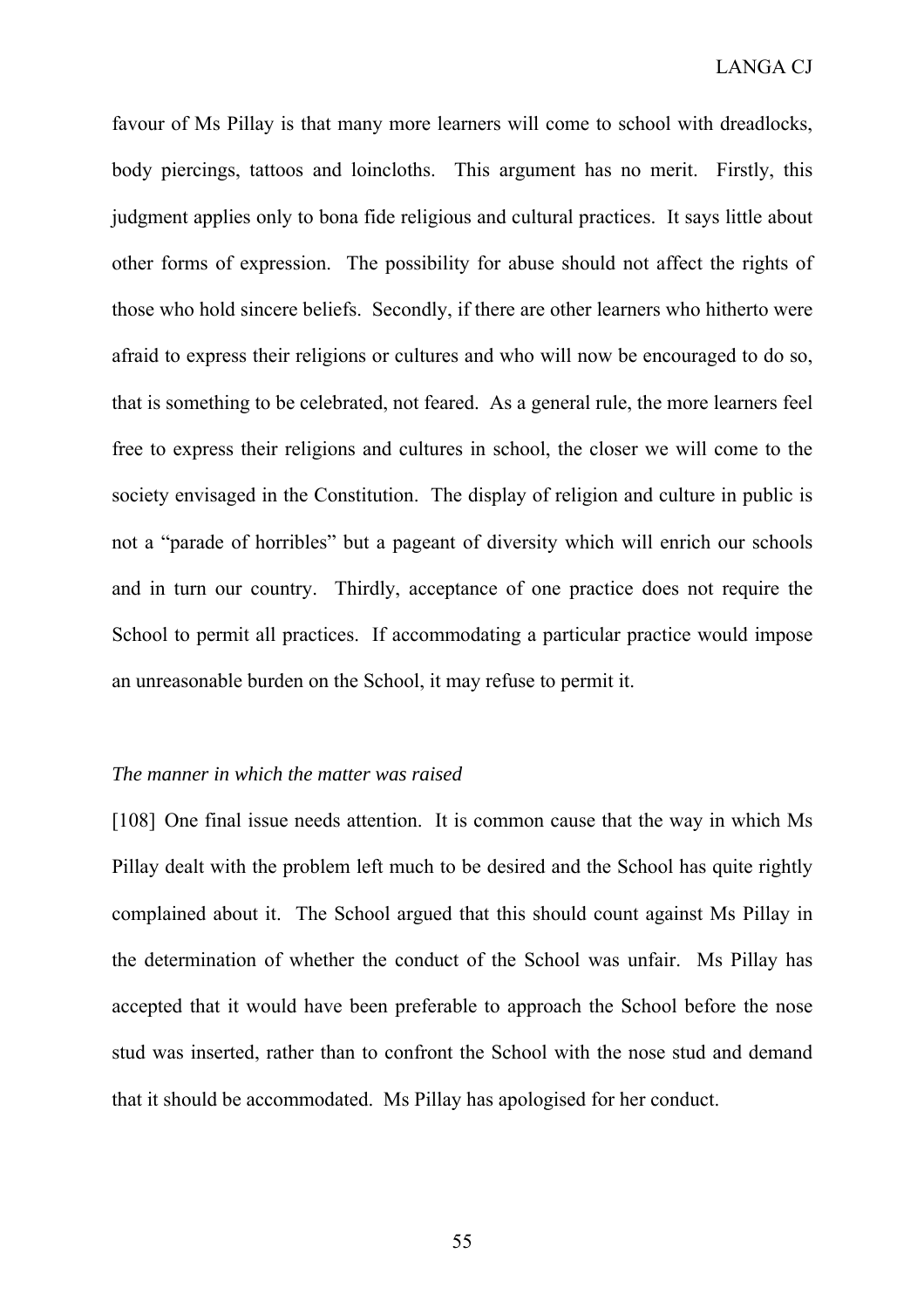favour of Ms Pillay is that many more learners will come to school with dreadlocks, body piercings, tattoos and loincloths. This argument has no merit. Firstly, this judgment applies only to bona fide religious and cultural practices. It says little about other forms of expression. The possibility for abuse should not affect the rights of those who hold sincere beliefs. Secondly, if there are other learners who hitherto were afraid to express their religions or cultures and who will now be encouraged to do so, that is something to be celebrated, not feared. As a general rule, the more learners feel free to express their religions and cultures in school, the closer we will come to the society envisaged in the Constitution. The display of religion and culture in public is not a "parade of horribles" but a pageant of diversity which will enrich our schools and in turn our country. Thirdly, acceptance of one practice does not require the School to permit all practices. If accommodating a particular practice would impose an unreasonable burden on the School, it may refuse to permit it.

# *The manner in which the matter was raised*

[108] One final issue needs attention. It is common cause that the way in which Ms Pillay dealt with the problem left much to be desired and the School has quite rightly complained about it. The School argued that this should count against Ms Pillay in the determination of whether the conduct of the School was unfair. Ms Pillay has accepted that it would have been preferable to approach the School before the nose stud was inserted, rather than to confront the School with the nose stud and demand that it should be accommodated. Ms Pillay has apologised for her conduct.

55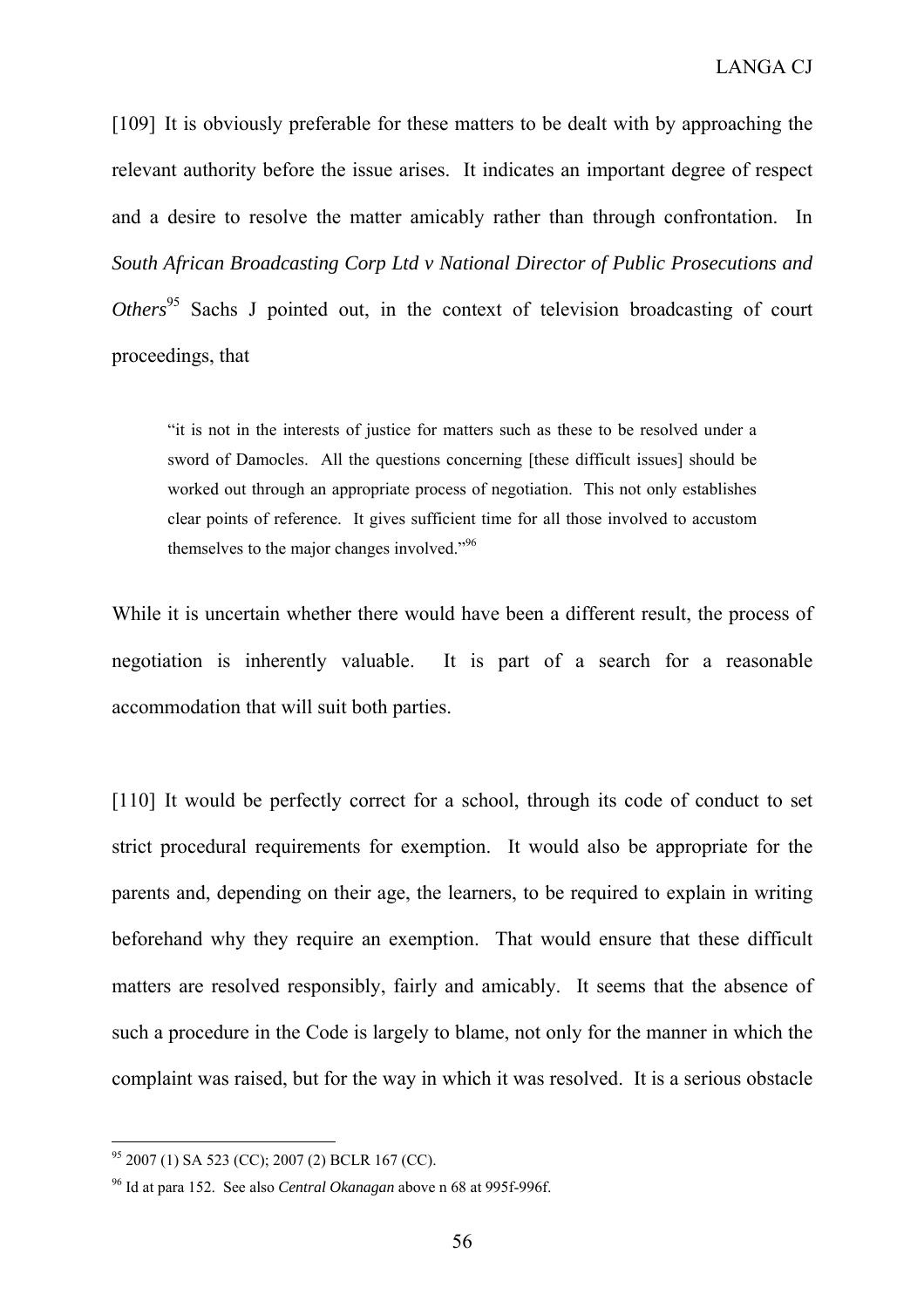[109] It is obviously preferable for these matters to be dealt with by approaching the relevant authority before the issue arises. It indicates an important degree of respect and a desire to resolve the matter amicably rather than through confrontation. In *South African Broadcasting Corp Ltd v National Director of Public Prosecutions and Others*<sup>95</sup> Sachs J pointed out, in the context of television broadcasting of court proceedings, that

"it is not in the interests of justice for matters such as these to be resolved under a sword of Damocles. All the questions concerning [these difficult issues] should be worked out through an appropriate process of negotiation. This not only establishes clear points of reference. It gives sufficient time for all those involved to accustom themselves to the major changes involved."96

While it is uncertain whether there would have been a different result, the process of negotiation is inherently valuable. It is part of a search for a reasonable accommodation that will suit both parties.

[110] It would be perfectly correct for a school, through its code of conduct to set strict procedural requirements for exemption. It would also be appropriate for the parents and, depending on their age, the learners, to be required to explain in writing beforehand why they require an exemption. That would ensure that these difficult matters are resolved responsibly, fairly and amicably. It seems that the absence of such a procedure in the Code is largely to blame, not only for the manner in which the complaint was raised, but for the way in which it was resolved. It is a serious obstacle

<sup>&</sup>lt;sup>95</sup> 2007 (1) SA 523 (CC); 2007 (2) BCLR 167 (CC).

<sup>96</sup> Id at para 152. See also *Central Okanagan* above n 68 at 995f-996f.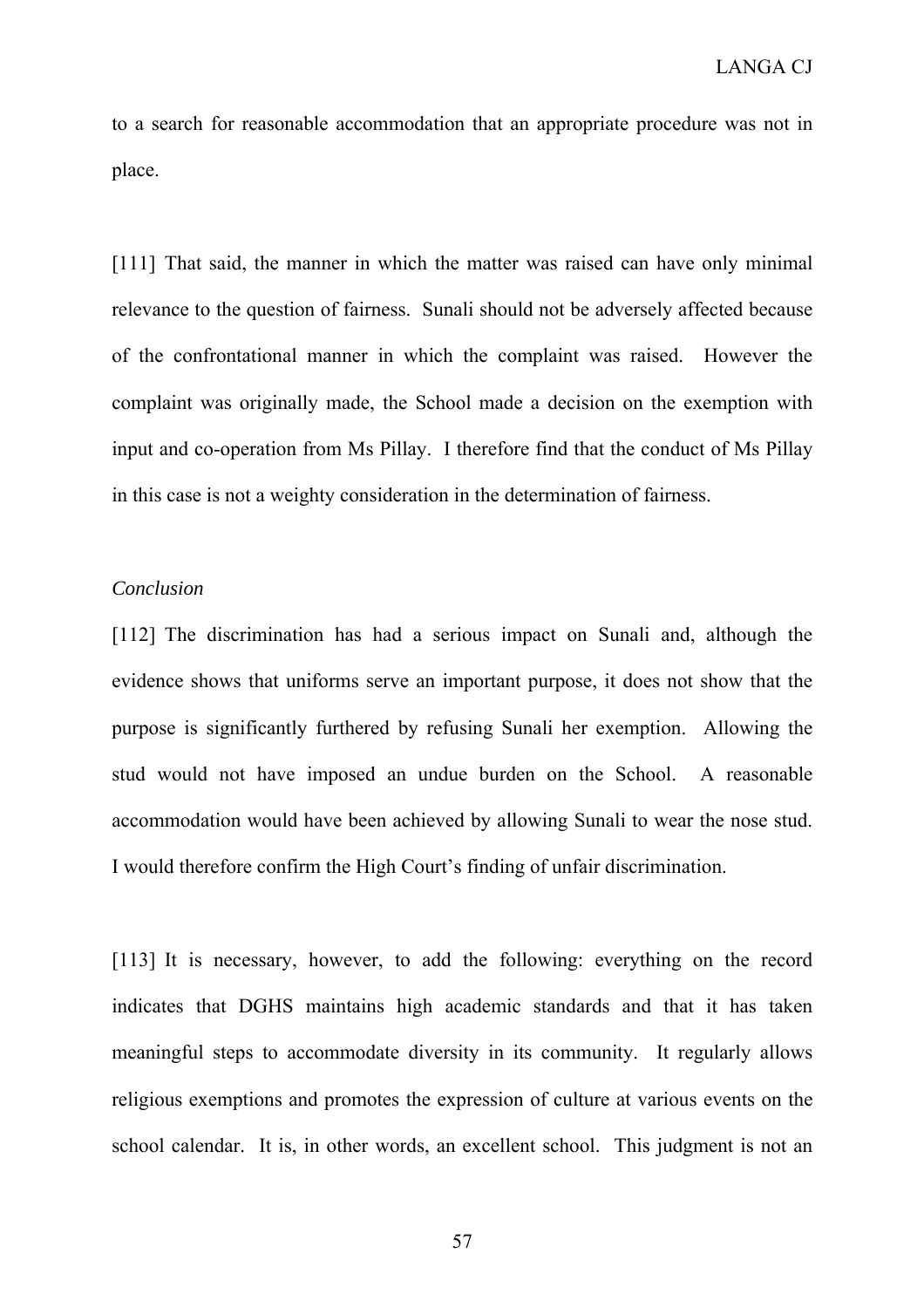to a search for reasonable accommodation that an appropriate procedure was not in place.

[111] That said, the manner in which the matter was raised can have only minimal relevance to the question of fairness. Sunali should not be adversely affected because of the confrontational manner in which the complaint was raised. However the complaint was originally made, the School made a decision on the exemption with input and co-operation from Ms Pillay. I therefore find that the conduct of Ms Pillay in this case is not a weighty consideration in the determination of fairness.

# *Conclusion*

[112] The discrimination has had a serious impact on Sunali and, although the evidence shows that uniforms serve an important purpose, it does not show that the purpose is significantly furthered by refusing Sunali her exemption. Allowing the stud would not have imposed an undue burden on the School. A reasonable accommodation would have been achieved by allowing Sunali to wear the nose stud. I would therefore confirm the High Court's finding of unfair discrimination.

[113] It is necessary, however, to add the following: everything on the record indicates that DGHS maintains high academic standards and that it has taken meaningful steps to accommodate diversity in its community. It regularly allows religious exemptions and promotes the expression of culture at various events on the school calendar. It is, in other words, an excellent school. This judgment is not an

57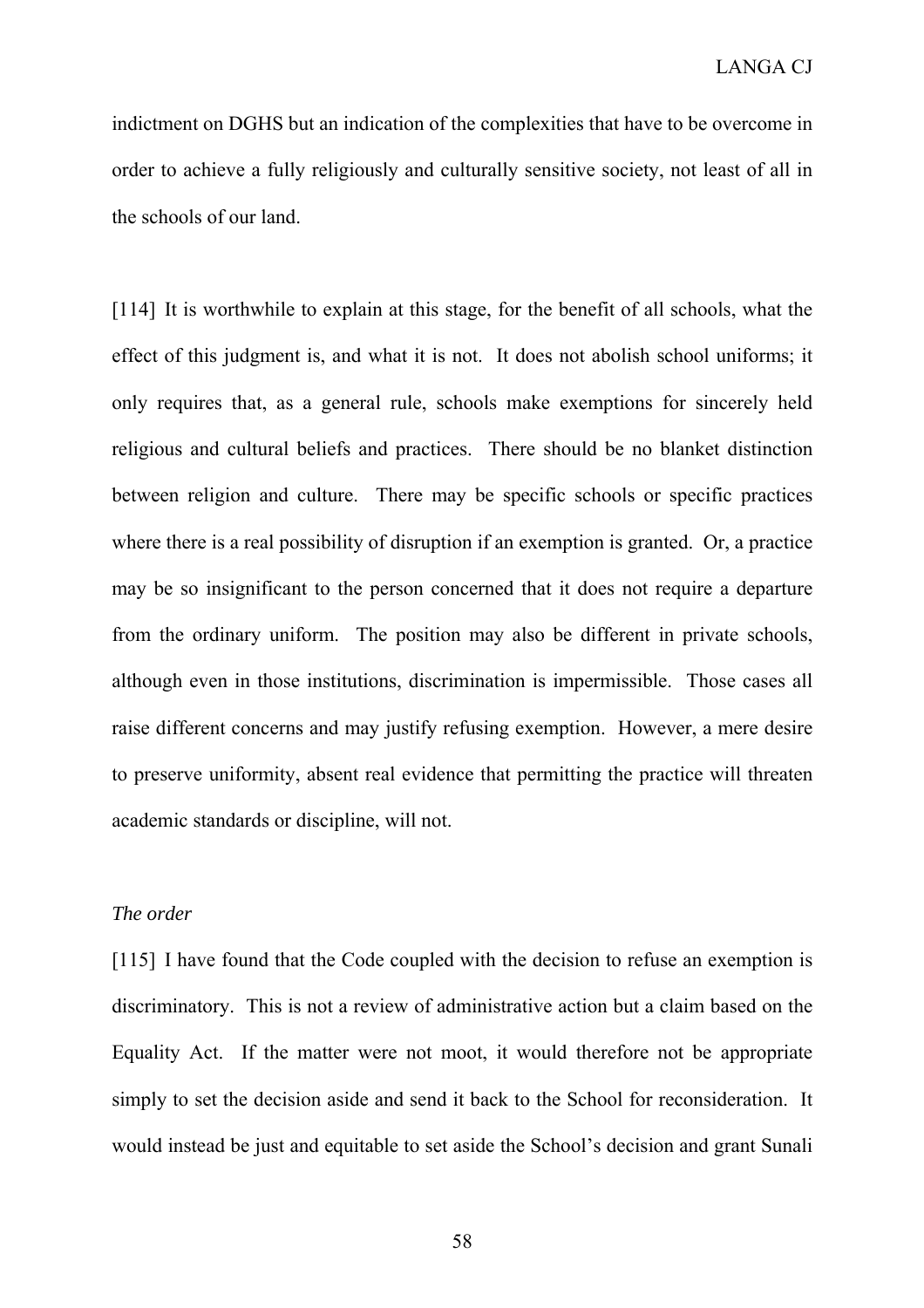indictment on DGHS but an indication of the complexities that have to be overcome in order to achieve a fully religiously and culturally sensitive society, not least of all in the schools of our land.

[114] It is worthwhile to explain at this stage, for the benefit of all schools, what the effect of this judgment is, and what it is not. It does not abolish school uniforms; it only requires that, as a general rule, schools make exemptions for sincerely held religious and cultural beliefs and practices. There should be no blanket distinction between religion and culture. There may be specific schools or specific practices where there is a real possibility of disruption if an exemption is granted. Or, a practice may be so insignificant to the person concerned that it does not require a departure from the ordinary uniform. The position may also be different in private schools, although even in those institutions, discrimination is impermissible. Those cases all raise different concerns and may justify refusing exemption. However, a mere desire to preserve uniformity, absent real evidence that permitting the practice will threaten academic standards or discipline, will not.

# *The order*

[115] I have found that the Code coupled with the decision to refuse an exemption is discriminatory. This is not a review of administrative action but a claim based on the Equality Act. If the matter were not moot, it would therefore not be appropriate simply to set the decision aside and send it back to the School for reconsideration. It would instead be just and equitable to set aside the School's decision and grant Sunali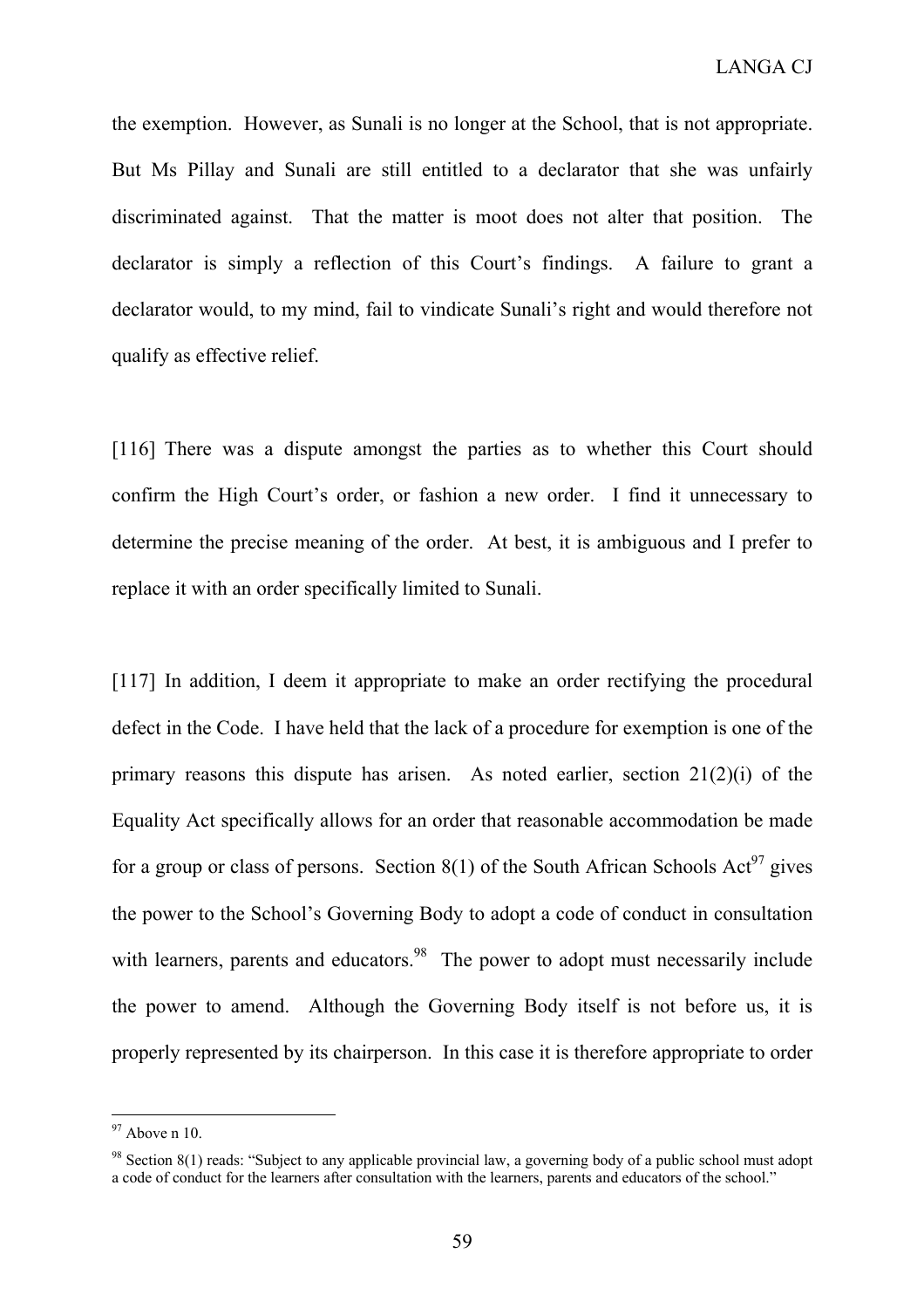the exemption. However, as Sunali is no longer at the School, that is not appropriate. But Ms Pillay and Sunali are still entitled to a declarator that she was unfairly discriminated against. That the matter is moot does not alter that position. The declarator is simply a reflection of this Court's findings. A failure to grant a declarator would, to my mind, fail to vindicate Sunali's right and would therefore not qualify as effective relief.

[116] There was a dispute amongst the parties as to whether this Court should confirm the High Court's order, or fashion a new order. I find it unnecessary to determine the precise meaning of the order. At best, it is ambiguous and I prefer to replace it with an order specifically limited to Sunali.

[117] In addition, I deem it appropriate to make an order rectifying the procedural defect in the Code. I have held that the lack of a procedure for exemption is one of the primary reasons this dispute has arisen. As noted earlier, section 21(2)(i) of the Equality Act specifically allows for an order that reasonable accommodation be made for a group or class of persons. Section 8(1) of the South African Schools  $Act^{97}$  gives the power to the School's Governing Body to adopt a code of conduct in consultation with learners, parents and educators.<sup>98</sup> The power to adopt must necessarily include the power to amend. Although the Governing Body itself is not before us, it is properly represented by its chairperson. In this case it is therefore appropriate to order

 $97$  Above n 10.

<sup>&</sup>lt;sup>98</sup> Section 8(1) reads: "Subject to any applicable provincial law, a governing body of a public school must adopt a code of conduct for the learners after consultation with the learners, parents and educators of the school."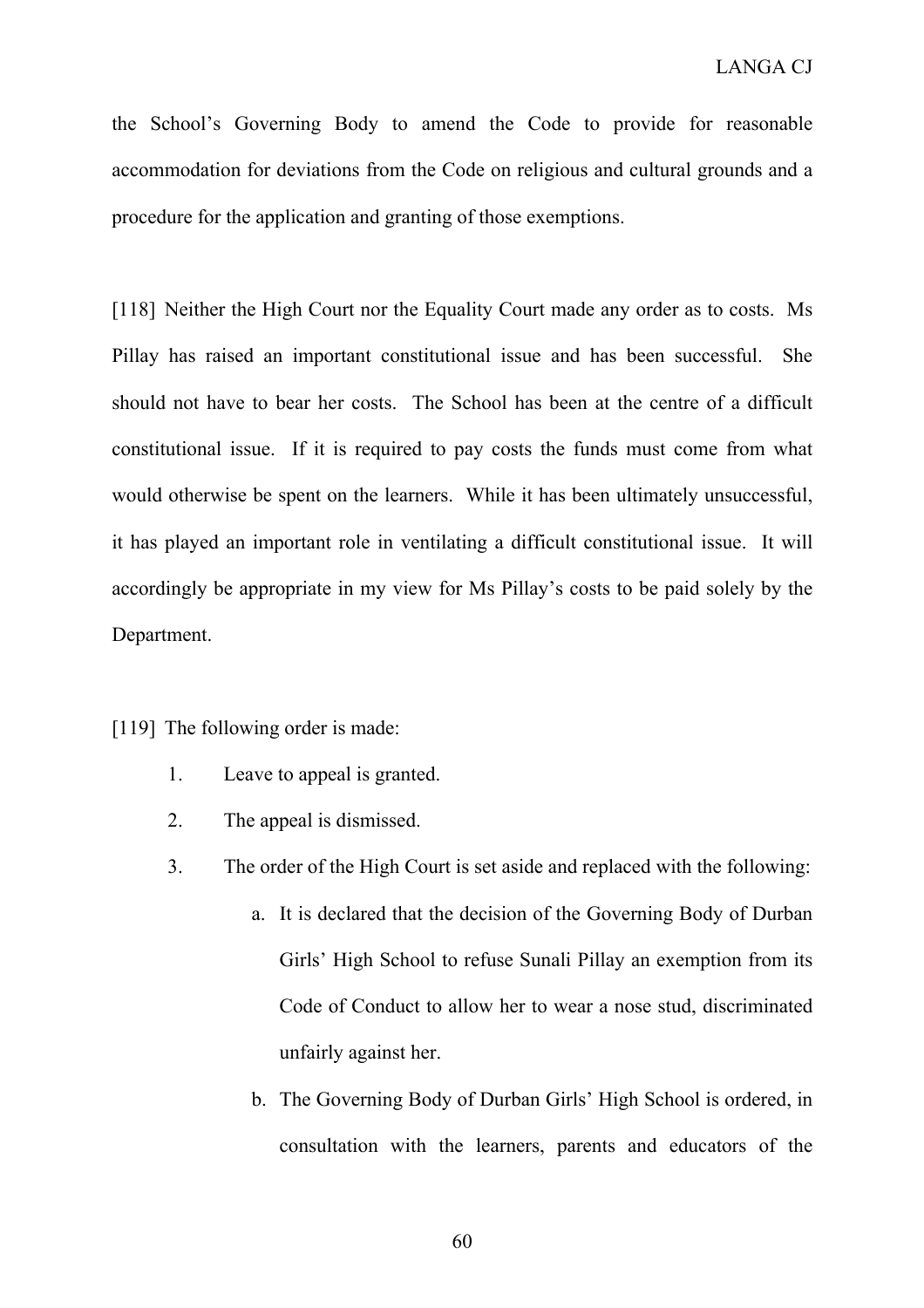the School's Governing Body to amend the Code to provide for reasonable accommodation for deviations from the Code on religious and cultural grounds and a procedure for the application and granting of those exemptions.

[118] Neither the High Court nor the Equality Court made any order as to costs. Ms Pillay has raised an important constitutional issue and has been successful. She should not have to bear her costs. The School has been at the centre of a difficult constitutional issue. If it is required to pay costs the funds must come from what would otherwise be spent on the learners. While it has been ultimately unsuccessful, it has played an important role in ventilating a difficult constitutional issue. It will accordingly be appropriate in my view for Ms Pillay's costs to be paid solely by the Department.

[119] The following order is made:

- 1. Leave to appeal is granted.
- 2. The appeal is dismissed.
- 3. The order of the High Court is set aside and replaced with the following:
	- a. It is declared that the decision of the Governing Body of Durban Girls' High School to refuse Sunali Pillay an exemption from its Code of Conduct to allow her to wear a nose stud, discriminated unfairly against her.
	- b. The Governing Body of Durban Girls' High School is ordered, in consultation with the learners, parents and educators of the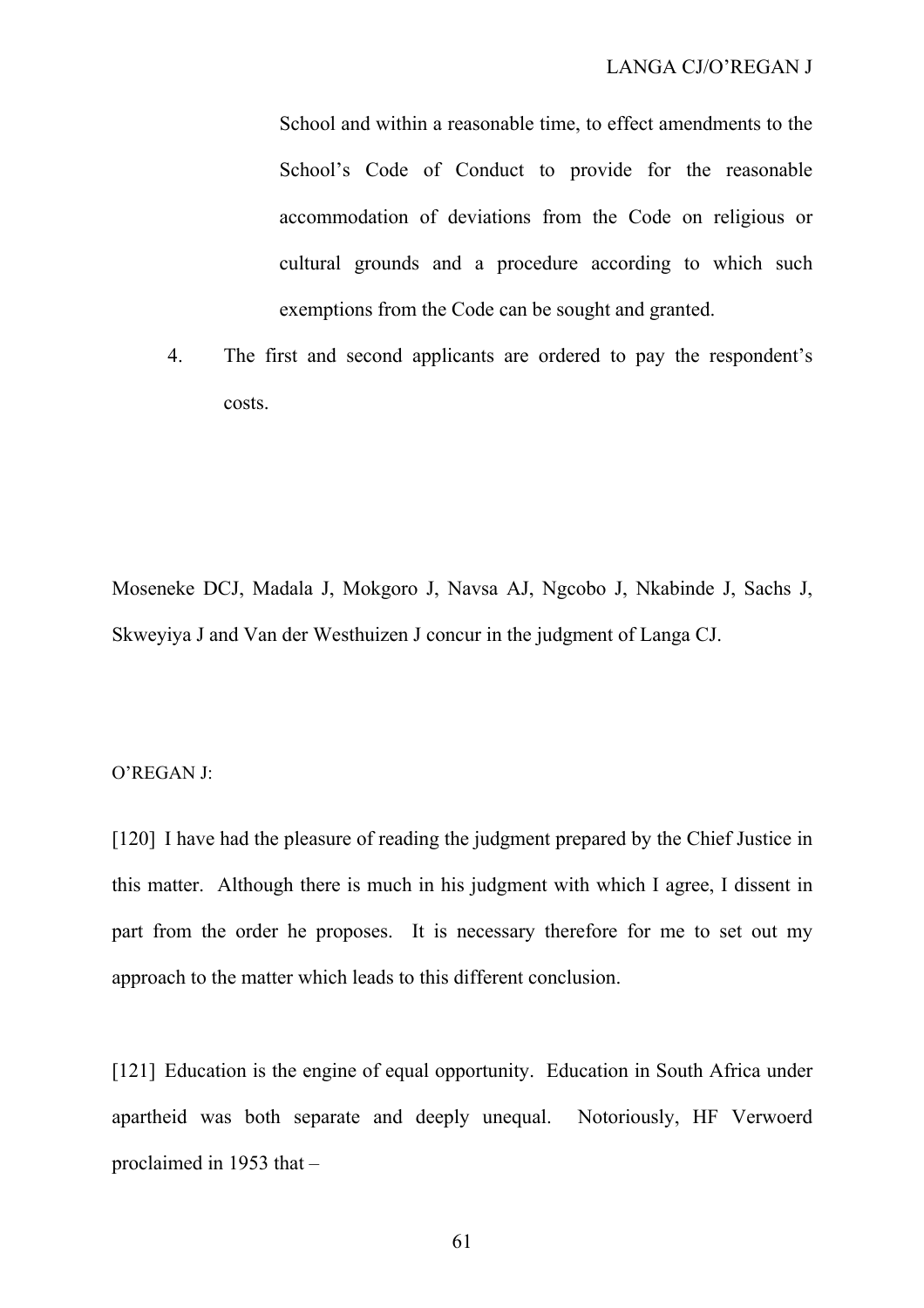School and within a reasonable time, to effect amendments to the School's Code of Conduct to provide for the reasonable accommodation of deviations from the Code on religious or cultural grounds and a procedure according to which such exemptions from the Code can be sought and granted.

4. The first and second applicants are ordered to pay the respondent's costs.

Moseneke DCJ, Madala J, Mokgoro J, Navsa AJ, Ngcobo J, Nkabinde J, Sachs J, Skweyiya J and Van der Westhuizen J concur in the judgment of Langa CJ.

# O'REGAN J:

[120] I have had the pleasure of reading the judgment prepared by the Chief Justice in this matter. Although there is much in his judgment with which I agree, I dissent in part from the order he proposes. It is necessary therefore for me to set out my approach to the matter which leads to this different conclusion.

[121] Education is the engine of equal opportunity. Education in South Africa under apartheid was both separate and deeply unequal. Notoriously, HF Verwoerd proclaimed in 1953 that –

61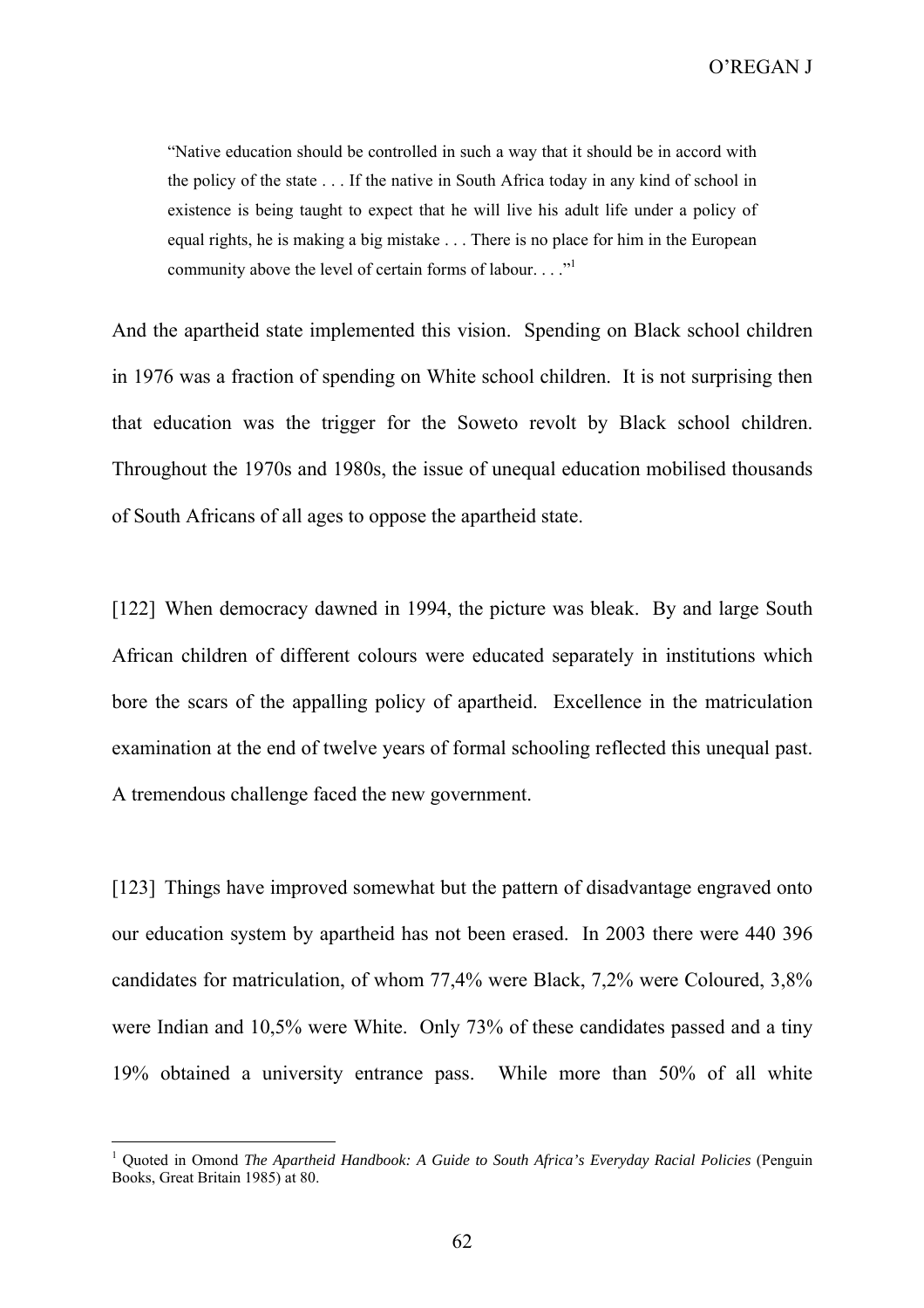"Native education should be controlled in such a way that it should be in accord with the policy of the state . . . If the native in South Africa today in any kind of school in existence is being taught to expect that he will live his adult life under a policy of equal rights, he is making a big mistake . . . There is no place for him in the European community above the level of certain forms of labour. . . ."<sup>1</sup>

And the apartheid state implemented this vision. Spending on Black school children in 1976 was a fraction of spending on White school children. It is not surprising then that education was the trigger for the Soweto revolt by Black school children. Throughout the 1970s and 1980s, the issue of unequal education mobilised thousands of South Africans of all ages to oppose the apartheid state.

[122] When democracy dawned in 1994, the picture was bleak. By and large South African children of different colours were educated separately in institutions which bore the scars of the appalling policy of apartheid. Excellence in the matriculation examination at the end of twelve years of formal schooling reflected this unequal past. A tremendous challenge faced the new government.

[123] Things have improved somewhat but the pattern of disadvantage engraved onto our education system by apartheid has not been erased. In 2003 there were 440 396 candidates for matriculation, of whom 77,4% were Black, 7,2% were Coloured, 3,8% were Indian and 10,5% were White. Only 73% of these candidates passed and a tiny 19% obtained a university entrance pass. While more than 50% of all white

 1 Quoted in Omond *The Apartheid Handbook: A Guide to South Africa's Everyday Racial Policies* (Penguin Books, Great Britain 1985) at 80.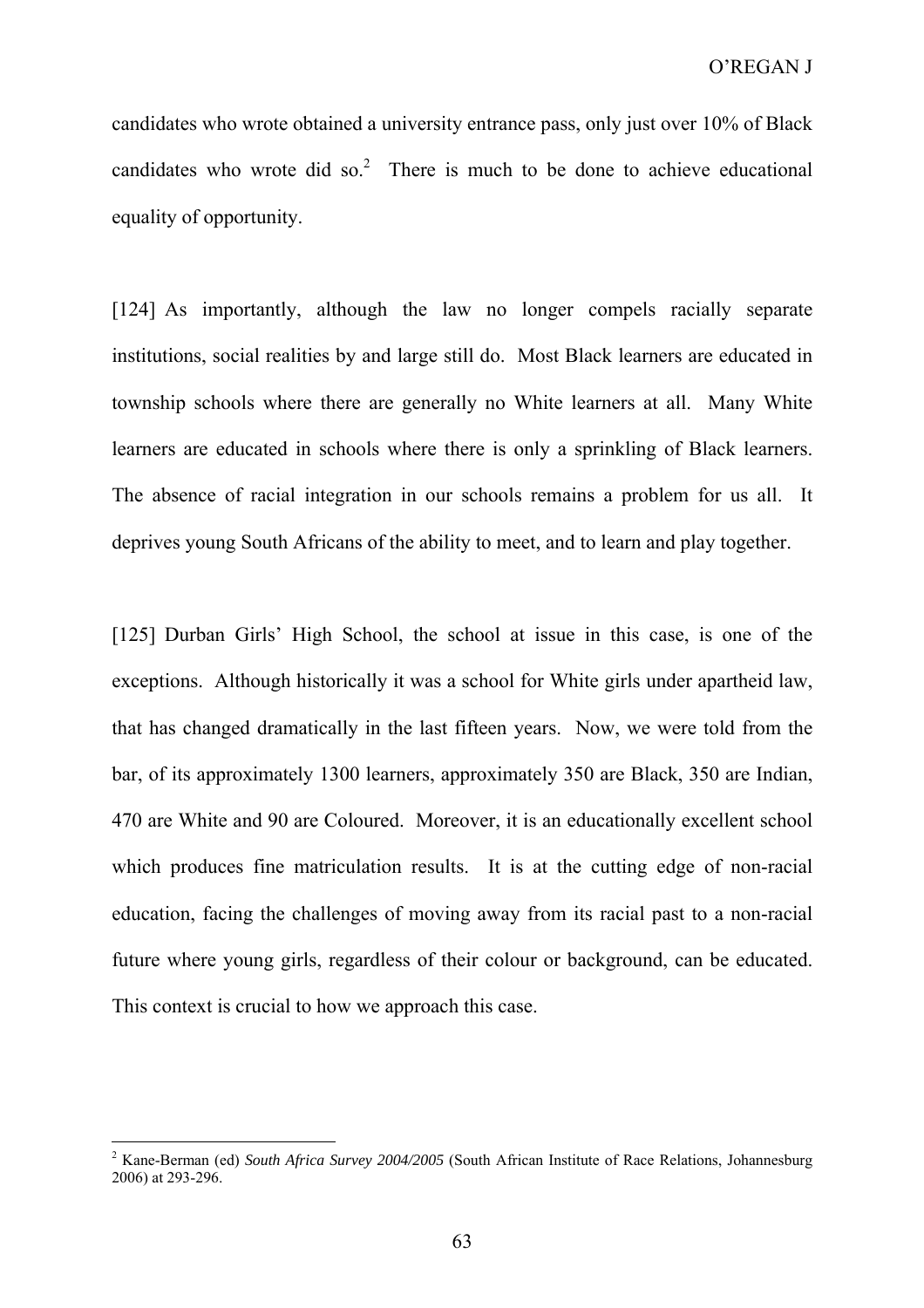candidates who wrote obtained a university entrance pass, only just over 10% of Black candidates who wrote did so.<sup>2</sup> There is much to be done to achieve educational equality of opportunity.

[124] As importantly, although the law no longer compels racially separate institutions, social realities by and large still do. Most Black learners are educated in township schools where there are generally no White learners at all. Many White learners are educated in schools where there is only a sprinkling of Black learners. The absence of racial integration in our schools remains a problem for us all. It deprives young South Africans of the ability to meet, and to learn and play together.

[125] Durban Girls' High School, the school at issue in this case, is one of the exceptions. Although historically it was a school for White girls under apartheid law, that has changed dramatically in the last fifteen years. Now, we were told from the bar, of its approximately 1300 learners, approximately 350 are Black, 350 are Indian, 470 are White and 90 are Coloured. Moreover, it is an educationally excellent school which produces fine matriculation results. It is at the cutting edge of non-racial education, facing the challenges of moving away from its racial past to a non-racial future where young girls, regardless of their colour or background, can be educated. This context is crucial to how we approach this case.

<sup>2</sup> Kane-Berman (ed) *South Africa Survey 2004/2005* (South African Institute of Race Relations, Johannesburg 2006) at 293-296.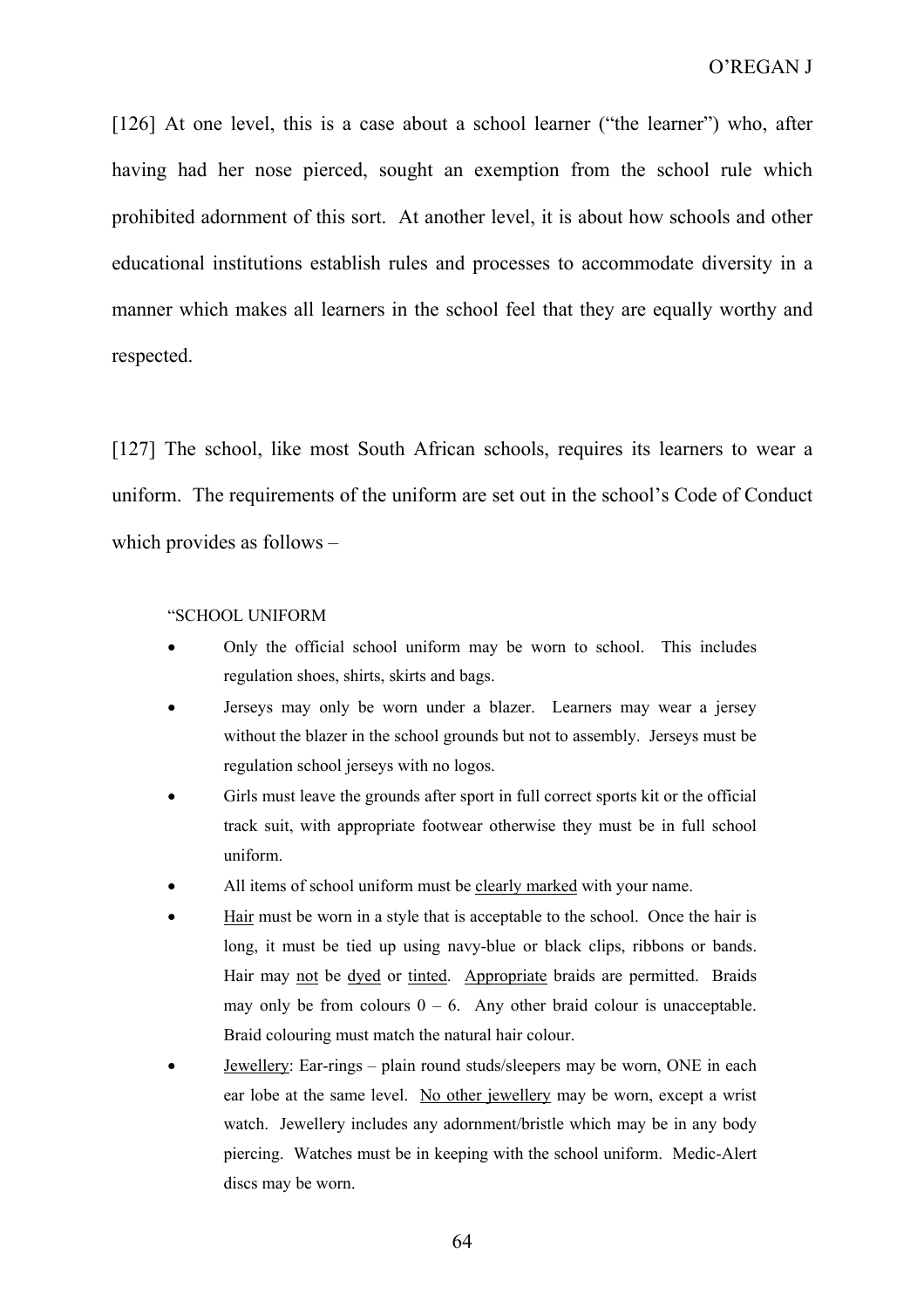[126] At one level, this is a case about a school learner ("the learner") who, after having had her nose pierced, sought an exemption from the school rule which prohibited adornment of this sort. At another level, it is about how schools and other educational institutions establish rules and processes to accommodate diversity in a manner which makes all learners in the school feel that they are equally worthy and respected.

[127] The school, like most South African schools, requires its learners to wear a uniform. The requirements of the uniform are set out in the school's Code of Conduct which provides as follows –

#### "SCHOOL UNIFORM

- Only the official school uniform may be worn to school. This includes regulation shoes, shirts, skirts and bags.
- Jerseys may only be worn under a blazer. Learners may wear a jersey without the blazer in the school grounds but not to assembly. Jerseys must be regulation school jerseys with no logos.
- Girls must leave the grounds after sport in full correct sports kit or the official track suit, with appropriate footwear otherwise they must be in full school uniform.
- All items of school uniform must be clearly marked with your name.
- Hair must be worn in a style that is acceptable to the school. Once the hair is long, it must be tied up using navy-blue or black clips, ribbons or bands. Hair may not be dyed or tinted. Appropriate braids are permitted. Braids may only be from colours  $0 - 6$ . Any other braid colour is unacceptable. Braid colouring must match the natural hair colour.
- Jewellery: Ear-rings plain round studs/sleepers may be worn, ONE in each ear lobe at the same level. No other jewellery may be worn, except a wrist watch. Jewellery includes any adornment/bristle which may be in any body piercing. Watches must be in keeping with the school uniform. Medic-Alert discs may be worn.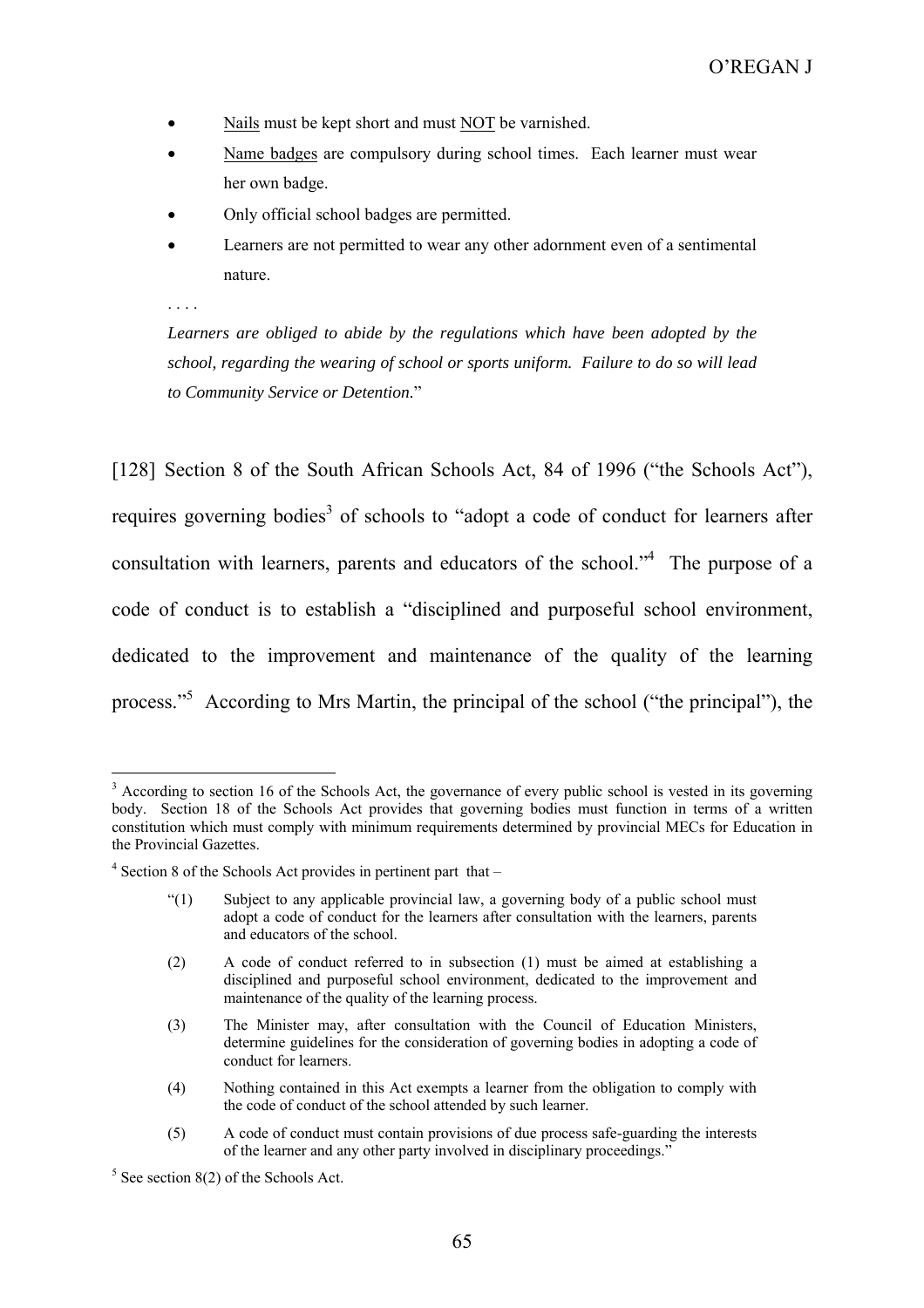- Nails must be kept short and must NOT be varnished.
- Name badges are compulsory during school times. Each learner must wear her own badge.
- Only official school badges are permitted.
- Learners are not permitted to wear any other adornment even of a sentimental nature.

. . . .

*Learners are obliged to abide by the regulations which have been adopted by the school, regarding the wearing of school or sports uniform. Failure to do so will lead to Community Service or Detention.*"

[128] Section 8 of the South African Schools Act, 84 of 1996 ("the Schools Act"), requires governing bodies<sup>3</sup> of schools to "adopt a code of conduct for learners after consultation with learners, parents and educators of the school."4 The purpose of a code of conduct is to establish a "disciplined and purposeful school environment, dedicated to the improvement and maintenance of the quality of the learning process."<sup>5</sup> According to Mrs Martin, the principal of the school ("the principal"), the

- "(1) Subject to any applicable provincial law, a governing body of a public school must adopt a code of conduct for the learners after consultation with the learners, parents and educators of the school.
- (2) A code of conduct referred to in subsection (1) must be aimed at establishing a disciplined and purposeful school environment, dedicated to the improvement and maintenance of the quality of the learning process.
- (3) The Minister may, after consultation with the Council of Education Ministers, determine guidelines for the consideration of governing bodies in adopting a code of conduct for learners.
- (4) Nothing contained in this Act exempts a learner from the obligation to comply with the code of conduct of the school attended by such learner.
- (5) A code of conduct must contain provisions of due process safe-guarding the interests of the learner and any other party involved in disciplinary proceedings."

<sup>&</sup>lt;sup>3</sup> According to section 16 of the Schools Act, the governance of every public school is vested in its governing body. Section 18 of the Schools Act provides that governing bodies must function in terms of a written constitution which must comply with minimum requirements determined by provincial MECs for Education in the Provincial Gazettes.

<sup>&</sup>lt;sup>4</sup> Section 8 of the Schools Act provides in pertinent part that –

 $5$  See section 8(2) of the Schools Act.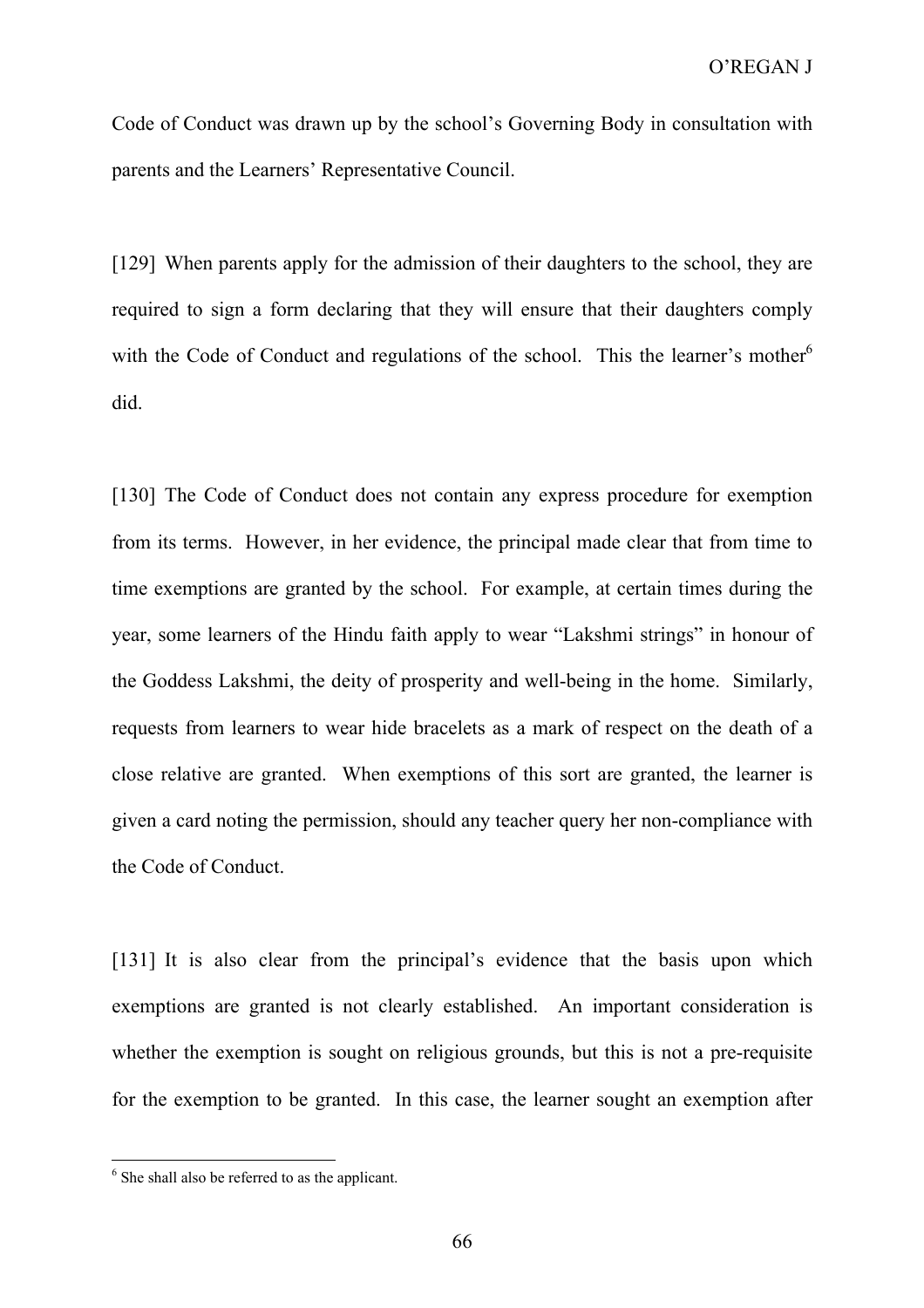Code of Conduct was drawn up by the school's Governing Body in consultation with parents and the Learners' Representative Council.

[129] When parents apply for the admission of their daughters to the school, they are required to sign a form declaring that they will ensure that their daughters comply with the Code of Conduct and regulations of the school. This the learner's mother<sup>6</sup> did.

[130] The Code of Conduct does not contain any express procedure for exemption from its terms. However, in her evidence, the principal made clear that from time to time exemptions are granted by the school. For example, at certain times during the year, some learners of the Hindu faith apply to wear "Lakshmi strings" in honour of the Goddess Lakshmi, the deity of prosperity and well-being in the home. Similarly, requests from learners to wear hide bracelets as a mark of respect on the death of a close relative are granted. When exemptions of this sort are granted, the learner is given a card noting the permission, should any teacher query her non-compliance with the Code of Conduct.

[131] It is also clear from the principal's evidence that the basis upon which exemptions are granted is not clearly established. An important consideration is whether the exemption is sought on religious grounds, but this is not a pre-requisite for the exemption to be granted. In this case, the learner sought an exemption after

<sup>&</sup>lt;sup>6</sup> She shall also be referred to as the applicant.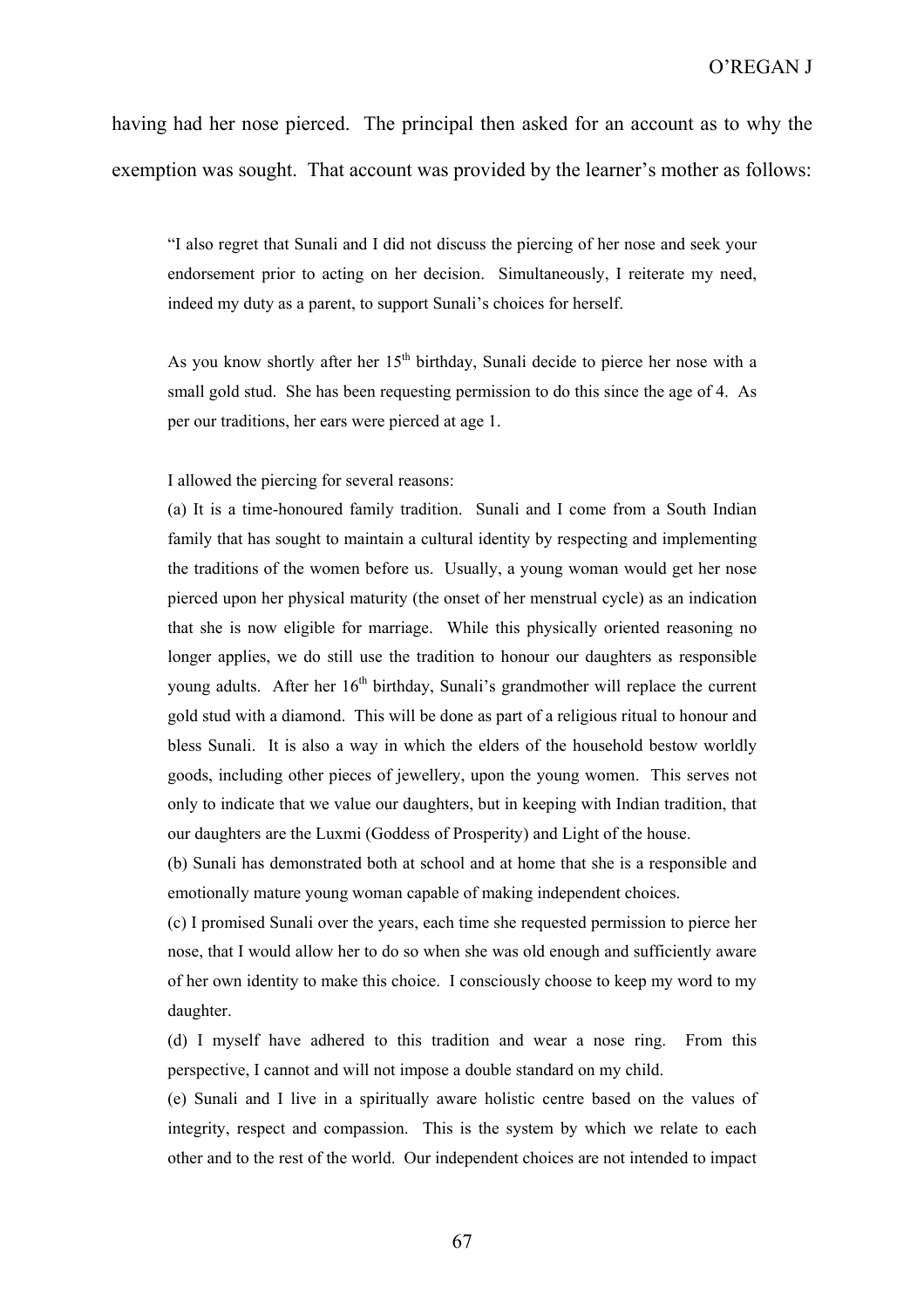having had her nose pierced. The principal then asked for an account as to why the exemption was sought. That account was provided by the learner's mother as follows:

"I also regret that Sunali and I did not discuss the piercing of her nose and seek your endorsement prior to acting on her decision. Simultaneously, I reiterate my need, indeed my duty as a parent, to support Sunali's choices for herself.

As you know shortly after her  $15<sup>th</sup>$  birthday, Sunali decide to pierce her nose with a small gold stud. She has been requesting permission to do this since the age of 4. As per our traditions, her ears were pierced at age 1.

I allowed the piercing for several reasons:

(a) It is a time-honoured family tradition. Sunali and I come from a South Indian family that has sought to maintain a cultural identity by respecting and implementing the traditions of the women before us. Usually, a young woman would get her nose pierced upon her physical maturity (the onset of her menstrual cycle) as an indication that she is now eligible for marriage. While this physically oriented reasoning no longer applies, we do still use the tradition to honour our daughters as responsible young adults. After her  $16<sup>th</sup>$  birthday, Sunali's grandmother will replace the current gold stud with a diamond. This will be done as part of a religious ritual to honour and bless Sunali. It is also a way in which the elders of the household bestow worldly goods, including other pieces of jewellery, upon the young women. This serves not only to indicate that we value our daughters, but in keeping with Indian tradition, that our daughters are the Luxmi (Goddess of Prosperity) and Light of the house.

(b) Sunali has demonstrated both at school and at home that she is a responsible and emotionally mature young woman capable of making independent choices.

(c) I promised Sunali over the years, each time she requested permission to pierce her nose, that I would allow her to do so when she was old enough and sufficiently aware of her own identity to make this choice. I consciously choose to keep my word to my daughter.

(d) I myself have adhered to this tradition and wear a nose ring. From this perspective, I cannot and will not impose a double standard on my child.

(e) Sunali and I live in a spiritually aware holistic centre based on the values of integrity, respect and compassion. This is the system by which we relate to each other and to the rest of the world. Our independent choices are not intended to impact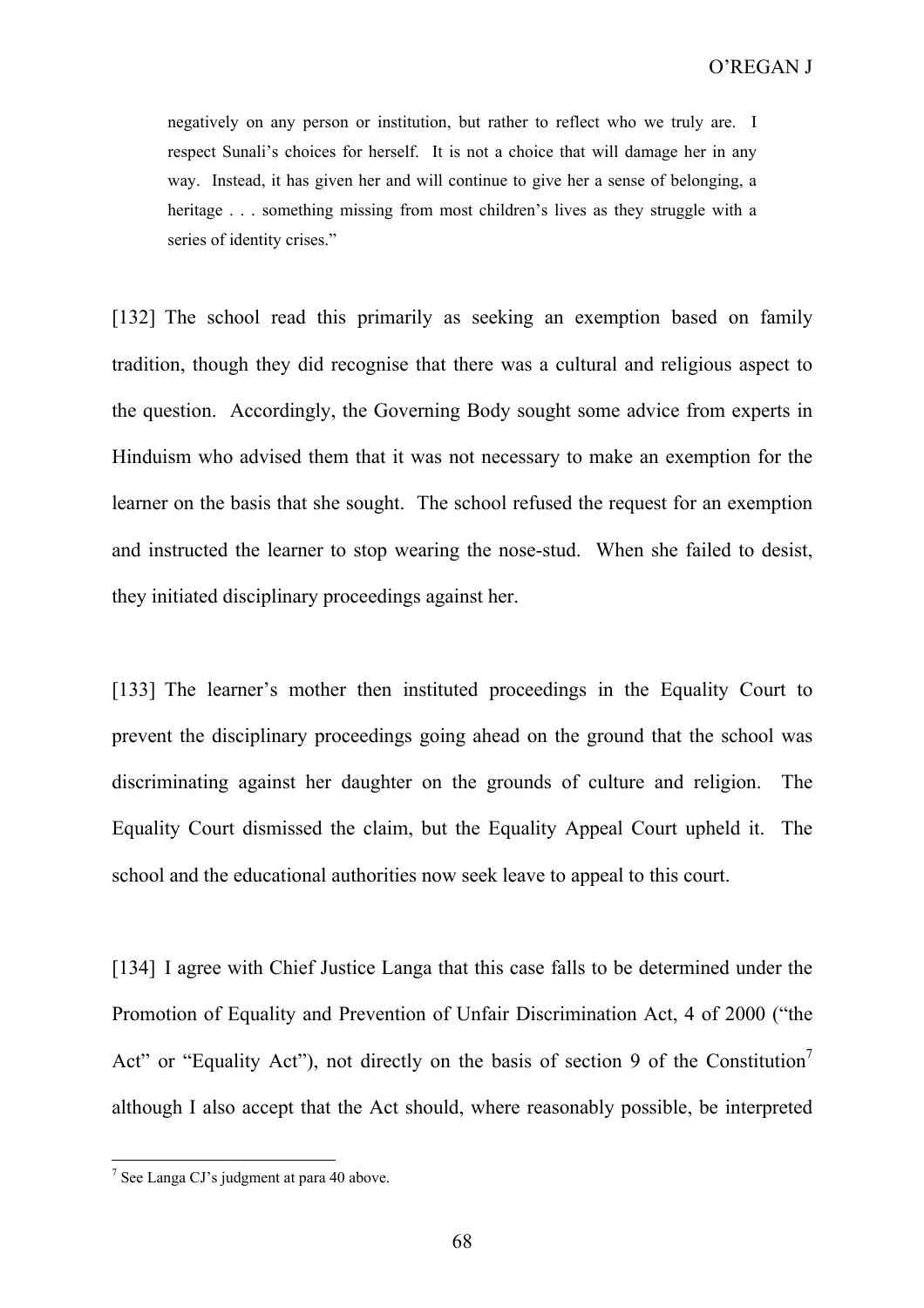negatively on any person or institution, but rather to reflect who we truly are. I respect Sunali's choices for herself. It is not a choice that will damage her in any way. Instead, it has given her and will continue to give her a sense of belonging, a heritage . . . something missing from most children's lives as they struggle with a series of identity crises."

[132] The school read this primarily as seeking an exemption based on family tradition, though they did recognise that there was a cultural and religious aspect to the question. Accordingly, the Governing Body sought some advice from experts in Hinduism who advised them that it was not necessary to make an exemption for the learner on the basis that she sought. The school refused the request for an exemption and instructed the learner to stop wearing the nose-stud. When she failed to desist, they initiated disciplinary proceedings against her.

[133] The learner's mother then instituted proceedings in the Equality Court to prevent the disciplinary proceedings going ahead on the ground that the school was discriminating against her daughter on the grounds of culture and religion. The Equality Court dismissed the claim, but the Equality Appeal Court upheld it. The school and the educational authorities now seek leave to appeal to this court.

[134] I agree with Chief Justice Langa that this case falls to be determined under the Promotion of Equality and Prevention of Unfair Discrimination Act, 4 of 2000 ("the Act" or "Equality Act"), not directly on the basis of section 9 of the Constitution<sup>7</sup> although I also accept that the Act should, where reasonably possible, be interpreted

<sup>&</sup>lt;sup>7</sup> See Langa CJ's judgment at para 40 above.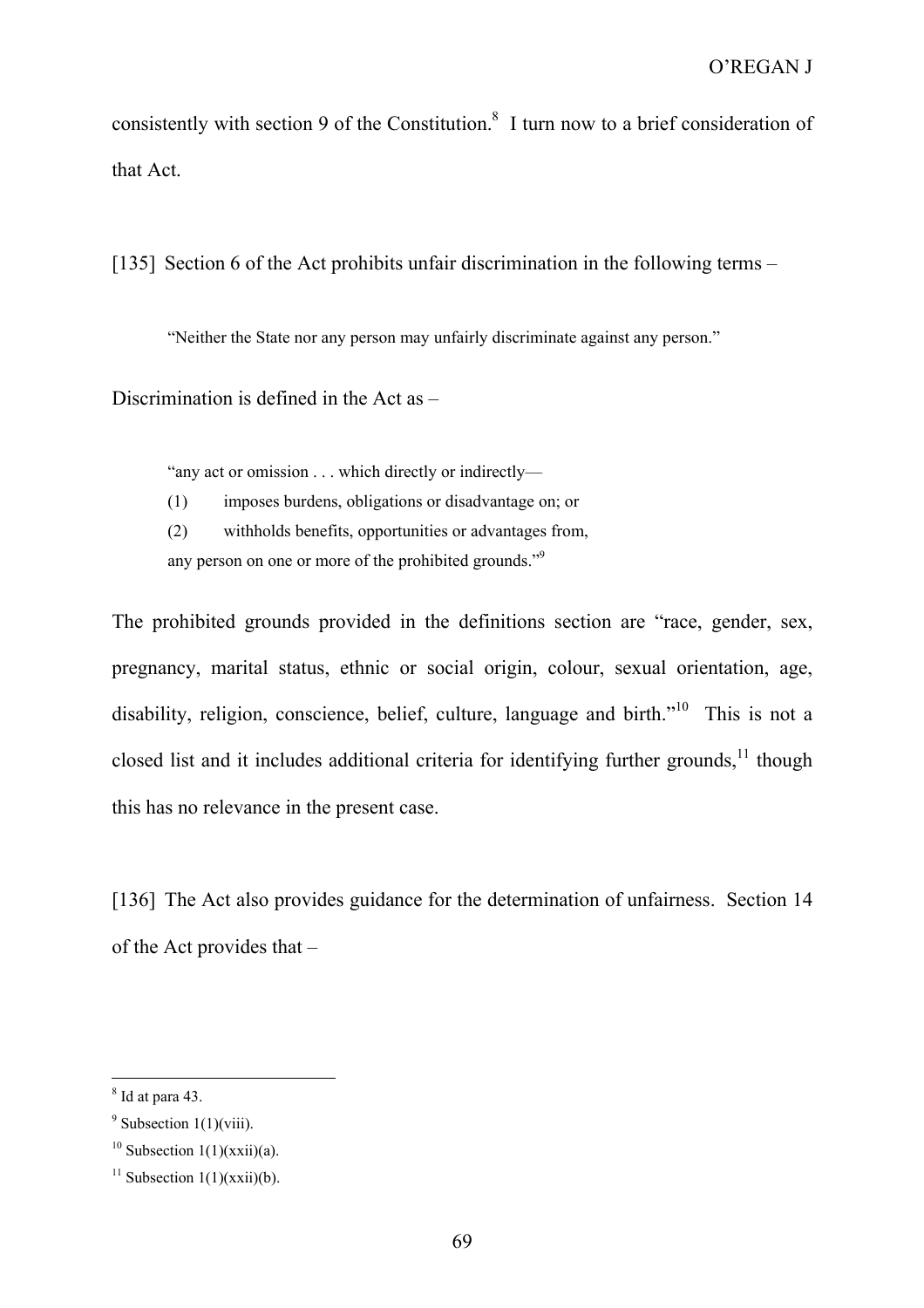consistently with section 9 of the Constitution.<sup>8</sup> I turn now to a brief consideration of that Act.

[135] Section 6 of the Act prohibits unfair discrimination in the following terms –

"Neither the State nor any person may unfairly discriminate against any person."

Discrimination is defined in the Act as –

"any act or omission . . . which directly or indirectly—

(1) imposes burdens, obligations or disadvantage on; or

(2) withholds benefits, opportunities or advantages from,

any person on one or more of the prohibited grounds."<sup>9</sup>

The prohibited grounds provided in the definitions section are "race, gender, sex, pregnancy, marital status, ethnic or social origin, colour, sexual orientation, age, disability, religion, conscience, belief, culture, language and birth. $10^1$  This is not a closed list and it includes additional criteria for identifying further grounds,  $11$  though this has no relevance in the present case.

[136] The Act also provides guidance for the determination of unfairness. Section 14 of the Act provides that –

 $<sup>8</sup>$  Id at para 43.</sup>

<sup>&</sup>lt;sup>9</sup> Subsection 1(1)(viii).

<sup>&</sup>lt;sup>10</sup> Subsection  $1(1)(xxii)(a)$ .

<sup>&</sup>lt;sup>11</sup> Subsection  $1(1)(xxii)(b)$ .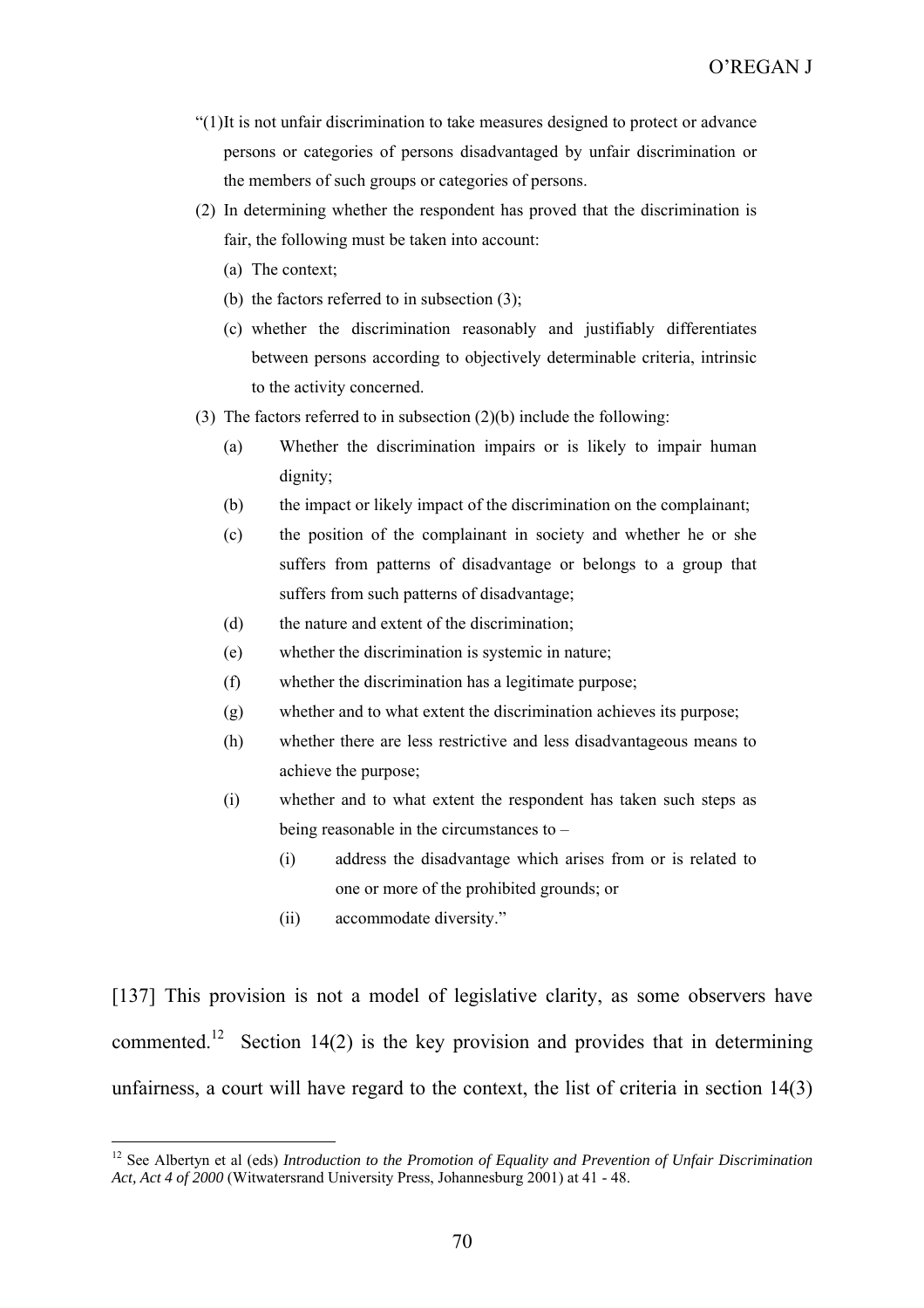- "(1) It is not unfair discrimination to take measures designed to protect or advance persons or categories of persons disadvantaged by unfair discrimination or the members of such groups or categories of persons.
- (2) In determining whether the respondent has proved that the discrimination is fair, the following must be taken into account:
	- (a) The context;
	- (b) the factors referred to in subsection (3);
	- (c) whether the discrimination reasonably and justifiably differentiates between persons according to objectively determinable criteria, intrinsic to the activity concerned.
- (3) The factors referred to in subsection (2)(b) include the following:
	- (a) Whether the discrimination impairs or is likely to impair human dignity;
	- (b) the impact or likely impact of the discrimination on the complainant;
	- (c) the position of the complainant in society and whether he or she suffers from patterns of disadvantage or belongs to a group that suffers from such patterns of disadvantage;
	- (d) the nature and extent of the discrimination;
	- (e) whether the discrimination is systemic in nature;
	- (f) whether the discrimination has a legitimate purpose;
	- (g) whether and to what extent the discrimination achieves its purpose;
	- (h) whether there are less restrictive and less disadvantageous means to achieve the purpose;
	- (i) whether and to what extent the respondent has taken such steps as being reasonable in the circumstances to –
		- (i) address the disadvantage which arises from or is related to one or more of the prohibited grounds; or
		- (ii) accommodate diversity."

 $\overline{a}$ 

[137] This provision is not a model of legislative clarity, as some observers have commented.<sup>12</sup> Section 14(2) is the key provision and provides that in determining unfairness, a court will have regard to the context, the list of criteria in section 14(3)

<sup>&</sup>lt;sup>12</sup> See Albertyn et al (eds) *Introduction to the Promotion of Equality and Prevention of Unfair Discrimination Act, Act 4 of 2000* (Witwatersrand University Press, Johannesburg 2001) at 41 - 48.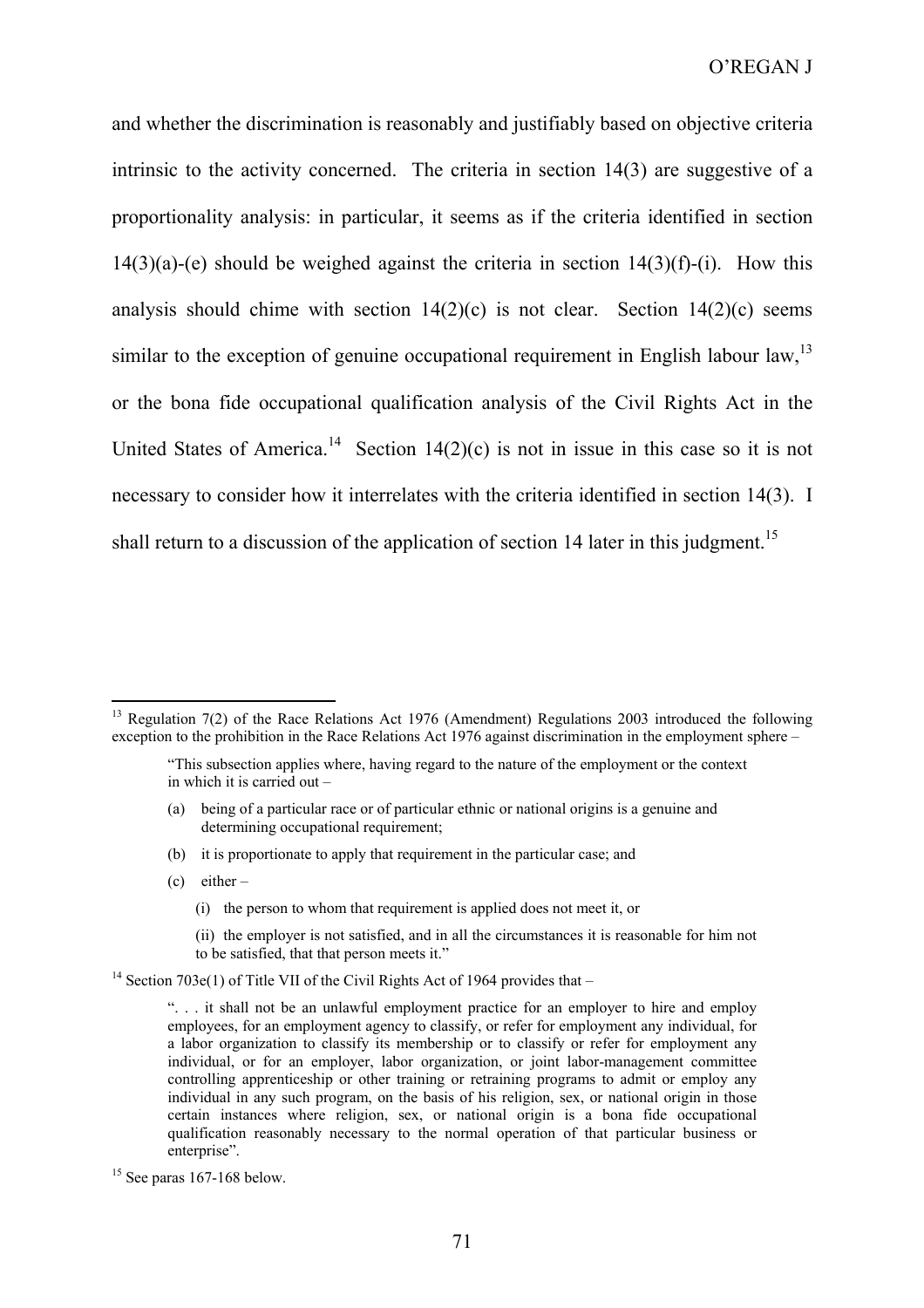and whether the discrimination is reasonably and justifiably based on objective criteria intrinsic to the activity concerned. The criteria in section 14(3) are suggestive of a proportionality analysis: in particular, it seems as if the criteria identified in section  $14(3)(a)-(e)$  should be weighed against the criteria in section  $14(3)(f)-(i)$ . How this analysis should chime with section  $14(2)(c)$  is not clear. Section  $14(2)(c)$  seems similar to the exception of genuine occupational requirement in English labour law,  $13$ or the bona fide occupational qualification analysis of the Civil Rights Act in the United States of America.<sup>14</sup> Section 14(2)(c) is not in issue in this case so it is not necessary to consider how it interrelates with the criteria identified in section 14(3). I shall return to a discussion of the application of section 14 later in this judgment.<sup>15</sup>

- (a) being of a particular race or of particular ethnic or national origins is a genuine and determining occupational requirement:
- (b) it is proportionate to apply that requirement in the particular case; and
- $(c)$  either –

- (i) the person to whom that requirement is applied does not meet it, or
- (ii) the employer is not satisfied, and in all the circumstances it is reasonable for him not to be satisfied, that that person meets it."
- <sup>14</sup> Section 703e(1) of Title VII of the Civil Rights Act of 1964 provides that –

<sup>&</sup>lt;sup>13</sup> Regulation 7(2) of the Race Relations Act 1976 (Amendment) Regulations 2003 introduced the following exception to the prohibition in the Race Relations Act 1976 against discrimination in the employment sphere –

<sup>&</sup>quot;This subsection applies where, having regard to the nature of the employment or the context in which it is carried out –

<sup>&</sup>quot;. . . it shall not be an unlawful employment practice for an employer to hire and employ employees, for an employment agency to classify, or refer for employment any individual, for a labor organization to classify its membership or to classify or refer for employment any individual, or for an employer, labor organization, or joint labor-management committee controlling apprenticeship or other training or retraining programs to admit or employ any individual in any such program, on the basis of his religion, sex, or national origin in those certain instances where religion, sex, or national origin is a bona fide occupational qualification reasonably necessary to the normal operation of that particular business or enterprise".

 $15$  See paras 167-168 below.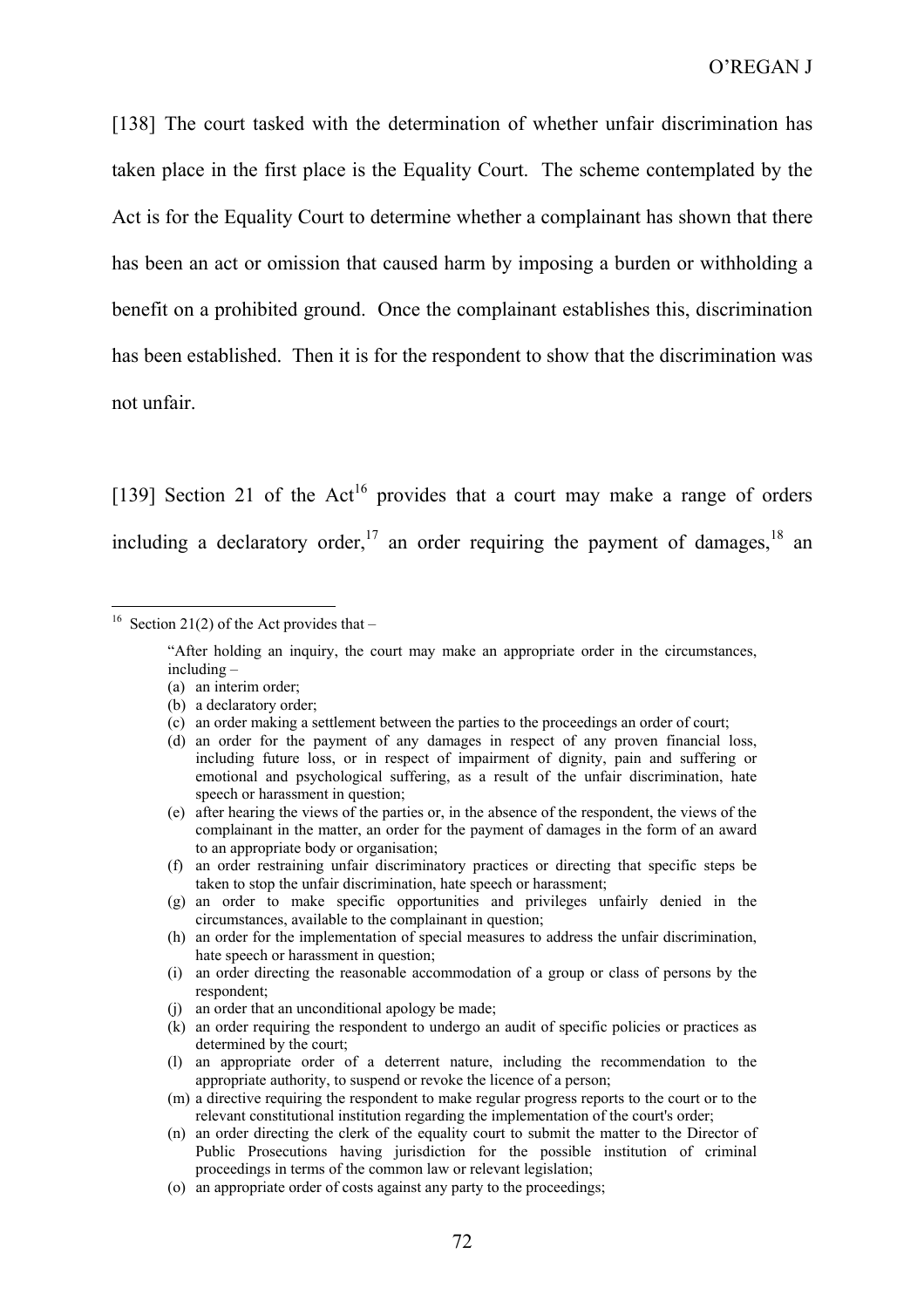[138] The court tasked with the determination of whether unfair discrimination has taken place in the first place is the Equality Court. The scheme contemplated by the Act is for the Equality Court to determine whether a complainant has shown that there has been an act or omission that caused harm by imposing a burden or withholding a benefit on a prohibited ground. Once the complainant establishes this, discrimination has been established. Then it is for the respondent to show that the discrimination was not unfair.

[139] Section 21 of the  $Act^{16}$  provides that a court may make a range of orders including a declaratory order,  $17$  an order requiring the payment of damages,  $18$  an

<sup>16</sup> Section 21(2) of the Act provides that –

- (a) an interim order;
- (b) a declaratory order;
- (c) an order making a settlement between the parties to the proceedings an order of court;
- (d) an order for the payment of any damages in respect of any proven financial loss, including future loss, or in respect of impairment of dignity, pain and suffering or emotional and psychological suffering, as a result of the unfair discrimination, hate speech or harassment in question;
- (e) after hearing the views of the parties or, in the absence of the respondent, the views of the complainant in the matter, an order for the payment of damages in the form of an award to an appropriate body or organisation;
- (f) an order restraining unfair discriminatory practices or directing that specific steps be taken to stop the unfair discrimination, hate speech or harassment;
- (g) an order to make specific opportunities and privileges unfairly denied in the circumstances, available to the complainant in question;
- (h) an order for the implementation of special measures to address the unfair discrimination, hate speech or harassment in question;
- (i) an order directing the reasonable accommodation of a group or class of persons by the respondent;
- (j) an order that an unconditional apology be made;
- (k) an order requiring the respondent to undergo an audit of specific policies or practices as determined by the court;
- (l) an appropriate order of a deterrent nature, including the recommendation to the appropriate authority, to suspend or revoke the licence of a person;
- (m) a directive requiring the respondent to make regular progress reports to the court or to the relevant constitutional institution regarding the implementation of the court's order;
- (n) an order directing the clerk of the equality court to submit the matter to the Director of Public Prosecutions having jurisdiction for the possible institution of criminal proceedings in terms of the common law or relevant legislation;
- (o) an appropriate order of costs against any party to the proceedings;

<sup>&</sup>quot;After holding an inquiry, the court may make an appropriate order in the circumstances, including –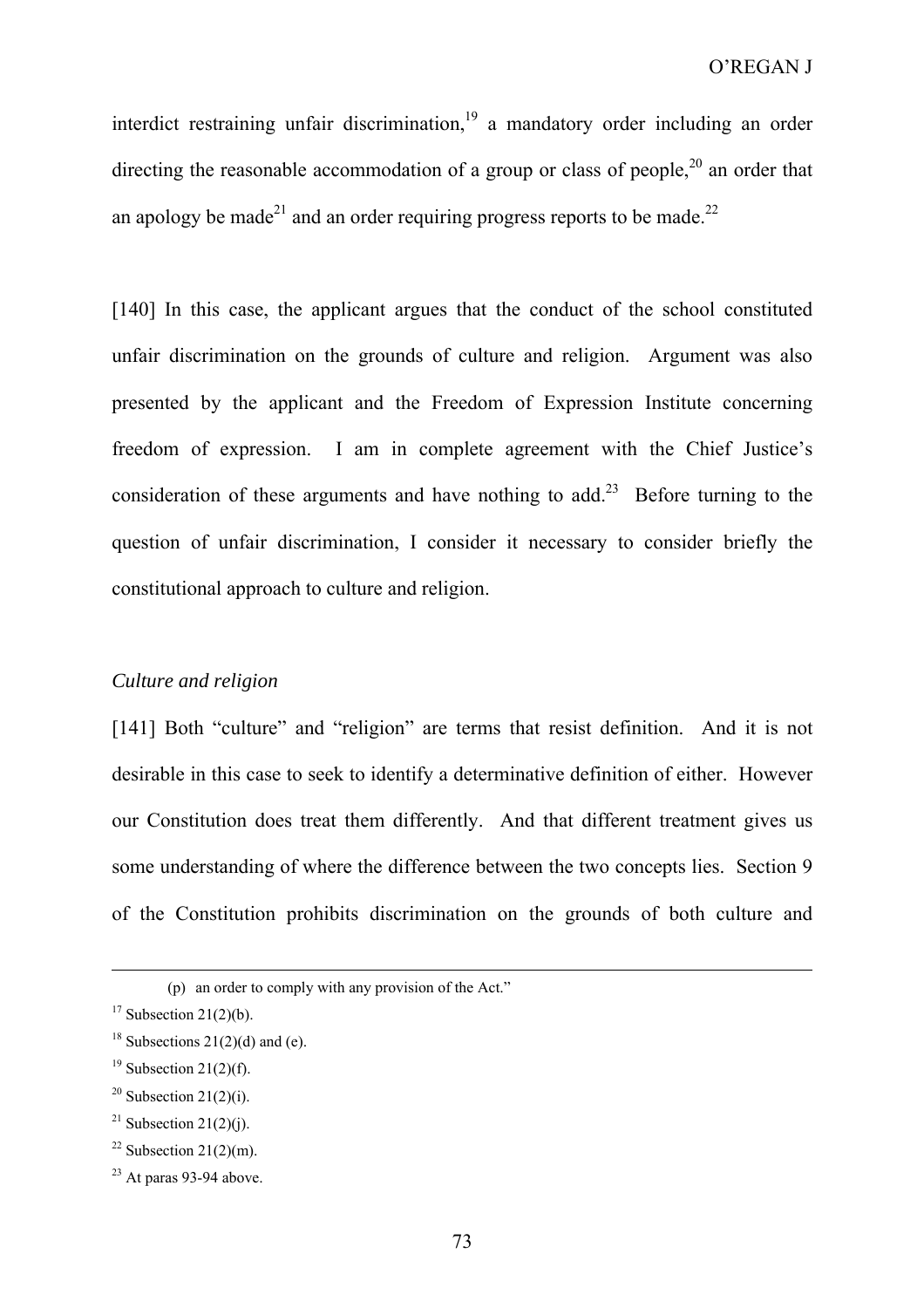interdict restraining unfair discrimination,<sup>19</sup> a mandatory order including an order directing the reasonable accommodation of a group or class of people,  $2<sup>0</sup>$  an order that an apology be made<sup>21</sup> and an order requiring progress reports to be made.<sup>22</sup>

[140] In this case, the applicant argues that the conduct of the school constituted unfair discrimination on the grounds of culture and religion. Argument was also presented by the applicant and the Freedom of Expression Institute concerning freedom of expression. I am in complete agreement with the Chief Justice's consideration of these arguments and have nothing to add.<sup>23</sup> Before turning to the question of unfair discrimination, I consider it necessary to consider briefly the constitutional approach to culture and religion.

## *Culture and religion*

[141] Both "culture" and "religion" are terms that resist definition. And it is not desirable in this case to seek to identify a determinative definition of either. However our Constitution does treat them differently. And that different treatment gives us some understanding of where the difference between the two concepts lies. Section 9 of the Constitution prohibits discrimination on the grounds of both culture and

 <sup>(</sup>p) an order to comply with any provision of the Act."

<sup>&</sup>lt;sup>17</sup> Subsection 21(2)(b).

<sup>&</sup>lt;sup>18</sup> Subsections  $21(2)(d)$  and (e).

 $19$  Subsection 21(2)(f).

<sup>&</sup>lt;sup>20</sup> Subsection 21(2)(i).

<sup>&</sup>lt;sup>21</sup> Subsection 21(2)(j).

<sup>&</sup>lt;sup>22</sup> Subsection  $21(2)(m)$ .

 $23$  At paras 93-94 above.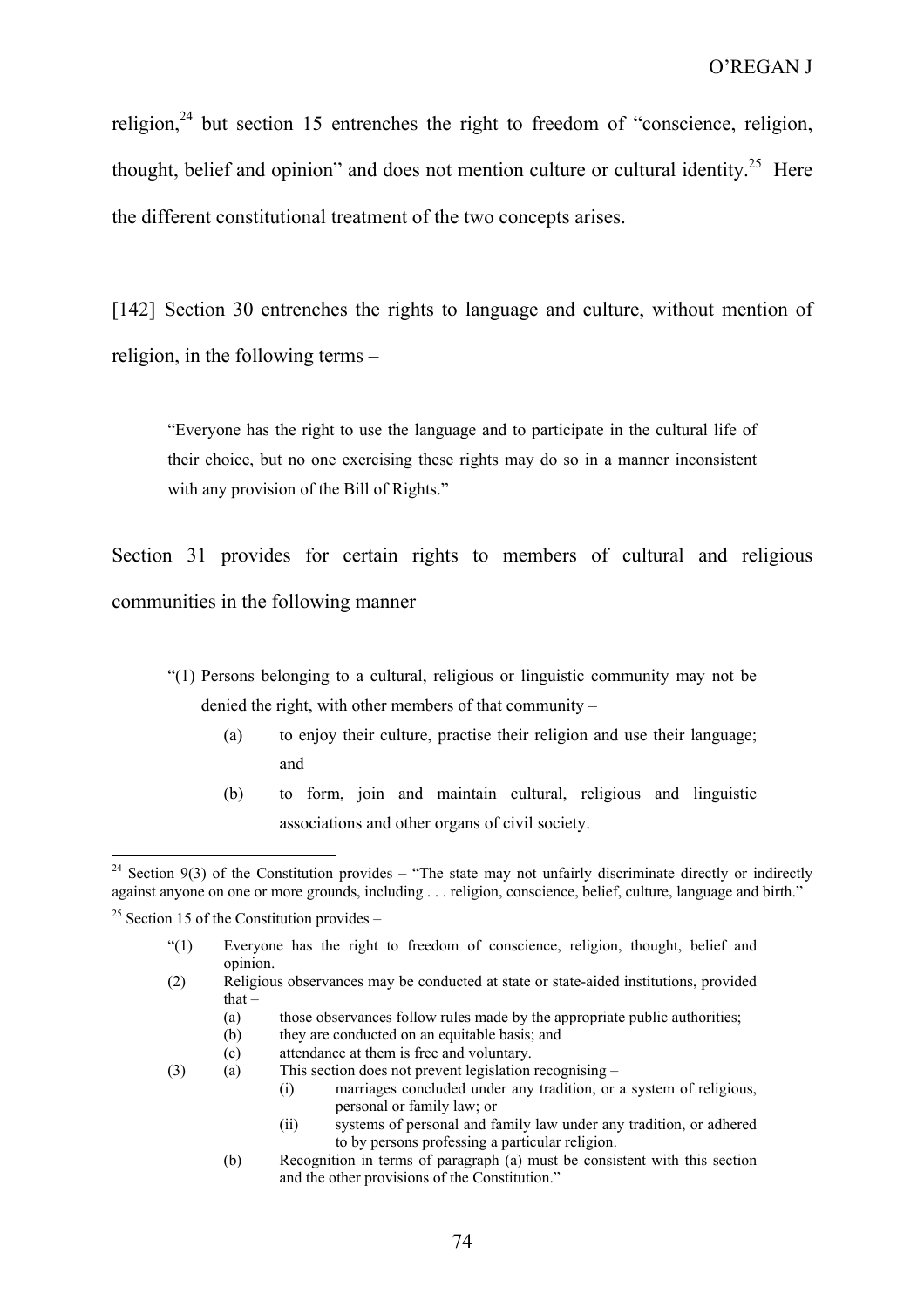religion, $^{24}$  but section 15 entrenches the right to freedom of "conscience, religion, thought, belief and opinion" and does not mention culture or cultural identity.<sup>25</sup> Here the different constitutional treatment of the two concepts arises.

[142] Section 30 entrenches the rights to language and culture, without mention of religion, in the following terms –

"Everyone has the right to use the language and to participate in the cultural life of their choice, but no one exercising these rights may do so in a manner inconsistent with any provision of the Bill of Rights."

Section 31 provides for certain rights to members of cultural and religious communities in the following manner –

- "(1) Persons belonging to a cultural, religious or linguistic community may not be denied the right, with other members of that community –
	- (a) to enjoy their culture, practise their religion and use their language; and
	- (b) to form, join and maintain cultural, religious and linguistic associations and other organs of civil society.

- (2) Religious observances may be conducted at state or state-aided institutions, provided that  $-$ 
	- (a) those observances follow rules made by the appropriate public authorities;
	- (b) they are conducted on an equitable basis; and
	- (c) attendance at them is free and voluntary.
- (3) (a) This section does not prevent legislation recognising
	- (i) marriages concluded under any tradition, or a system of religious, personal or family law; or
	- (ii) systems of personal and family law under any tradition, or adhered to by persons professing a particular religion.
	- (b) Recognition in terms of paragraph (a) must be consistent with this section and the other provisions of the Constitution."

<sup>&</sup>lt;sup>24</sup> Section 9(3) of the Constitution provides – "The state may not unfairly discriminate directly or indirectly against anyone on one or more grounds, including . . . religion, conscience, belief, culture, language and birth."

<sup>&</sup>lt;sup>25</sup> Section 15 of the Constitution provides –

<sup>&</sup>quot;(1) Everyone has the right to freedom of conscience, religion, thought, belief and opinion.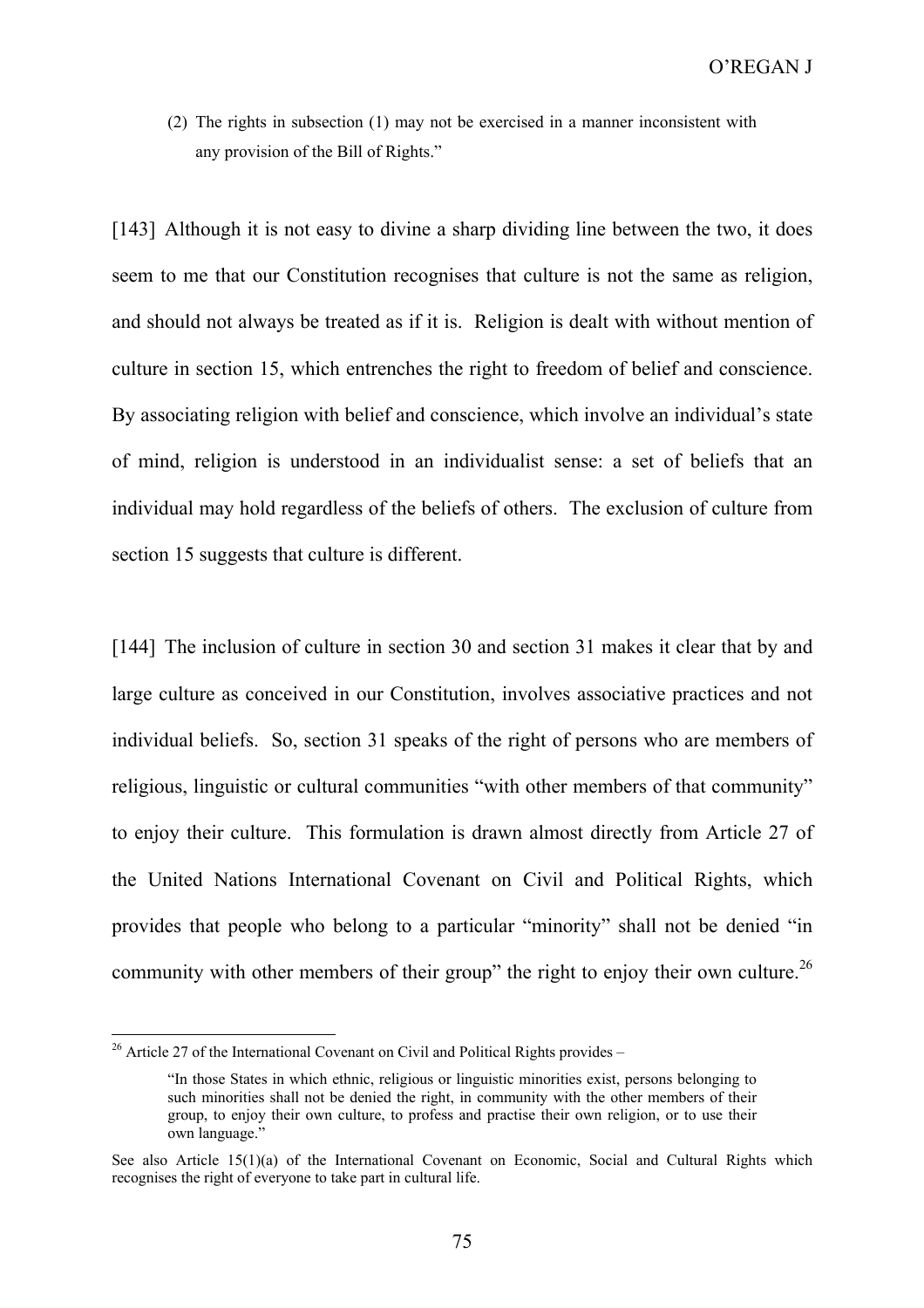(2) The rights in subsection (1) may not be exercised in a manner inconsistent with any provision of the Bill of Rights."

[143] Although it is not easy to divine a sharp dividing line between the two, it does seem to me that our Constitution recognises that culture is not the same as religion, and should not always be treated as if it is. Religion is dealt with without mention of culture in section 15, which entrenches the right to freedom of belief and conscience. By associating religion with belief and conscience, which involve an individual's state of mind, religion is understood in an individualist sense: a set of beliefs that an individual may hold regardless of the beliefs of others. The exclusion of culture from section 15 suggests that culture is different.

[144] The inclusion of culture in section 30 and section 31 makes it clear that by and large culture as conceived in our Constitution, involves associative practices and not individual beliefs. So, section 31 speaks of the right of persons who are members of religious, linguistic or cultural communities "with other members of that community" to enjoy their culture. This formulation is drawn almost directly from Article 27 of the United Nations International Covenant on Civil and Political Rights, which provides that people who belong to a particular "minority" shall not be denied "in community with other members of their group" the right to enjoy their own culture.<sup>26</sup>

 $26$  Article 27 of the International Covenant on Civil and Political Rights provides –

<sup>&</sup>quot;In those States in which ethnic, religious or linguistic minorities exist, persons belonging to such minorities shall not be denied the right, in community with the other members of their group, to enjoy their own culture, to profess and practise their own religion, or to use their own language."

See also Article 15(1)(a) of the International Covenant on Economic, Social and Cultural Rights which recognises the right of everyone to take part in cultural life.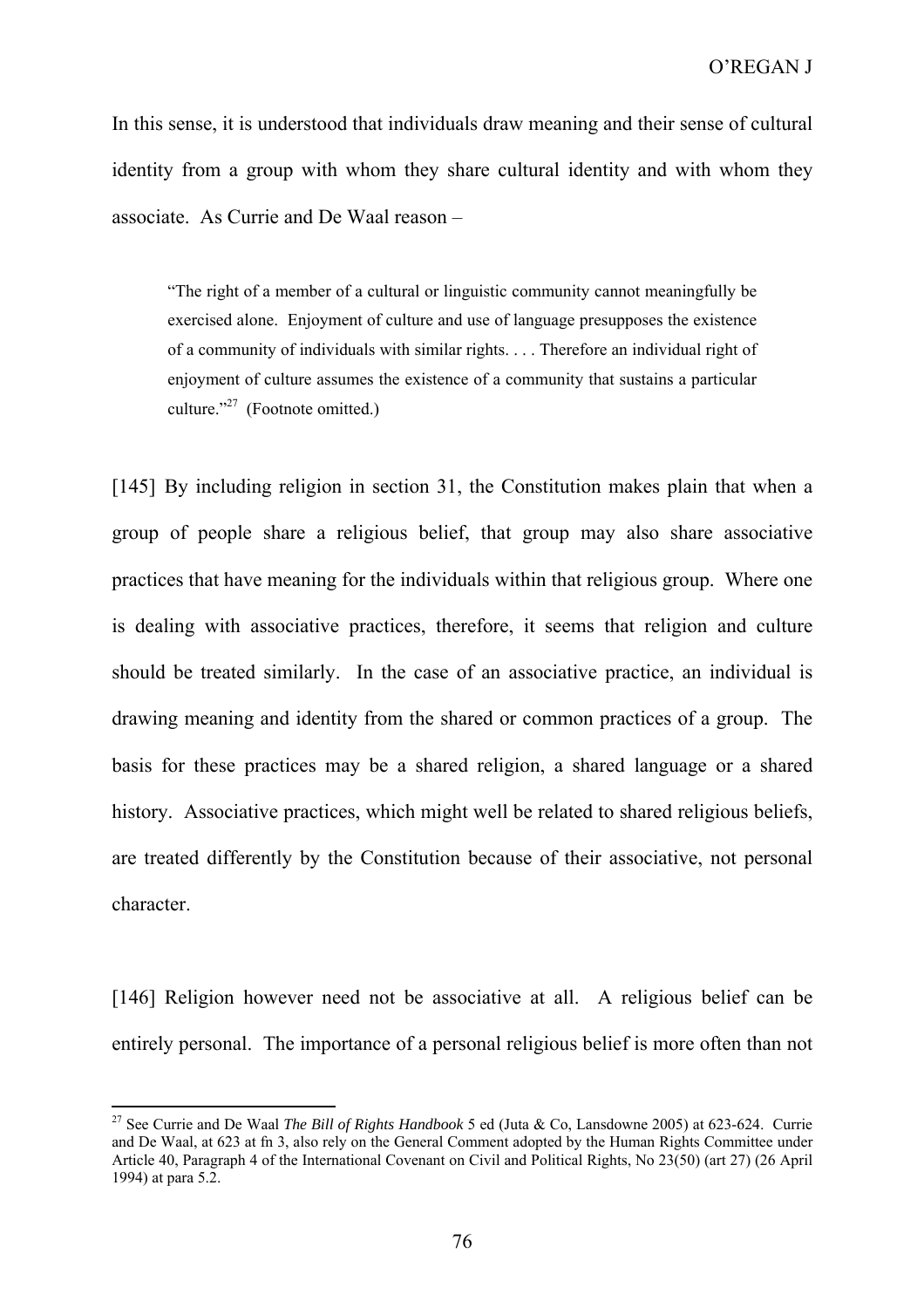In this sense, it is understood that individuals draw meaning and their sense of cultural identity from a group with whom they share cultural identity and with whom they associate. As Currie and De Waal reason –

"The right of a member of a cultural or linguistic community cannot meaningfully be exercised alone. Enjoyment of culture and use of language presupposes the existence of a community of individuals with similar rights. . . . Therefore an individual right of enjoyment of culture assumes the existence of a community that sustains a particular culture."27 (Footnote omitted.)

[145] By including religion in section 31, the Constitution makes plain that when a group of people share a religious belief, that group may also share associative practices that have meaning for the individuals within that religious group. Where one is dealing with associative practices, therefore, it seems that religion and culture should be treated similarly. In the case of an associative practice, an individual is drawing meaning and identity from the shared or common practices of a group. The basis for these practices may be a shared religion, a shared language or a shared history. Associative practices, which might well be related to shared religious beliefs, are treated differently by the Constitution because of their associative, not personal character.

[146] Religion however need not be associative at all. A religious belief can be entirely personal. The importance of a personal religious belief is more often than not

<sup>27</sup> See Currie and De Waal *The Bill of Rights Handbook* 5 ed (Juta & Co, Lansdowne 2005) at 623-624. Currie and De Waal, at 623 at fn 3, also rely on the General Comment adopted by the Human Rights Committee under Article 40, Paragraph 4 of the International Covenant on Civil and Political Rights, No 23(50) (art 27) (26 April 1994) at para 5.2.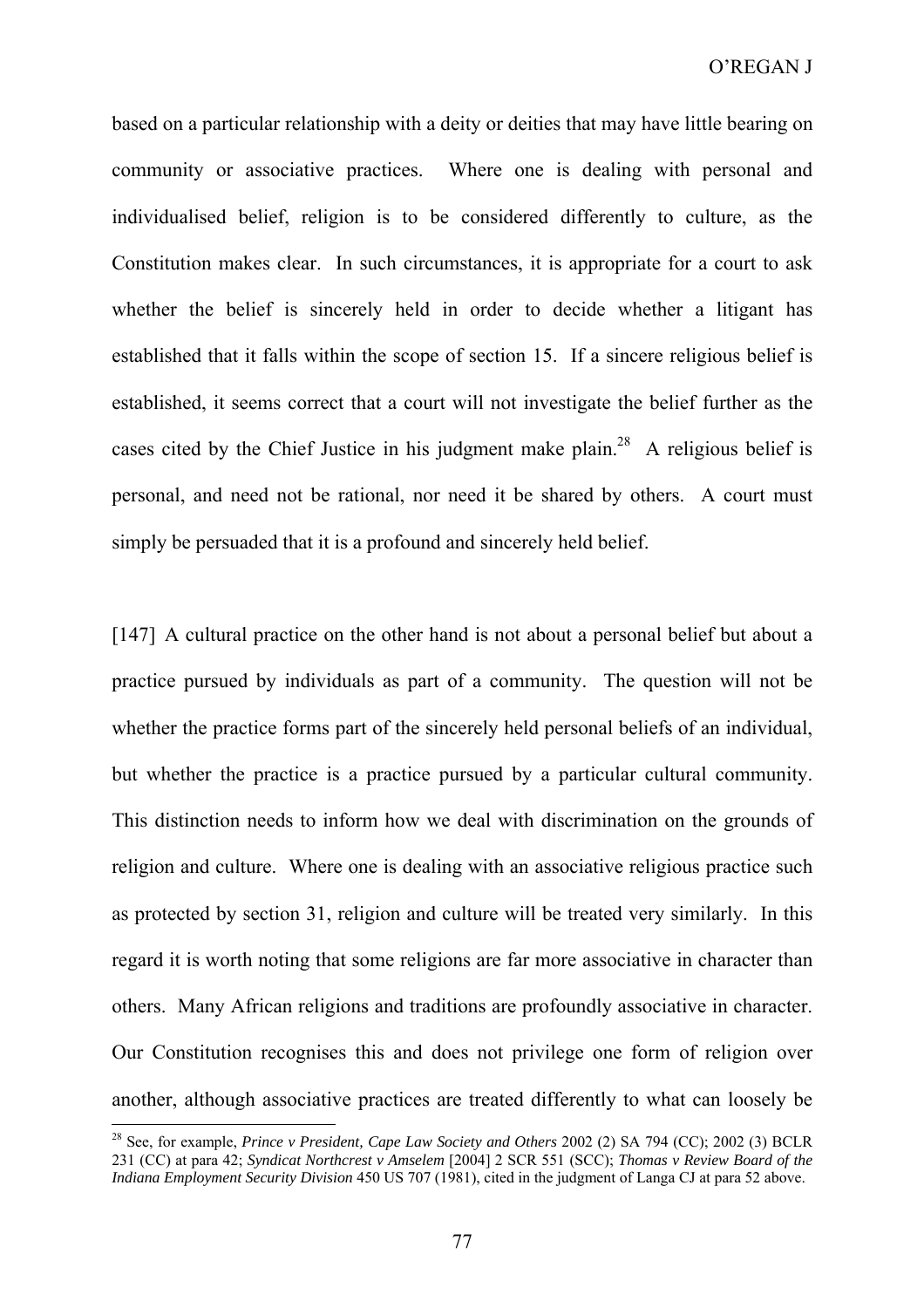based on a particular relationship with a deity or deities that may have little bearing on community or associative practices. Where one is dealing with personal and individualised belief, religion is to be considered differently to culture, as the Constitution makes clear. In such circumstances, it is appropriate for a court to ask whether the belief is sincerely held in order to decide whether a litigant has established that it falls within the scope of section 15. If a sincere religious belief is established, it seems correct that a court will not investigate the belief further as the cases cited by the Chief Justice in his judgment make plain.<sup>28</sup> A religious belief is personal, and need not be rational, nor need it be shared by others. A court must simply be persuaded that it is a profound and sincerely held belief.

[147] A cultural practice on the other hand is not about a personal belief but about a practice pursued by individuals as part of a community. The question will not be whether the practice forms part of the sincerely held personal beliefs of an individual. but whether the practice is a practice pursued by a particular cultural community. This distinction needs to inform how we deal with discrimination on the grounds of religion and culture. Where one is dealing with an associative religious practice such as protected by section 31, religion and culture will be treated very similarly. In this regard it is worth noting that some religions are far more associative in character than others. Many African religions and traditions are profoundly associative in character. Our Constitution recognises this and does not privilege one form of religion over another, although associative practices are treated differently to what can loosely be

<sup>28</sup> See, for example, *Prince v President, Cape Law Society and Others* 2002 (2) SA 794 (CC); 2002 (3) BCLR 231 (CC) at para 42; *Syndicat Northcrest v Amselem* [2004] 2 SCR 551 (SCC); *Thomas v Review Board of the Indiana Employment Security Division* 450 US 707 (1981), cited in the judgment of Langa CJ at para 52 above.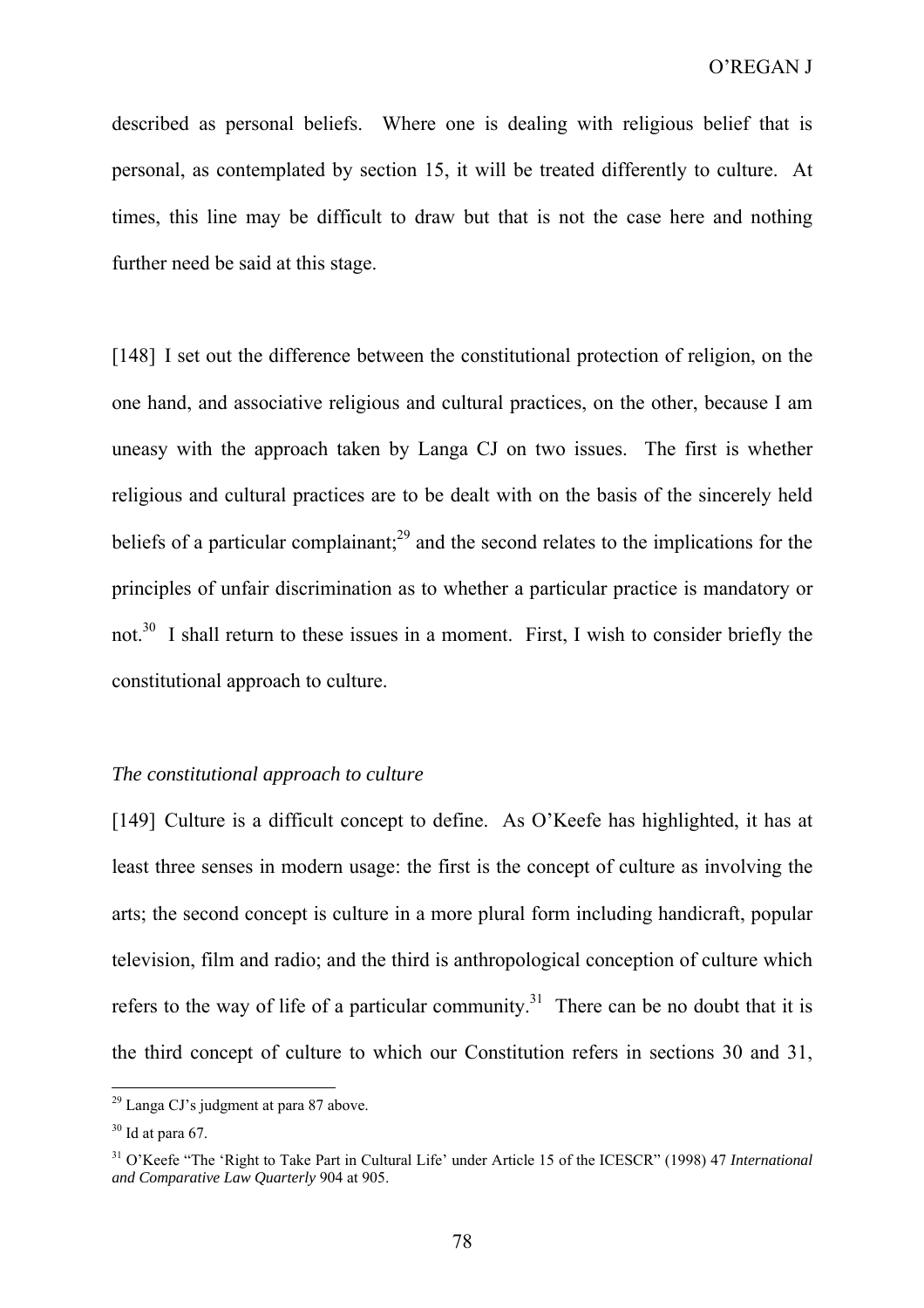described as personal beliefs. Where one is dealing with religious belief that is personal, as contemplated by section 15, it will be treated differently to culture. At times, this line may be difficult to draw but that is not the case here and nothing further need be said at this stage.

[148] I set out the difference between the constitutional protection of religion, on the one hand, and associative religious and cultural practices, on the other, because I am uneasy with the approach taken by Langa CJ on two issues. The first is whether religious and cultural practices are to be dealt with on the basis of the sincerely held beliefs of a particular complainant;<sup>29</sup> and the second relates to the implications for the principles of unfair discrimination as to whether a particular practice is mandatory or not.<sup>30</sup> I shall return to these issues in a moment. First, I wish to consider briefly the constitutional approach to culture.

## *The constitutional approach to culture*

[149] Culture is a difficult concept to define. As O'Keefe has highlighted, it has at least three senses in modern usage: the first is the concept of culture as involving the arts; the second concept is culture in a more plural form including handicraft, popular television, film and radio; and the third is anthropological conception of culture which refers to the way of life of a particular community.<sup>31</sup> There can be no doubt that it is the third concept of culture to which our Constitution refers in sections 30 and 31,

 $29$  Langa CJ's judgment at para 87 above.

 $30$  Id at para 67.

<sup>31</sup> O'Keefe "The 'Right to Take Part in Cultural Life' under Article 15 of the ICESCR" (1998) 47 *International and Comparative Law Quarterly* 904 at 905.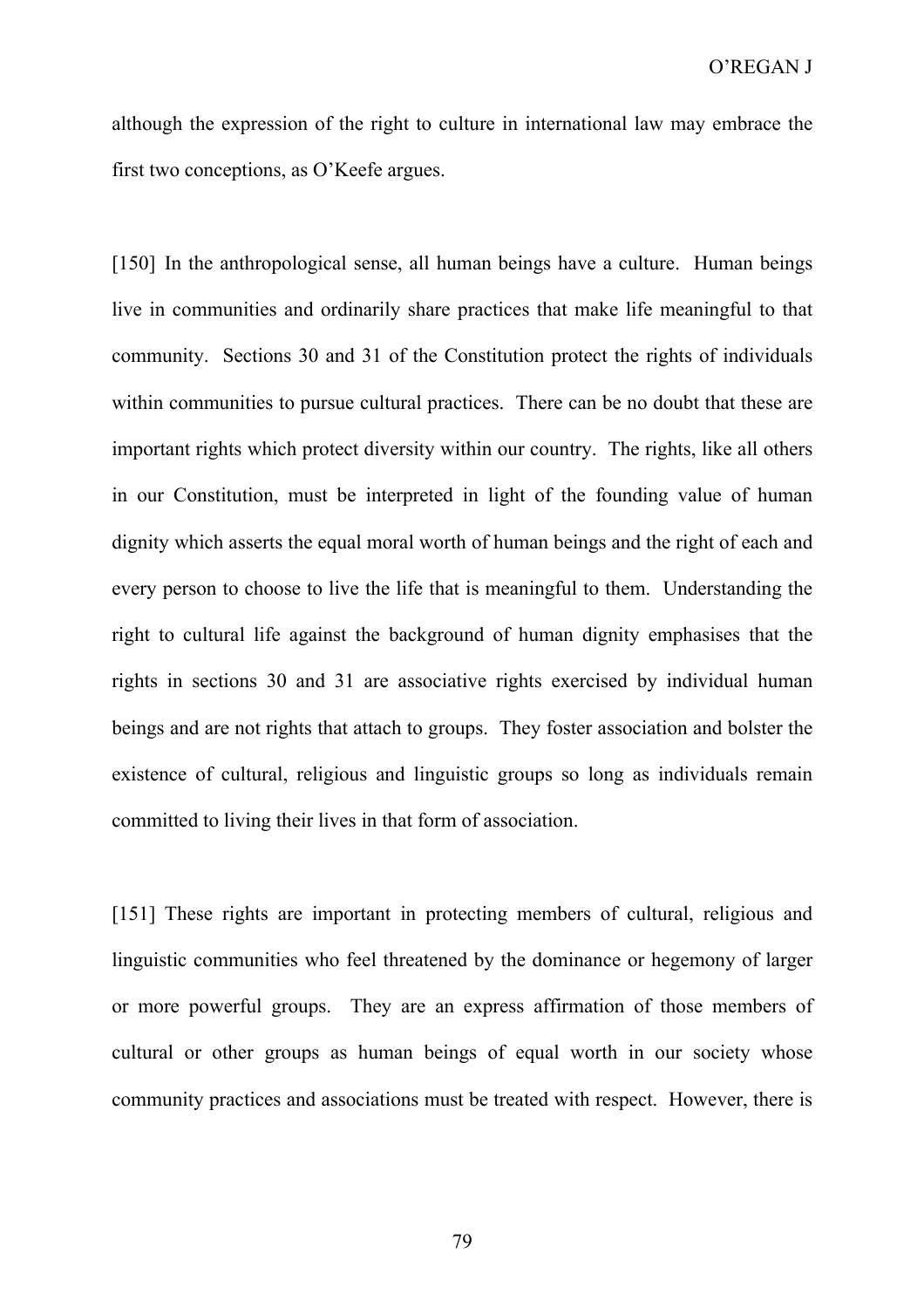although the expression of the right to culture in international law may embrace the first two conceptions, as O'Keefe argues.

[150] In the anthropological sense, all human beings have a culture. Human beings live in communities and ordinarily share practices that make life meaningful to that community. Sections 30 and 31 of the Constitution protect the rights of individuals within communities to pursue cultural practices. There can be no doubt that these are important rights which protect diversity within our country. The rights, like all others in our Constitution, must be interpreted in light of the founding value of human dignity which asserts the equal moral worth of human beings and the right of each and every person to choose to live the life that is meaningful to them. Understanding the right to cultural life against the background of human dignity emphasises that the rights in sections 30 and 31 are associative rights exercised by individual human beings and are not rights that attach to groups. They foster association and bolster the existence of cultural, religious and linguistic groups so long as individuals remain committed to living their lives in that form of association.

[151] These rights are important in protecting members of cultural, religious and linguistic communities who feel threatened by the dominance or hegemony of larger or more powerful groups. They are an express affirmation of those members of cultural or other groups as human beings of equal worth in our society whose community practices and associations must be treated with respect. However, there is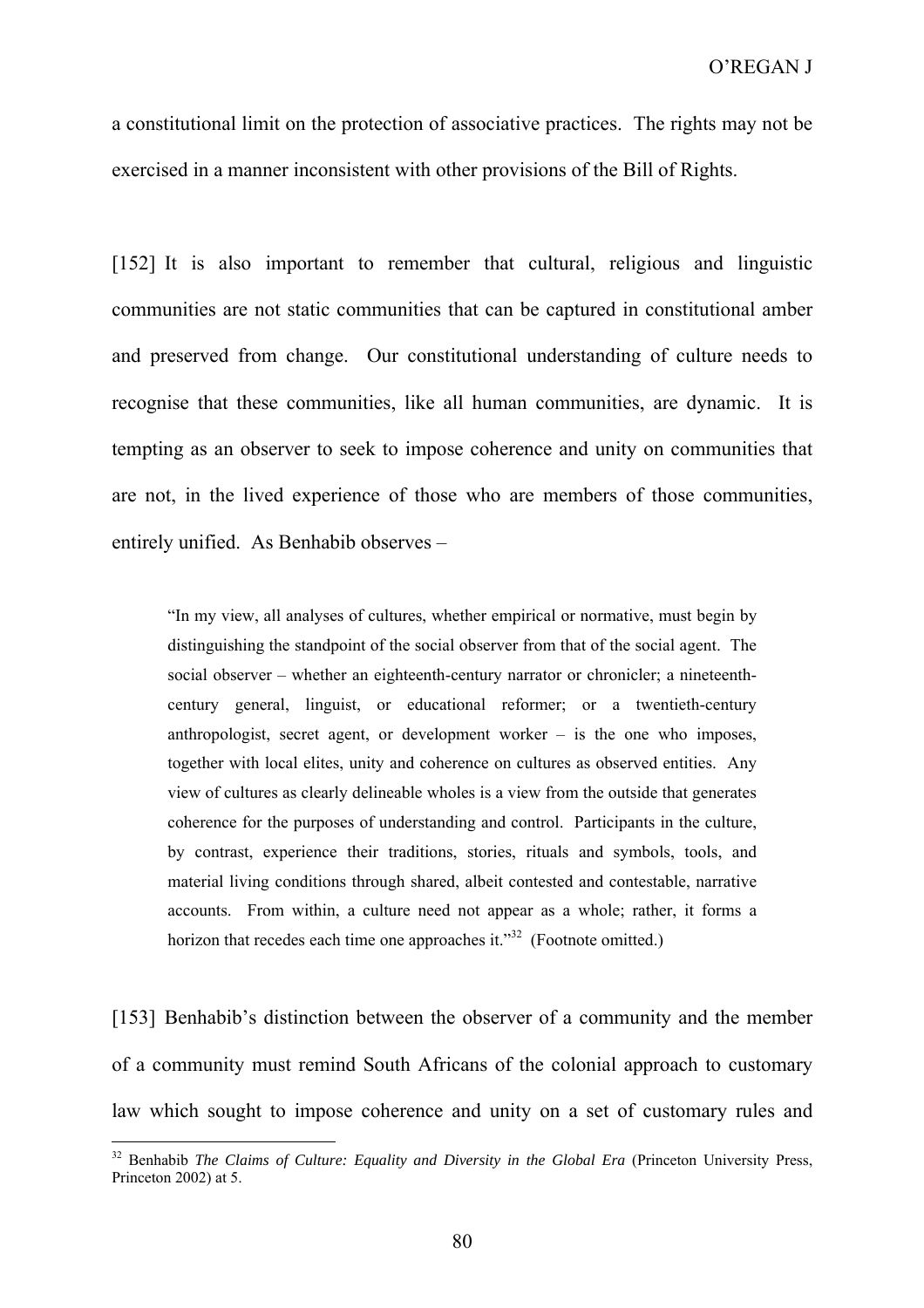a constitutional limit on the protection of associative practices. The rights may not be exercised in a manner inconsistent with other provisions of the Bill of Rights.

[152] It is also important to remember that cultural, religious and linguistic communities are not static communities that can be captured in constitutional amber and preserved from change. Our constitutional understanding of culture needs to recognise that these communities, like all human communities, are dynamic. It is tempting as an observer to seek to impose coherence and unity on communities that are not, in the lived experience of those who are members of those communities, entirely unified. As Benhabib observes –

"In my view, all analyses of cultures, whether empirical or normative, must begin by distinguishing the standpoint of the social observer from that of the social agent. The social observer – whether an eighteenth-century narrator or chronicler; a nineteenthcentury general, linguist, or educational reformer; or a twentieth-century anthropologist, secret agent, or development worker – is the one who imposes, together with local elites, unity and coherence on cultures as observed entities. Any view of cultures as clearly delineable wholes is a view from the outside that generates coherence for the purposes of understanding and control. Participants in the culture, by contrast, experience their traditions, stories, rituals and symbols, tools, and material living conditions through shared, albeit contested and contestable, narrative accounts. From within, a culture need not appear as a whole; rather, it forms a horizon that recedes each time one approaches it."<sup>32</sup> (Footnote omitted.)

[153] Benhabib's distinction between the observer of a community and the member of a community must remind South Africans of the colonial approach to customary law which sought to impose coherence and unity on a set of customary rules and

<sup>32</sup> Benhabib *The Claims of Culture: Equality and Diversity in the Global Era* (Princeton University Press, Princeton 2002) at 5.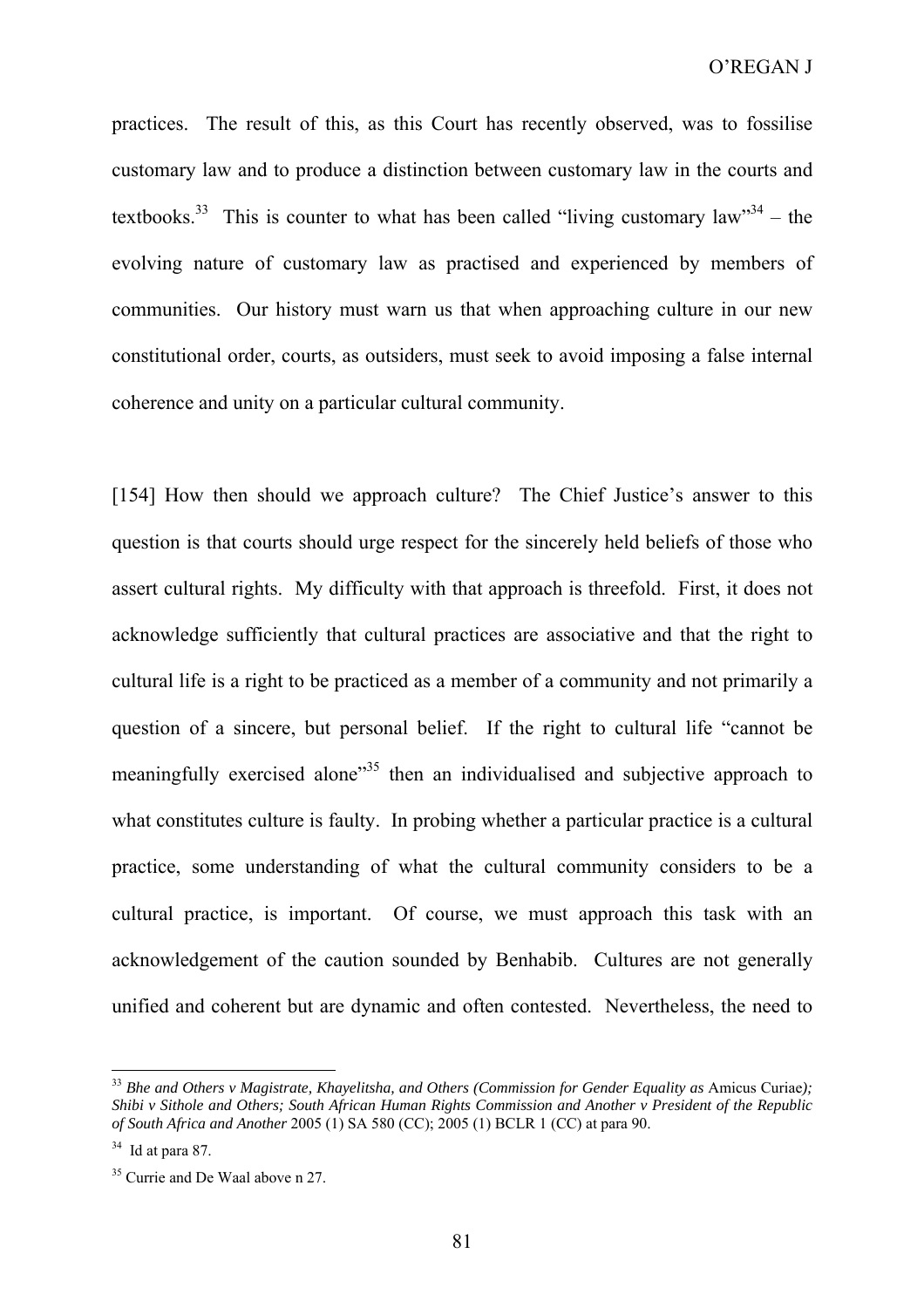practices. The result of this, as this Court has recently observed, was to fossilise customary law and to produce a distinction between customary law in the courts and textbooks.<sup>33</sup> This is counter to what has been called "living customary law"<sup>34</sup> – the evolving nature of customary law as practised and experienced by members of communities. Our history must warn us that when approaching culture in our new constitutional order, courts, as outsiders, must seek to avoid imposing a false internal coherence and unity on a particular cultural community.

[154] How then should we approach culture? The Chief Justice's answer to this question is that courts should urge respect for the sincerely held beliefs of those who assert cultural rights. My difficulty with that approach is threefold. First, it does not acknowledge sufficiently that cultural practices are associative and that the right to cultural life is a right to be practiced as a member of a community and not primarily a question of a sincere, but personal belief. If the right to cultural life "cannot be meaningfully exercised alone<sup>35</sup> then an individualised and subjective approach to what constitutes culture is faulty. In probing whether a particular practice is a cultural practice, some understanding of what the cultural community considers to be a cultural practice, is important. Of course, we must approach this task with an acknowledgement of the caution sounded by Benhabib. Cultures are not generally unified and coherent but are dynamic and often contested. Nevertheless, the need to

<sup>33</sup> *Bhe and Others v Magistrate, Khayelitsha, and Others (Commission for Gender Equality as* Amicus Curiae*); Shibi v Sithole and Others; South African Human Rights Commission and Another v President of the Republic of South Africa and Another* 2005 (1) SA 580 (CC); 2005 (1) BCLR 1 (CC) at para 90.

 $34$  Id at para 87.

<sup>&</sup>lt;sup>35</sup> Currie and De Waal above n 27.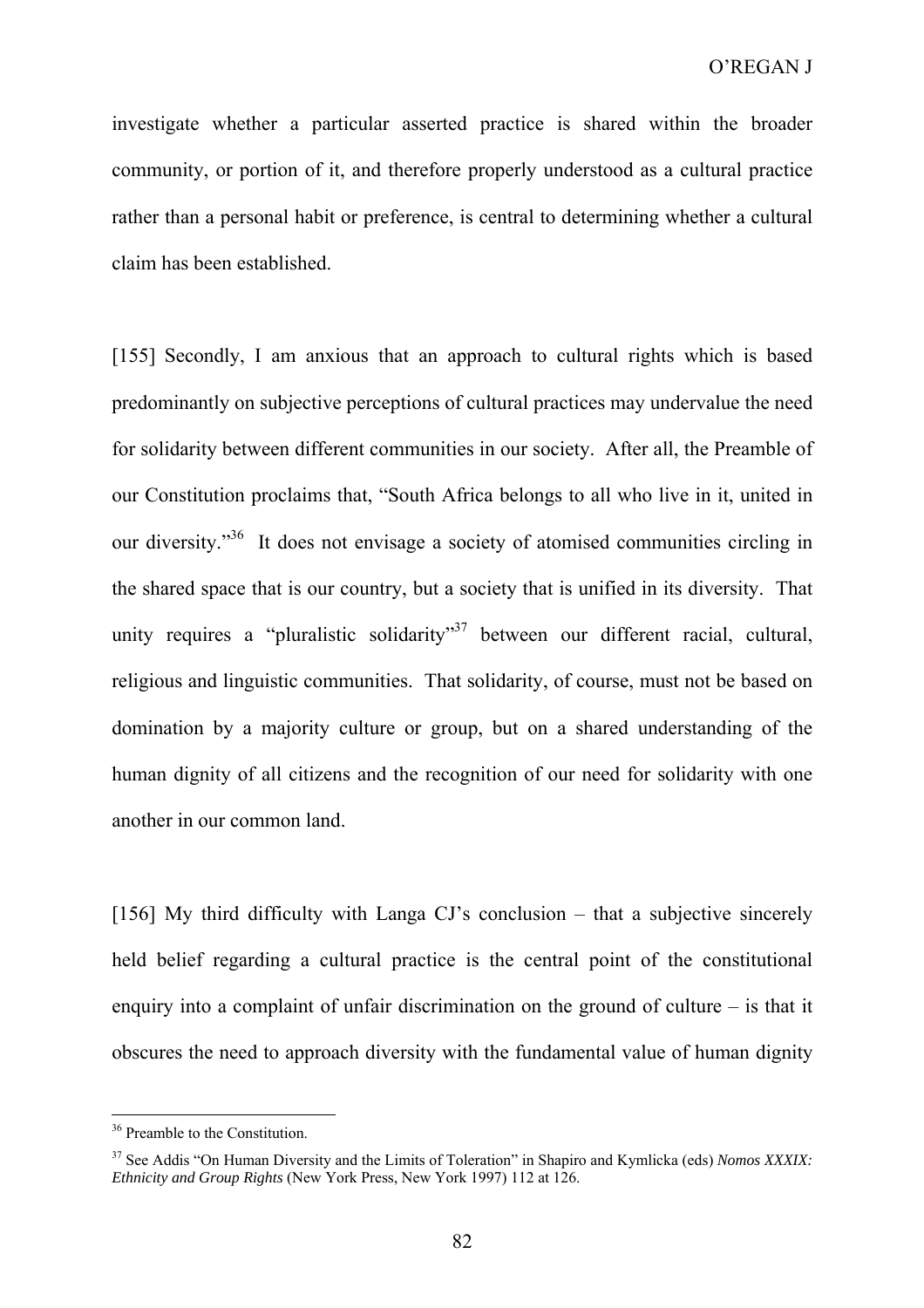investigate whether a particular asserted practice is shared within the broader community, or portion of it, and therefore properly understood as a cultural practice rather than a personal habit or preference, is central to determining whether a cultural claim has been established.

[155] Secondly, I am anxious that an approach to cultural rights which is based predominantly on subjective perceptions of cultural practices may undervalue the need for solidarity between different communities in our society. After all, the Preamble of our Constitution proclaims that, "South Africa belongs to all who live in it, united in our diversity."36 It does not envisage a society of atomised communities circling in the shared space that is our country, but a society that is unified in its diversity. That unity requires a "pluralistic solidarity"<sup>37</sup> between our different racial, cultural, religious and linguistic communities. That solidarity, of course, must not be based on domination by a majority culture or group, but on a shared understanding of the human dignity of all citizens and the recognition of our need for solidarity with one another in our common land.

[156] My third difficulty with Langa CJ's conclusion  $-$  that a subjective sincerely held belief regarding a cultural practice is the central point of the constitutional enquiry into a complaint of unfair discrimination on the ground of culture – is that it obscures the need to approach diversity with the fundamental value of human dignity

<sup>&</sup>lt;sup>36</sup> Preamble to the Constitution.

<sup>&</sup>lt;sup>37</sup> See Addis "On Human Diversity and the Limits of Toleration" in Shapiro and Kymlicka (eds) *Nomos XXXIX: Ethnicity and Group Rights* (New York Press, New York 1997) 112 at 126.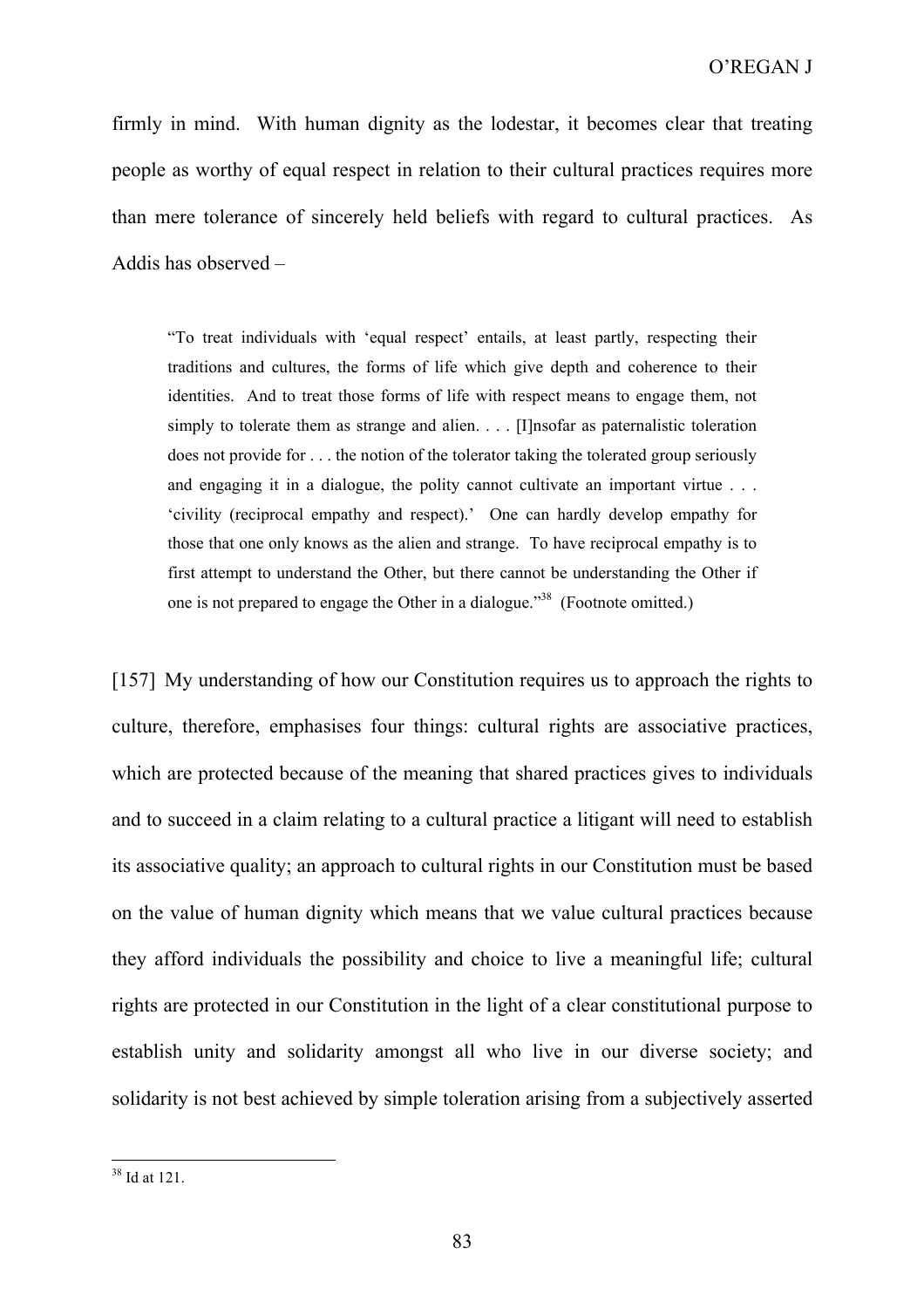firmly in mind. With human dignity as the lodestar, it becomes clear that treating people as worthy of equal respect in relation to their cultural practices requires more than mere tolerance of sincerely held beliefs with regard to cultural practices. As Addis has observed –

"To treat individuals with 'equal respect' entails, at least partly, respecting their traditions and cultures, the forms of life which give depth and coherence to their identities. And to treat those forms of life with respect means to engage them, not simply to tolerate them as strange and alien. . . . [I]nsofar as paternalistic toleration does not provide for . . . the notion of the tolerator taking the tolerated group seriously and engaging it in a dialogue, the polity cannot cultivate an important virtue . . . 'civility (reciprocal empathy and respect).' One can hardly develop empathy for those that one only knows as the alien and strange. To have reciprocal empathy is to first attempt to understand the Other, but there cannot be understanding the Other if one is not prepared to engage the Other in a dialogue."38 (Footnote omitted.)

[157] My understanding of how our Constitution requires us to approach the rights to culture, therefore, emphasises four things: cultural rights are associative practices, which are protected because of the meaning that shared practices gives to individuals and to succeed in a claim relating to a cultural practice a litigant will need to establish its associative quality; an approach to cultural rights in our Constitution must be based on the value of human dignity which means that we value cultural practices because they afford individuals the possibility and choice to live a meaningful life; cultural rights are protected in our Constitution in the light of a clear constitutional purpose to establish unity and solidarity amongst all who live in our diverse society; and solidarity is not best achieved by simple toleration arising from a subjectively asserted

<sup>&</sup>lt;sup>38</sup> Id at 121.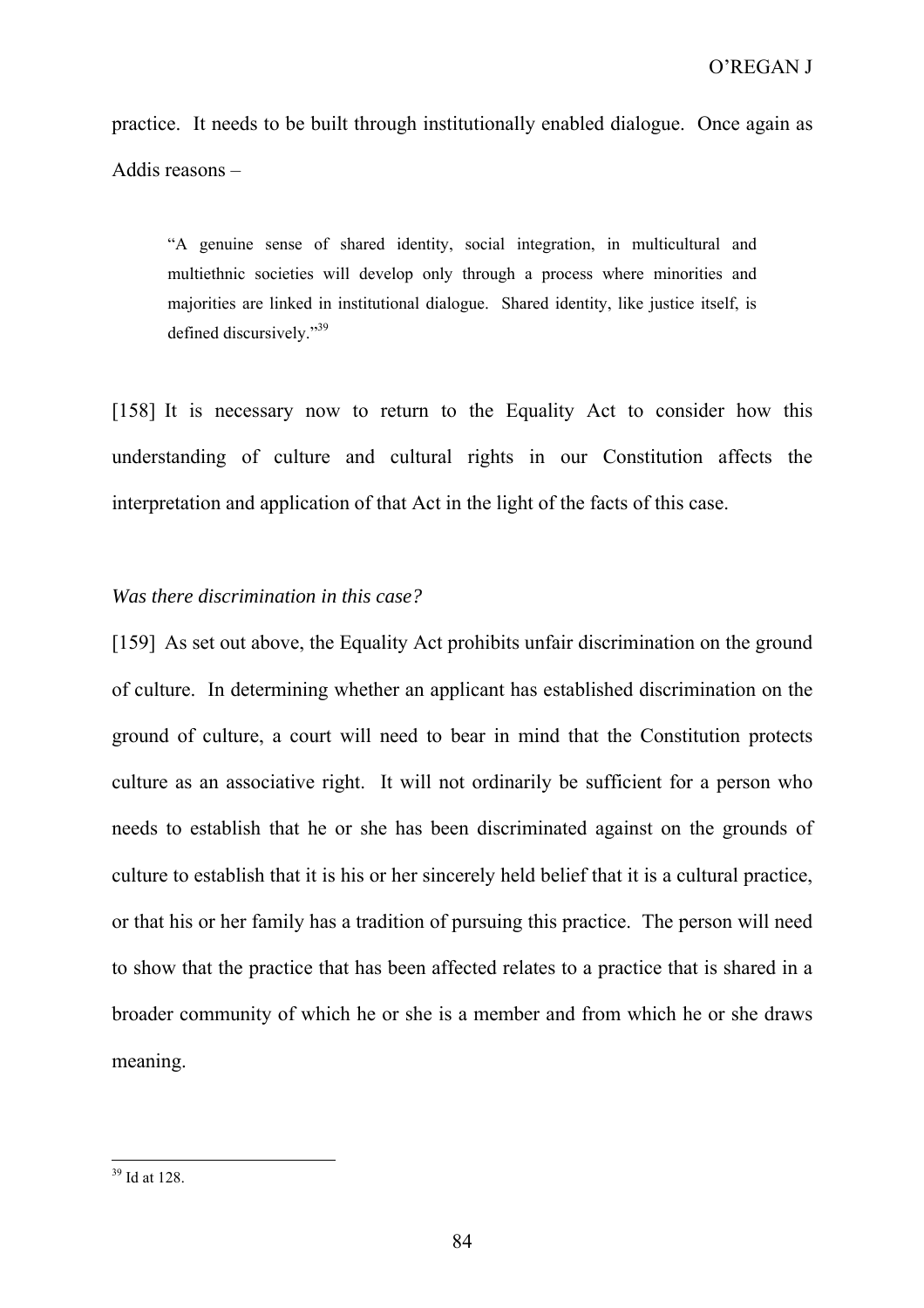practice. It needs to be built through institutionally enabled dialogue. Once again as Addis reasons –

"A genuine sense of shared identity, social integration, in multicultural and multiethnic societies will develop only through a process where minorities and majorities are linked in institutional dialogue. Shared identity, like justice itself, is defined discursively."<sup>39</sup>

[158] It is necessary now to return to the Equality Act to consider how this understanding of culture and cultural rights in our Constitution affects the interpretation and application of that Act in the light of the facts of this case.

## *Was there discrimination in this case?*

[159] As set out above, the Equality Act prohibits unfair discrimination on the ground of culture. In determining whether an applicant has established discrimination on the ground of culture, a court will need to bear in mind that the Constitution protects culture as an associative right. It will not ordinarily be sufficient for a person who needs to establish that he or she has been discriminated against on the grounds of culture to establish that it is his or her sincerely held belief that it is a cultural practice, or that his or her family has a tradition of pursuing this practice. The person will need to show that the practice that has been affected relates to a practice that is shared in a broader community of which he or she is a member and from which he or she draws meaning.

<sup>&</sup>lt;sup>39</sup> Id at 128.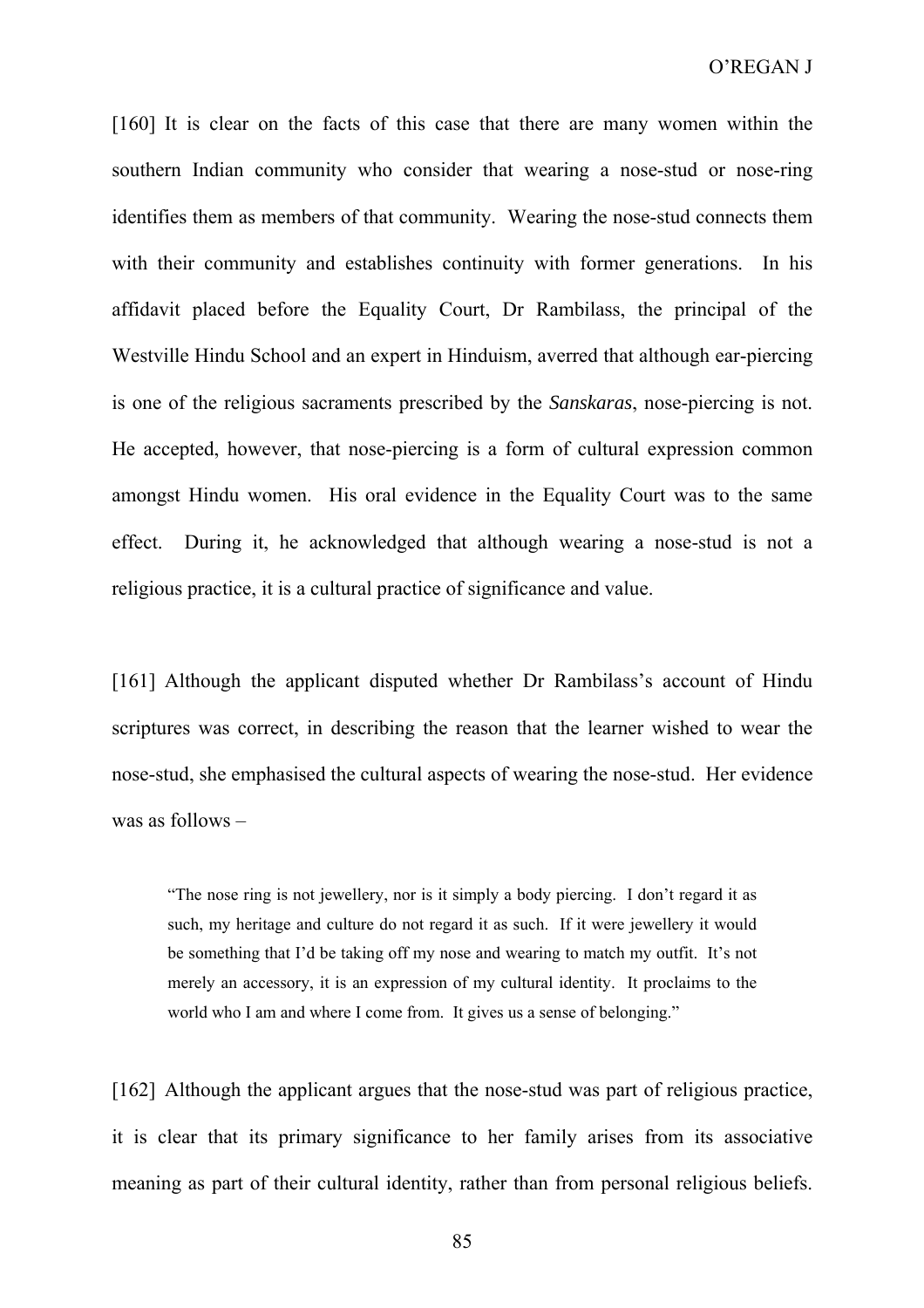[160] It is clear on the facts of this case that there are many women within the southern Indian community who consider that wearing a nose-stud or nose-ring identifies them as members of that community. Wearing the nose-stud connects them with their community and establishes continuity with former generations. In his affidavit placed before the Equality Court, Dr Rambilass, the principal of the Westville Hindu School and an expert in Hinduism, averred that although ear-piercing is one of the religious sacraments prescribed by the *Sanskaras*, nose-piercing is not. He accepted, however, that nose-piercing is a form of cultural expression common amongst Hindu women. His oral evidence in the Equality Court was to the same effect. During it, he acknowledged that although wearing a nose-stud is not a religious practice, it is a cultural practice of significance and value.

[161] Although the applicant disputed whether Dr Rambilass's account of Hindu scriptures was correct, in describing the reason that the learner wished to wear the nose-stud, she emphasised the cultural aspects of wearing the nose-stud. Her evidence was as follows –

"The nose ring is not jewellery, nor is it simply a body piercing. I don't regard it as such, my heritage and culture do not regard it as such. If it were jewellery it would be something that I'd be taking off my nose and wearing to match my outfit. It's not merely an accessory, it is an expression of my cultural identity. It proclaims to the world who I am and where I come from. It gives us a sense of belonging."

[162] Although the applicant argues that the nose-stud was part of religious practice, it is clear that its primary significance to her family arises from its associative meaning as part of their cultural identity, rather than from personal religious beliefs.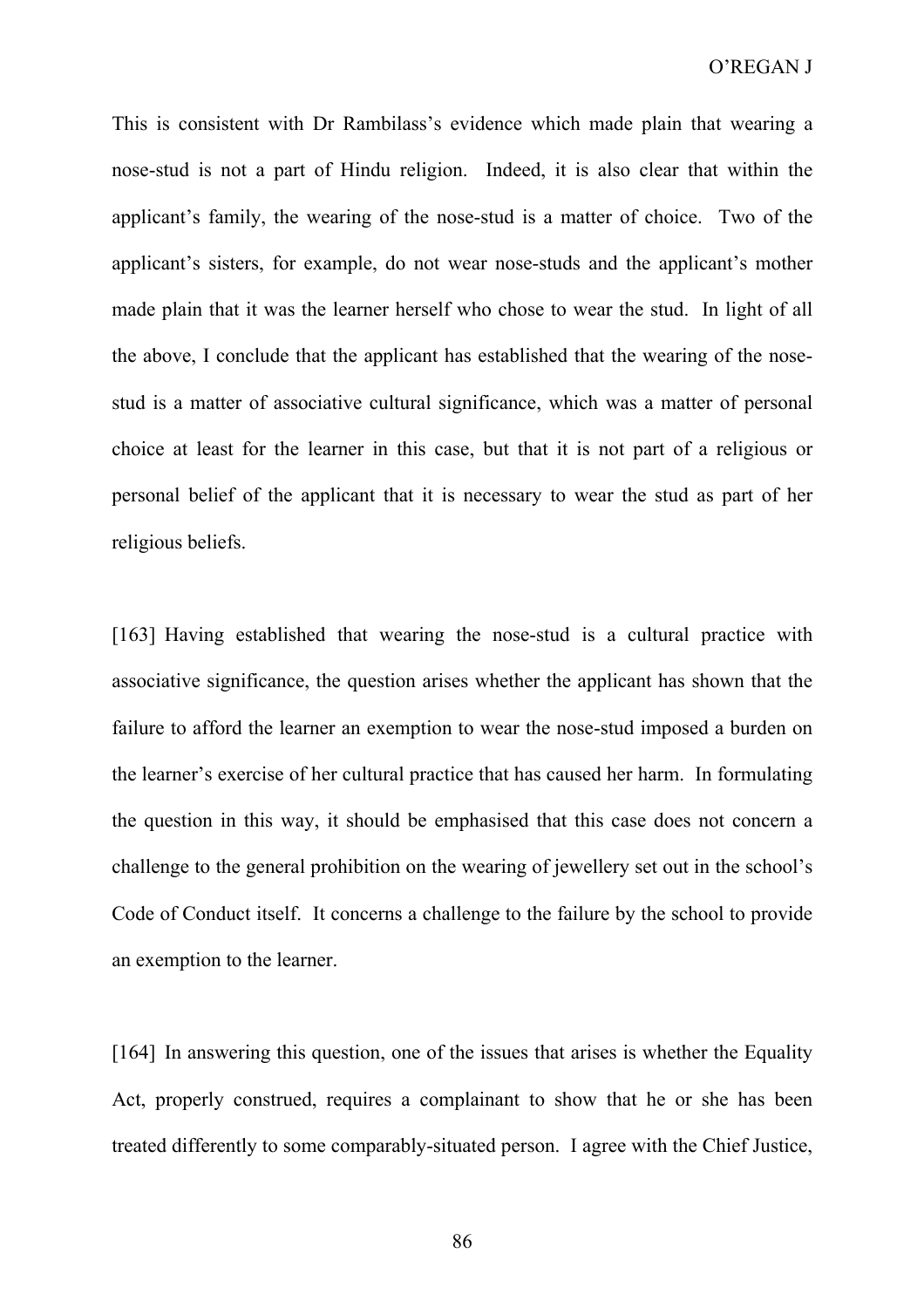This is consistent with Dr Rambilass's evidence which made plain that wearing a nose-stud is not a part of Hindu religion. Indeed, it is also clear that within the applicant's family, the wearing of the nose-stud is a matter of choice. Two of the applicant's sisters, for example, do not wear nose-studs and the applicant's mother made plain that it was the learner herself who chose to wear the stud. In light of all the above, I conclude that the applicant has established that the wearing of the nosestud is a matter of associative cultural significance, which was a matter of personal choice at least for the learner in this case, but that it is not part of a religious or personal belief of the applicant that it is necessary to wear the stud as part of her religious beliefs.

[163] Having established that wearing the nose-stud is a cultural practice with associative significance, the question arises whether the applicant has shown that the failure to afford the learner an exemption to wear the nose-stud imposed a burden on the learner's exercise of her cultural practice that has caused her harm. In formulating the question in this way, it should be emphasised that this case does not concern a challenge to the general prohibition on the wearing of jewellery set out in the school's Code of Conduct itself. It concerns a challenge to the failure by the school to provide an exemption to the learner.

[164] In answering this question, one of the issues that arises is whether the Equality Act, properly construed, requires a complainant to show that he or she has been treated differently to some comparably-situated person. I agree with the Chief Justice,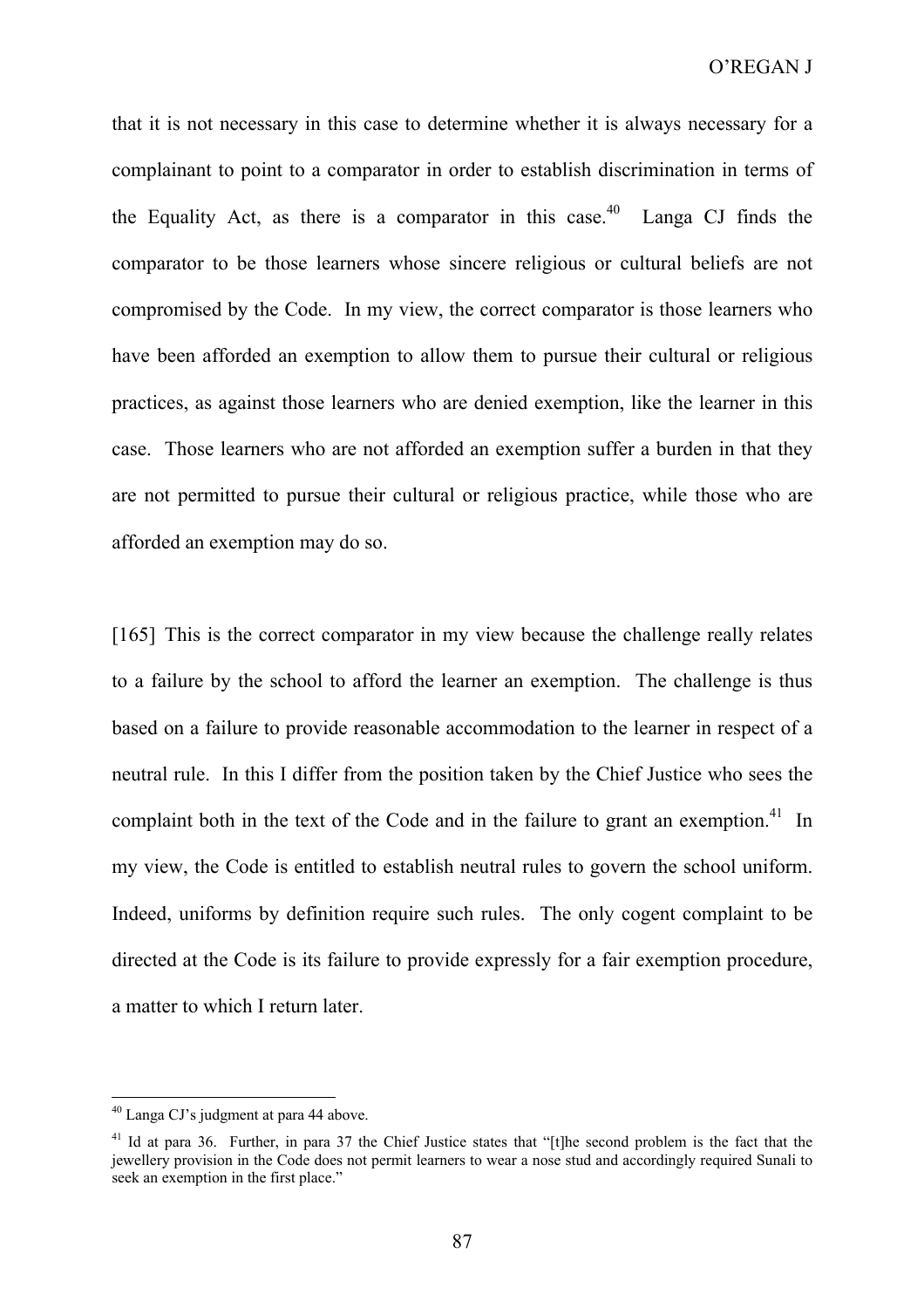that it is not necessary in this case to determine whether it is always necessary for a complainant to point to a comparator in order to establish discrimination in terms of the Equality Act, as there is a comparator in this case.<sup>40</sup> Langa CJ finds the comparator to be those learners whose sincere religious or cultural beliefs are not compromised by the Code. In my view, the correct comparator is those learners who have been afforded an exemption to allow them to pursue their cultural or religious practices, as against those learners who are denied exemption, like the learner in this case. Those learners who are not afforded an exemption suffer a burden in that they are not permitted to pursue their cultural or religious practice, while those who are afforded an exemption may do so.

[165] This is the correct comparator in my view because the challenge really relates to a failure by the school to afford the learner an exemption. The challenge is thus based on a failure to provide reasonable accommodation to the learner in respect of a neutral rule. In this I differ from the position taken by the Chief Justice who sees the complaint both in the text of the Code and in the failure to grant an exemption.<sup>41</sup> In my view, the Code is entitled to establish neutral rules to govern the school uniform. Indeed, uniforms by definition require such rules. The only cogent complaint to be directed at the Code is its failure to provide expressly for a fair exemption procedure, a matter to which I return later.

 $40$  Langa CJ's judgment at para 44 above.

<sup>&</sup>lt;sup>41</sup> Id at para 36. Further, in para 37 the Chief Justice states that "[t]he second problem is the fact that the jewellery provision in the Code does not permit learners to wear a nose stud and accordingly required Sunali to seek an exemption in the first place."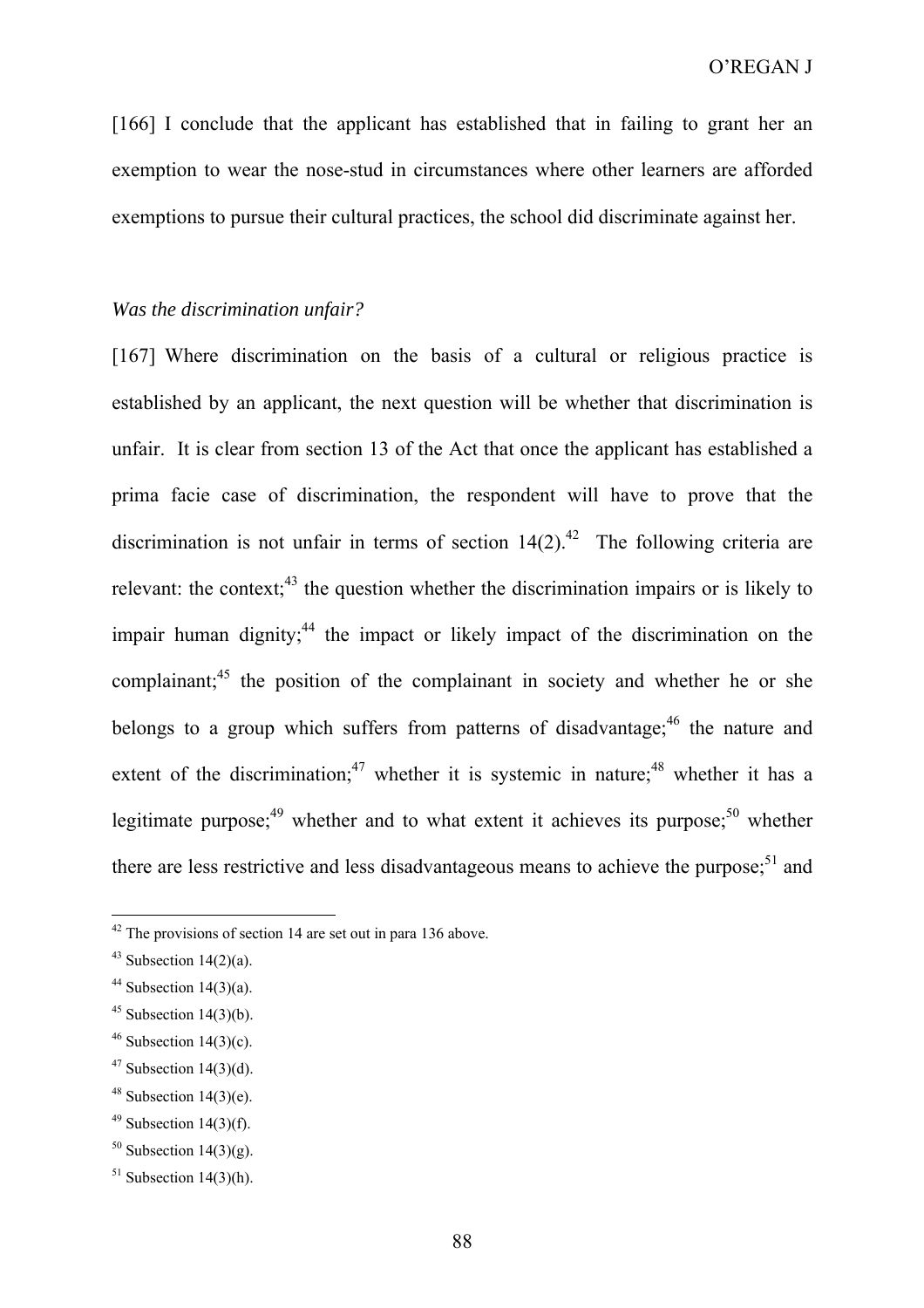[166] I conclude that the applicant has established that in failing to grant her an exemption to wear the nose-stud in circumstances where other learners are afforded exemptions to pursue their cultural practices, the school did discriminate against her.

## *Was the discrimination unfair?*

[167] Where discrimination on the basis of a cultural or religious practice is established by an applicant, the next question will be whether that discrimination is unfair. It is clear from section 13 of the Act that once the applicant has established a prima facie case of discrimination, the respondent will have to prove that the discrimination is not unfair in terms of section  $14(2)$ .<sup>42</sup> The following criteria are relevant: the context: $43$  the question whether the discrimination impairs or is likely to impair human dignity;<sup>44</sup> the impact or likely impact of the discrimination on the complainant; $45$  the position of the complainant in society and whether he or she belongs to a group which suffers from patterns of disadvantage:<sup>46</sup> the nature and extent of the discrimination:<sup>47</sup> whether it is systemic in nature;<sup>48</sup> whether it has a legitimate purpose;<sup>49</sup> whether and to what extent it achieves its purpose;<sup>50</sup> whether there are less restrictive and less disadvantageous means to achieve the purpose; $51$  and

 $42$  The provisions of section 14 are set out in para 136 above.

 $43$  Subsection 14(2)(a).

 $44$  Subsection 14(3)(a).

 $45$  Subsection 14(3)(b).

 $46$  Subsection 14(3)(c).

 $47$  Subsection 14(3)(d).

 $48$  Subsection 14(3)(e).

 $49$  Subsection 14(3)(f).

<sup>&</sup>lt;sup>50</sup> Subsection  $14(3)(g)$ .

 $51$  Subsection 14(3)(h).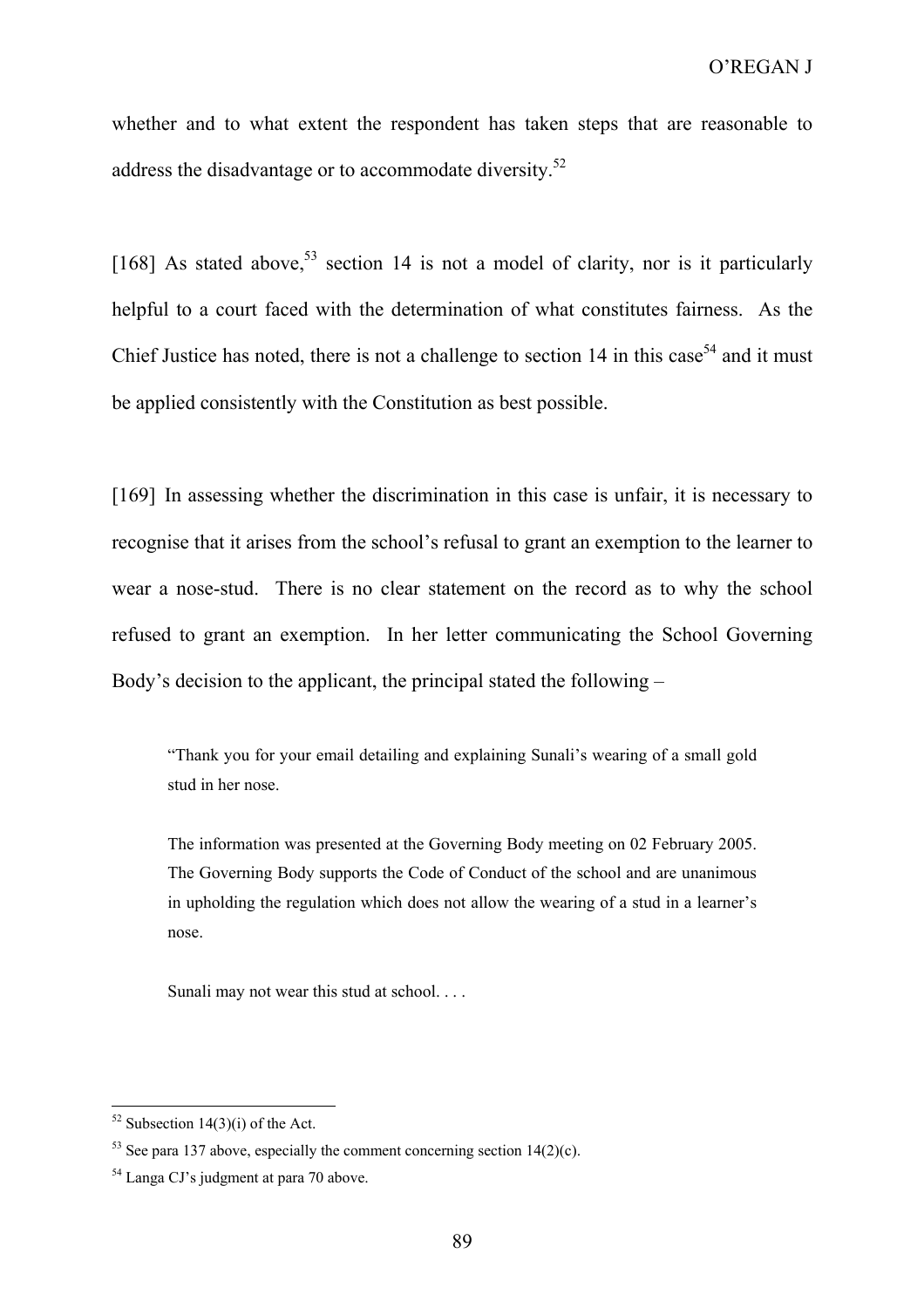whether and to what extent the respondent has taken steps that are reasonable to address the disadvantage or to accommodate diversity.<sup>52</sup>

[168] As stated above,  $53$  section 14 is not a model of clarity, nor is it particularly helpful to a court faced with the determination of what constitutes fairness. As the Chief Justice has noted, there is not a challenge to section  $14$  in this case<sup>54</sup> and it must be applied consistently with the Constitution as best possible.

[169] In assessing whether the discrimination in this case is unfair, it is necessary to recognise that it arises from the school's refusal to grant an exemption to the learner to wear a nose-stud. There is no clear statement on the record as to why the school refused to grant an exemption. In her letter communicating the School Governing Body's decision to the applicant, the principal stated the following –

"Thank you for your email detailing and explaining Sunali's wearing of a small gold stud in her nose.

The information was presented at the Governing Body meeting on 02 February 2005. The Governing Body supports the Code of Conduct of the school and are unanimous in upholding the regulation which does not allow the wearing of a stud in a learner's nose.

Sunali may not wear this stud at school. . . .

 $52$  Subsection 14(3)(i) of the Act.

 $53$  See para 137 above, especially the comment concerning section 14(2)(c).

<sup>54</sup> Langa CJ's judgment at para 70 above.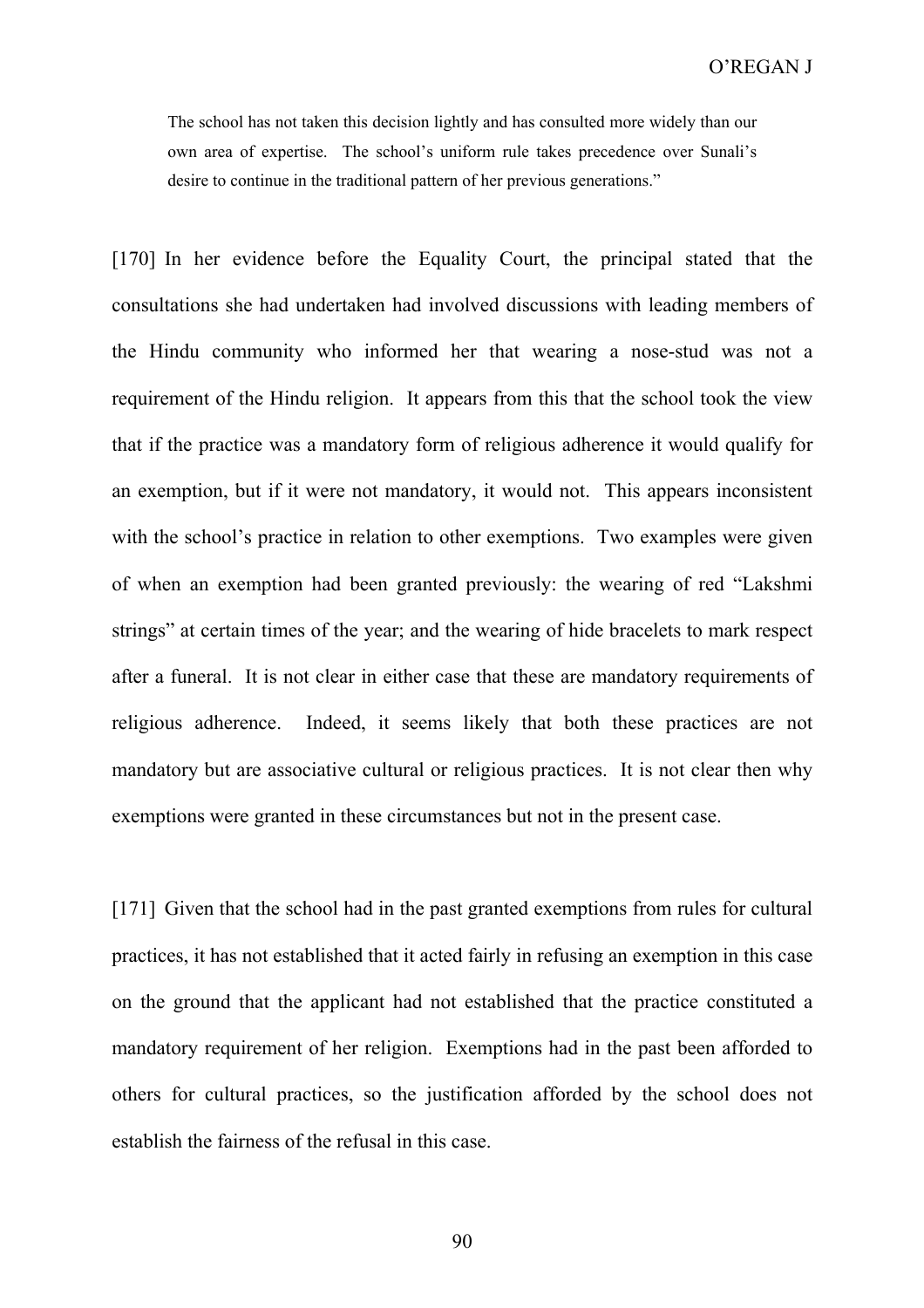The school has not taken this decision lightly and has consulted more widely than our own area of expertise. The school's uniform rule takes precedence over Sunali's desire to continue in the traditional pattern of her previous generations."

[170] In her evidence before the Equality Court, the principal stated that the consultations she had undertaken had involved discussions with leading members of the Hindu community who informed her that wearing a nose-stud was not a requirement of the Hindu religion. It appears from this that the school took the view that if the practice was a mandatory form of religious adherence it would qualify for an exemption, but if it were not mandatory, it would not. This appears inconsistent with the school's practice in relation to other exemptions. Two examples were given of when an exemption had been granted previously: the wearing of red "Lakshmi strings" at certain times of the year; and the wearing of hide bracelets to mark respect after a funeral. It is not clear in either case that these are mandatory requirements of religious adherence. Indeed, it seems likely that both these practices are not mandatory but are associative cultural or religious practices. It is not clear then why exemptions were granted in these circumstances but not in the present case.

[171] Given that the school had in the past granted exemptions from rules for cultural practices, it has not established that it acted fairly in refusing an exemption in this case on the ground that the applicant had not established that the practice constituted a mandatory requirement of her religion. Exemptions had in the past been afforded to others for cultural practices, so the justification afforded by the school does not establish the fairness of the refusal in this case.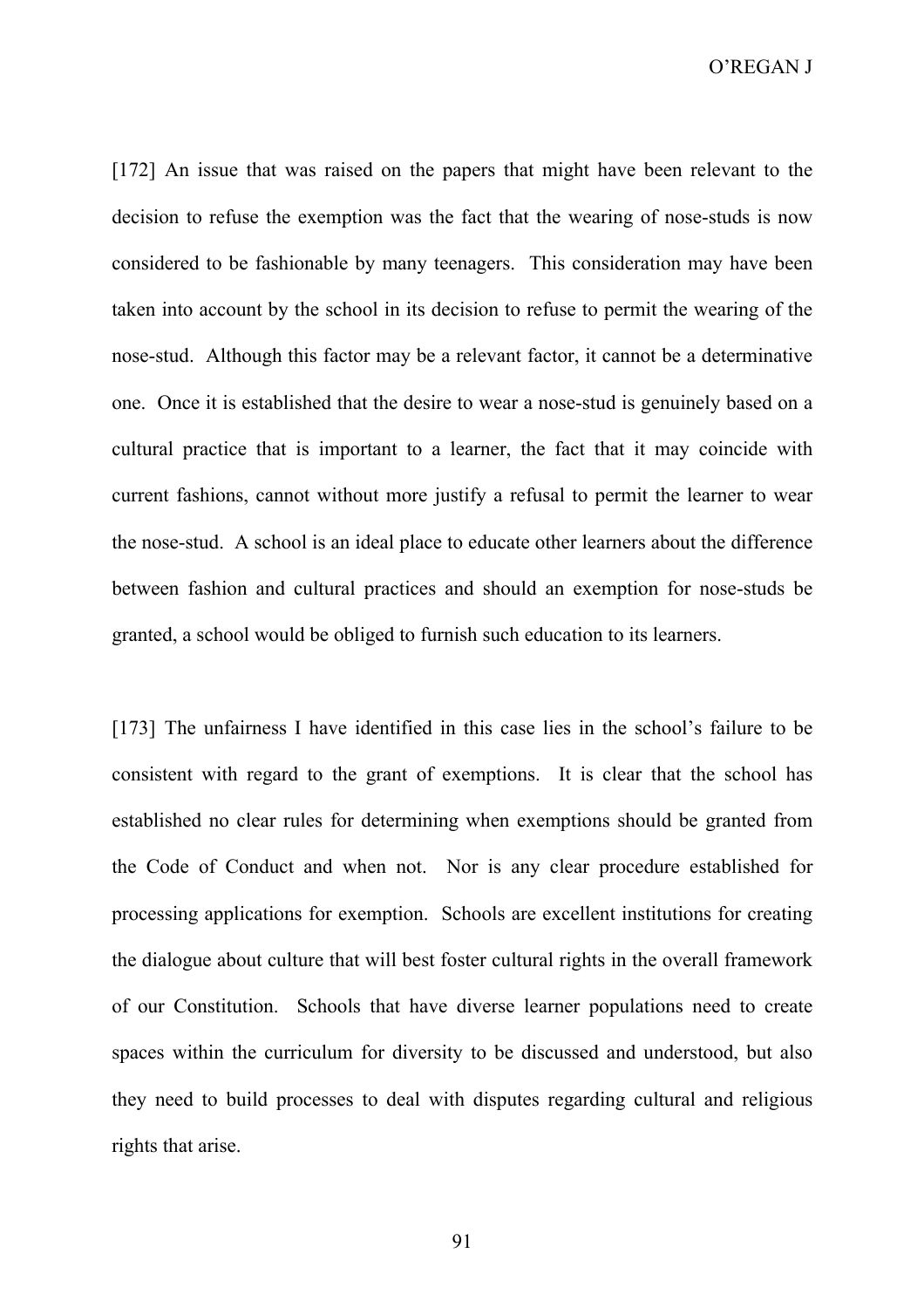O'REGAN J

[172] An issue that was raised on the papers that might have been relevant to the decision to refuse the exemption was the fact that the wearing of nose-studs is now considered to be fashionable by many teenagers. This consideration may have been taken into account by the school in its decision to refuse to permit the wearing of the nose-stud. Although this factor may be a relevant factor, it cannot be a determinative one. Once it is established that the desire to wear a nose-stud is genuinely based on a cultural practice that is important to a learner, the fact that it may coincide with current fashions, cannot without more justify a refusal to permit the learner to wear the nose-stud. A school is an ideal place to educate other learners about the difference between fashion and cultural practices and should an exemption for nose-studs be granted, a school would be obliged to furnish such education to its learners.

[173] The unfairness I have identified in this case lies in the school's failure to be consistent with regard to the grant of exemptions. It is clear that the school has established no clear rules for determining when exemptions should be granted from the Code of Conduct and when not. Nor is any clear procedure established for processing applications for exemption. Schools are excellent institutions for creating the dialogue about culture that will best foster cultural rights in the overall framework of our Constitution. Schools that have diverse learner populations need to create spaces within the curriculum for diversity to be discussed and understood, but also they need to build processes to deal with disputes regarding cultural and religious rights that arise.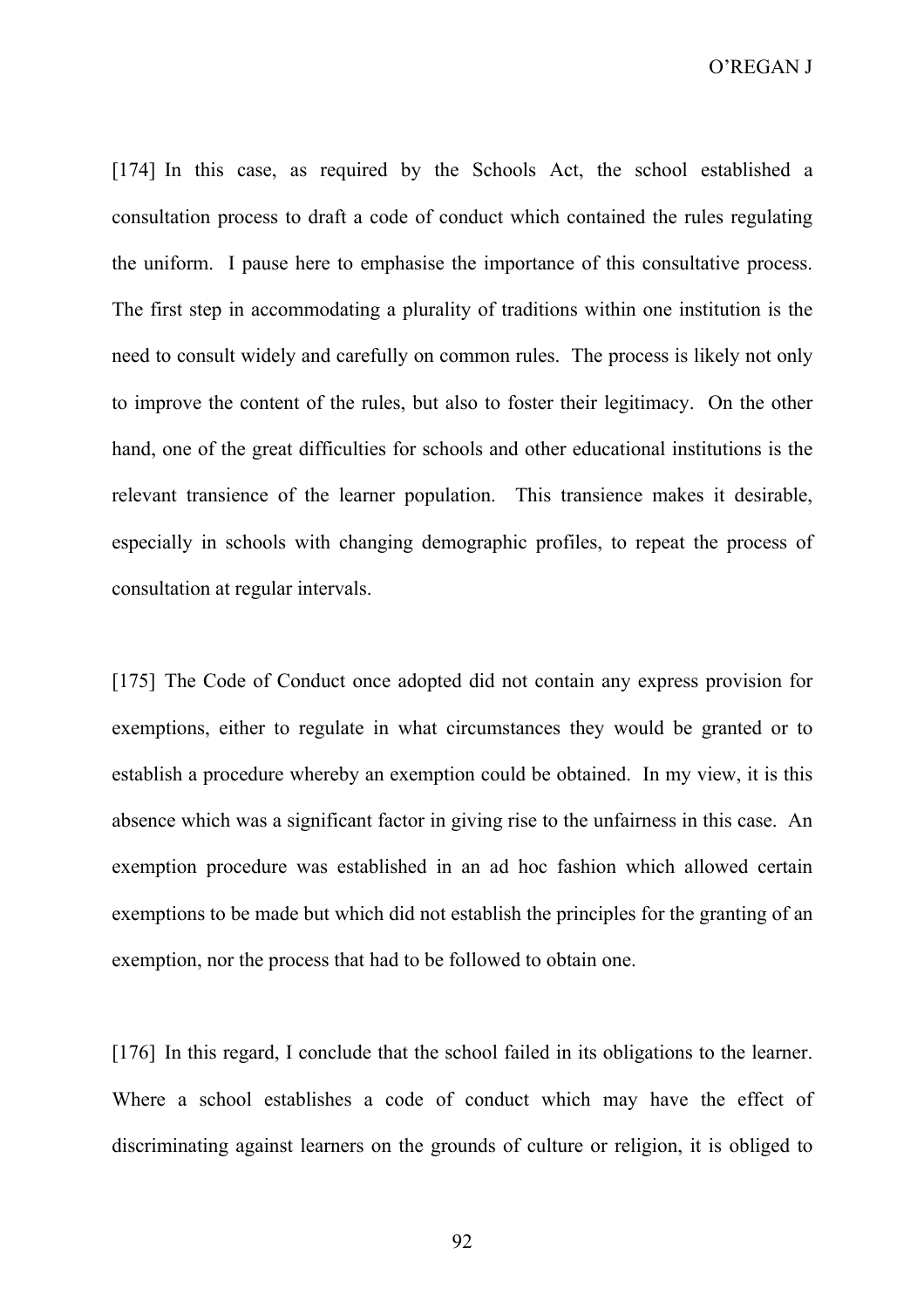O'REGAN J

[174] In this case, as required by the Schools Act, the school established a consultation process to draft a code of conduct which contained the rules regulating the uniform. I pause here to emphasise the importance of this consultative process. The first step in accommodating a plurality of traditions within one institution is the need to consult widely and carefully on common rules. The process is likely not only to improve the content of the rules, but also to foster their legitimacy. On the other hand, one of the great difficulties for schools and other educational institutions is the relevant transience of the learner population. This transience makes it desirable, especially in schools with changing demographic profiles, to repeat the process of consultation at regular intervals.

[175] The Code of Conduct once adopted did not contain any express provision for exemptions, either to regulate in what circumstances they would be granted or to establish a procedure whereby an exemption could be obtained. In my view, it is this absence which was a significant factor in giving rise to the unfairness in this case. An exemption procedure was established in an ad hoc fashion which allowed certain exemptions to be made but which did not establish the principles for the granting of an exemption, nor the process that had to be followed to obtain one.

[176] In this regard, I conclude that the school failed in its obligations to the learner. Where a school establishes a code of conduct which may have the effect of discriminating against learners on the grounds of culture or religion, it is obliged to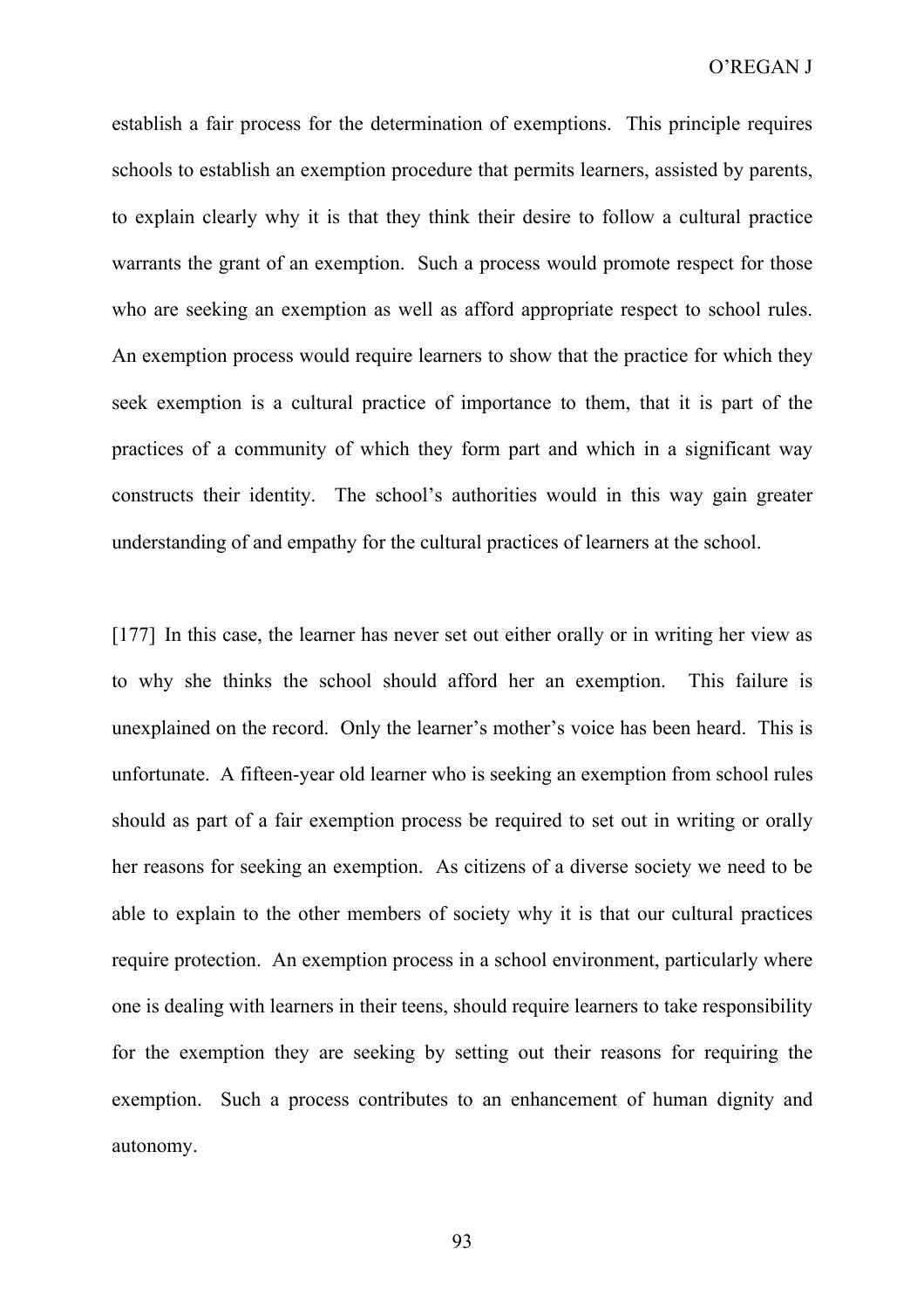establish a fair process for the determination of exemptions. This principle requires schools to establish an exemption procedure that permits learners, assisted by parents, to explain clearly why it is that they think their desire to follow a cultural practice warrants the grant of an exemption. Such a process would promote respect for those who are seeking an exemption as well as afford appropriate respect to school rules. An exemption process would require learners to show that the practice for which they seek exemption is a cultural practice of importance to them, that it is part of the practices of a community of which they form part and which in a significant way constructs their identity. The school's authorities would in this way gain greater understanding of and empathy for the cultural practices of learners at the school.

[177] In this case, the learner has never set out either orally or in writing her view as to why she thinks the school should afford her an exemption. This failure is unexplained on the record. Only the learner's mother's voice has been heard. This is unfortunate. A fifteen-year old learner who is seeking an exemption from school rules should as part of a fair exemption process be required to set out in writing or orally her reasons for seeking an exemption. As citizens of a diverse society we need to be able to explain to the other members of society why it is that our cultural practices require protection. An exemption process in a school environment, particularly where one is dealing with learners in their teens, should require learners to take responsibility for the exemption they are seeking by setting out their reasons for requiring the exemption. Such a process contributes to an enhancement of human dignity and autonomy.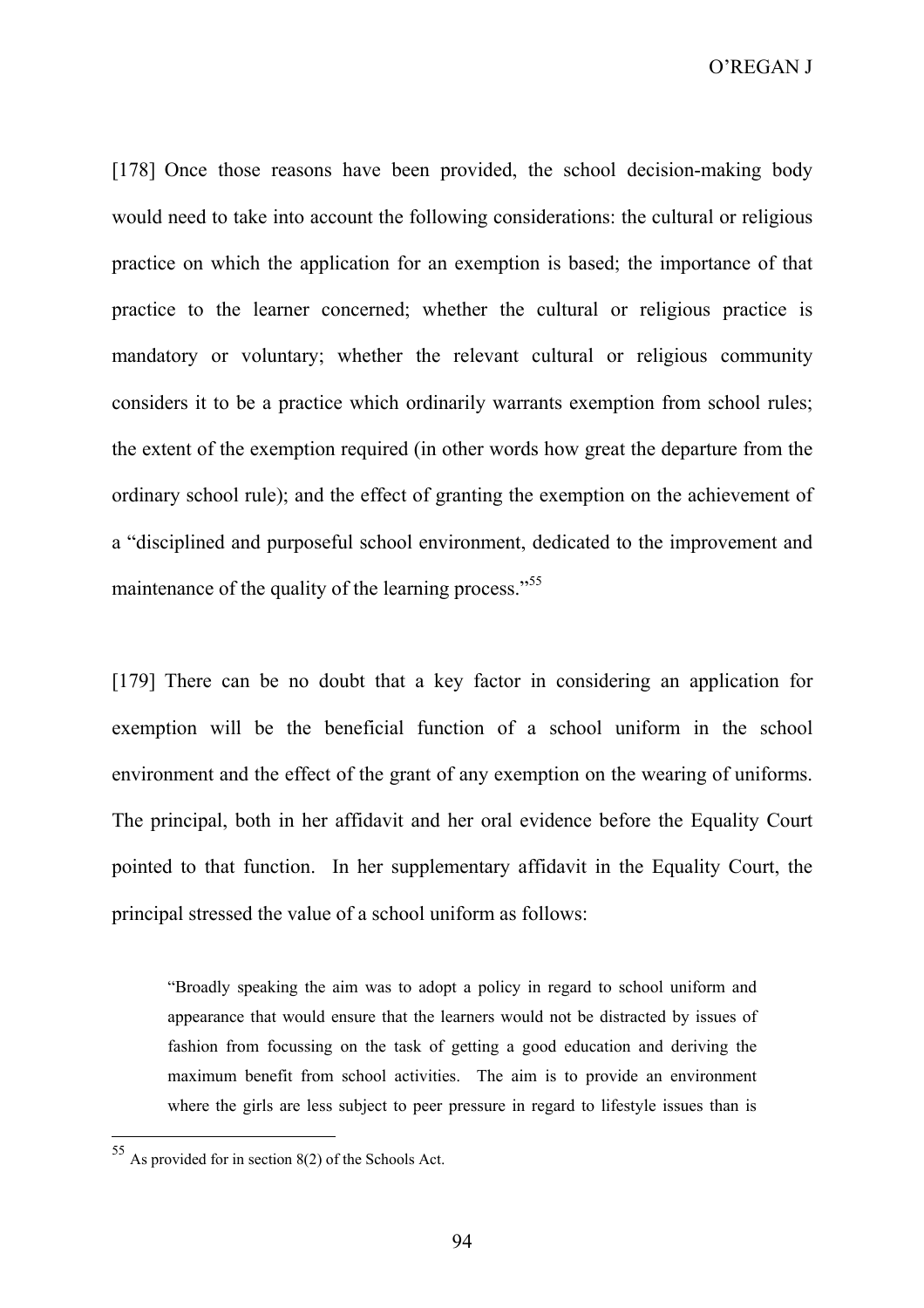O'REGAN J

[178] Once those reasons have been provided, the school decision-making body would need to take into account the following considerations: the cultural or religious practice on which the application for an exemption is based; the importance of that practice to the learner concerned; whether the cultural or religious practice is mandatory or voluntary; whether the relevant cultural or religious community considers it to be a practice which ordinarily warrants exemption from school rules; the extent of the exemption required (in other words how great the departure from the ordinary school rule); and the effect of granting the exemption on the achievement of a "disciplined and purposeful school environment, dedicated to the improvement and maintenance of the quality of the learning process."<sup>55</sup>

[179] There can be no doubt that a key factor in considering an application for exemption will be the beneficial function of a school uniform in the school environment and the effect of the grant of any exemption on the wearing of uniforms. The principal, both in her affidavit and her oral evidence before the Equality Court pointed to that function. In her supplementary affidavit in the Equality Court, the principal stressed the value of a school uniform as follows:

"Broadly speaking the aim was to adopt a policy in regard to school uniform and appearance that would ensure that the learners would not be distracted by issues of fashion from focussing on the task of getting a good education and deriving the maximum benefit from school activities. The aim is to provide an environment where the girls are less subject to peer pressure in regard to lifestyle issues than is

 $55$  As provided for in section 8(2) of the Schools Act.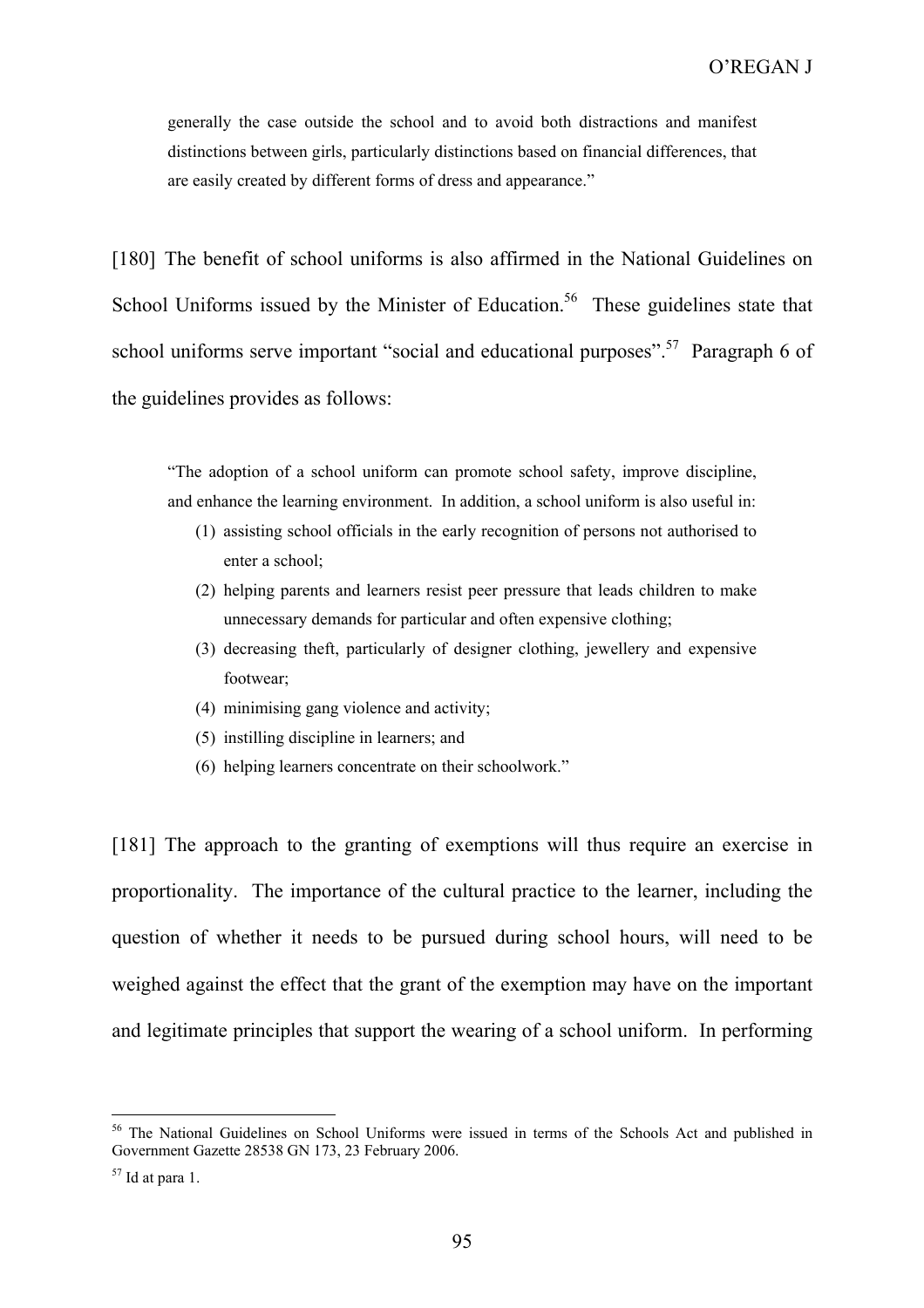generally the case outside the school and to avoid both distractions and manifest distinctions between girls, particularly distinctions based on financial differences, that are easily created by different forms of dress and appearance."

[180] The benefit of school uniforms is also affirmed in the National Guidelines on School Uniforms issued by the Minister of Education.<sup>56</sup> These guidelines state that school uniforms serve important "social and educational purposes".<sup>57</sup> Paragraph 6 of the guidelines provides as follows:

"The adoption of a school uniform can promote school safety, improve discipline, and enhance the learning environment. In addition, a school uniform is also useful in:

- (1) assisting school officials in the early recognition of persons not authorised to enter a school;
- (2) helping parents and learners resist peer pressure that leads children to make unnecessary demands for particular and often expensive clothing;
- (3) decreasing theft, particularly of designer clothing, jewellery and expensive footwear;
- (4) minimising gang violence and activity;
- (5) instilling discipline in learners; and
- (6) helping learners concentrate on their schoolwork."

[181] The approach to the granting of exemptions will thus require an exercise in proportionality. The importance of the cultural practice to the learner, including the question of whether it needs to be pursued during school hours, will need to be weighed against the effect that the grant of the exemption may have on the important and legitimate principles that support the wearing of a school uniform. In performing

<sup>&</sup>lt;sup>56</sup> The National Guidelines on School Uniforms were issued in terms of the Schools Act and published in Government Gazette 28538 GN 173, 23 February 2006.

 $57$  Id at para 1.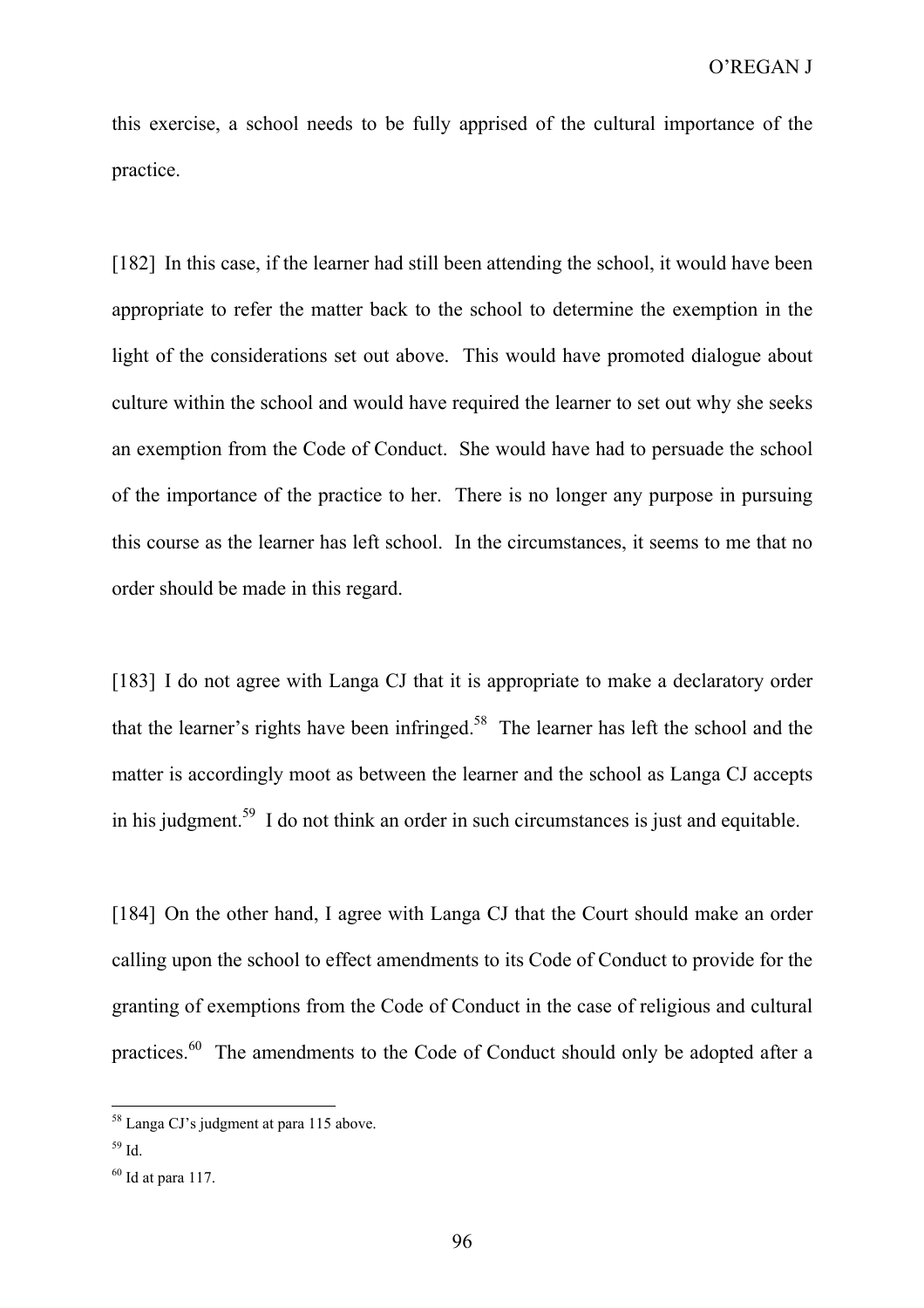this exercise, a school needs to be fully apprised of the cultural importance of the practice.

[182] In this case, if the learner had still been attending the school, it would have been appropriate to refer the matter back to the school to determine the exemption in the light of the considerations set out above. This would have promoted dialogue about culture within the school and would have required the learner to set out why she seeks an exemption from the Code of Conduct. She would have had to persuade the school of the importance of the practice to her. There is no longer any purpose in pursuing this course as the learner has left school. In the circumstances, it seems to me that no order should be made in this regard.

[183] I do not agree with Langa CJ that it is appropriate to make a declaratory order that the learner's rights have been infringed.58 The learner has left the school and the matter is accordingly moot as between the learner and the school as Langa CJ accepts in his judgment.59 I do not think an order in such circumstances is just and equitable.

[184] On the other hand, I agree with Langa CJ that the Court should make an order calling upon the school to effect amendments to its Code of Conduct to provide for the granting of exemptions from the Code of Conduct in the case of religious and cultural practices.60 The amendments to the Code of Conduct should only be adopted after a

<sup>&</sup>lt;sup>58</sup> Langa CJ's judgment at para 115 above.

<sup>59</sup> Id.

 $60$  Id at para 117.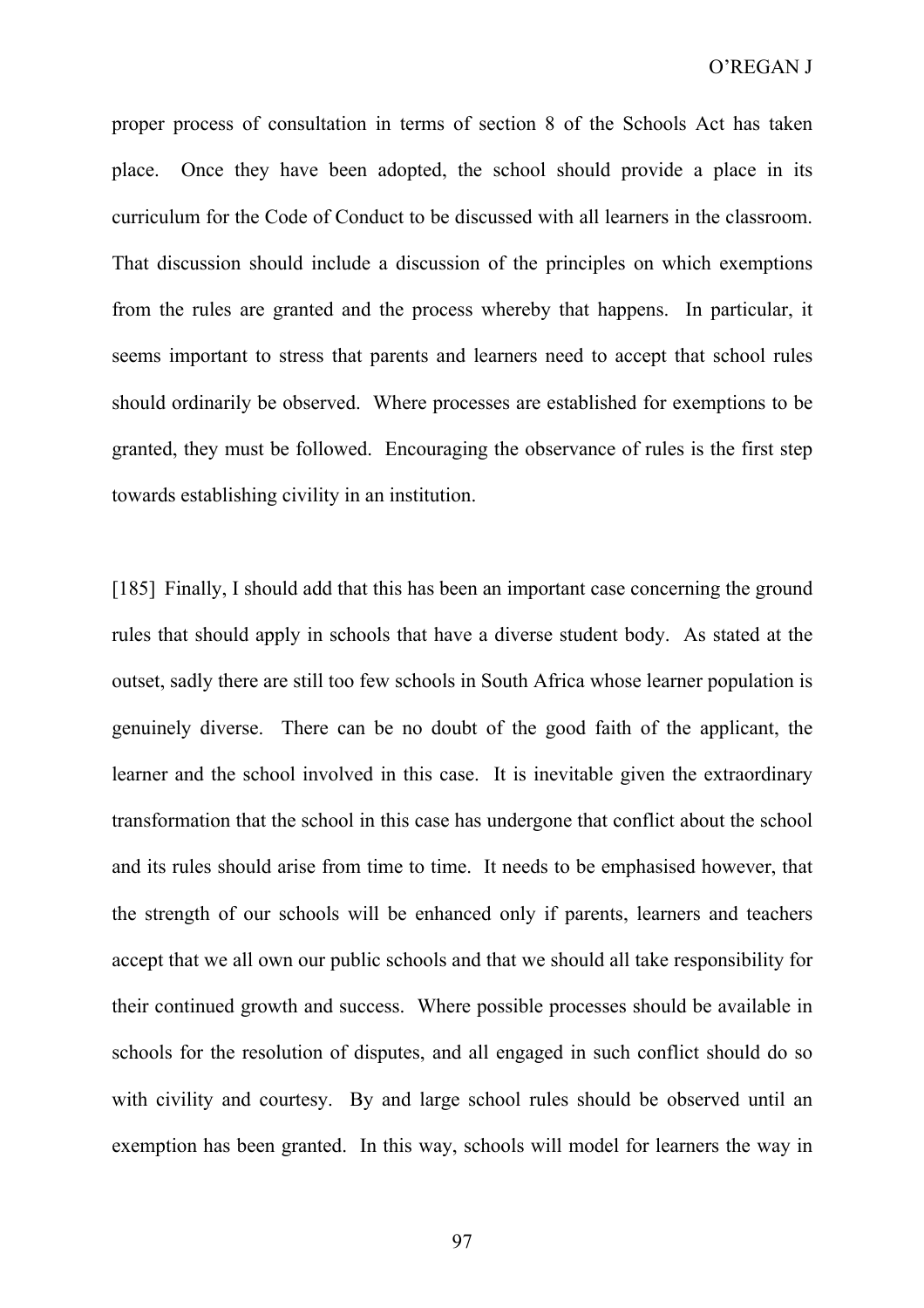proper process of consultation in terms of section 8 of the Schools Act has taken place. Once they have been adopted, the school should provide a place in its curriculum for the Code of Conduct to be discussed with all learners in the classroom. That discussion should include a discussion of the principles on which exemptions from the rules are granted and the process whereby that happens. In particular, it seems important to stress that parents and learners need to accept that school rules should ordinarily be observed. Where processes are established for exemptions to be granted, they must be followed. Encouraging the observance of rules is the first step towards establishing civility in an institution.

[185] Finally, I should add that this has been an important case concerning the ground rules that should apply in schools that have a diverse student body. As stated at the outset, sadly there are still too few schools in South Africa whose learner population is genuinely diverse. There can be no doubt of the good faith of the applicant, the learner and the school involved in this case. It is inevitable given the extraordinary transformation that the school in this case has undergone that conflict about the school and its rules should arise from time to time. It needs to be emphasised however, that the strength of our schools will be enhanced only if parents, learners and teachers accept that we all own our public schools and that we should all take responsibility for their continued growth and success. Where possible processes should be available in schools for the resolution of disputes, and all engaged in such conflict should do so with civility and courtesy. By and large school rules should be observed until an exemption has been granted. In this way, schools will model for learners the way in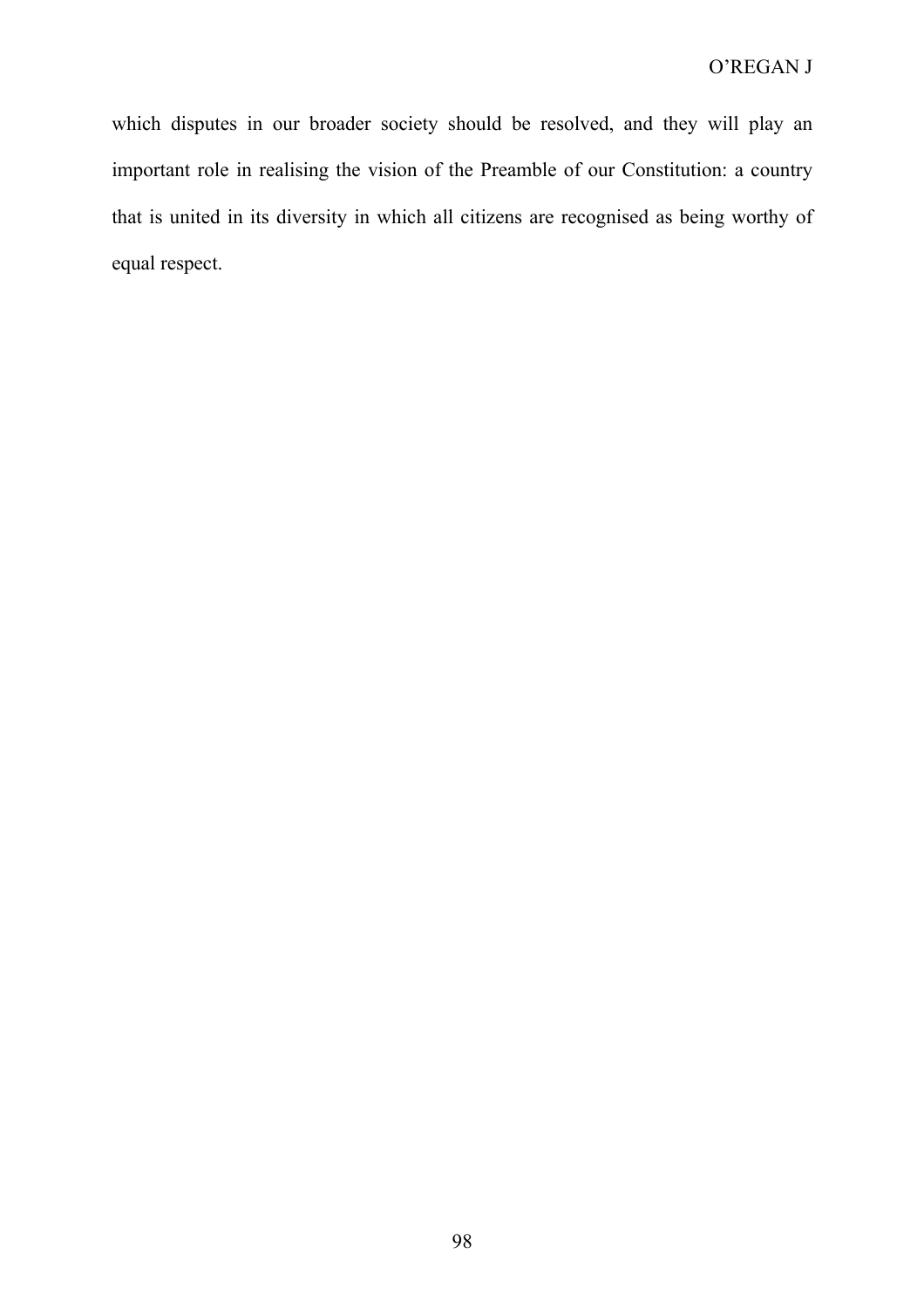which disputes in our broader society should be resolved, and they will play an important role in realising the vision of the Preamble of our Constitution: a country that is united in its diversity in which all citizens are recognised as being worthy of equal respect.